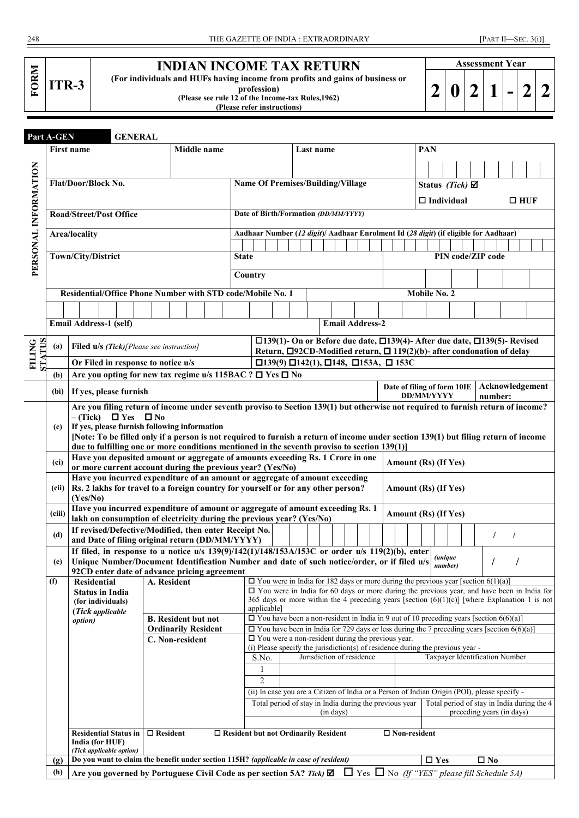| ITR-3 |  |
|-------|--|
|-------|--|

## **INDIAN INCOME TAX RETURN**

**(For individuals and HUFs having income from profits and gains of business or** 

**profession)**

**(Please see rule 12 of the Income-tax Rules,1962)**

**(Please refer instructions)**

|  | <b>Assessment Year</b> |  |  |
|--|------------------------|--|--|
|  |                        |  |  |
|  |                        |  |  |

|                                | Part A-GEN        | <b>GENERAL</b>                                                                                                                                                                                                                      |                                                          |             |              |                                                                                                      |  |           |                                                                                                                                                                                                    |  |  |                             |                                                                                      |                           |                           |                   |                                            |  |
|--------------------------------|-------------------|-------------------------------------------------------------------------------------------------------------------------------------------------------------------------------------------------------------------------------------|----------------------------------------------------------|-------------|--------------|------------------------------------------------------------------------------------------------------|--|-----------|----------------------------------------------------------------------------------------------------------------------------------------------------------------------------------------------------|--|--|-----------------------------|--------------------------------------------------------------------------------------|---------------------------|---------------------------|-------------------|--------------------------------------------|--|
|                                |                   | <b>First name</b>                                                                                                                                                                                                                   |                                                          | Middle name |              |                                                                                                      |  | Last name |                                                                                                                                                                                                    |  |  |                             | PAN                                                                                  |                           |                           |                   |                                            |  |
|                                |                   |                                                                                                                                                                                                                                     |                                                          |             |              |                                                                                                      |  |           |                                                                                                                                                                                                    |  |  |                             |                                                                                      |                           |                           |                   |                                            |  |
|                                |                   |                                                                                                                                                                                                                                     |                                                          |             |              |                                                                                                      |  |           |                                                                                                                                                                                                    |  |  |                             |                                                                                      |                           |                           |                   |                                            |  |
|                                |                   | Flat/Door/Block No.                                                                                                                                                                                                                 |                                                          |             |              |                                                                                                      |  |           | <b>Name Of Premises/Building/Village</b>                                                                                                                                                           |  |  |                             |                                                                                      |                           | Status (Tick) $\boxtimes$ |                   |                                            |  |
|                                |                   |                                                                                                                                                                                                                                     |                                                          |             |              |                                                                                                      |  |           |                                                                                                                                                                                                    |  |  |                             |                                                                                      | $\Box$ Individual         |                           |                   | $\Box$ HUF                                 |  |
| PERSONAL INFORMATION           |                   | <b>Road/Street/Post Office</b>                                                                                                                                                                                                      |                                                          |             |              |                                                                                                      |  |           | Date of Birth/Formation (DD/MM/YYYY)                                                                                                                                                               |  |  |                             |                                                                                      |                           |                           |                   |                                            |  |
|                                |                   | <b>Area/locality</b>                                                                                                                                                                                                                |                                                          |             |              |                                                                                                      |  |           |                                                                                                                                                                                                    |  |  |                             | Aadhaar Number (12 digit)/ Aadhaar Enrolment Id (28 digit) (if eligible for Aadhaar) |                           |                           |                   |                                            |  |
|                                |                   |                                                                                                                                                                                                                                     |                                                          |             |              |                                                                                                      |  |           |                                                                                                                                                                                                    |  |  |                             |                                                                                      |                           |                           |                   |                                            |  |
|                                |                   | Town/City/District                                                                                                                                                                                                                  |                                                          |             | <b>State</b> |                                                                                                      |  |           |                                                                                                                                                                                                    |  |  |                             |                                                                                      |                           |                           | PIN code/ZIP code |                                            |  |
|                                |                   |                                                                                                                                                                                                                                     |                                                          |             |              | Country                                                                                              |  |           |                                                                                                                                                                                                    |  |  |                             |                                                                                      |                           |                           |                   |                                            |  |
|                                |                   |                                                                                                                                                                                                                                     |                                                          |             |              |                                                                                                      |  |           |                                                                                                                                                                                                    |  |  |                             |                                                                                      |                           |                           |                   |                                            |  |
|                                |                   | Residential/Office Phone Number with STD code/Mobile No. 1                                                                                                                                                                          |                                                          |             |              |                                                                                                      |  |           |                                                                                                                                                                                                    |  |  |                             |                                                                                      | Mobile No. 2              |                           |                   |                                            |  |
|                                |                   |                                                                                                                                                                                                                                     |                                                          |             |              |                                                                                                      |  |           |                                                                                                                                                                                                    |  |  |                             |                                                                                      |                           |                           |                   |                                            |  |
|                                |                   | <b>Email Address-1 (self)</b>                                                                                                                                                                                                       |                                                          |             |              | <b>Email Address-2</b>                                                                               |  |           |                                                                                                                                                                                                    |  |  |                             |                                                                                      |                           |                           |                   |                                            |  |
|                                |                   |                                                                                                                                                                                                                                     |                                                          |             |              | $\square$ 139(1)- On or Before due date, $\square$ 139(4)- After due date, $\square$ 139(5)- Revised |  |           |                                                                                                                                                                                                    |  |  |                             |                                                                                      |                           |                           |                   |                                            |  |
|                                | (a)               | <b>Filed u/s (Tick)</b> [Please see instruction]                                                                                                                                                                                    |                                                          |             |              |                                                                                                      |  |           | Return, $\Box$ 92CD-Modified return, $\Box$ 119(2)(b)- after condonation of delay                                                                                                                  |  |  |                             |                                                                                      |                           |                           |                   |                                            |  |
| <b>STATIS</b><br><b>FILING</b> |                   | Or Filed in response to notice u/s                                                                                                                                                                                                  |                                                          |             |              |                                                                                                      |  |           | $\Box$ 139(9) $\Box$ 142(1), $\Box$ 148, $\Box$ 153A, $\Box$ 153C                                                                                                                                  |  |  |                             |                                                                                      |                           |                           |                   |                                            |  |
|                                | (b)               | Are you opting for new tax regime u/s 115BAC ? □ Yes □ No                                                                                                                                                                           |                                                          |             |              |                                                                                                      |  |           |                                                                                                                                                                                                    |  |  |                             |                                                                                      |                           |                           |                   |                                            |  |
|                                | (bi)              | If yes, please furnish                                                                                                                                                                                                              |                                                          |             |              |                                                                                                      |  |           |                                                                                                                                                                                                    |  |  | Date of filing of form 10IE |                                                                                      |                           |                           |                   | Acknowledgement                            |  |
|                                |                   | Are you filing return of income under seventh proviso to Section 139(1) but otherwise not required to furnish return of income?                                                                                                     |                                                          |             |              |                                                                                                      |  |           |                                                                                                                                                                                                    |  |  |                             |                                                                                      | <b>DD/MM/YYYY</b>         |                           | number:           |                                            |  |
|                                |                   | $-$ (Tick)<br>$\Box$ Yes $\Box$ No                                                                                                                                                                                                  |                                                          |             |              |                                                                                                      |  |           |                                                                                                                                                                                                    |  |  |                             |                                                                                      |                           |                           |                   |                                            |  |
|                                | (c)               | If yes, please furnish following information                                                                                                                                                                                        |                                                          |             |              |                                                                                                      |  |           |                                                                                                                                                                                                    |  |  |                             |                                                                                      |                           |                           |                   |                                            |  |
|                                |                   | [Note: To be filled only if a person is not required to furnish a return of income under section 139(1) but filing return of income<br>due to fulfilling one or more conditions mentioned in the seventh proviso to section 139(1)] |                                                          |             |              |                                                                                                      |  |           |                                                                                                                                                                                                    |  |  |                             |                                                                                      |                           |                           |                   |                                            |  |
|                                |                   | Have you deposited amount or aggregate of amounts exceeding Rs. 1 Crore in one                                                                                                                                                      |                                                          |             |              |                                                                                                      |  |           |                                                                                                                                                                                                    |  |  |                             |                                                                                      |                           |                           |                   |                                            |  |
|                                | (c <sub>i</sub> ) | or more current account during the previous year? (Yes/No)                                                                                                                                                                          |                                                          |             |              |                                                                                                      |  |           |                                                                                                                                                                                                    |  |  | Amount (Rs) (If Yes)        |                                                                                      |                           |                           |                   |                                            |  |
|                                |                   |                                                                                                                                                                                                                                     |                                                          |             |              | Have you incurred expenditure of an amount or aggregate of amount exceeding                          |  |           |                                                                                                                                                                                                    |  |  |                             |                                                                                      |                           |                           |                   |                                            |  |
|                                |                   | (Yes/No)                                                                                                                                                                                                                            |                                                          |             |              | (cii) $\vert$ Rs. 2 lakhs for travel to a foreign country for yourself or for any other person?      |  |           |                                                                                                                                                                                                    |  |  | Amount (Rs) (If Yes)        |                                                                                      |                           |                           |                   |                                            |  |
|                                | (ciii)            |                                                                                                                                                                                                                                     |                                                          |             |              | Have you incurred expenditure of amount or aggregate of amount exceeding Rs. 1                       |  |           |                                                                                                                                                                                                    |  |  |                             | Amount (Rs) (If Yes)                                                                 |                           |                           |                   |                                            |  |
|                                |                   | lakh on consumption of electricity during the previous year? (Yes/No)                                                                                                                                                               |                                                          |             |              |                                                                                                      |  |           |                                                                                                                                                                                                    |  |  |                             |                                                                                      |                           |                           |                   |                                            |  |
|                                | (d)               | If revised/Defective/Modified, then enter Receipt No.                                                                                                                                                                               |                                                          |             |              |                                                                                                      |  |           |                                                                                                                                                                                                    |  |  |                             |                                                                                      |                           |                           | $\prime$          |                                            |  |
|                                |                   | and Date of filing original return (DD/MM/YYYY)<br>If filed, in response to a notice $u/s$ 139(9)/142(1)/148/153A/153C or order $u/s$ 119(2)(b), enter                                                                              |                                                          |             |              |                                                                                                      |  |           |                                                                                                                                                                                                    |  |  |                             |                                                                                      |                           |                           |                   |                                            |  |
|                                | (e)               | Unique Number/Document Identification Number and date of such notice/order, or if filed u/s                                                                                                                                         |                                                          |             |              |                                                                                                      |  |           |                                                                                                                                                                                                    |  |  |                             |                                                                                      | <i>(unique</i><br>number) |                           |                   |                                            |  |
|                                |                   | 92CD enter date of advance pricing agreement                                                                                                                                                                                        |                                                          |             |              |                                                                                                      |  |           |                                                                                                                                                                                                    |  |  |                             |                                                                                      |                           |                           |                   |                                            |  |
|                                | (f)               | <b>Residential</b>                                                                                                                                                                                                                  | A. Resident                                              |             |              |                                                                                                      |  |           | $\Box$ You were in India for 182 days or more during the previous year [section 6(1)(a)]<br>$\Box$ You were in India for 60 days or more during the previous year, and have been in India for      |  |  |                             |                                                                                      |                           |                           |                   |                                            |  |
|                                |                   | <b>Status in India</b><br>(for individuals)                                                                                                                                                                                         |                                                          |             |              |                                                                                                      |  |           | 365 days or more within the 4 preceding years [section $(6)(1)(c)$ ] [where Explanation 1 is not                                                                                                   |  |  |                             |                                                                                      |                           |                           |                   |                                            |  |
|                                |                   | (Tick applicable)                                                                                                                                                                                                                   |                                                          |             |              | applicable]                                                                                          |  |           |                                                                                                                                                                                                    |  |  |                             |                                                                                      |                           |                           |                   |                                            |  |
|                                |                   | <i>option</i> )                                                                                                                                                                                                                     | <b>B.</b> Resident but not<br><b>Ordinarily Resident</b> |             |              |                                                                                                      |  |           | $\Box$ You have been a non-resident in India in 9 out of 10 preceding years [section 6(6)(a)]<br>$\Box$ You have been in India for 729 days or less during the 7 preceding years [section 6(6)(a)] |  |  |                             |                                                                                      |                           |                           |                   |                                            |  |
|                                |                   |                                                                                                                                                                                                                                     | C. Non-resident                                          |             |              |                                                                                                      |  |           | $\Box$ You were a non-resident during the previous year.                                                                                                                                           |  |  |                             |                                                                                      |                           |                           |                   |                                            |  |
|                                |                   |                                                                                                                                                                                                                                     |                                                          |             |              |                                                                                                      |  |           | (i) Please specify the jurisdiction(s) of residence during the previous year -                                                                                                                     |  |  |                             |                                                                                      |                           |                           |                   |                                            |  |
|                                |                   |                                                                                                                                                                                                                                     |                                                          |             |              | S.No.                                                                                                |  |           | Jurisdiction of residence                                                                                                                                                                          |  |  |                             |                                                                                      |                           |                           |                   | Taxpayer Identification Number             |  |
|                                |                   |                                                                                                                                                                                                                                     |                                                          |             |              | 1<br>$\overline{c}$                                                                                  |  |           |                                                                                                                                                                                                    |  |  |                             |                                                                                      |                           |                           |                   |                                            |  |
|                                |                   |                                                                                                                                                                                                                                     |                                                          |             |              |                                                                                                      |  |           | (ii) In case you are a Citizen of India or a Person of Indian Origin (POI), please specify -                                                                                                       |  |  |                             |                                                                                      |                           |                           |                   |                                            |  |
|                                |                   |                                                                                                                                                                                                                                     |                                                          |             |              |                                                                                                      |  |           | Total period of stay in India during the previous year                                                                                                                                             |  |  |                             |                                                                                      |                           |                           |                   | Total period of stay in India during the 4 |  |
|                                |                   |                                                                                                                                                                                                                                     |                                                          |             |              |                                                                                                      |  |           | (in days)                                                                                                                                                                                          |  |  |                             |                                                                                      |                           |                           |                   | preceding years (in days)                  |  |
|                                |                   | <b>Residential Status in</b>                                                                                                                                                                                                        |                                                          |             |              |                                                                                                      |  |           |                                                                                                                                                                                                    |  |  |                             |                                                                                      |                           |                           |                   |                                            |  |
|                                |                   | India (for HUF)                                                                                                                                                                                                                     | $\Box$ Resident                                          |             |              |                                                                                                      |  |           | $\Box$ Resident but not Ordinarily Resident                                                                                                                                                        |  |  | $\Box$ Non-resident         |                                                                                      |                           |                           |                   |                                            |  |
|                                |                   | (Tick applicable option)                                                                                                                                                                                                            |                                                          |             |              |                                                                                                      |  |           |                                                                                                                                                                                                    |  |  |                             |                                                                                      |                           |                           |                   |                                            |  |
|                                | (g)               | Do you want to claim the benefit under section 115H? (applicable in case of resident)                                                                                                                                               |                                                          |             |              |                                                                                                      |  |           |                                                                                                                                                                                                    |  |  |                             |                                                                                      | $\square$ Yes             |                           | $\square$ No      |                                            |  |
|                                | (h)               | Are you governed by Portuguese Civil Code as per section 5A? Tick) $\Box$ Tes $\Box$ No (If "YES" please fill Schedule 5A)                                                                                                          |                                                          |             |              |                                                                                                      |  |           |                                                                                                                                                                                                    |  |  |                             |                                                                                      |                           |                           |                   |                                            |  |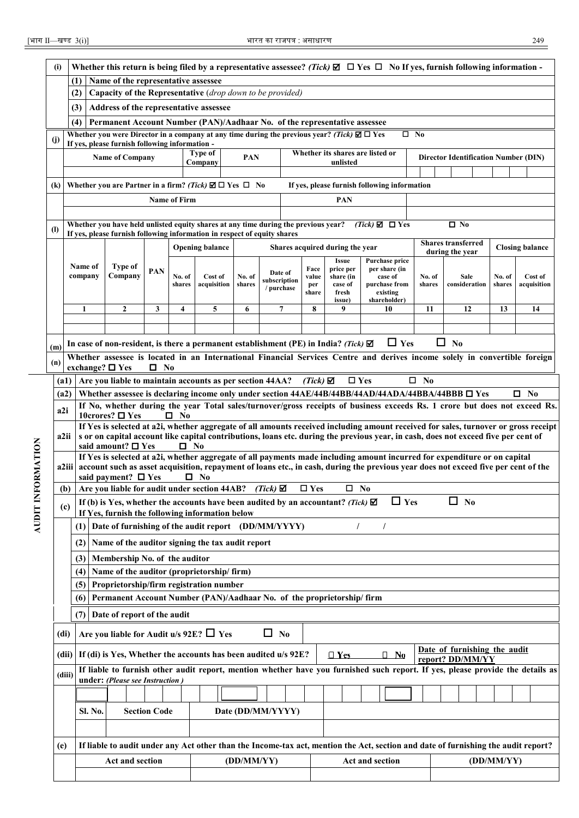AUDIT INFORMATION

|                                                                                                                                   | (i)           | Whether this return is being filed by a representative assessee? (Tick) $\Box$ $\Box$ Yes $\Box$ No If yes, furnish following information -<br>Name of the representative assessee                                                                                    |                                                                                                                                                                |                     |                     |             |                        |                            |  |                      |                                 |                                                                                                                                     |              |                                             |            |                        |  |  |
|-----------------------------------------------------------------------------------------------------------------------------------|---------------|-----------------------------------------------------------------------------------------------------------------------------------------------------------------------------------------------------------------------------------------------------------------------|----------------------------------------------------------------------------------------------------------------------------------------------------------------|---------------------|---------------------|-------------|------------------------|----------------------------|--|----------------------|---------------------------------|-------------------------------------------------------------------------------------------------------------------------------------|--------------|---------------------------------------------|------------|------------------------|--|--|
|                                                                                                                                   |               | (1)                                                                                                                                                                                                                                                                   |                                                                                                                                                                |                     |                     |             |                        |                            |  |                      |                                 |                                                                                                                                     |              |                                             |            |                        |  |  |
|                                                                                                                                   |               | (2)                                                                                                                                                                                                                                                                   | Capacity of the Representative (drop down to be provided)                                                                                                      |                     |                     |             |                        |                            |  |                      |                                 |                                                                                                                                     |              |                                             |            |                        |  |  |
|                                                                                                                                   |               | (3)                                                                                                                                                                                                                                                                   | Address of the representative assessee                                                                                                                         |                     |                     |             |                        |                            |  |                      |                                 |                                                                                                                                     |              |                                             |            |                        |  |  |
|                                                                                                                                   |               | (4)                                                                                                                                                                                                                                                                   | Permanent Account Number (PAN)/Aadhaar No. of the representative assessee                                                                                      |                     |                     |             |                        |                            |  |                      |                                 |                                                                                                                                     |              |                                             |            |                        |  |  |
|                                                                                                                                   | (j)           |                                                                                                                                                                                                                                                                       | Whether you were Director in a company at any time during the previous year? (Tick) $\Box$ $\Box$ Yes<br>If yes, please furnish following information -        |                     |                     |             |                        |                            |  |                      |                                 | $\square$ No                                                                                                                        |              |                                             |            |                        |  |  |
|                                                                                                                                   |               |                                                                                                                                                                                                                                                                       | <b>Name of Company</b>                                                                                                                                         |                     |                     | Type of     | PAN                    |                            |  |                      |                                 | Whether its shares are listed or                                                                                                    |              | <b>Director Identification Number (DIN)</b> |            |                        |  |  |
|                                                                                                                                   |               |                                                                                                                                                                                                                                                                       |                                                                                                                                                                |                     |                     | Company     |                        |                            |  |                      | unlisted                        |                                                                                                                                     |              |                                             |            |                        |  |  |
|                                                                                                                                   | (k)           |                                                                                                                                                                                                                                                                       | Whether you are Partner in a firm? (Tick) $\Box$ T Yes $\Box$ No                                                                                               |                     |                     |             |                        |                            |  |                      |                                 | If yes, please furnish following information                                                                                        |              |                                             |            |                        |  |  |
|                                                                                                                                   |               |                                                                                                                                                                                                                                                                       |                                                                                                                                                                |                     | <b>Name of Firm</b> |             |                        |                            |  |                      | <b>PAN</b>                      |                                                                                                                                     |              |                                             |            |                        |  |  |
|                                                                                                                                   |               |                                                                                                                                                                                                                                                                       |                                                                                                                                                                |                     |                     |             |                        |                            |  |                      |                                 |                                                                                                                                     |              |                                             |            |                        |  |  |
|                                                                                                                                   | $\mathbf{I}$  |                                                                                                                                                                                                                                                                       | Whether you have held unlisted equity shares at any time during the previous year?<br>If yes, please furnish following information in respect of equity shares |                     |                     |             |                        |                            |  |                      |                                 | $(Tick) \boxtimes \blacksquare Yes$                                                                                                 |              | $\overline{\Box}$ No                        |            |                        |  |  |
|                                                                                                                                   |               |                                                                                                                                                                                                                                                                       |                                                                                                                                                                |                     |                     |             |                        |                            |  |                      | Shares acquired during the year |                                                                                                                                     |              | <b>Shares transferred</b>                   |            | <b>Closing balance</b> |  |  |
|                                                                                                                                   |               |                                                                                                                                                                                                                                                                       |                                                                                                                                                                |                     |                     |             | <b>Opening balance</b> |                            |  |                      | <b>Issue</b>                    | Purchase price                                                                                                                      |              | during the year                             |            |                        |  |  |
|                                                                                                                                   |               | Name of<br>company                                                                                                                                                                                                                                                    | Type of<br>Company                                                                                                                                             | <b>PAN</b>          | No. of              | Cost of     | No. of                 | Date of                    |  | Face<br>value        | price per<br>share (in          | per share (in<br>case of                                                                                                            | No. of       | Sale                                        | No. of     | Cost of                |  |  |
|                                                                                                                                   |               |                                                                                                                                                                                                                                                                       |                                                                                                                                                                |                     | shares              | acquisition | shares                 | subscription<br>/ purchase |  | per                  | case of                         | purchase from                                                                                                                       | shares       | consideration                               | shares     | acquisition            |  |  |
|                                                                                                                                   |               |                                                                                                                                                                                                                                                                       |                                                                                                                                                                |                     |                     |             |                        |                            |  | share                | fresh<br>issue)                 | existing<br>shareholder)                                                                                                            |              |                                             |            |                        |  |  |
|                                                                                                                                   |               | $\mathbf{1}$                                                                                                                                                                                                                                                          | $\overline{2}$                                                                                                                                                 | 3                   | 4                   | 5           | 6                      | $\overline{7}$             |  | 8                    | 9                               | 10                                                                                                                                  | 11           | 12                                          | 13         | 14                     |  |  |
|                                                                                                                                   |               |                                                                                                                                                                                                                                                                       |                                                                                                                                                                |                     |                     |             |                        |                            |  |                      |                                 |                                                                                                                                     |              |                                             |            |                        |  |  |
|                                                                                                                                   | (m)           |                                                                                                                                                                                                                                                                       | In case of non-resident, is there a permanent establishment (PE) in India? (Tick) $\boxtimes$                                                                  |                     |                     |             |                        |                            |  |                      |                                 | $\Box$ Yes                                                                                                                          |              | $\Box$ No                                   |            |                        |  |  |
| Whether assessee is located in an International Financial Services Centre and derives income solely in convertible foreign<br>(n) |               |                                                                                                                                                                                                                                                                       |                                                                                                                                                                |                     |                     |             |                        |                            |  |                      |                                 |                                                                                                                                     |              |                                             |            |                        |  |  |
|                                                                                                                                   |               | exchange? $\square$ Yes                                                                                                                                                                                                                                               |                                                                                                                                                                | $\square$ No        |                     |             |                        |                            |  |                      |                                 |                                                                                                                                     |              |                                             |            |                        |  |  |
|                                                                                                                                   | (a1)<br>(a2)  |                                                                                                                                                                                                                                                                       | Are you liable to maintain accounts as per section 44AA?                                                                                                       |                     |                     |             |                        |                            |  | $(Tick)$ $\boxtimes$ | $\square$ Yes                   | Whether assessee is declaring income only under section 44AE/44B/44BB/44AD/44ADA/44BBA/44BBB $\Box$ Yes                             | $\square$ No |                                             |            | $\Box$ No              |  |  |
|                                                                                                                                   |               |                                                                                                                                                                                                                                                                       |                                                                                                                                                                |                     |                     |             |                        |                            |  |                      |                                 | If No, whether during the year Total sales/turnover/gross receipts of business exceeds Rs. 1 crore but does not exceed Rs.          |              |                                             |            |                        |  |  |
|                                                                                                                                   | a2i           |                                                                                                                                                                                                                                                                       | 10crores? $\Box$ Yes                                                                                                                                           |                     | $\Box$ No           |             |                        |                            |  |                      |                                 |                                                                                                                                     |              |                                             |            |                        |  |  |
|                                                                                                                                   | a2ii          |                                                                                                                                                                                                                                                                       |                                                                                                                                                                |                     |                     |             |                        |                            |  |                      |                                 | If Yes is selected at a2i, whether aggregate of all amounts received including amount received for sales, turnover or gross receipt |              |                                             |            |                        |  |  |
|                                                                                                                                   |               | s or on capital account like capital contributions, loans etc. during the previous year, in cash, does not exceed five per cent of<br>said amount? $\Box$ Yes<br>$\Box$ No                                                                                            |                                                                                                                                                                |                     |                     |             |                        |                            |  |                      |                                 |                                                                                                                                     |              |                                             |            |                        |  |  |
|                                                                                                                                   |               | If Yes is selected at a2i, whether aggregate of all payments made including amount incurred for expenditure or on capital<br>a2iii account such as asset acquisition, repayment of loans etc., in cash, during the previous year does not exceed five per cent of the |                                                                                                                                                                |                     |                     |             |                        |                            |  |                      |                                 |                                                                                                                                     |              |                                             |            |                        |  |  |
| AUDIT INFORMATION                                                                                                                 |               |                                                                                                                                                                                                                                                                       | said payment? $\Box$ Yes                                                                                                                                       |                     |                     | $\Box$ No   |                        |                            |  |                      |                                 |                                                                                                                                     |              |                                             |            |                        |  |  |
|                                                                                                                                   |               | (b)                                                                                                                                                                                                                                                                   | Are you liable for audit under section 44AB? (Tick) $\boxtimes$                                                                                                |                     |                     |             |                        |                            |  | $\square$ Yes        | $\square$ No                    |                                                                                                                                     |              |                                             |            |                        |  |  |
|                                                                                                                                   |               | $\Box$ Yes<br>If (b) is Yes, whether the accounts have been audited by an accountant? (Tick) $\boxtimes$<br>$\Box$ No<br>(c)<br>If Yes, furnish the following information below                                                                                       |                                                                                                                                                                |                     |                     |             |                        |                            |  |                      |                                 |                                                                                                                                     |              |                                             |            |                        |  |  |
|                                                                                                                                   |               | (1)                                                                                                                                                                                                                                                                   | Date of furnishing of the audit report (DD/MM/YYYY)                                                                                                            |                     |                     |             |                        |                            |  |                      | $\prime$                        | $\prime$                                                                                                                            |              |                                             |            |                        |  |  |
|                                                                                                                                   |               | (2)                                                                                                                                                                                                                                                                   | Name of the auditor signing the tax audit report                                                                                                               |                     |                     |             |                        |                            |  |                      |                                 |                                                                                                                                     |              |                                             |            |                        |  |  |
|                                                                                                                                   |               | (3)                                                                                                                                                                                                                                                                   | Membership No. of the auditor                                                                                                                                  |                     |                     |             |                        |                            |  |                      |                                 |                                                                                                                                     |              |                                             |            |                        |  |  |
|                                                                                                                                   |               | (4)                                                                                                                                                                                                                                                                   | Name of the auditor (proprietorship/firm)                                                                                                                      |                     |                     |             |                        |                            |  |                      |                                 |                                                                                                                                     |              |                                             |            |                        |  |  |
|                                                                                                                                   |               | (5)                                                                                                                                                                                                                                                                   | Proprietorship/firm registration number                                                                                                                        |                     |                     |             |                        |                            |  |                      |                                 |                                                                                                                                     |              |                                             |            |                        |  |  |
|                                                                                                                                   |               | (6)                                                                                                                                                                                                                                                                   | Permanent Account Number (PAN)/Aadhaar No. of the proprietorship/firm                                                                                          |                     |                     |             |                        |                            |  |                      |                                 |                                                                                                                                     |              |                                             |            |                        |  |  |
|                                                                                                                                   |               | (7)                                                                                                                                                                                                                                                                   | Date of report of the audit                                                                                                                                    |                     |                     |             |                        |                            |  |                      |                                 |                                                                                                                                     |              |                                             |            |                        |  |  |
|                                                                                                                                   | (d <i>i</i> ) |                                                                                                                                                                                                                                                                       | Are you liable for Audit u/s 92E? $\Box$ Yes                                                                                                                   |                     |                     |             |                        | $\Box$ No                  |  |                      |                                 |                                                                                                                                     |              |                                             |            |                        |  |  |
|                                                                                                                                   | (dii)         |                                                                                                                                                                                                                                                                       | If (di) is Yes, Whether the accounts has been audited u/s 92E?                                                                                                 |                     |                     |             |                        |                            |  |                      | $\Box$ Yes                      | 0<br>$N_0$                                                                                                                          |              | Date of furnishing the audit                |            |                        |  |  |
|                                                                                                                                   |               |                                                                                                                                                                                                                                                                       |                                                                                                                                                                |                     |                     |             |                        |                            |  |                      |                                 | If liable to furnish other audit report, mention whether have you furnished such report. If yes, please provide the details as      |              | report? DD/MM/YY                            |            |                        |  |  |
|                                                                                                                                   | (diii)        |                                                                                                                                                                                                                                                                       | under: (Please see Instruction)                                                                                                                                |                     |                     |             |                        |                            |  |                      |                                 |                                                                                                                                     |              |                                             |            |                        |  |  |
|                                                                                                                                   |               |                                                                                                                                                                                                                                                                       |                                                                                                                                                                |                     |                     |             |                        |                            |  |                      |                                 |                                                                                                                                     |              |                                             |            |                        |  |  |
|                                                                                                                                   |               | Sl. No.                                                                                                                                                                                                                                                               |                                                                                                                                                                | <b>Section Code</b> |                     |             | Date (DD/MM/YYYY)      |                            |  |                      |                                 |                                                                                                                                     |              |                                             |            |                        |  |  |
|                                                                                                                                   |               |                                                                                                                                                                                                                                                                       |                                                                                                                                                                |                     |                     |             |                        |                            |  |                      |                                 |                                                                                                                                     |              |                                             |            |                        |  |  |
|                                                                                                                                   | (e)           |                                                                                                                                                                                                                                                                       |                                                                                                                                                                |                     |                     |             |                        |                            |  |                      |                                 | If liable to audit under any Act other than the Income-tax act, mention the Act, section and date of furnishing the audit report?   |              |                                             |            |                        |  |  |
|                                                                                                                                   |               |                                                                                                                                                                                                                                                                       | Act and section                                                                                                                                                |                     |                     |             | (DD/MM/YY)             |                            |  |                      |                                 | Act and section                                                                                                                     |              |                                             | (DD/MM/YY) |                        |  |  |
|                                                                                                                                   |               |                                                                                                                                                                                                                                                                       |                                                                                                                                                                |                     |                     |             |                        |                            |  |                      |                                 |                                                                                                                                     |              |                                             |            |                        |  |  |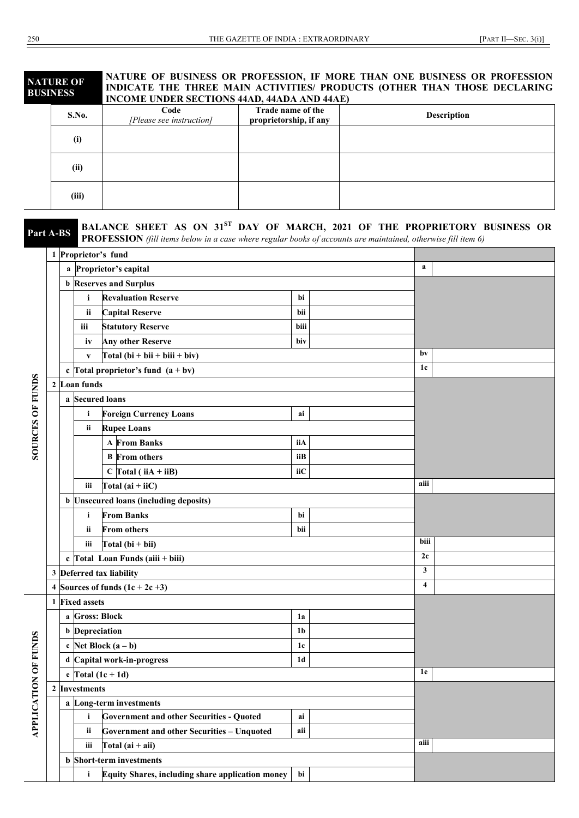#### **NATURE OF BUSINESS NATURE OF BUSINESS OR PROFESSION, IF MORE THAN ONE BUSINESS OR PROFESSION INDICATE THE THREE MAIN ACTIVITIES/ PRODUCTS (OTHER THAN THOSE DECLARING INCOME UNDER SECTIONS 44AD, 44ADA AND 44AE)**

| <b>S.No.</b> | Code<br>[Please see instruction] | Trade name of the<br>proprietorship, if any | Description |
|--------------|----------------------------------|---------------------------------------------|-------------|
| (i)          |                                  |                                             |             |
| (ii)         |                                  |                                             |             |
| (iii)        |                                  |                                             |             |

| Part A-BS            |                |                           |                       | BALANCE SHEET AS ON 31ST DAY OF MARCH, 2021 OF THE PROPRIETORY BUSINESS OR<br><b>PROFESSION</b> (fill items below in a case where regular books of accounts are maintained, otherwise fill item 6) |                |  |                         |  |
|----------------------|----------------|---------------------------|-----------------------|----------------------------------------------------------------------------------------------------------------------------------------------------------------------------------------------------|----------------|--|-------------------------|--|
|                      |                |                           |                       | 1 Proprietor's fund                                                                                                                                                                                |                |  |                         |  |
|                      |                |                           |                       | a Proprietor's capital                                                                                                                                                                             |                |  | $\mathbf{a}$            |  |
|                      |                |                           |                       | <b>b</b> Reserves and Surplus                                                                                                                                                                      |                |  |                         |  |
|                      |                |                           | i                     | <b>Revaluation Reserve</b>                                                                                                                                                                         | bi             |  |                         |  |
|                      |                |                           | ii                    | <b>Capital Reserve</b>                                                                                                                                                                             | bii            |  |                         |  |
|                      |                |                           | iii                   | <b>Statutory Reserve</b>                                                                                                                                                                           | biii           |  |                         |  |
|                      |                |                           | iv                    | <b>Any other Reserve</b>                                                                                                                                                                           | biv            |  |                         |  |
|                      |                |                           | $\mathbf{V}$          | $Total (bi + bii + biii + biv)$                                                                                                                                                                    |                |  | bv                      |  |
|                      |                |                           |                       | c Total proprietor's fund $(a + bv)$                                                                                                                                                               |                |  | 1c                      |  |
|                      |                |                           | 2 Loan funds          |                                                                                                                                                                                                    |                |  |                         |  |
|                      |                |                           | a Secured loans       |                                                                                                                                                                                                    |                |  |                         |  |
|                      |                |                           | i                     | <b>Foreign Currency Loans</b>                                                                                                                                                                      | ai             |  |                         |  |
|                      |                |                           | ii                    | <b>Rupee Loans</b>                                                                                                                                                                                 |                |  |                         |  |
| SOURCES OF FUNDS     |                |                           |                       | <b>A</b> From Banks                                                                                                                                                                                | iiA            |  |                         |  |
|                      |                |                           |                       | <b>B</b> From others                                                                                                                                                                               | iiB            |  |                         |  |
|                      |                |                           |                       | $C$ Total (iiA + iiB)                                                                                                                                                                              | iiС            |  |                         |  |
|                      |                | Total $(ai + iiC)$<br>iii |                       |                                                                                                                                                                                                    |                |  | aiii                    |  |
|                      |                |                           |                       | <b>b</b> Unsecured loans (including deposits)                                                                                                                                                      |                |  |                         |  |
|                      |                |                           | i                     | <b>From Banks</b>                                                                                                                                                                                  | bi             |  |                         |  |
|                      |                |                           | ii                    | <b>From others</b>                                                                                                                                                                                 | bii            |  |                         |  |
|                      |                |                           | iii                   | Total $(bi + bi)$                                                                                                                                                                                  |                |  | biii                    |  |
|                      |                |                           |                       | c $\Gamma$ otal Loan Funds (aiii + biii)                                                                                                                                                           | 2c             |  |                         |  |
|                      |                |                           |                       | 3 Deferred tax liability                                                                                                                                                                           |                |  | $\mathbf{3}$            |  |
|                      | 4              |                           |                       | Sources of funds $(1c + 2c +3)$                                                                                                                                                                    |                |  | $\overline{\mathbf{4}}$ |  |
|                      | 1              |                           | <b>Fixed assets</b>   |                                                                                                                                                                                                    |                |  |                         |  |
|                      |                |                           | a Gross: Block        |                                                                                                                                                                                                    | 1a             |  |                         |  |
|                      |                |                           | <b>b</b> Depreciation |                                                                                                                                                                                                    | 1 <sub>b</sub> |  |                         |  |
|                      |                |                           |                       | c Net Block $(a - b)$                                                                                                                                                                              | 1c             |  |                         |  |
|                      |                |                           |                       | d Capital work-in-progress                                                                                                                                                                         | 1 <sub>d</sub> |  |                         |  |
|                      |                |                           |                       | e Total $(1c + 1d)$                                                                                                                                                                                |                |  | 1e                      |  |
| APPLICATION OF FUNDS | $\overline{2}$ |                           | <b>Investments</b>    |                                                                                                                                                                                                    |                |  |                         |  |
|                      |                |                           |                       | a Long-term investments                                                                                                                                                                            |                |  |                         |  |
|                      |                |                           | i                     | <b>Government and other Securities - Quoted</b>                                                                                                                                                    | ai             |  |                         |  |
|                      |                |                           | ii                    | <b>Government and other Securities - Unquoted</b>                                                                                                                                                  | aii            |  | aiii                    |  |
|                      |                | Total $(ai + ai)$<br>iii  |                       |                                                                                                                                                                                                    |                |  |                         |  |
|                      |                |                           |                       | <b>b</b> Short-term investments                                                                                                                                                                    |                |  |                         |  |
|                      |                |                           | i                     | Equity Shares, including share application money                                                                                                                                                   | bi             |  |                         |  |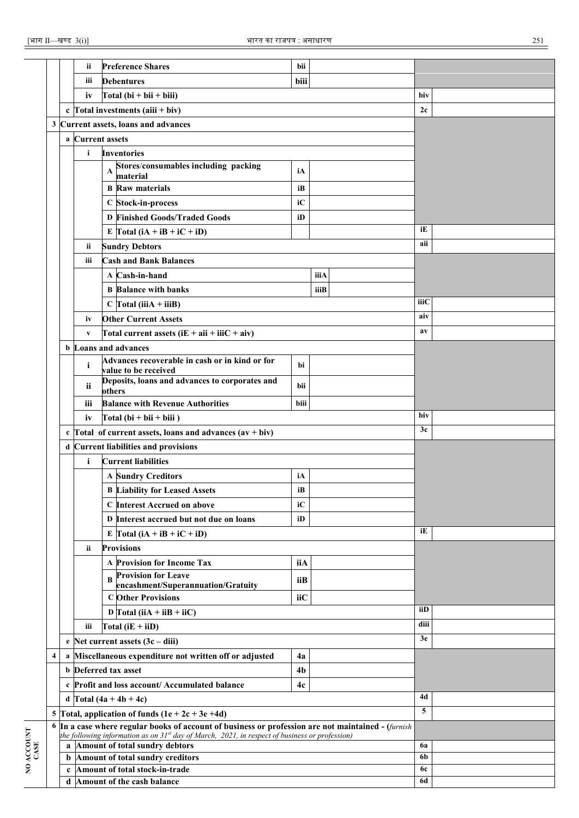|                    |                         |             | ii           | <b>Preference Shares</b>                                                                            | bii            |           |          |  |
|--------------------|-------------------------|-------------|--------------|-----------------------------------------------------------------------------------------------------|----------------|-----------|----------|--|
|                    |                         |             |              |                                                                                                     |                |           |          |  |
|                    |                         |             | iii          | <b>Debentures</b>                                                                                   | biii           |           |          |  |
|                    |                         |             | iv           | Total $(bi + bii + biii)$                                                                           |                |           | biv      |  |
|                    |                         |             |              | c $\Gamma$ otal investments (aiii + biv)                                                            |                |           | 2c       |  |
|                    | 3                       |             |              | Current assets, loans and advances                                                                  |                |           |          |  |
|                    |                         | a           |              | <b>Current assets</b>                                                                               |                |           |          |  |
|                    |                         |             | i            | <b>Inventories</b>                                                                                  |                |           |          |  |
|                    |                         |             |              | Stores/consumables including packing<br>A<br>material                                               | iA             |           |          |  |
|                    |                         |             |              | <b>B</b> Raw materials                                                                              | iB             |           |          |  |
|                    |                         |             |              | C Stock-in-process                                                                                  | iC             |           |          |  |
|                    |                         |             |              | <b>D</b> Finished Goods/Traded Goods                                                                | iD             |           |          |  |
|                    |                         |             |              |                                                                                                     |                |           | iE       |  |
|                    |                         |             |              | E $\Gamma$ otal (iA + iB + iC + iD)                                                                 |                |           | aii      |  |
|                    |                         |             | ii.          | <b>Sundry Debtors</b>                                                                               |                |           |          |  |
|                    |                         |             | iii          | <b>Cash and Bank Balances</b>                                                                       |                |           |          |  |
|                    |                         |             |              | A Cash-in-hand                                                                                      |                | iiiA      |          |  |
|                    |                         |             |              | <b>B</b> Balance with banks                                                                         |                | iiiB      |          |  |
|                    |                         |             |              | $C$ Total (iiiA + iiiB)                                                                             |                |           | iiiC     |  |
|                    |                         |             | iv           | <b>Other Current Assets</b>                                                                         |                |           | aiv      |  |
|                    |                         |             | $\mathbf{V}$ | Total current assets $(iE + aii + iiC + aiv)$                                                       |                |           | av       |  |
|                    |                         |             |              | <b>b</b> Loans and advances                                                                         |                |           |          |  |
|                    |                         |             | i            | Advances recoverable in cash or in kind or for                                                      | bi             |           |          |  |
|                    |                         |             |              | value to be received<br>Deposits, loans and advances to corporates and                              |                |           |          |  |
|                    |                         |             | ii           | others                                                                                              | bii            |           |          |  |
|                    |                         |             | iii          | <b>Balance with Revenue Authorities</b>                                                             | biii           |           |          |  |
|                    |                         |             | iv           | Total $(bi + bi + biii)$                                                                            |                |           | biv      |  |
|                    |                         |             |              | c $\Gamma$ otal of current assets, loans and advances $(av + biv)$                                  |                |           | 3c       |  |
|                    |                         | d           |              | <b>Current liabilities and provisions</b>                                                           |                |           |          |  |
|                    |                         |             | i            | <b>Current liabilities</b>                                                                          |                |           |          |  |
|                    |                         |             |              | <b>A Sundry Creditors</b>                                                                           | iA             |           |          |  |
|                    |                         |             |              | <b>B Liability for Leased Assets</b>                                                                | iB             |           |          |  |
|                    |                         |             |              | C Interest Accrued on above                                                                         | iC             |           |          |  |
|                    |                         |             |              | D Interest accrued but not due on loans                                                             | iD             |           |          |  |
|                    |                         |             |              | E Total $(iA + iB + iC + iD)$                                                                       |                |           | iE       |  |
|                    |                         |             | ii.          | <b>Provisions</b>                                                                                   |                |           |          |  |
|                    |                         |             |              | A Provision for Income Tax                                                                          | iiA            |           |          |  |
|                    |                         |             |              | <b>Provision for Leave</b>                                                                          |                |           |          |  |
|                    |                         |             |              | encashment/Superannuation/Gratuity                                                                  | iiB            |           |          |  |
|                    |                         |             |              | <b>C</b> Other Provisions                                                                           | iiC            |           |          |  |
|                    |                         |             |              | D $\Gamma$ otal (iiA + iiB + iiC)                                                                   |                |           | iiD      |  |
|                    |                         |             | iii          | Total $(iE + iiD)$                                                                                  |                |           | diii     |  |
|                    |                         | e           |              | Net current assets $(3c - diii)$                                                                    |                |           | 3e       |  |
|                    | $\overline{\mathbf{4}}$ |             |              | a Miscellaneous expenditure not written off or adjusted                                             | 4a             |           |          |  |
|                    |                         | b           |              | Deferred tax asset                                                                                  | 4 <sub>b</sub> |           |          |  |
|                    |                         |             |              | c Profit and loss account/ Accumulated balance                                                      | 4c             |           |          |  |
|                    |                         |             |              | d Total $(4a + 4b + 4c)$                                                                            |                |           | 4d       |  |
|                    | 5                       |             |              | Total, application of funds $(1e + 2c + 3e + 4d)$                                                   |                |           | 5        |  |
|                    | 6                       |             |              | In a case where regular books of account of business or profession are not maintained - (furnish    |                |           |          |  |
|                    |                         |             |              | the following information as on $31^{st}$ day of March, 2021, in respect of business or profession) |                |           |          |  |
|                    |                         | b           |              | a Amount of total sundry debtors<br>Amount of total sundry creditors                                |                |           | 6a<br>6b |  |
| NO ACCOUNT<br>CASE |                         | $\mathbf c$ |              | Amount of total stock-in-trade                                                                      |                | <b>6c</b> |          |  |
|                    |                         |             |              | d Amount of the cash balance                                                                        | 6d             |           |          |  |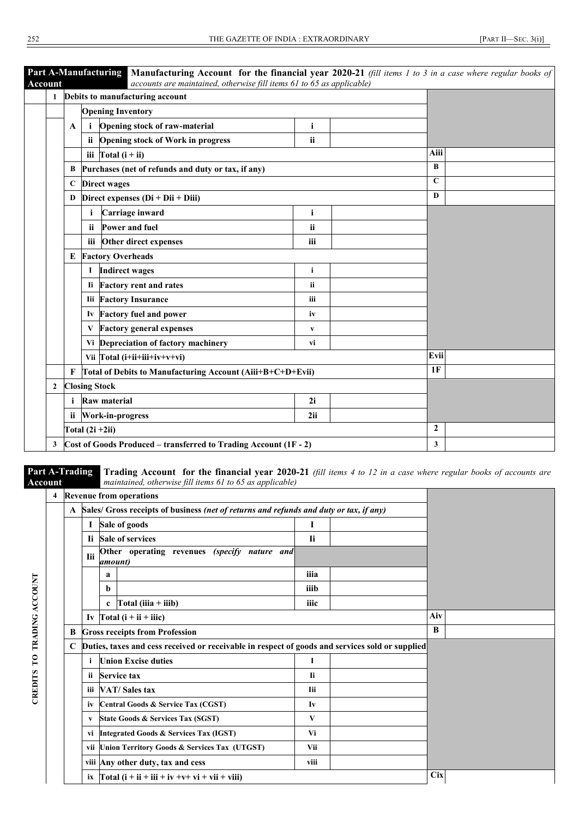| $\mathbf{1}$ |                                 | Debits to manufacturing account                            |              |             |  |
|--------------|---------------------------------|------------------------------------------------------------|--------------|-------------|--|
|              |                                 | <b>Opening Inventory</b>                                   |              |             |  |
|              | A                               | Opening stock of raw-material<br>i                         | $\mathbf{i}$ |             |  |
|              |                                 | <b>Opening stock of Work in progress</b><br>ii.            | ii           |             |  |
|              |                                 | iii $\int \text{Total} (i + ii)$                           |              | Aiii        |  |
|              | В                               | Purchases (net of refunds and duty or tax, if any)         |              | B           |  |
|              |                                 | C Direct wages                                             |              | $\mathbf C$ |  |
|              |                                 | D Direct expenses $(Di + Di + Diii)$                       | D            |             |  |
|              |                                 | Carriage inward                                            | $\mathbf{i}$ |             |  |
|              |                                 | Power and fuel<br><i>ii</i>                                | ii           |             |  |
|              |                                 | Other direct expenses<br>iii                               | iii          |             |  |
|              | E                               | <b>Factory Overheads</b>                                   |              |             |  |
|              |                                 | <b>Indirect wages</b><br>1                                 | i            |             |  |
|              |                                 | <b>Factory rent and rates</b><br>Ii.                       | ii           |             |  |
|              |                                 | <b>Iii</b> Factory Insurance                               | iii          |             |  |
|              |                                 | Iv Factory fuel and power                                  | iv           |             |  |
|              |                                 | <b>Factory general expenses</b><br>V                       | $\mathbf{v}$ |             |  |
|              |                                 | Vi Depreciation of factory machinery                       | vi           |             |  |
|              |                                 | Vii Total (i+ii+iii+iv+v+vi)                               |              | Evii        |  |
|              | $\mathbf{F}$                    | Total of Debits to Manufacturing Account (Aiii+B+C+D+Evii) |              | 1F          |  |
| $\mathbf{2}$ |                                 | <b>Closing Stock</b>                                       |              |             |  |
|              | <b>Raw material</b><br>2i<br>i. |                                                            |              |             |  |
|              |                                 | ii Work-in-progress                                        | 2ii          |             |  |

**Part A-Trading Account** 

**CREDITS TO TRADING ACCOUNT**

CREDITS TO TRADING ACCOUNT

**Trading Account for the financial year 2020-21** *(fill items 4 to 12 in a case where regular books of accounts are maintained, otherwise fill items 61 to 65 as applicable)*

| 4 |                                                         |                                                 |             | <b>Revenue from operations</b>                                                                  |            |  |     |  |
|---|---------------------------------------------------------|-------------------------------------------------|-------------|-------------------------------------------------------------------------------------------------|------------|--|-----|--|
|   |                                                         |                                                 |             | A Sales/ Gross receipts of business (net of returns and refunds and duty or tax, if any)        |            |  |     |  |
|   |                                                         | -1                                              |             | Sale of goods                                                                                   | 1          |  |     |  |
|   |                                                         |                                                 |             | Ii Sale of services                                                                             | <b>Ii</b>  |  |     |  |
|   |                                                         | <b>Tii</b>                                      | amount)     | Other operating revenues (specify nature and                                                    |            |  |     |  |
|   |                                                         |                                                 | a           |                                                                                                 |            |  |     |  |
|   |                                                         |                                                 | b           |                                                                                                 | iiib       |  |     |  |
|   |                                                         |                                                 | $\mathbf c$ | Total (iiia $+$ iiib)                                                                           | iiic       |  |     |  |
|   |                                                         |                                                 |             | Iv $\Gamma$ otal (i + ii + iiic)                                                                |            |  | Aiv |  |
|   | B                                                       |                                                 |             | <b>Gross receipts from Profession</b>                                                           |            |  | B   |  |
|   | $\mathbf C$                                             |                                                 |             | Duties, taxes and cess received or receivable in respect of goods and services sold or supplied |            |  |     |  |
|   |                                                         |                                                 |             | <b>Union Excise duties</b>                                                                      | I          |  |     |  |
|   |                                                         | 11                                              |             | <b>Service tax</b>                                                                              | <b>Ii</b>  |  |     |  |
|   |                                                         | Ш                                               |             | VAT/Sales tax                                                                                   | <b>Iii</b> |  |     |  |
|   |                                                         | iv                                              |             | <b>Central Goods &amp; Service Tax (CGST)</b>                                                   | Iv         |  |     |  |
|   |                                                         | State Goods & Services Tax (SGST)<br>V<br>V     |             |                                                                                                 |            |  |     |  |
|   |                                                         | vi Integrated Goods & Services Tax (IGST)<br>Vi |             |                                                                                                 |            |  |     |  |
|   | vii Union Territory Goods & Services Tax (UTGST)<br>Vii |                                                 |             |                                                                                                 |            |  |     |  |
|   |                                                         |                                                 |             | viii Any other duty, tax and cess                                                               |            |  |     |  |
|   |                                                         |                                                 |             | ix $\int \text{Total} (i + ii + iii + iv + v + vi + vii + viii)$                                | <b>Cix</b> |  |     |  |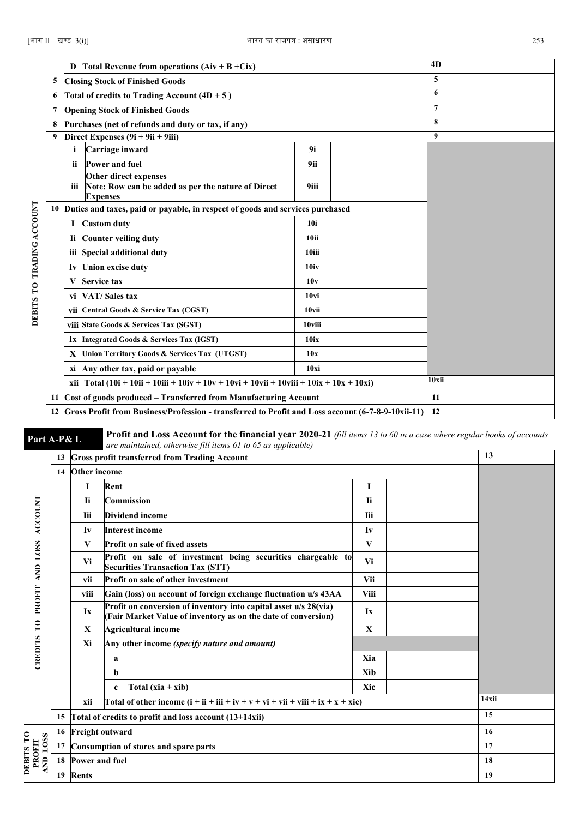|    | D                                         |                                                                                                |                                                                                                                                                                                                                                                                                                                                                                                                                                                                                                                                                                                                                         |                                                                         | 4D                                                                                                                                                                                                                                                                              |  |
|----|-------------------------------------------|------------------------------------------------------------------------------------------------|-------------------------------------------------------------------------------------------------------------------------------------------------------------------------------------------------------------------------------------------------------------------------------------------------------------------------------------------------------------------------------------------------------------------------------------------------------------------------------------------------------------------------------------------------------------------------------------------------------------------------|-------------------------------------------------------------------------|---------------------------------------------------------------------------------------------------------------------------------------------------------------------------------------------------------------------------------------------------------------------------------|--|
| 5  |                                           |                                                                                                |                                                                                                                                                                                                                                                                                                                                                                                                                                                                                                                                                                                                                         |                                                                         | 5                                                                                                                                                                                                                                                                               |  |
| 6  |                                           |                                                                                                |                                                                                                                                                                                                                                                                                                                                                                                                                                                                                                                                                                                                                         |                                                                         | 6                                                                                                                                                                                                                                                                               |  |
| 7  |                                           |                                                                                                |                                                                                                                                                                                                                                                                                                                                                                                                                                                                                                                                                                                                                         |                                                                         | $\overline{7}$                                                                                                                                                                                                                                                                  |  |
| 8  |                                           |                                                                                                |                                                                                                                                                                                                                                                                                                                                                                                                                                                                                                                                                                                                                         |                                                                         | 8                                                                                                                                                                                                                                                                               |  |
| 9  |                                           |                                                                                                | 9                                                                                                                                                                                                                                                                                                                                                                                                                                                                                                                                                                                                                       |                                                                         |                                                                                                                                                                                                                                                                                 |  |
|    | i                                         | Carriage inward                                                                                | 9i                                                                                                                                                                                                                                                                                                                                                                                                                                                                                                                                                                                                                      |                                                                         |                                                                                                                                                                                                                                                                                 |  |
|    | ii                                        | Power and fuel                                                                                 | 9ii                                                                                                                                                                                                                                                                                                                                                                                                                                                                                                                                                                                                                     |                                                                         |                                                                                                                                                                                                                                                                                 |  |
|    | iii                                       | Other direct expenses<br>Note: Row can be added as per the nature of Direct<br><b>Expenses</b> |                                                                                                                                                                                                                                                                                                                                                                                                                                                                                                                                                                                                                         |                                                                         |                                                                                                                                                                                                                                                                                 |  |
| 10 |                                           |                                                                                                |                                                                                                                                                                                                                                                                                                                                                                                                                                                                                                                                                                                                                         |                                                                         |                                                                                                                                                                                                                                                                                 |  |
|    | 1                                         |                                                                                                | <b>10i</b>                                                                                                                                                                                                                                                                                                                                                                                                                                                                                                                                                                                                              |                                                                         |                                                                                                                                                                                                                                                                                 |  |
|    |                                           |                                                                                                | 10ii                                                                                                                                                                                                                                                                                                                                                                                                                                                                                                                                                                                                                    |                                                                         |                                                                                                                                                                                                                                                                                 |  |
|    |                                           |                                                                                                | 10iii                                                                                                                                                                                                                                                                                                                                                                                                                                                                                                                                                                                                                   |                                                                         |                                                                                                                                                                                                                                                                                 |  |
|    |                                           |                                                                                                | 10iv                                                                                                                                                                                                                                                                                                                                                                                                                                                                                                                                                                                                                    |                                                                         |                                                                                                                                                                                                                                                                                 |  |
|    | V                                         |                                                                                                | 10v                                                                                                                                                                                                                                                                                                                                                                                                                                                                                                                                                                                                                     |                                                                         |                                                                                                                                                                                                                                                                                 |  |
|    |                                           |                                                                                                | 10 <sub>vi</sub>                                                                                                                                                                                                                                                                                                                                                                                                                                                                                                                                                                                                        |                                                                         |                                                                                                                                                                                                                                                                                 |  |
|    |                                           |                                                                                                | 10vii                                                                                                                                                                                                                                                                                                                                                                                                                                                                                                                                                                                                                   |                                                                         |                                                                                                                                                                                                                                                                                 |  |
|    |                                           |                                                                                                | 10viii                                                                                                                                                                                                                                                                                                                                                                                                                                                                                                                                                                                                                  |                                                                         |                                                                                                                                                                                                                                                                                 |  |
|    |                                           |                                                                                                | 10ix                                                                                                                                                                                                                                                                                                                                                                                                                                                                                                                                                                                                                    |                                                                         |                                                                                                                                                                                                                                                                                 |  |
|    |                                           |                                                                                                | 10x                                                                                                                                                                                                                                                                                                                                                                                                                                                                                                                                                                                                                     |                                                                         |                                                                                                                                                                                                                                                                                 |  |
|    | xi Any other tax, paid or payable<br>10xi |                                                                                                |                                                                                                                                                                                                                                                                                                                                                                                                                                                                                                                                                                                                                         |                                                                         |                                                                                                                                                                                                                                                                                 |  |
|    |                                           |                                                                                                | 10xii                                                                                                                                                                                                                                                                                                                                                                                                                                                                                                                                                                                                                   |                                                                         |                                                                                                                                                                                                                                                                                 |  |
| 11 |                                           |                                                                                                |                                                                                                                                                                                                                                                                                                                                                                                                                                                                                                                                                                                                                         | 11                                                                      |                                                                                                                                                                                                                                                                                 |  |
| 12 |                                           |                                                                                                |                                                                                                                                                                                                                                                                                                                                                                                                                                                                                                                                                                                                                         |                                                                         | 12                                                                                                                                                                                                                                                                              |  |
|    |                                           |                                                                                                | Total Revenue from operations $(Aiv + B + Cix)$<br><b>Closing Stock of Finished Goods</b><br>Total of credits to Trading Account $(4D + 5)$<br><b>Opening Stock of Finished Goods</b><br>Purchases (net of refunds and duty or tax, if any)<br>Direct Expenses $(9i + 9ii + 9iii)$<br><b>Custom duty</b><br>Ii Counter veiling duty<br>iii Special additional duty<br>Iv Union excise duty<br><b>Service tax</b><br>vi VAT/Sales tax<br>vii Central Goods & Service Tax (CGST)<br>viii State Goods & Services Tax (SGST)<br>Ix Integrated Goods & Services Tax (IGST)<br>X Union Territory Goods & Services Tax (UTGST) | 9iii<br>Cost of goods produced - Transferred from Manufacturing Account | Duties and taxes, paid or payable, in respect of goods and services purchased<br>xii   Total (10i + 10ii + 10iii + 10iv + 10v + 10vi + 10vii + 10viii + 10ix + 10x + 10xi)<br>Gross Profit from Business/Profession - transferred to Profit and Loss account (6-7-8-9-10xii-11) |  |

**Part A-P& L** Profit and Loss Account for the financial year 2020-21 (fill items 13 to 60 in a case where regular books of accounts are maintained, otherwise fill items 61 to 65 as applicable)

|                                | 13 |                                                         | are maintained, otherwise furtients of to 05 as applicable)<br><b>Gross profit transferred from Trading Account</b>               |             |  | 13    |  |  |  |
|--------------------------------|----|---------------------------------------------------------|-----------------------------------------------------------------------------------------------------------------------------------|-------------|--|-------|--|--|--|
|                                | 14 | Other income                                            |                                                                                                                                   |             |  |       |  |  |  |
|                                |    | I                                                       | Rent                                                                                                                              | $\bf{I}$    |  |       |  |  |  |
|                                |    | <b>Ii</b>                                               | <b>Commission</b>                                                                                                                 | <b>Ii</b>   |  |       |  |  |  |
| <b>ACCOUNT</b>                 |    | <b>Iii</b>                                              | Dividend income                                                                                                                   | <b>Iii</b>  |  |       |  |  |  |
|                                |    | Iv                                                      | <b>Interest income</b>                                                                                                            | Iv          |  |       |  |  |  |
|                                |    | V                                                       | <b>Profit on sale of fixed assets</b>                                                                                             | V           |  |       |  |  |  |
| AND LOSS                       |    | Vi                                                      | Profit on sale of investment being securities chargeable to<br><b>Securities Transaction Tax (STT)</b>                            | Vi          |  |       |  |  |  |
|                                |    | Vii<br><b>Profit on sale of other investment</b><br>vii |                                                                                                                                   |             |  |       |  |  |  |
| PROFIT                         |    | viii                                                    | Gain (loss) on account of foreign exchange fluctuation u/s 43AA                                                                   | <b>Viii</b> |  |       |  |  |  |
|                                |    | Ix                                                      | Profit on conversion of inventory into capital asset u/s 28(via)<br>(Fair Market Value of inventory as on the date of conversion) | Ix          |  |       |  |  |  |
| $\mathbf{C}$                   |    | X                                                       | <b>Agricultural income</b>                                                                                                        | $\mathbf X$ |  |       |  |  |  |
| CREDITS                        |    | Xi                                                      | Any other income (specify nature and amount)                                                                                      |             |  |       |  |  |  |
|                                |    |                                                         | a                                                                                                                                 | Xia         |  |       |  |  |  |
|                                |    |                                                         | b                                                                                                                                 | Xib         |  |       |  |  |  |
|                                |    |                                                         | Total $(xia + xib)$<br>$\mathbf c$                                                                                                | Xic         |  |       |  |  |  |
|                                |    | xii                                                     | Total of other income $(i + ii + iii + iv + v + vi + vii + viii + ix + x + xic)$                                                  |             |  | 14xii |  |  |  |
|                                | 15 |                                                         | Total of credits to profit and loss account (13+14xii)                                                                            |             |  | 15    |  |  |  |
|                                | 16 | <b>Freight outward</b>                                  |                                                                                                                                   |             |  | 16    |  |  |  |
| DEBITS TO<br>ND LOSS<br>PROFIT | 17 |                                                         | Consumption of stores and spare parts                                                                                             |             |  | 17    |  |  |  |
|                                | 18 | Power and fuel                                          | 18                                                                                                                                |             |  |       |  |  |  |
| ⋖                              | 19 | <b>Rents</b>                                            |                                                                                                                                   |             |  |       |  |  |  |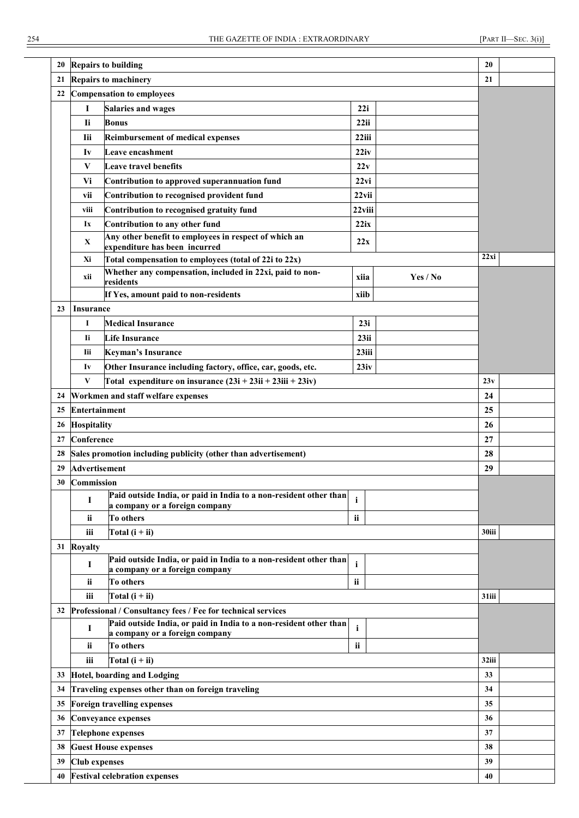| 20 | <b>Repairs to building</b>       |                                                                                                     |                 |          |       |  |  |  |  |  |
|----|----------------------------------|-----------------------------------------------------------------------------------------------------|-----------------|----------|-------|--|--|--|--|--|
| 21 |                                  | <b>Repairs to machinery</b>                                                                         |                 |          | 21    |  |  |  |  |  |
| 22 |                                  | <b>Compensation to employees</b>                                                                    |                 |          |       |  |  |  |  |  |
|    | 1                                | <b>Salaries and wages</b>                                                                           | 22i             |          |       |  |  |  |  |  |
|    | Ii                               | <b>Bonus</b>                                                                                        | 22ii            |          |       |  |  |  |  |  |
|    | <b>Iii</b>                       | <b>Reimbursement of medical expenses</b>                                                            | 22iii           |          |       |  |  |  |  |  |
|    | Iv                               | Leave encashment                                                                                    | 22iv            |          |       |  |  |  |  |  |
|    | V                                | <b>Leave travel benefits</b>                                                                        | 22v             |          |       |  |  |  |  |  |
|    | Vi                               | Contribution to approved superannuation fund                                                        | 22xi            |          |       |  |  |  |  |  |
|    | vii                              |                                                                                                     |                 |          |       |  |  |  |  |  |
|    | viii                             | Contribution to recognised provident fund<br>Contribution to recognised gratuity fund               | 22vii<br>22viii |          |       |  |  |  |  |  |
|    | Ix                               | Contribution to any other fund                                                                      | 22ix            |          |       |  |  |  |  |  |
|    |                                  | Any other benefit to employees in respect of which an                                               |                 |          |       |  |  |  |  |  |
|    | $\mathbf{X}$                     | expenditure has been incurred                                                                       | 22x             |          |       |  |  |  |  |  |
|    | Xi                               | Total compensation to employees (total of 22i to 22x)                                               |                 |          | 22xi  |  |  |  |  |  |
|    | xii                              | Whether any compensation, included in 22xi, paid to non-<br>residents                               | xiia            | Yes / No |       |  |  |  |  |  |
|    |                                  | If Yes, amount paid to non-residents                                                                | xiib            |          |       |  |  |  |  |  |
| 23 | <i>Insurance</i>                 |                                                                                                     |                 |          |       |  |  |  |  |  |
|    | 1                                | <b>Medical Insurance</b>                                                                            | 23i             |          |       |  |  |  |  |  |
|    | Ii.                              | <b>Life Insurance</b>                                                                               | 23ii            |          |       |  |  |  |  |  |
|    | Iii                              | <b>Keyman's Insurance</b>                                                                           | 23iii           |          |       |  |  |  |  |  |
|    | Iv                               | Other Insurance including factory, office, car, goods, etc.                                         | 23iv            |          |       |  |  |  |  |  |
|    | V                                | Total expenditure on insurance $(23i + 23ii + 23iii + 23iv)$                                        |                 |          | 23v   |  |  |  |  |  |
|    |                                  | 24 Workmen and staff welfare expenses                                                               |                 |          | 24    |  |  |  |  |  |
| 25 | Entertainment                    |                                                                                                     |                 |          | 25    |  |  |  |  |  |
| 26 | <b>Hospitality</b>               |                                                                                                     |                 |          | 26    |  |  |  |  |  |
| 27 | Conference                       |                                                                                                     |                 |          | 27    |  |  |  |  |  |
| 28 |                                  | Sales promotion including publicity (other than advertisement)                                      |                 |          | 28    |  |  |  |  |  |
| 29 | Advertisement                    |                                                                                                     |                 |          | 29    |  |  |  |  |  |
| 30 | Commission                       |                                                                                                     |                 |          |       |  |  |  |  |  |
|    | I                                | Paid outside India, or paid in India to a non-resident other than                                   |                 |          |       |  |  |  |  |  |
|    |                                  | a company or a foreign company                                                                      |                 |          |       |  |  |  |  |  |
|    | ii                               | To others                                                                                           | ii              |          |       |  |  |  |  |  |
|    | iii                              | Total $(i + ii)$                                                                                    |                 |          | 30iii |  |  |  |  |  |
|    | 31 Royalty                       |                                                                                                     |                 |          |       |  |  |  |  |  |
|    | I                                | Paid outside India, or paid in India to a non-resident other than<br>a company or a foreign company | $\mathbf{i}$    |          |       |  |  |  |  |  |
|    | ii                               | To others                                                                                           | ii              |          |       |  |  |  |  |  |
|    | iii                              | Total $(i + ii)$                                                                                    |                 |          | 31iii |  |  |  |  |  |
| 32 |                                  | Professional / Consultancy fees / Fee for technical services                                        |                 |          |       |  |  |  |  |  |
|    | I                                | Paid outside India, or paid in India to a non-resident other than<br>a company or a foreign company | i               |          |       |  |  |  |  |  |
|    |                                  |                                                                                                     |                 |          |       |  |  |  |  |  |
|    | ii                               | 32iii                                                                                               |                 |          |       |  |  |  |  |  |
|    | iii<br>Total $(i + ii)$          |                                                                                                     |                 |          |       |  |  |  |  |  |
| 33 | Hotel, boarding and Lodging      |                                                                                                     |                 |          |       |  |  |  |  |  |
| 34 |                                  | Traveling expenses other than on foreign traveling                                                  |                 |          | 34    |  |  |  |  |  |
| 35 |                                  | Foreign travelling expenses                                                                         |                 |          | 35    |  |  |  |  |  |
| 36 |                                  | <b>Conveyance expenses</b>                                                                          |                 |          | 36    |  |  |  |  |  |
| 37 |                                  | <b>Telephone expenses</b>                                                                           |                 |          | 37    |  |  |  |  |  |
| 38 |                                  | <b>Guest House expenses</b>                                                                         |                 |          | 38    |  |  |  |  |  |
| 39 | <b>Club</b> expenses             |                                                                                                     |                 |          | 39    |  |  |  |  |  |
|    | 40 Festival celebration expenses |                                                                                                     |                 |          |       |  |  |  |  |  |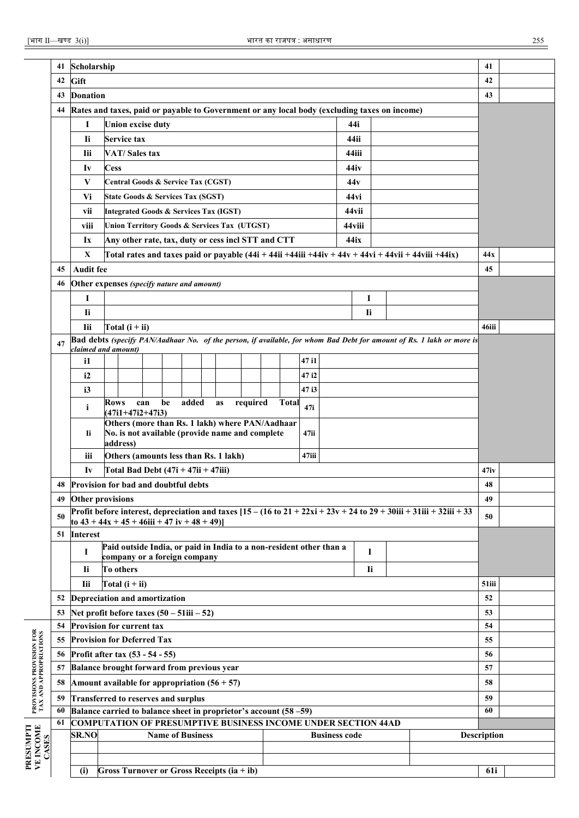|                                                    | 41 | Scholarship                                                                                  |             |                                       |     |                         |       |                                                                                                    |          |              |       |                      |                  |           |                                                                                                           |                                                                                                                       | 41                 |  |
|----------------------------------------------------|----|----------------------------------------------------------------------------------------------|-------------|---------------------------------------|-----|-------------------------|-------|----------------------------------------------------------------------------------------------------|----------|--------------|-------|----------------------|------------------|-----------|-----------------------------------------------------------------------------------------------------------|-----------------------------------------------------------------------------------------------------------------------|--------------------|--|
|                                                    | 42 | Gift                                                                                         |             |                                       |     |                         |       |                                                                                                    |          |              |       |                      |                  |           |                                                                                                           |                                                                                                                       | 42                 |  |
|                                                    | 43 | <b>Donation</b>                                                                              |             |                                       |     |                         |       |                                                                                                    |          |              |       |                      |                  |           |                                                                                                           |                                                                                                                       | 43                 |  |
|                                                    | 44 | Rates and taxes, paid or payable to Government or any local body (excluding taxes on income) |             |                                       |     |                         |       |                                                                                                    |          |              |       |                      |                  |           |                                                                                                           |                                                                                                                       |                    |  |
|                                                    |    | I                                                                                            |             | <b>Union excise duty</b>              |     |                         |       |                                                                                                    |          |              |       |                      | 44i              |           |                                                                                                           |                                                                                                                       |                    |  |
|                                                    |    | -li                                                                                          |             | <b>Service tax</b>                    |     |                         |       |                                                                                                    |          |              |       |                      | 44ii             |           |                                                                                                           |                                                                                                                       |                    |  |
|                                                    |    | Iii                                                                                          |             | VAT/Sales tax                         |     |                         |       |                                                                                                    |          |              |       |                      | 44iii            |           |                                                                                                           |                                                                                                                       |                    |  |
|                                                    |    | Iv                                                                                           | <b>Cess</b> |                                       |     |                         |       |                                                                                                    |          |              |       |                      | 44iy             |           |                                                                                                           |                                                                                                                       |                    |  |
|                                                    |    | V                                                                                            |             | Central Goods & Service Tax (CGST)    |     |                         |       |                                                                                                    |          |              |       |                      | 44v              |           |                                                                                                           |                                                                                                                       |                    |  |
|                                                    |    | Vi                                                                                           |             | State Goods & Services Tax (SGST)     |     |                         |       |                                                                                                    |          |              |       |                      | 44 <sub>vi</sub> |           |                                                                                                           |                                                                                                                       |                    |  |
|                                                    |    | vii                                                                                          |             |                                       |     |                         |       | <b>Integrated Goods &amp; Services Tax (IGST)</b>                                                  |          |              |       |                      | 44 vii           |           |                                                                                                           |                                                                                                                       |                    |  |
|                                                    |    | viii                                                                                         |             |                                       |     |                         |       | Union Territory Goods & Services Tax (UTGST)                                                       |          |              |       |                      | 44viii           |           |                                                                                                           |                                                                                                                       |                    |  |
|                                                    |    | Ix                                                                                           |             |                                       |     |                         |       | Any other rate, tax, duty or cess incl STT and CTT                                                 |          |              |       |                      | 44 ix            |           |                                                                                                           |                                                                                                                       |                    |  |
|                                                    |    | X                                                                                            |             |                                       |     |                         |       |                                                                                                    |          |              |       |                      |                  |           | Total rates and taxes paid or payable $(44i + 44ii + 44iii + 44iv + 44v + 44vii + 44vii + 44ivii + 44ix)$ |                                                                                                                       | 44x                |  |
|                                                    | 45 | <b>Audit fee</b>                                                                             |             |                                       |     |                         |       |                                                                                                    |          |              |       |                      |                  |           |                                                                                                           |                                                                                                                       | 45                 |  |
|                                                    | 46 | Other expenses (specify nature and amount)                                                   |             |                                       |     |                         |       |                                                                                                    |          |              |       |                      |                  |           |                                                                                                           |                                                                                                                       |                    |  |
|                                                    |    | Ι                                                                                            |             |                                       |     |                         |       |                                                                                                    |          |              |       |                      |                  | 1         |                                                                                                           |                                                                                                                       |                    |  |
|                                                    |    | Ii                                                                                           |             |                                       |     |                         |       |                                                                                                    |          |              |       |                      |                  | Ii        |                                                                                                           |                                                                                                                       |                    |  |
|                                                    |    | Iii                                                                                          |             | Total $(i + ii)$                      |     |                         |       |                                                                                                    |          |              |       |                      |                  |           |                                                                                                           |                                                                                                                       | 46iii              |  |
|                                                    | 47 | claimed and amount)                                                                          |             |                                       |     |                         |       |                                                                                                    |          |              |       |                      |                  |           |                                                                                                           | Bad debts (specify PAN/Aadhaar No. of the person, if available, for whom Bad Debt for amount of Rs. 1 lakh or more is |                    |  |
|                                                    |    | i1                                                                                           |             |                                       |     |                         |       |                                                                                                    |          |              | 47 i1 |                      |                  |           |                                                                                                           |                                                                                                                       |                    |  |
|                                                    |    | i2                                                                                           |             |                                       |     |                         |       |                                                                                                    |          |              | 47 i2 |                      |                  |           |                                                                                                           |                                                                                                                       |                    |  |
|                                                    |    | i3                                                                                           |             |                                       |     |                         |       |                                                                                                    |          |              | 47 i3 |                      |                  |           |                                                                                                           |                                                                                                                       |                    |  |
|                                                    |    | $\mathbf{i}$                                                                                 | Rows        | $(47i1+47i2+47i3)$                    | can | be                      | added | as                                                                                                 | required | <b>Total</b> | 47i   |                      |                  |           |                                                                                                           |                                                                                                                       |                    |  |
|                                                    |    | Ii.                                                                                          |             | address)                              |     |                         |       | Others (more than Rs. 1 lakh) where PAN/Aadhaar<br>No. is not available (provide name and complete |          |              | 47ii  |                      |                  |           |                                                                                                           |                                                                                                                       |                    |  |
|                                                    |    | iii                                                                                          |             |                                       |     |                         |       | Others (amounts less than Rs. 1 lakh)                                                              |          |              | 47iii |                      |                  |           |                                                                                                           |                                                                                                                       |                    |  |
|                                                    |    | Iv                                                                                           |             | Total Bad Debt $(47i + 47ii + 47iii)$ |     |                         |       |                                                                                                    |          |              |       |                      |                  |           |                                                                                                           |                                                                                                                       | 47iv               |  |
|                                                    | 48 | <b>Provision for bad and doubtful debts</b>                                                  |             |                                       |     |                         |       |                                                                                                    |          |              |       |                      |                  |           |                                                                                                           |                                                                                                                       | 48                 |  |
|                                                    | 49 | Other provisions                                                                             |             |                                       |     |                         |       |                                                                                                    |          |              |       |                      |                  |           |                                                                                                           |                                                                                                                       | 49                 |  |
|                                                    | 50 |                                                                                              |             |                                       |     |                         |       |                                                                                                    |          |              |       |                      |                  |           |                                                                                                           | Profit before interest, depreciation and taxes $[15 - (16 to 21 + 22xi + 23v + 24 to 29 + 30iii + 31iii + 32iii + 33$ | 50                 |  |
|                                                    |    | to $43 + 44x + 45 + 46$ iii + 47 iv + 48 + 49)                                               |             |                                       |     |                         |       |                                                                                                    |          |              |       |                      |                  |           |                                                                                                           |                                                                                                                       |                    |  |
|                                                    | 51 | <b>Interest</b>                                                                              |             |                                       |     |                         |       | Paid outside India, or paid in India to a non-resident other than a                                |          |              |       |                      |                  |           |                                                                                                           |                                                                                                                       |                    |  |
|                                                    |    | I                                                                                            |             | company or a foreign company          |     |                         |       |                                                                                                    |          |              |       |                      |                  | I         |                                                                                                           |                                                                                                                       |                    |  |
|                                                    |    | Ii.                                                                                          |             | To others                             |     |                         |       |                                                                                                    |          |              |       |                      |                  | <b>Ii</b> |                                                                                                           |                                                                                                                       |                    |  |
|                                                    |    | Iii                                                                                          |             | Total $(i + ii)$                      |     |                         |       |                                                                                                    |          |              |       |                      |                  |           |                                                                                                           |                                                                                                                       | 51iii              |  |
|                                                    | 52 | Depreciation and amortization                                                                |             |                                       |     |                         |       |                                                                                                    |          |              |       |                      |                  |           |                                                                                                           |                                                                                                                       | 52                 |  |
|                                                    | 53 | Net profit before taxes $(50 - 51iii - 52)$                                                  |             |                                       |     |                         |       |                                                                                                    |          |              |       |                      |                  |           |                                                                                                           |                                                                                                                       | 53                 |  |
|                                                    | 54 | <b>Provision for current tax</b>                                                             |             |                                       |     |                         |       |                                                                                                    |          |              |       |                      |                  |           |                                                                                                           |                                                                                                                       | 54                 |  |
|                                                    | 55 | <b>Provision for Deferred Tax</b>                                                            |             |                                       |     |                         |       |                                                                                                    |          |              |       |                      |                  |           |                                                                                                           |                                                                                                                       | 55                 |  |
| PROVISIONS PROVISION FOR<br>TAX AND APPROPRIATIONS | 56 | Profit after tax (53 - 54 - 55)                                                              |             |                                       |     |                         |       |                                                                                                    |          |              |       |                      |                  |           |                                                                                                           |                                                                                                                       | 56                 |  |
|                                                    | 57 | Balance brought forward from previous year                                                   |             |                                       |     |                         |       |                                                                                                    |          |              |       |                      |                  |           |                                                                                                           |                                                                                                                       | 57                 |  |
|                                                    | 58 | Amount available for appropriation $(56 + 57)$                                               |             |                                       |     |                         |       |                                                                                                    |          |              |       |                      |                  |           |                                                                                                           |                                                                                                                       | 58                 |  |
|                                                    | 59 | Transferred to reserves and surplus                                                          |             |                                       |     |                         |       |                                                                                                    |          |              |       |                      |                  |           |                                                                                                           |                                                                                                                       | 59                 |  |
|                                                    | 60 | Balance carried to balance sheet in proprietor's account (58 -59)                            |             |                                       |     |                         |       |                                                                                                    |          |              |       |                      |                  |           |                                                                                                           |                                                                                                                       | 60                 |  |
|                                                    | 61 | <b>COMPUTATION OF PRESUMPTIVE BUSINESS INCOME UNDER SECTION 44AD</b><br><b>SR.NO</b>         |             |                                       |     | <b>Name of Business</b> |       |                                                                                                    |          |              |       | <b>Business code</b> |                  |           |                                                                                                           |                                                                                                                       | <b>Description</b> |  |
| <b>VE INCOME</b><br>CASES                          |    |                                                                                              |             |                                       |     |                         |       |                                                                                                    |          |              |       |                      |                  |           |                                                                                                           |                                                                                                                       |                    |  |
|                                                    |    |                                                                                              |             |                                       |     |                         |       |                                                                                                    |          |              |       |                      |                  |           |                                                                                                           |                                                                                                                       |                    |  |
|                                                    |    | (i)                                                                                          |             |                                       |     |                         |       | Gross Turnover or Gross Receipts (ia + ib)                                                         |          |              |       |                      |                  |           |                                                                                                           |                                                                                                                       | 61i                |  |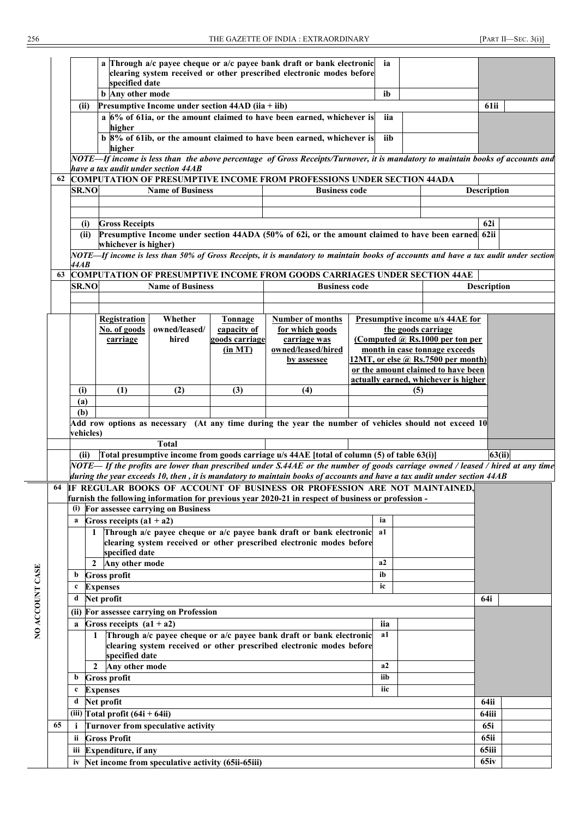|    |                                                      |                                                      |                            |                                                     |                | a Through $a/c$ payee cheque or $a/c$ payee bank draft or bank electronic                                                           |  | ia             |                                    |                                      |                    |  |  |  |
|----|------------------------------------------------------|------------------------------------------------------|----------------------------|-----------------------------------------------------|----------------|-------------------------------------------------------------------------------------------------------------------------------------|--|----------------|------------------------------------|--------------------------------------|--------------------|--|--|--|
|    |                                                      |                                                      |                            |                                                     |                | clearing system received or other prescribed electronic modes before                                                                |  |                |                                    |                                      |                    |  |  |  |
|    |                                                      |                                                      | specified date             |                                                     |                |                                                                                                                                     |  | ib             |                                    |                                      |                    |  |  |  |
|    |                                                      |                                                      | <b>b</b> Any other mode    |                                                     |                |                                                                                                                                     |  |                |                                    |                                      |                    |  |  |  |
|    |                                                      | (ii)                                                 |                            | Presumptive Income under section $44AD$ (iia + iib) |                |                                                                                                                                     |  |                |                                    |                                      | 61ii               |  |  |  |
|    |                                                      |                                                      |                            |                                                     |                | a 6% of 61ia, or the amount claimed to have been earned, whichever is                                                               |  | iia            |                                    |                                      |                    |  |  |  |
|    |                                                      |                                                      | higher                     |                                                     |                |                                                                                                                                     |  |                |                                    |                                      |                    |  |  |  |
|    |                                                      |                                                      |                            |                                                     |                | b 8% of 61ib, or the amount claimed to have been earned, whichever is                                                               |  | iib            |                                    |                                      |                    |  |  |  |
|    |                                                      |                                                      | higher                     |                                                     |                |                                                                                                                                     |  |                |                                    |                                      |                    |  |  |  |
|    |                                                      |                                                      |                            | have a tax audit under section 44AB                 |                | NOTE—If income is less than the above percentage of Gross Receipts/Turnover, it is mandatory to maintain books of accounts and      |  |                |                                    |                                      |                    |  |  |  |
| 62 |                                                      |                                                      |                            |                                                     |                | <b>COMPUTATION OF PRESUMPTIVE INCOME FROM PROFESSIONS UNDER SECTION 44ADA</b>                                                       |  |                |                                    |                                      |                    |  |  |  |
|    |                                                      | <b>SR.NO</b>                                         |                            | <b>Name of Business</b>                             |                | <b>Business code</b>                                                                                                                |  |                |                                    |                                      | <b>Description</b> |  |  |  |
|    |                                                      |                                                      |                            |                                                     |                |                                                                                                                                     |  |                |                                    |                                      |                    |  |  |  |
|    |                                                      |                                                      |                            |                                                     |                |                                                                                                                                     |  |                |                                    |                                      |                    |  |  |  |
|    |                                                      | (i)                                                  | <b>Gross Receipts</b>      |                                                     |                |                                                                                                                                     |  |                |                                    |                                      | 62i                |  |  |  |
|    |                                                      | (ii)                                                 |                            |                                                     |                | Presumptive Income under section 44ADA (50% of 62i, or the amount claimed to have been earned 62ii                                  |  |                |                                    |                                      |                    |  |  |  |
|    |                                                      |                                                      | whichever is higher)       |                                                     |                |                                                                                                                                     |  |                |                                    |                                      |                    |  |  |  |
|    |                                                      |                                                      |                            |                                                     |                | NOTE—If income is less than 50% of Gross Receipts, it is mandatory to maintain books of accounts and have a tax audit under section |  |                |                                    |                                      |                    |  |  |  |
|    | 44AB                                                 |                                                      |                            |                                                     |                |                                                                                                                                     |  |                |                                    |                                      |                    |  |  |  |
| 63 |                                                      |                                                      |                            |                                                     |                | <b>COMPUTATION OF PRESUMPTIVE INCOME FROM GOODS CARRIAGES UNDER SECTION 44AE</b>                                                    |  |                |                                    |                                      |                    |  |  |  |
|    |                                                      | <b>SR.NO</b>                                         |                            | <b>Name of Business</b>                             |                | <b>Business code</b>                                                                                                                |  |                |                                    |                                      | <b>Description</b> |  |  |  |
|    |                                                      |                                                      |                            |                                                     |                |                                                                                                                                     |  |                |                                    |                                      |                    |  |  |  |
|    |                                                      |                                                      |                            |                                                     |                |                                                                                                                                     |  |                |                                    |                                      |                    |  |  |  |
|    |                                                      |                                                      | <b>Registration</b>        | Whether                                             | <b>Tonnage</b> | <b>Number of months</b>                                                                                                             |  |                |                                    | Presumptive income u/s 44AE for      |                    |  |  |  |
|    | No. of goods<br>owned/leased/<br>capacity of         |                                                      |                            |                                                     |                | for which goods                                                                                                                     |  |                |                                    | the goods carriage                   |                    |  |  |  |
|    |                                                      |                                                      | carriage                   | hired                                               | goods carriage | carriage was                                                                                                                        |  |                |                                    | (Computed @ Rs.1000 per ton per      |                    |  |  |  |
|    |                                                      |                                                      |                            |                                                     | (in MT)        | owned/leased/hired                                                                                                                  |  |                |                                    | month in case tonnage exceeds        |                    |  |  |  |
|    |                                                      |                                                      |                            |                                                     | by assessee    |                                                                                                                                     |  |                | 12MT, or else @ Rs.7500 per month) |                                      |                    |  |  |  |
|    |                                                      |                                                      |                            |                                                     |                |                                                                                                                                     |  |                |                                    | or the amount claimed to have been   |                    |  |  |  |
|    |                                                      |                                                      |                            |                                                     |                |                                                                                                                                     |  |                |                                    | actually earned, whichever is higher |                    |  |  |  |
|    | (i)                                                  |                                                      | (1)                        | (2)                                                 | (3)            | (4)                                                                                                                                 |  |                | (5)                                |                                      |                    |  |  |  |
|    | (a)                                                  |                                                      |                            |                                                     |                |                                                                                                                                     |  |                |                                    |                                      |                    |  |  |  |
|    | (b)                                                  |                                                      |                            |                                                     |                |                                                                                                                                     |  |                |                                    |                                      |                    |  |  |  |
|    |                                                      | vehicles)                                            |                            |                                                     |                | Add row options as necessary (At any time during the year the number of vehicles should not exceed 10                               |  |                |                                    |                                      |                    |  |  |  |
|    |                                                      |                                                      |                            | <b>Total</b>                                        |                |                                                                                                                                     |  |                |                                    |                                      |                    |  |  |  |
|    |                                                      | (ii)                                                 |                            |                                                     |                | [Total presumptive income from goods carriage u/s 44AE [total of column (5) of table 63(i)]                                         |  |                |                                    |                                      | 63(ii)             |  |  |  |
|    |                                                      |                                                      |                            |                                                     |                | NOTE—If the profits are lower than prescribed under S.44AE or the number of goods carriage owned / leased / hired at any time       |  |                |                                    |                                      |                    |  |  |  |
|    |                                                      |                                                      |                            |                                                     |                | during the year exceeds 10, then, it is mandatory to maintain books of accounts and have a tax audit under section 44AB             |  |                |                                    |                                      |                    |  |  |  |
| 64 |                                                      |                                                      |                            |                                                     |                | IF REGULAR BOOKS OF ACCOUNT OF BUSINESS OR PROFESSION ARE NOT MAINTAINED,                                                           |  |                |                                    |                                      |                    |  |  |  |
|    |                                                      |                                                      |                            |                                                     |                | furnish the following information for previous year 2020-21 in respect of business or profession -                                  |  |                |                                    |                                      |                    |  |  |  |
|    |                                                      |                                                      |                            | (i) For assessee carrying on Business               |                |                                                                                                                                     |  |                |                                    |                                      |                    |  |  |  |
|    | a                                                    |                                                      | Gross receipts $(a1 + a2)$ |                                                     |                |                                                                                                                                     |  | ia             |                                    |                                      |                    |  |  |  |
|    |                                                      | 1                                                    |                            |                                                     |                | Through a/c payee cheque or a/c payee bank draft or bank electronic                                                                 |  | a1             |                                    |                                      |                    |  |  |  |
|    |                                                      |                                                      |                            |                                                     |                | clearing system received or other prescribed electronic modes before                                                                |  |                |                                    |                                      |                    |  |  |  |
|    |                                                      |                                                      | specified date             |                                                     |                |                                                                                                                                     |  |                |                                    |                                      |                    |  |  |  |
|    |                                                      | $\mathbf{2}$                                         | Any other mode             |                                                     |                |                                                                                                                                     |  | a2             |                                    |                                      |                    |  |  |  |
|    | b                                                    |                                                      | <b>Gross profit</b>        |                                                     |                |                                                                                                                                     |  | ib             |                                    |                                      |                    |  |  |  |
|    | $\mathbf c$                                          |                                                      | <b>Expenses</b>            |                                                     |                |                                                                                                                                     |  | ic             |                                    |                                      |                    |  |  |  |
|    | d                                                    |                                                      | Net profit                 |                                                     |                |                                                                                                                                     |  |                |                                    |                                      | 64i                |  |  |  |
|    |                                                      |                                                      |                            |                                                     |                |                                                                                                                                     |  |                |                                    |                                      |                    |  |  |  |
|    |                                                      |                                                      |                            | (ii) For assessee carrying on Profession            |                |                                                                                                                                     |  |                |                                    |                                      |                    |  |  |  |
|    | a                                                    |                                                      | Gross receipts $(a1 + a2)$ |                                                     |                |                                                                                                                                     |  | iia            |                                    |                                      |                    |  |  |  |
|    |                                                      | -1                                                   |                            |                                                     |                | Through a/c payee cheque or a/c payee bank draft or bank electronic                                                                 |  | a1             |                                    |                                      |                    |  |  |  |
|    |                                                      |                                                      | specified date             |                                                     |                | clearing system received or other prescribed electronic modes before                                                                |  |                |                                    |                                      |                    |  |  |  |
|    |                                                      | 2                                                    | Any other mode             |                                                     |                |                                                                                                                                     |  | a <sub>2</sub> |                                    |                                      |                    |  |  |  |
|    | b                                                    |                                                      | <b>Gross profit</b>        |                                                     |                |                                                                                                                                     |  | iib            |                                    |                                      |                    |  |  |  |
|    |                                                      |                                                      |                            |                                                     |                |                                                                                                                                     |  |                |                                    |                                      |                    |  |  |  |
|    | iic<br><b>Expenses</b><br>$\mathbf c$                |                                                      |                            |                                                     |                |                                                                                                                                     |  |                |                                    |                                      |                    |  |  |  |
|    | Net profit<br>d<br>(iii) Total profit $(64i + 64ii)$ |                                                      |                            |                                                     |                |                                                                                                                                     |  |                |                                    | 64ii                                 |                    |  |  |  |
|    |                                                      |                                                      |                            |                                                     |                |                                                                                                                                     |  |                |                                    |                                      | 64iii              |  |  |  |
| 65 | i                                                    |                                                      |                            | <b>Turnover from speculative activity</b>           |                |                                                                                                                                     |  |                |                                    |                                      | 65i                |  |  |  |
|    | ii                                                   |                                                      | <b>Gross Profit</b>        |                                                     |                |                                                                                                                                     |  |                |                                    |                                      | 65ii               |  |  |  |
|    | iii Expenditure, if any                              |                                                      |                            |                                                     |                |                                                                                                                                     |  |                | 65iii                              |                                      |                    |  |  |  |
|    |                                                      | iv Net income from speculative activity (65ii-65iii) |                            |                                                     |                |                                                                                                                                     |  |                |                                    |                                      |                    |  |  |  |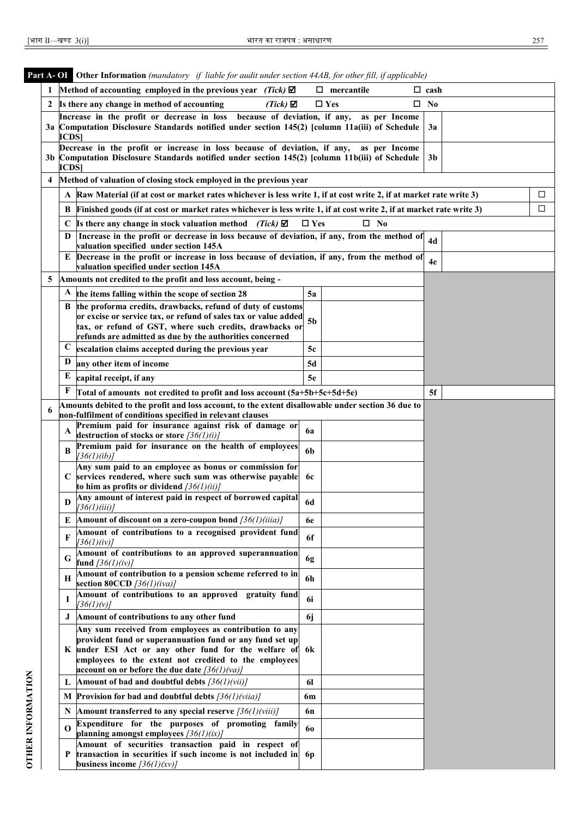| I |   |  |
|---|---|--|
|   | I |  |

|                          |   | <b>Part A-OI</b> Other Information (mandatory if liable for audit under section 44AB, for other fill, if applicable)                                                                         |                                  |  |
|--------------------------|---|----------------------------------------------------------------------------------------------------------------------------------------------------------------------------------------------|----------------------------------|--|
|                          |   | Method of accounting employed in the previous year (Tick) $\boxtimes$                                                                                                                        | $\Box$ mercantile<br>$\Box$ cash |  |
|                          | 2 | $(Tick)$ $\boxtimes$<br>Is there any change in method of accounting                                                                                                                          | $\square$ Yes<br>$\square$ No    |  |
|                          |   | because of deviation, if any,<br>Increase in the profit or decrease in loss<br>3a Computation Disclosure Standards notified under section 145(2) [column 11a(iii) of Schedule<br><b>ICDS</b> | as per Income<br>3a              |  |
|                          |   | Decrease in the profit or increase in loss because of deviation, if any,<br>3b Computation Disclosure Standards notified under section 145(2) [column 11b(iii) of Schedule<br><b>ICDS</b>    | as per Income<br>3b              |  |
|                          | 4 | Method of valuation of closing stock employed in the previous year                                                                                                                           |                                  |  |
|                          |   | Raw Material (if at cost or market rates whichever is less write 1, if at cost write 2, if at market rate write 3)<br>A                                                                      | □                                |  |
|                          |   | Finished goods (if at cost or market rates whichever is less write 1, if at cost write 2, if at market rate write 3)<br>B                                                                    | □                                |  |
|                          |   | Is there any change in stock valuation method (Tick) $\boxtimes$<br>C                                                                                                                        | $\square$ No<br>$\square$ Yes    |  |
|                          |   | Increase in the profit or decrease in loss because of deviation, if any, from the method of<br>D<br>valuation specified under section 145A                                                   | 4d                               |  |
|                          |   | Decrease in the profit or increase in loss because of deviation, if any, from the method of<br>Е<br>valuation specified under section 145A                                                   | 4e                               |  |
|                          | 5 | Amounts not credited to the profit and loss account, being -                                                                                                                                 |                                  |  |
|                          |   | the items falling within the scope of section 28<br>A                                                                                                                                        | 5a                               |  |
|                          |   | the proforma credits, drawbacks, refund of duty of customs<br>B                                                                                                                              |                                  |  |
|                          |   | or excise or service tax, or refund of sales tax or value added<br>tax, or refund of GST, where such credits, drawbacks or                                                                   | 5 <sub>b</sub>                   |  |
|                          |   | refunds are admitted as due by the authorities concerned                                                                                                                                     |                                  |  |
|                          |   | $\mathbf{C}$<br>escalation claims accepted during the previous year                                                                                                                          | 5c                               |  |
|                          |   | D<br>any other item of income                                                                                                                                                                | 5d                               |  |
|                          |   | E<br>capital receipt, if any                                                                                                                                                                 | 5e                               |  |
|                          |   | F<br>Total of amounts not credited to profit and loss account (5a+5b+5c+5d+5e)                                                                                                               | 5f                               |  |
|                          |   | Amounts debited to the profit and loss account, to the extent disallowable under section 36 due to                                                                                           |                                  |  |
|                          | 6 | non-fulfilment of conditions specified in relevant clauses                                                                                                                                   |                                  |  |
|                          |   | Premium paid for insurance against risk of damage or<br>A<br>destruction of stocks or store $\frac{36(1)(i)}{i}$                                                                             | 6a                               |  |
|                          |   | Premium paid for insurance on the health of employees<br>B<br>[36(1)(ib)]                                                                                                                    | 6b                               |  |
|                          |   | Any sum paid to an employee as bonus or commission for                                                                                                                                       |                                  |  |
|                          |   | services rendered, where such sum was otherwise payable<br>C<br>to him as profits or dividend $\frac{36(1)}{i}$                                                                              | 6c                               |  |
|                          |   | Any amount of interest paid in respect of borrowed capital<br>$\mathbf D$                                                                                                                    | <b>6d</b>                        |  |
|                          |   | [36(1)(iii)]<br>Amount of discount on a zero-coupon bond $\frac{36}{1}\frac{36}{1}\$<br>E                                                                                                    | 6e                               |  |
|                          |   | Amount of contributions to a recognised provident fund<br>F                                                                                                                                  | 6f                               |  |
|                          |   | [36(1)(iv)]                                                                                                                                                                                  |                                  |  |
|                          |   | Amount of contributions to an approved superannuation<br>G<br>fund $[36(1)(iv)]$                                                                                                             | 6g                               |  |
|                          |   | Amount of contribution to a pension scheme referred to in<br>н<br>section 80CCD $[36(1)(iva)]$                                                                                               | 6h                               |  |
|                          |   | Amount of contributions to an approved gratuity fund<br>I<br>[36(1)(v)]                                                                                                                      | 6i                               |  |
|                          |   | J<br>Amount of contributions to any other fund                                                                                                                                               | 6j                               |  |
|                          |   | Any sum received from employees as contribution to any                                                                                                                                       |                                  |  |
|                          |   | provident fund or superannuation fund or any fund set up<br>under ESI Act or any other fund for the welfare of<br>K                                                                          | 6k                               |  |
|                          |   | employees to the extent not credited to the employees                                                                                                                                        |                                  |  |
|                          |   | account on or before the due date $\frac{36(1)}{v a}$                                                                                                                                        |                                  |  |
|                          |   | Amount of bad and doubtful debts $[36(1)(vii)]$<br>L                                                                                                                                         | <b>61</b>                        |  |
|                          |   | <b>Provision for bad and doubtful debts</b> $\frac{36}{1}\frac{\nu}{\nu}$<br>М                                                                                                               | 6m                               |  |
|                          |   | Amount transferred to any special reserve $\frac{36}{1}\frac{\gamma}{\gamma}$<br>N                                                                                                           | 6n                               |  |
| <b>OTHER INFORMATION</b> |   | Expenditure for the purposes of promoting family<br>$\Omega$<br>planning amongst employees $\frac{36(1)(ix)}{x}$                                                                             | 60                               |  |
|                          |   | Amount of securities transaction paid in respect of                                                                                                                                          |                                  |  |
|                          |   | transaction in securities if such income is not included in<br>P                                                                                                                             | 6 <sub>p</sub>                   |  |
|                          |   | business income $\frac{36(1)}{xy}$                                                                                                                                                           |                                  |  |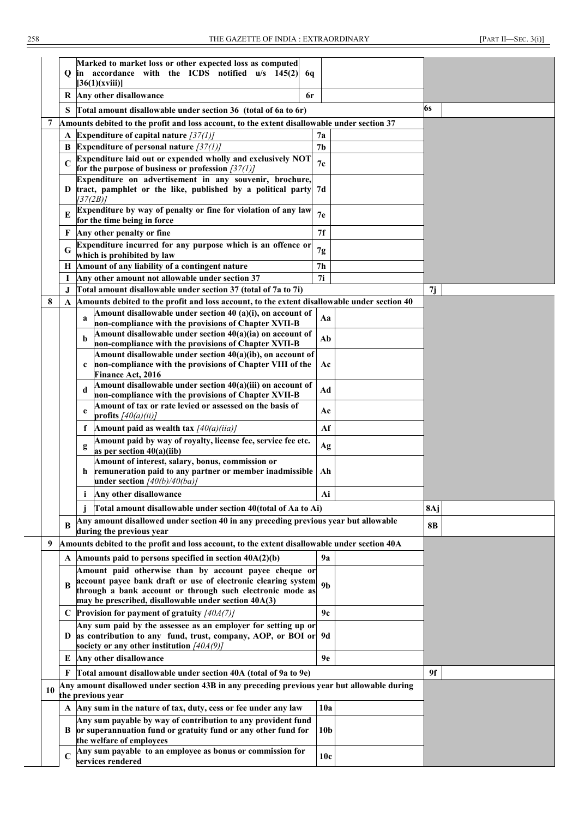|    | Q           | Marked to market loss or other expected loss as computed<br>in accordance with the ICDS notified u/s 145(2)<br>6q<br>[36(1)(xviii)] |                 |     |  |
|----|-------------|-------------------------------------------------------------------------------------------------------------------------------------|-----------------|-----|--|
|    |             | R Any other disallowance<br>6r                                                                                                      |                 |     |  |
|    | S           | Total amount disallowable under section 36 (total of 6a to 6r)                                                                      |                 | 6s  |  |
| 7  |             | Amounts debited to the profit and loss account, to the extent disallowable under section 37                                         |                 |     |  |
|    | A           | Expenditure of capital nature $\frac{37}{1}$                                                                                        | 7a              |     |  |
|    |             | <b>B</b> Expenditure of personal nature $\frac{37}{1}$                                                                              | 7 <sub>b</sub>  |     |  |
|    |             | Expenditure laid out or expended wholly and exclusively NOT<br>for the purpose of business or profession $[37(1)]$                  | 7c              |     |  |
|    |             | Expenditure on advertisement in any souvenir, brochure,<br>D tract, pamphlet or the like, published by a political party            | 7d              |     |  |
|    | E           | [37(2B)]<br>Expenditure by way of penalty or fine for violation of any law                                                          | 7e              |     |  |
|    |             | for the time being in force                                                                                                         |                 |     |  |
|    | F           | Any other penalty or fine<br>Expenditure incurred for any purpose which is an offence or                                            | 7f              |     |  |
|    | G           | which is prohibited by law                                                                                                          | 7g              |     |  |
|    | Н           | Amount of any liability of a contingent nature                                                                                      | 7 <sub>h</sub>  |     |  |
|    | I           | Any other amount not allowable under section 37                                                                                     | 7i              |     |  |
|    | J           | Total amount disallowable under section 37 (total of 7a to 7i)                                                                      |                 | 7j  |  |
| 8  | A           | Amounts debited to the profit and loss account, to the extent disallowable under section 40                                         |                 |     |  |
|    |             | Amount disallowable under section 40 (a)(i), on account of<br>a<br>non-compliance with the provisions of Chapter XVII-B             | Aa              |     |  |
|    |             | Amount disallowable under section 40(a)(ia) on account of<br>b<br>non-compliance with the provisions of Chapter XVII-B              | Ab              |     |  |
|    |             | Amount disallowable under section 40(a)(ib), on account of                                                                          |                 |     |  |
|    |             | non-compliance with the provisions of Chapter VIII of the<br>c<br><b>Finance Act, 2016</b>                                          | Ac              |     |  |
|    |             | Amount disallowable under section 40(a)(iii) on account of                                                                          |                 |     |  |
|    |             | d<br>non-compliance with the provisions of Chapter XVII-B                                                                           | Ad              |     |  |
|    |             | Amount of tax or rate levied or assessed on the basis of<br>e<br>profits $[40(a)(ii)]$                                              | Ae              |     |  |
|    |             | Amount paid as wealth tax $\frac{1}{40(a)(iia)}$<br>f                                                                               | Af              |     |  |
|    |             | Amount paid by way of royalty, license fee, service fee etc.<br>g<br>as per section $40(a)(iib)$                                    | Ag              |     |  |
|    |             | Amount of interest, salary, bonus, commission or                                                                                    |                 |     |  |
|    |             | remuneration paid to any partner or member inadmissible<br>h<br>under section $\frac{40(b)}{40(ba)}$                                | Ah              |     |  |
|    |             | Any other disallowance                                                                                                              | Ai              |     |  |
|    |             | Total amount disallowable under section 40(total of Aa to Ai)                                                                       |                 | 8Aj |  |
|    | B           | Any amount disallowed under section 40 in any preceding previous year but allowable                                                 |                 | 8B  |  |
|    |             | during the previous year                                                                                                            |                 |     |  |
| 9  |             | Amounts debited to the profit and loss account, to the extent disallowable under section 40A                                        |                 |     |  |
|    | A           | Amounts paid to persons specified in section $40A(2)(b)$                                                                            | <b>9a</b>       |     |  |
|    |             | Amount paid otherwise than by account payee cheque or                                                                               |                 |     |  |
|    | B           | account payee bank draft or use of electronic clearing system<br>through a bank account or through such electronic mode as          | 9 <sub>b</sub>  |     |  |
|    |             | may be prescribed, disallowable under section 40A(3)                                                                                |                 |     |  |
|    |             | C Provision for payment of gratuity $[40A(7)]$                                                                                      | 9c              |     |  |
|    |             | Any sum paid by the assessee as an employer for setting up or                                                                       |                 |     |  |
|    | D           | as contribution to any fund, trust, company, AOP, or BOI or 9d<br>society or any other institution $\left[40A(9)\right]$            |                 |     |  |
|    | E           | Any other disallowance                                                                                                              | 9е              |     |  |
|    | F           | Total amount disallowable under section 40A (total of 9a to 9e)                                                                     |                 | 9f  |  |
| 10 |             | Any amount disallowed under section 43B in any preceding previous year but allowable during<br>the previous year                    |                 |     |  |
|    |             | A Any sum in the nature of tax, duty, cess or fee under any law                                                                     | 10a             |     |  |
|    |             | Any sum payable by way of contribution to any provident fund                                                                        |                 |     |  |
|    | В           | or superannuation fund or gratuity fund or any other fund for<br>the welfare of employees                                           | 10 <sub>b</sub> |     |  |
|    |             | Any sum payable to an employee as bonus or commission for                                                                           |                 |     |  |
|    | $\mathbf C$ | services rendered                                                                                                                   | 10c             |     |  |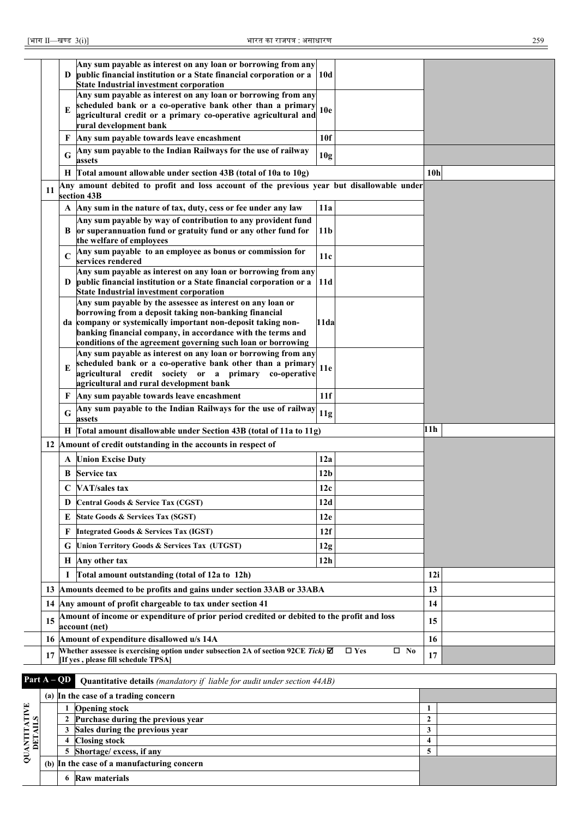| [भाग II—खण्ड 3(i)]       |              | भारत का राजपत्र : असाधारण                                                                                           |                 |                               |                 | 259 |
|--------------------------|--------------|---------------------------------------------------------------------------------------------------------------------|-----------------|-------------------------------|-----------------|-----|
|                          |              |                                                                                                                     |                 |                               |                 |     |
|                          |              | Any sum payable as interest on any loan or borrowing from any                                                       |                 |                               |                 |     |
|                          | D            | public financial institution or a State financial corporation or a                                                  | 10d             |                               |                 |     |
|                          |              | <b>State Industrial investment corporation</b><br>Any sum payable as interest on any loan or borrowing from any     |                 |                               |                 |     |
|                          |              | scheduled bank or a co-operative bank other than a primary                                                          |                 |                               |                 |     |
|                          | E            | agricultural credit or a primary co-operative agricultural and                                                      | 10e             |                               |                 |     |
|                          |              | rural development bank                                                                                              |                 |                               |                 |     |
|                          | F            | Any sum payable towards leave encashment                                                                            | 10f             |                               |                 |     |
|                          | G            | Any sum payable to the Indian Railways for the use of railway<br>assets                                             | 10 <sub>g</sub> |                               |                 |     |
|                          |              | H Total amount allowable under section 43B (total of 10a to 10g)                                                    |                 |                               | 10 <sub>h</sub> |     |
|                          |              | Any amount debited to profit and loss account of the previous year but disallowable under                           |                 |                               |                 |     |
| 11                       |              | section 43B                                                                                                         |                 |                               |                 |     |
|                          |              | A Any sum in the nature of tax, duty, cess or fee under any law                                                     | 11a             |                               |                 |     |
|                          |              | Any sum payable by way of contribution to any provident fund                                                        |                 |                               |                 |     |
|                          | B            | or superannuation fund or gratuity fund or any other fund for                                                       | 11 <sub>b</sub> |                               |                 |     |
|                          |              | the welfare of employees<br>Any sum payable to an employee as bonus or commission for                               |                 |                               |                 |     |
|                          | $\mathsf{C}$ | services rendered                                                                                                   | 11c             |                               |                 |     |
|                          |              | Any sum payable as interest on any loan or borrowing from any                                                       |                 |                               |                 |     |
|                          | D            | public financial institution or a State financial corporation or a                                                  | 11d             |                               |                 |     |
|                          |              | <b>State Industrial investment corporation</b>                                                                      |                 |                               |                 |     |
|                          |              | Any sum payable by the assessee as interest on any loan or<br>borrowing from a deposit taking non-banking financial |                 |                               |                 |     |
|                          |              | da company or systemically important non-deposit taking non-                                                        | 11da            |                               |                 |     |
|                          |              | banking financial company, in accordance with the terms and                                                         |                 |                               |                 |     |
|                          |              | conditions of the agreement governing such loan or borrowing                                                        |                 |                               |                 |     |
|                          |              | Any sum payable as interest on any loan or borrowing from any                                                       |                 |                               |                 |     |
|                          | E            | scheduled bank or a co-operative bank other than a primary<br>agricultural credit society or a primary co-operative | 11e             |                               |                 |     |
|                          |              | agricultural and rural development bank                                                                             |                 |                               |                 |     |
|                          | F            | Any sum payable towards leave encashment                                                                            | 11f             |                               |                 |     |
|                          |              | Any sum payable to the Indian Railways for the use of railway                                                       |                 |                               |                 |     |
|                          | G            | assets                                                                                                              | 11g             |                               |                 |     |
|                          | Н            | Total amount disallowable under Section 43B (total of 11a to 11g)                                                   |                 |                               | 11 h            |     |
|                          |              | 12 Amount of credit outstanding in the accounts in respect of                                                       |                 |                               |                 |     |
|                          |              | <b>A</b> Union Excise Duty                                                                                          | 12a             |                               |                 |     |
|                          | В            | Service tax                                                                                                         | 12 <sub>b</sub> |                               |                 |     |
|                          | C            | VAT/sales tax                                                                                                       | 12c             |                               |                 |     |
|                          |              |                                                                                                                     |                 |                               |                 |     |
|                          | D            | Central Goods & Service Tax (CGST)                                                                                  | 12d             |                               |                 |     |
|                          | E            | <b>State Goods &amp; Services Tax (SGST)</b>                                                                        | 12e             |                               |                 |     |
|                          | F            | <b>Integrated Goods &amp; Services Tax (IGST)</b>                                                                   | 12f             |                               |                 |     |
|                          | G            | Union Territory Goods & Services Tax (UTGST)                                                                        | 12g             |                               |                 |     |
|                          | Н            | Any other tax                                                                                                       | 12 <sub>h</sub> |                               |                 |     |
|                          | 1            | Total amount outstanding (total of 12a to 12h)                                                                      |                 |                               | 12i             |     |
|                          |              | 13 Amounts deemed to be profits and gains under section 33AB or 33ABA                                               |                 |                               | 13              |     |
|                          |              | 14 Any amount of profit chargeable to tax under section 41                                                          |                 |                               | 14              |     |
| 15                       |              | Amount of income or expenditure of prior period credited or debited to the profit and loss                          |                 |                               | 15              |     |
|                          |              | account (net)<br>16 Amount of expenditure disallowed u/s 14A                                                        |                 |                               | 16              |     |
| 17                       |              | Whether assessee is exercising option under subsection 2A of section 92CE Tick) $\boxtimes$                         |                 | $\square$ Yes<br>$\square$ No | 17              |     |
|                          |              | [If yes, please fill schedule TPSA]                                                                                 |                 |                               |                 |     |
| Part $A - \overline{QD}$ |              | <b>Quantitative details</b> (mandatory if liable for audit under section 44AB)                                      |                 |                               |                 |     |

|                         |   | <b>Example 1993</b> • <b>Quantitative details</b> ( <i>mandatory if that is jor didn't maler section 44AD</i> ) |  |
|-------------------------|---|-----------------------------------------------------------------------------------------------------------------|--|
|                         |   | (a) In the case of a trading concern                                                                            |  |
| QUANTITATIVE<br>DETAILS |   | <b>Opening stock</b>                                                                                            |  |
|                         |   | Purchase during the previous year                                                                               |  |
|                         | 3 | Sales during the previous year                                                                                  |  |
|                         |   | 4 Closing stock                                                                                                 |  |
|                         |   | 5 Shortage/ excess, if any                                                                                      |  |
|                         |   | (b) In the case of a manufacturing concern                                                                      |  |
|                         | 6 | <b>Raw materials</b>                                                                                            |  |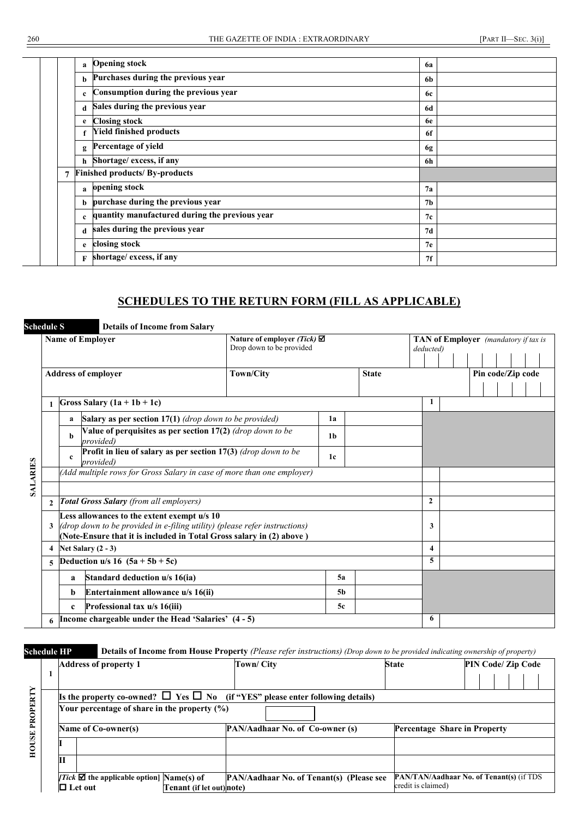|  | a           | <b>Opening stock</b>                           | 6a        |
|--|-------------|------------------------------------------------|-----------|
|  | b           | Purchases during the previous year             | 6b        |
|  | $\mathbf c$ | Consumption during the previous year           | 6с        |
|  | d           | Sales during the previous year                 | 6d        |
|  | e           | <b>Closing stock</b>                           | <b>6e</b> |
|  |             | <b>Yield finished products</b>                 | 6f        |
|  | g           | Percentage of yield                            | 6g        |
|  | h           | Shortage/ excess, if any                       | 6h        |
|  | 7           | <b>Finished products/ By-products</b>          |           |
|  | a           | opening stock                                  | 7a        |
|  | b           | purchase during the previous year              | 7b        |
|  | c           | quantity manufactured during the previous year | 7c        |
|  | d           | sales during the previous year                 | 7d        |
|  | e           | closing stock                                  | 7e        |
|  | F           | shortage/ excess, if any                       | 7f        |
|  |             |                                                |           |

#### **SCHEDULES TO THE RETURN FORM (FILL AS APPLICABLE)**

|                 | <b>Schedule S</b><br>$\mathbf{2}$<br>3<br>4 |                                                                                                                                                                                                   | <b>Details of Income from Salary</b>                                        |                                                                   |                |              |           |                                             |
|-----------------|---------------------------------------------|---------------------------------------------------------------------------------------------------------------------------------------------------------------------------------------------------|-----------------------------------------------------------------------------|-------------------------------------------------------------------|----------------|--------------|-----------|---------------------------------------------|
|                 |                                             |                                                                                                                                                                                                   | <b>Name of Employer</b>                                                     | Nature of employer (Tick) $\boxtimes$<br>Drop down to be provided |                |              | deducted) | <b>TAN of Employer</b> (mandatory if tax is |
|                 |                                             |                                                                                                                                                                                                   | <b>Address of employer</b>                                                  | <b>Town/City</b>                                                  |                | <b>State</b> |           | Pin code/Zip code                           |
|                 |                                             |                                                                                                                                                                                                   | Gross Salary $(1a + 1b + 1c)$                                               |                                                                   |                |              | 1         |                                             |
|                 |                                             | a                                                                                                                                                                                                 | <b>Salary as per section 17(1)</b> (drop down to be provided)               |                                                                   | 1a             |              |           |                                             |
|                 |                                             | h                                                                                                                                                                                                 | Value of perquisites as per section 17(2) (drop down to be<br>provided)     |                                                                   | 1 <sub>b</sub> |              |           |                                             |
| <b>SALARIES</b> |                                             | $\mathbf c$                                                                                                                                                                                       | Profit in lieu of salary as per section 17(3) (drop down to be<br>provided) |                                                                   | 1c             |              |           |                                             |
|                 |                                             |                                                                                                                                                                                                   | (Add multiple rows for Gross Salary in case of more than one employer)      |                                                                   |                |              |           |                                             |
|                 |                                             |                                                                                                                                                                                                   |                                                                             |                                                                   |                |              |           |                                             |
|                 |                                             | <b>Total Gross Salary</b> (from all employers)                                                                                                                                                    |                                                                             | $\mathbf{2}$                                                      |                |              |           |                                             |
|                 |                                             | Less allowances to the extent exempt u/s 10<br>(drop down to be provided in e-filing utility) (please refer instructions)<br>(Note-Ensure that it is included in Total Gross salary in (2) above) |                                                                             |                                                                   |                | 3            |           |                                             |
|                 |                                             |                                                                                                                                                                                                   | Net Salary $(2 - 3)$                                                        |                                                                   |                |              | 4         |                                             |
|                 |                                             |                                                                                                                                                                                                   | <b>Deduction u/s</b> 16 $(5a + 5b + 5c)$                                    |                                                                   |                |              | 5         |                                             |
|                 |                                             | a                                                                                                                                                                                                 | Standard deduction u/s 16(ia)                                               |                                                                   | 5a             |              |           |                                             |
|                 |                                             | b                                                                                                                                                                                                 | Entertainment allowance u/s 16(ii)                                          |                                                                   | 5 <sub>b</sub> |              |           |                                             |
|                 |                                             | $\mathbf c$                                                                                                                                                                                       | Professional tax u/s 16(iii)                                                |                                                                   | 5c             |              |           |                                             |
|                 |                                             |                                                                                                                                                                                                   | Income chargeable under the Head 'Salaries' (4 - 5)                         |                                                                   |                |              | 6         |                                             |

**Schedule HP Details of Income from House Property** *(Please refer instructions) (Drop down to be provided indicating ownership of property)*

|          | <b>Address of property 1</b>                                                         |                          | Town/ City                                                                               | <b>State</b>       | PIN Code/ Zip Code                              |
|----------|--------------------------------------------------------------------------------------|--------------------------|------------------------------------------------------------------------------------------|--------------------|-------------------------------------------------|
|          |                                                                                      |                          |                                                                                          |                    |                                                 |
|          |                                                                                      |                          | Is the property co-owned? $\Box$ Yes $\Box$ No (if "YES" please enter following details) |                    |                                                 |
| PROPERTY | Your percentage of share in the property $(%)$                                       |                          |                                                                                          |                    |                                                 |
|          | Name of Co-owner(s)                                                                  |                          | PAN/Aadhaar No. of Co-owner (s)                                                          |                    | Percentage Share in Property                    |
| HOUSE    |                                                                                      |                          |                                                                                          |                    |                                                 |
|          | П                                                                                    |                          |                                                                                          |                    |                                                 |
|          | <i>Tick</i> $\boldsymbol{\nabla}$ the applicable option Name(s) of<br>$\Box$ Let out | Tenant (if let out)note) | PAN/Aadhaar No. of Tenant(s) (Please see                                                 | credit is claimed) | <b>PAN/TAN/Aadhaar No. of Tenant(s) (if TDS</b> |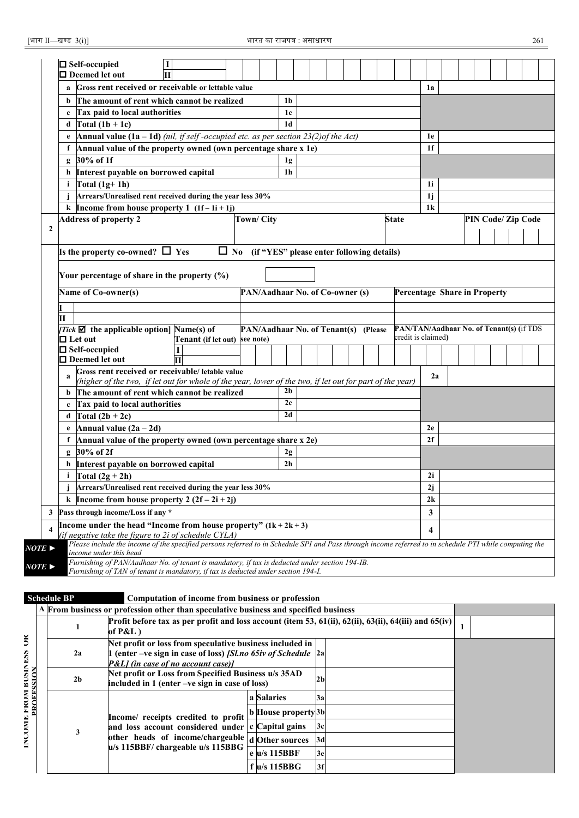| $\Box$ Self-occupied                                                                                                                                                            |                                                                 |                  |                                                     |                 |  |  |              |                                          |                    |  |  |
|---------------------------------------------------------------------------------------------------------------------------------------------------------------------------------|-----------------------------------------------------------------|------------------|-----------------------------------------------------|-----------------|--|--|--------------|------------------------------------------|--------------------|--|--|
| □ Deemed let out                                                                                                                                                                |                                                                 |                  |                                                     |                 |  |  |              |                                          |                    |  |  |
| Gross rent received or receivable or lettable value<br>a                                                                                                                        |                                                                 |                  |                                                     |                 |  |  |              | 1a                                       |                    |  |  |
| The amount of rent which cannot be realized<br>b                                                                                                                                |                                                                 |                  |                                                     | 1 <sub>b</sub>  |  |  |              |                                          |                    |  |  |
| Tax paid to local authorities<br>c                                                                                                                                              |                                                                 |                  |                                                     | $1\mathrm{c}$   |  |  |              |                                          |                    |  |  |
| Total $(1b + 1c)$<br>d                                                                                                                                                          |                                                                 |                  |                                                     | 1 <sub>d</sub>  |  |  |              |                                          |                    |  |  |
| <b>Annual value (1a – 1d)</b> (nil, if self-occupied etc. as per section $23(2)$ of the Act)<br>e                                                                               |                                                                 |                  |                                                     |                 |  |  |              | 1e                                       |                    |  |  |
| Annual value of the property owned (own percentage share x 1e)                                                                                                                  |                                                                 |                  |                                                     |                 |  |  |              | 1 <sub>f</sub>                           |                    |  |  |
| g 30% of 1f                                                                                                                                                                     |                                                                 |                  |                                                     | 1g              |  |  |              |                                          |                    |  |  |
| Interest payable on borrowed capital<br>h                                                                                                                                       |                                                                 |                  |                                                     | 1 <sub>h</sub>  |  |  |              |                                          |                    |  |  |
| Total $(1g+1h)$<br>i.                                                                                                                                                           |                                                                 |                  |                                                     |                 |  |  |              | 1i                                       |                    |  |  |
| Arrears/Unrealised rent received during the year less 30%                                                                                                                       |                                                                 |                  |                                                     |                 |  |  |              | 1j                                       |                    |  |  |
| k Income from house property 1 $(1f - 1i + 1j)$                                                                                                                                 |                                                                 |                  |                                                     |                 |  |  |              | 1 <sup>k</sup>                           |                    |  |  |
| <b>Address of property 2</b>                                                                                                                                                    |                                                                 | <b>Town/City</b> |                                                     |                 |  |  | <b>State</b> |                                          | PIN Code/ Zip Code |  |  |
|                                                                                                                                                                                 |                                                                 |                  |                                                     |                 |  |  |              |                                          |                    |  |  |
| Is the property co-owned? $\Box$ Yes                                                                                                                                            |                                                                 |                  | $\Box$ No (if "YES" please enter following details) |                 |  |  |              |                                          |                    |  |  |
|                                                                                                                                                                                 |                                                                 |                  |                                                     |                 |  |  |              |                                          |                    |  |  |
| Your percentage of share in the property (%)                                                                                                                                    |                                                                 |                  |                                                     |                 |  |  |              |                                          |                    |  |  |
|                                                                                                                                                                                 |                                                                 |                  |                                                     |                 |  |  |              |                                          |                    |  |  |
| Name of Co-owner(s)                                                                                                                                                             |                                                                 |                  | PAN/Aadhaar No. of Co-owner (s)                     |                 |  |  |              | Percentage Share in Property             |                    |  |  |
|                                                                                                                                                                                 |                                                                 |                  |                                                     |                 |  |  |              |                                          |                    |  |  |
|                                                                                                                                                                                 |                                                                 |                  |                                                     |                 |  |  |              |                                          |                    |  |  |
| <i>Tick</i> $\boldsymbol{\mathbb{Z}}$ the applicable option [Name(s) of                                                                                                         |                                                                 |                  | PAN/Aadhaar No. of Tenant(s) (Please                |                 |  |  |              | PAN/TAN/Aadhaar No. of Tenant(s) (if TDS |                    |  |  |
| $\Box$ Let out<br>$\square$ Self-occupied                                                                                                                                       | Tenant (if let out)                                             | see note)        |                                                     |                 |  |  |              | credit is claimed)                       |                    |  |  |
| $\Box$ Deemed let out                                                                                                                                                           |                                                                 |                  |                                                     |                 |  |  |              |                                          |                    |  |  |
| Gross rent received or receivable/ letable value                                                                                                                                |                                                                 |                  |                                                     |                 |  |  |              |                                          |                    |  |  |
| a<br>(higher of the two, if let out for whole of the year, lower of the two, if let out for part of the year)                                                                   |                                                                 |                  |                                                     |                 |  |  |              | 2a                                       |                    |  |  |
| The amount of rent which cannot be realized<br>b                                                                                                                                |                                                                 |                  |                                                     | 2 <sub>b</sub>  |  |  |              |                                          |                    |  |  |
| Tax paid to local authorities<br>c                                                                                                                                              |                                                                 |                  |                                                     | 2c              |  |  |              |                                          |                    |  |  |
| d $\int \text{Total} (2b + 2c)$                                                                                                                                                 |                                                                 |                  |                                                     | $\overline{2d}$ |  |  |              |                                          |                    |  |  |
| Annual value $(2a - 2d)$<br>e                                                                                                                                                   |                                                                 |                  |                                                     |                 |  |  |              | 2e                                       |                    |  |  |
| Annual value of the property owned (own percentage share x 2e)<br>f                                                                                                             |                                                                 |                  |                                                     |                 |  |  |              | 2f                                       |                    |  |  |
| g 30% of 2f                                                                                                                                                                     |                                                                 |                  |                                                     | 2g              |  |  |              |                                          |                    |  |  |
| Interest payable on borrowed capital<br>h                                                                                                                                       |                                                                 |                  |                                                     | 2 <sub>h</sub>  |  |  |              |                                          |                    |  |  |
| Total $(2g + 2h)$<br>i.                                                                                                                                                         |                                                                 |                  |                                                     |                 |  |  |              | 2i                                       |                    |  |  |
| j Arrears/Unrealised rent received during the year less 30%                                                                                                                     |                                                                 |                  |                                                     |                 |  |  |              | 2j                                       |                    |  |  |
| k Income from house property 2 $(2f - 2i + 2j)$                                                                                                                                 |                                                                 |                  |                                                     |                 |  |  |              | 2k                                       |                    |  |  |
| Pass through income/Loss if any *                                                                                                                                               |                                                                 |                  |                                                     |                 |  |  |              | 3                                        |                    |  |  |
| Income under the head "Income from house property" $(1k + 2k + 3)$                                                                                                              |                                                                 |                  |                                                     |                 |  |  |              |                                          |                    |  |  |
| (if negative take the figure to 2i of schedule CYLA)                                                                                                                            |                                                                 |                  |                                                     |                 |  |  |              | 4                                        |                    |  |  |
| Please include the income of the specified persons referred to in Schedule SPI and Pass through income referred to in schedule PTI while computing the<br>$NOTE \triangleright$ |                                                                 |                  |                                                     |                 |  |  |              |                                          |                    |  |  |
| income under this head<br>Furnishing of PAN/Aadhaar No. of tenant is mandatory, if tax is deducted under section 194-IB.                                                        |                                                                 |                  |                                                     |                 |  |  |              |                                          |                    |  |  |
| NOTE $\blacktriangleright$                                                                                                                                                      | $t$ and is monodatom. If thus is deducted under section 104. If |                  |                                                     |                 |  |  |              |                                          |                    |  |  |

*Furnishing of TAN of tenant is mandatory, if tax is deducted under section 194-I.*

|                             | <b>Schedule BP</b>                                                                                                      | Computation of income from business or profession                                                                                                                     |  |                     |                |  |  |  |
|-----------------------------|-------------------------------------------------------------------------------------------------------------------------|-----------------------------------------------------------------------------------------------------------------------------------------------------------------------|--|---------------------|----------------|--|--|--|
|                             |                                                                                                                         | A From business or profession other than speculative business and specified business                                                                                  |  |                     |                |  |  |  |
|                             |                                                                                                                         | Profit before tax as per profit and loss account (item 53, 61(ii), 62(ii), 63(ii), 64(iii) and 65(iv)<br>of $P&L$ )                                                   |  |                     |                |  |  |  |
| š                           | 2a                                                                                                                      | Net profit or loss from speculative business included in<br>1 (enter -ve sign in case of loss) [Sl.no $65iv$ of Schedule $ 2a $<br>P&L] (in case of no account case)] |  |                     |                |  |  |  |
| FROM BUSINESS<br>PROFFSSION | Net profit or Loss from Specified Business u/s 35AD<br>2 <sub>b</sub><br>included in 1 (enter -ve sign in case of loss) |                                                                                                                                                                       |  |                     | 2 <sub>b</sub> |  |  |  |
|                             |                                                                                                                         |                                                                                                                                                                       |  | a Salaries          | l3a            |  |  |  |
|                             |                                                                                                                         | Income/ receipts credited to profit                                                                                                                                   |  | b House property 3b |                |  |  |  |
| <b>INCOMP</b>               | 3                                                                                                                       | and loss account considered under c Capital gains                                                                                                                     |  |                     | 3c             |  |  |  |
|                             |                                                                                                                         | other heads of income/chargeable $\frac{1}{d}$ Other sources<br>u/s 115BBF/ chargeable u/s 115BBG                                                                     |  |                     | 3d             |  |  |  |
|                             |                                                                                                                         |                                                                                                                                                                       |  | e u/s 115BBF        | 3e             |  |  |  |
|                             |                                                                                                                         |                                                                                                                                                                       |  | $f$ $u/s$ 115BBG    | 3f             |  |  |  |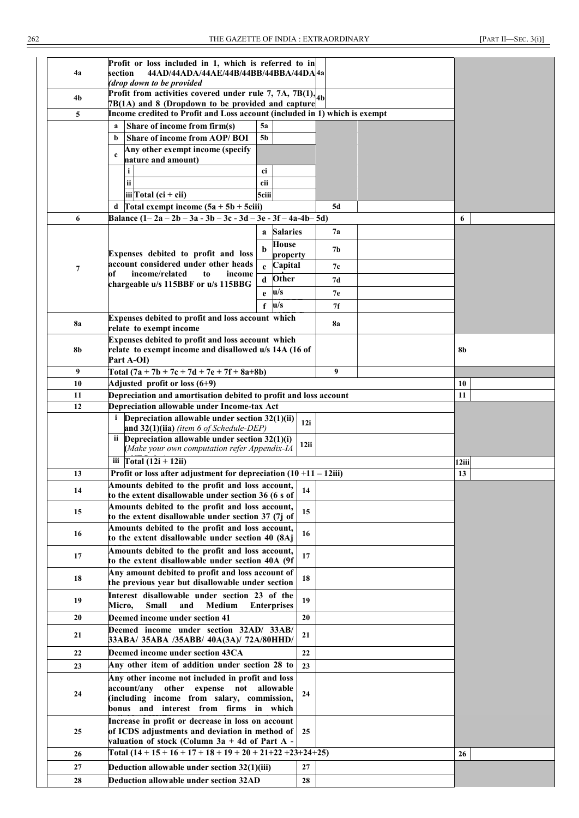| 4a        | Profit or loss included in 1, which is referred to in<br>section<br>44AD/44ADA/44AE/44B/44BB/44BBA/44DA4a<br>(drop down to be provided |                              |          |    |  |       |  |
|-----------|----------------------------------------------------------------------------------------------------------------------------------------|------------------------------|----------|----|--|-------|--|
| 4b        | Profit from activities covered under rule 7, 7A, 7B(1), $_{4b}$<br>7B(1A) and 8 (Dropdown to be provided and capture                   |                              |          |    |  |       |  |
| 5         | Income credited to Profit and Loss account (included in 1) which is exempt                                                             |                              |          |    |  |       |  |
|           | Share of income from firm(s)<br>a                                                                                                      | 5a                           |          |    |  |       |  |
|           | Share of income from AOP/BOI<br>b                                                                                                      | 5 <sub>b</sub>               |          |    |  |       |  |
|           | Any other exempt income (specify<br>$\mathbf{c}$                                                                                       |                              |          |    |  |       |  |
|           | nature and amount)                                                                                                                     |                              |          |    |  |       |  |
|           | i                                                                                                                                      | ci                           |          |    |  |       |  |
|           | ii.                                                                                                                                    | cii                          |          |    |  |       |  |
|           | iii Total (ci + cii)                                                                                                                   | 5ciii                        |          |    |  |       |  |
|           | d Total exempt income $(5a + 5b + 5ciii)$<br>Balance $(1-2a-2b-3a-3b-3c-3d-3e-3f-4a-4b-5d)$                                            |                              |          | 5d |  |       |  |
| 6         |                                                                                                                                        |                              |          |    |  | 6     |  |
|           |                                                                                                                                        | <b>Salaries</b><br>a         |          | 7а |  |       |  |
|           |                                                                                                                                        | House<br>b                   |          | 7b |  |       |  |
|           | Expenses debited to profit and loss<br>account considered under other heads                                                            | property                     |          |    |  |       |  |
| 7         | income/related<br>of<br>to<br>income                                                                                                   | Capital<br>$\mathbf{c}$      |          | 7с |  |       |  |
|           | chargeable u/s 115BBF or u/s 115BBG                                                                                                    | Other<br>$\mathbf d$         |          | 7d |  |       |  |
|           |                                                                                                                                        | u/s<br>e                     |          | 7е |  |       |  |
|           |                                                                                                                                        | $\mathbf{u}/\mathbf{s}$<br>f |          | 7f |  |       |  |
|           | Expenses debited to profit and loss account which                                                                                      |                              |          |    |  |       |  |
| <b>8a</b> | relate to exempt income                                                                                                                |                              |          | 8a |  |       |  |
| 8b        | Expenses debited to profit and loss account which<br>relate to exempt income and disallowed u/s 14A (16 of<br>Part A-OI)               |                              |          |    |  | 8b    |  |
| 9         | Total $(7a + 7b + 7c + 7d + 7e + 7f + 8a + 8b)$                                                                                        |                              |          | 9  |  |       |  |
| 10        | Adjusted profit or loss (6+9)                                                                                                          |                              |          |    |  | 10    |  |
| 11        | Depreciation and amortisation debited to profit and loss account                                                                       |                              |          |    |  | 11    |  |
| 12        | Depreciation allowable under Income-tax Act                                                                                            |                              |          |    |  |       |  |
|           | $i$ Depreciation allowable under section 32(1)(ii)                                                                                     |                              |          |    |  |       |  |
|           |                                                                                                                                        |                              |          |    |  |       |  |
|           | and $32(1)$ (iia) (item 6 of Schedule-DEP)                                                                                             |                              | 12i      |    |  |       |  |
|           | ii Depreciation allowable under section $32(1)(i)$                                                                                     |                              |          |    |  |       |  |
|           | (Make your own computation refer Appendix-IA                                                                                           |                              | 12ii     |    |  |       |  |
|           | iii $\Gamma$ otal (12i + 12ii)                                                                                                         |                              |          |    |  | 12iii |  |
| 13        | Profit or loss after adjustment for depreciation $(10 + 11 - 12iii)$                                                                   |                              |          |    |  | 13    |  |
| 14        | Amounts debited to the profit and loss account,                                                                                        |                              | 14       |    |  |       |  |
|           | to the extent disallowable under section 36 (6 s of                                                                                    |                              |          |    |  |       |  |
| 15        | Amounts debited to the profit and loss account,                                                                                        |                              | 15       |    |  |       |  |
|           | to the extent disallowable under section 37 (7j of                                                                                     |                              |          |    |  |       |  |
| 16        | Amounts debited to the profit and loss account,                                                                                        |                              | 16       |    |  |       |  |
|           | to the extent disallowable under section 40 (8Aj                                                                                       |                              |          |    |  |       |  |
| 17        | Amounts debited to the profit and loss account,<br>to the extent disallowable under section 40A (9f                                    |                              | 17       |    |  |       |  |
|           | Any amount debited to profit and loss account of                                                                                       |                              |          |    |  |       |  |
| 18        | the previous year but disallowable under section                                                                                       |                              | 18       |    |  |       |  |
|           | Interest disallowable under section 23 of the                                                                                          |                              |          |    |  |       |  |
| 19        | <b>Medium</b><br>Micro,<br><b>Small</b><br>and                                                                                         | <b>Enterprises</b>           | 19       |    |  |       |  |
| 20        | Deemed income under section 41                                                                                                         |                              | 20       |    |  |       |  |
|           | Deemed income under section 32AD/ 33AB/                                                                                                |                              |          |    |  |       |  |
| 21        | 33ABA/ 35ABA /35ABB/ 40A(3A)/ 72A/80HHD/                                                                                               |                              | 21       |    |  |       |  |
| 22        | Deemed income under section 43CA                                                                                                       |                              | 22       |    |  |       |  |
| 23        | Any other item of addition under section 28 to                                                                                         |                              | 23       |    |  |       |  |
|           | Any other income not included in profit and loss                                                                                       |                              |          |    |  |       |  |
|           | account/any other expense not                                                                                                          | allowable                    |          |    |  |       |  |
| 24        | (including income from salary, commission,                                                                                             |                              | 24       |    |  |       |  |
|           | bonus and interest from firms in which                                                                                                 |                              |          |    |  |       |  |
|           | Increase in profit or decrease in loss on account                                                                                      |                              |          |    |  |       |  |
| 25        | of ICDS adjustments and deviation in method of                                                                                         |                              | 25       |    |  |       |  |
|           | valuation of stock (Column 3a + 4d of Part A -                                                                                         |                              |          |    |  |       |  |
| 26        | Total $(14 + 15 + 16 + 17 + 18 + 19 + 20 + 21 + 22 + 23 + 24 + 25)$                                                                    |                              |          |    |  | 26    |  |
| 27<br>28  | Deduction allowable under section 32(1)(iii)<br>Deduction allowable under section 32AD                                                 |                              | 27<br>28 |    |  |       |  |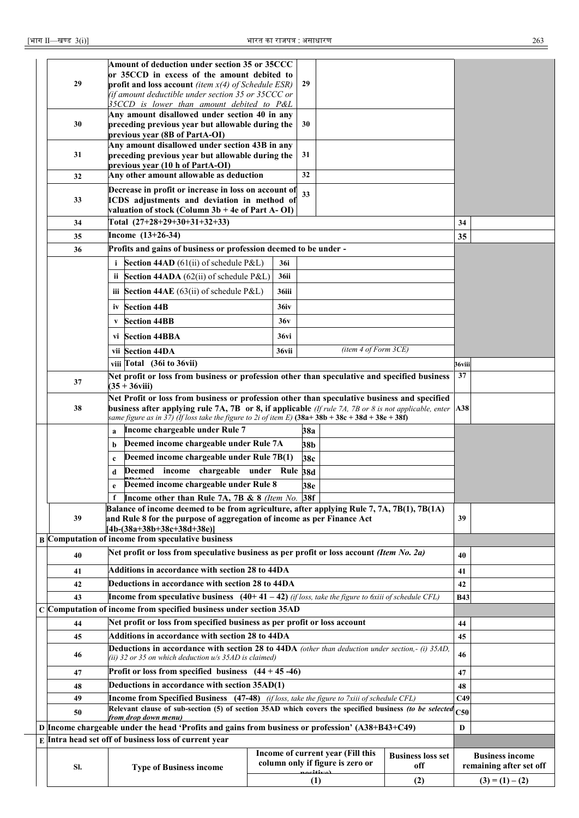|                                                                                                          |                                                                                                             |                                                                                                                  | Amount of deduction under section 35 or 35CCC<br>or 35CCD in excess of the amount debited to                                                                                                             |       |                                                   |                      |     |                 |                   |
|----------------------------------------------------------------------------------------------------------|-------------------------------------------------------------------------------------------------------------|------------------------------------------------------------------------------------------------------------------|----------------------------------------------------------------------------------------------------------------------------------------------------------------------------------------------------------|-------|---------------------------------------------------|----------------------|-----|-----------------|-------------------|
|                                                                                                          | 29                                                                                                          |                                                                                                                  | profit and loss account <i>(item <math>x(4)</math> of Schedule ESR)</i>                                                                                                                                  |       | 29                                                |                      |     |                 |                   |
|                                                                                                          |                                                                                                             |                                                                                                                  | (if amount deductible under section 35 or 35CCC or                                                                                                                                                       |       |                                                   |                      |     |                 |                   |
|                                                                                                          |                                                                                                             |                                                                                                                  | 35CCD is lower than amount debited to P&L<br>Any amount disallowed under section 40 in any                                                                                                               |       |                                                   |                      |     |                 |                   |
|                                                                                                          | 30                                                                                                          |                                                                                                                  | preceding previous year but allowable during the                                                                                                                                                         |       | 30                                                |                      |     |                 |                   |
|                                                                                                          |                                                                                                             |                                                                                                                  | previous year (8B of PartA-OI)                                                                                                                                                                           |       |                                                   |                      |     |                 |                   |
|                                                                                                          | 31                                                                                                          |                                                                                                                  | Any amount disallowed under section 43B in any<br>preceding previous year but allowable during the                                                                                                       |       | 31                                                |                      |     |                 |                   |
|                                                                                                          |                                                                                                             |                                                                                                                  | previous year (10 h of PartA-OI)<br>32                                                                                                                                                                   |       |                                                   |                      |     |                 |                   |
|                                                                                                          | 32                                                                                                          |                                                                                                                  | Any other amount allowable as deduction                                                                                                                                                                  |       |                                                   |                      |     |                 |                   |
|                                                                                                          | 33                                                                                                          |                                                                                                                  | Decrease in profit or increase in loss on account of<br>ICDS adjustments and deviation in method of                                                                                                      |       |                                                   |                      |     |                 |                   |
|                                                                                                          |                                                                                                             |                                                                                                                  | valuation of stock (Column 3b + 4e of Part A-OI)                                                                                                                                                         |       |                                                   |                      |     |                 |                   |
|                                                                                                          | 34                                                                                                          |                                                                                                                  | Total $(27+28+29+30+31+32+33)$                                                                                                                                                                           |       |                                                   |                      |     | 34              |                   |
|                                                                                                          | 35                                                                                                          |                                                                                                                  | Income $(13+26-34)$                                                                                                                                                                                      |       |                                                   |                      |     | 35              |                   |
|                                                                                                          | 36                                                                                                          |                                                                                                                  | Profits and gains of business or profession deemed to be under -                                                                                                                                         |       |                                                   |                      |     |                 |                   |
|                                                                                                          |                                                                                                             |                                                                                                                  | i Section 44AD $(61(ii)$ of schedule P&L)                                                                                                                                                                | 36i   |                                                   |                      |     |                 |                   |
|                                                                                                          |                                                                                                             |                                                                                                                  | ii Section 44ADA (62(ii) of schedule $P&L$ )                                                                                                                                                             | 36ii  |                                                   |                      |     |                 |                   |
|                                                                                                          |                                                                                                             |                                                                                                                  | iii Section 44AE $(63(ii)$ of schedule P&L)                                                                                                                                                              | 36iii |                                                   |                      |     |                 |                   |
|                                                                                                          |                                                                                                             |                                                                                                                  | iv Section 44B                                                                                                                                                                                           | 36iv  |                                                   |                      |     |                 |                   |
|                                                                                                          |                                                                                                             |                                                                                                                  | <b>Section 44BB</b>                                                                                                                                                                                      | 36v   |                                                   |                      |     |                 |                   |
|                                                                                                          |                                                                                                             |                                                                                                                  | vi Section 44BBA                                                                                                                                                                                         | 36vi  |                                                   |                      |     |                 |                   |
|                                                                                                          |                                                                                                             |                                                                                                                  | vii Section 44DA                                                                                                                                                                                         | 36vii |                                                   | (item 4 of Form 3CE) |     |                 |                   |
|                                                                                                          | viii Total (36i to 36vii)                                                                                   |                                                                                                                  |                                                                                                                                                                                                          |       |                                                   |                      |     | 36viii          |                   |
|                                                                                                          | 37                                                                                                          | Net profit or loss from business or profession other than speculative and specified business                     |                                                                                                                                                                                                          |       |                                                   |                      |     |                 |                   |
|                                                                                                          |                                                                                                             | $(35 + 36$ viii)<br>Net Profit or loss from business or profession other than speculative business and specified |                                                                                                                                                                                                          |       |                                                   |                      |     |                 |                   |
|                                                                                                          | business after applying rule 7A, 7B or 8, if applicable (If rule 7A, 7B or 8 is not applicable, enter<br>38 |                                                                                                                  |                                                                                                                                                                                                          |       |                                                   |                      |     | A38             |                   |
|                                                                                                          |                                                                                                             |                                                                                                                  | same figure as in 37) (If loss take the figure to 2i of item E) $(38a+38b+38c+38d+38e+38f)$                                                                                                              |       |                                                   |                      |     |                 |                   |
|                                                                                                          |                                                                                                             | a                                                                                                                | Income chargeable under Rule 7                                                                                                                                                                           |       | <b>38a</b>                                        |                      |     |                 |                   |
|                                                                                                          |                                                                                                             | b                                                                                                                | Deemed income chargeable under Rule 7A                                                                                                                                                                   |       | 38b                                               |                      |     |                 |                   |
|                                                                                                          |                                                                                                             | $\mathbf c$                                                                                                      | Deemed income chargeable under Rule 7B(1)                                                                                                                                                                |       | 38c                                               |                      |     |                 |                   |
|                                                                                                          |                                                                                                             | d                                                                                                                | Deemed income chargeable under Rule 38d                                                                                                                                                                  |       |                                                   |                      |     |                 |                   |
|                                                                                                          |                                                                                                             | e                                                                                                                | Deemed income chargeable under Rule 8<br>Income other than Rule 7A, 7B & 8 (Item No. 38f)                                                                                                                |       | 38e                                               |                      |     |                 |                   |
|                                                                                                          |                                                                                                             |                                                                                                                  | Balance of income deemed to be from agriculture, after applying Rule 7, 7A, 7B(1), 7B(1A)                                                                                                                |       |                                                   |                      |     |                 |                   |
|                                                                                                          | 39                                                                                                          |                                                                                                                  | and Rule 8 for the purpose of aggregation of income as per Finance Act                                                                                                                                   |       |                                                   |                      |     | 39              |                   |
|                                                                                                          |                                                                                                             |                                                                                                                  | [4b-(38a+38b+38c+38d+38e)]<br><b>B</b> Computation of income from speculative business                                                                                                                   |       |                                                   |                      |     |                 |                   |
|                                                                                                          |                                                                                                             |                                                                                                                  | Net profit or loss from speculative business as per profit or loss account (Item No. 2a)                                                                                                                 |       |                                                   |                      |     |                 |                   |
|                                                                                                          | 40                                                                                                          |                                                                                                                  |                                                                                                                                                                                                          |       |                                                   |                      |     | 40              |                   |
|                                                                                                          | 41                                                                                                          |                                                                                                                  | Additions in accordance with section 28 to 44DA<br>Deductions in accordance with section 28 to 44DA                                                                                                      |       |                                                   |                      |     | 41              |                   |
|                                                                                                          | 42                                                                                                          |                                                                                                                  | <b>Income from speculative business</b> $(40+41-42)$ (if loss, take the figure to 6xiii of schedule CFL)                                                                                                 |       |                                                   |                      |     | 42              |                   |
|                                                                                                          | 43                                                                                                          |                                                                                                                  | C Computation of income from specified business under section 35AD                                                                                                                                       |       |                                                   |                      |     | <b>B43</b>      |                   |
|                                                                                                          | 44                                                                                                          |                                                                                                                  | Net profit or loss from specified business as per profit or loss account                                                                                                                                 |       |                                                   |                      |     | 44              |                   |
|                                                                                                          | 45                                                                                                          |                                                                                                                  | Additions in accordance with section 28 to 44DA                                                                                                                                                          |       |                                                   |                      |     | 45              |                   |
|                                                                                                          |                                                                                                             |                                                                                                                  | <b>Deductions in accordance with section 28 to 44DA</b> (other than deduction under section,- (i) 35AD,                                                                                                  |       |                                                   |                      |     |                 |                   |
|                                                                                                          | 46                                                                                                          |                                                                                                                  | (ii) 32 or 35 on which deduction u/s 35AD is claimed)                                                                                                                                                    |       |                                                   |                      |     | 46              |                   |
|                                                                                                          | 47                                                                                                          |                                                                                                                  | Profit or loss from specified business $(44 + 45 - 46)$                                                                                                                                                  |       |                                                   |                      |     | 47              |                   |
|                                                                                                          | 48                                                                                                          |                                                                                                                  | Deductions in accordance with section 35AD(1)                                                                                                                                                            |       |                                                   |                      |     | 48              |                   |
|                                                                                                          | 49                                                                                                          |                                                                                                                  | Income from Specified Business (47-48) (if loss, take the figure to 7xiii of schedule CFL)<br>Relevant clause of sub-section (5) of section 35AD which covers the specified business (to be selected C50 |       |                                                   |                      |     | C <sub>49</sub> |                   |
|                                                                                                          | 50                                                                                                          |                                                                                                                  | from drop down menu)                                                                                                                                                                                     |       |                                                   |                      |     |                 |                   |
|                                                                                                          |                                                                                                             |                                                                                                                  | D Income chargeable under the head 'Profits and gains from business or profession' (A38+B43+C49)                                                                                                         |       |                                                   |                      |     | D               |                   |
|                                                                                                          |                                                                                                             |                                                                                                                  | E Intra head set off of business loss of current year                                                                                                                                                    |       |                                                   |                      |     |                 |                   |
| Income of current year (Fill this<br><b>Business loss set</b><br>column only if figure is zero or<br>off |                                                                                                             |                                                                                                                  |                                                                                                                                                                                                          |       | <b>Business income</b><br>remaining after set off |                      |     |                 |                   |
|                                                                                                          | SI.                                                                                                         |                                                                                                                  | <b>Type of Business income</b>                                                                                                                                                                           |       |                                                   | masitiral<br>(1)     | (2) |                 | $(3) = (1) - (2)$ |
|                                                                                                          |                                                                                                             |                                                                                                                  |                                                                                                                                                                                                          |       |                                                   |                      |     |                 |                   |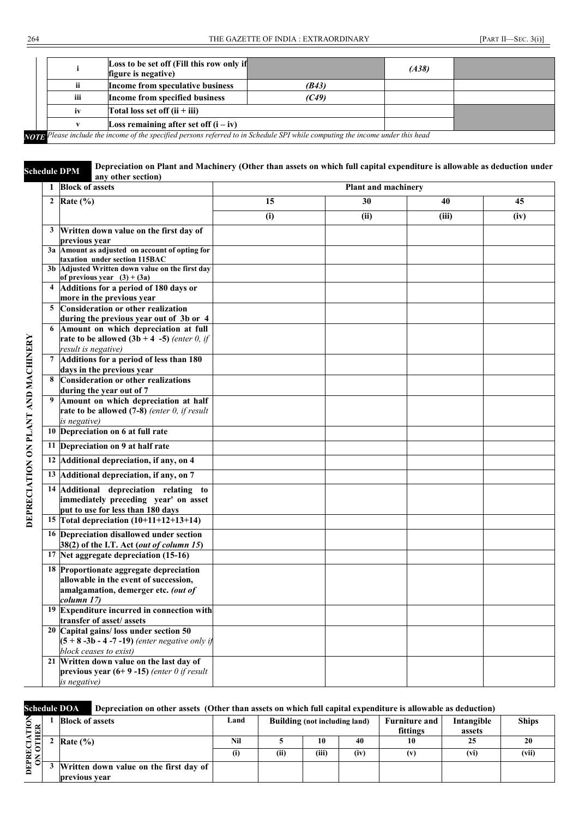|                                       | Loss to be set off (Fill this row only if<br>figure is negative)                                                                       |       | (A38) |  |
|---------------------------------------|----------------------------------------------------------------------------------------------------------------------------------------|-------|-------|--|
| ii                                    | Income from speculative business                                                                                                       | (B43) |       |  |
| iii                                   | Income from specified business                                                                                                         | (C49) |       |  |
| iv<br>Total loss set off $(ii + iii)$ |                                                                                                                                        |       |       |  |
|                                       | Loss remaining after set off $(i - iv)$                                                                                                |       |       |  |
|                                       | <b>NOTE:</b> Please include the income of the specified persons referred to in Schedule SPI while computing the income under this head |       |       |  |

*NOTE Please include the income of the specified persons referred to in Schedule SPI while computing the income under this head*

**Schedule DPM** Depreciation on Plant and Machinery (Other than assets on which full capital expenditure is allowable as deduction under any other section)

| 1            | <b>Block of assets</b>                                                                                                             |     | Plant and machinery |       |      |  |  |
|--------------|------------------------------------------------------------------------------------------------------------------------------------|-----|---------------------|-------|------|--|--|
| $\mathbf{2}$ | Rate $(\% )$                                                                                                                       | 15  | 30                  | 40    | 45   |  |  |
|              |                                                                                                                                    | (i) | (ii)                | (iii) | (iv) |  |  |
| 3            | Written down value on the first day of                                                                                             |     |                     |       |      |  |  |
|              | previous year                                                                                                                      |     |                     |       |      |  |  |
|              | 3a Amount as adjusted on account of opting for<br>taxation under section 115BAC                                                    |     |                     |       |      |  |  |
|              | 3b Adjusted Written down value on the first day<br>of previous year $(3) + (3a)$                                                   |     |                     |       |      |  |  |
|              | 4 Additions for a period of 180 days or<br>more in the previous year                                                               |     |                     |       |      |  |  |
|              | 5 Consideration or other realization                                                                                               |     |                     |       |      |  |  |
|              | during the previous year out of 3b or 4                                                                                            |     |                     |       |      |  |  |
|              | 6 Amount on which depreciation at full<br>rate to be allowed $(3b + 4 -5)$ (enter 0, if<br>result is negative)                     |     |                     |       |      |  |  |
|              | 7 Additions for a period of less than 180                                                                                          |     |                     |       |      |  |  |
|              | days in the previous year                                                                                                          |     |                     |       |      |  |  |
| 8            | <b>Consideration or other realizations</b><br>during the year out of 7                                                             |     |                     |       |      |  |  |
| 9            | Amount on which depreciation at half<br>rate to be allowed $(7-8)$ (enter 0, if result<br>is negative)                             |     |                     |       |      |  |  |
|              | 10 Depreciation on 6 at full rate                                                                                                  |     |                     |       |      |  |  |
|              | 11 Depreciation on 9 at half rate                                                                                                  |     |                     |       |      |  |  |
|              | 12 Additional depreciation, if any, on 4                                                                                           |     |                     |       |      |  |  |
| 13           | Additional depreciation, if any, on 7                                                                                              |     |                     |       |      |  |  |
|              | 14 Additional depreciation relating to<br>immediately preceding year' on asset<br>put to use for less than 180 days                |     |                     |       |      |  |  |
|              | 15 Total depreciation $(10+11+12+13+14)$                                                                                           |     |                     |       |      |  |  |
|              | 16 Depreciation disallowed under section<br>38(2) of the I.T. Act (out of column 15)                                               |     |                     |       |      |  |  |
|              | 17 Net aggregate depreciation (15-16)                                                                                              |     |                     |       |      |  |  |
| 18           | Proportionate aggregate depreciation<br>allowable in the event of succession,<br>amalgamation, demerger etc. (out of<br>column 17) |     |                     |       |      |  |  |
|              | <sup>19</sup> Expenditure incurred in connection with<br>transfer of asset/ assets                                                 |     |                     |       |      |  |  |
|              | 20 Capital gains/loss under section 50<br>$(5 + 8 -3b - 4 -7 -19)$ (enter negative only if<br>block ceases to exist)               |     |                     |       |      |  |  |
|              | 21 Written down value on the last day of<br>previous year $(6+9-15)$ (enter 0 if result                                            |     |                     |       |      |  |  |
|              | is negative)                                                                                                                       |     |                     |       |      |  |  |

|   | <b>Schedule DOA</b><br>Depreciation on other assets (Other than assets on which full capital expenditure is allowable as deduction) |                                        |      |                               |       |      |                      |            |              |
|---|-------------------------------------------------------------------------------------------------------------------------------------|----------------------------------------|------|-------------------------------|-------|------|----------------------|------------|--------------|
|   |                                                                                                                                     | <b>Block of assets</b>                 | Land | Building (not including land) |       |      | <b>Furniture and</b> | Intangible | <b>Ships</b> |
| ≃ |                                                                                                                                     |                                        |      |                               |       |      | fittings             | assets     |              |
|   |                                                                                                                                     | Rate $(\% )$                           | Nil  |                               | 10    | 40   | 10                   |            | 20           |
|   |                                                                                                                                     |                                        |      | (ii)                          | (iii) | (iv) |                      | (vi)       | (vii)        |
|   |                                                                                                                                     | Written down value on the first day of |      |                               |       |      |                      |            |              |
|   |                                                                                                                                     | previous year                          |      |                               |       |      |                      |            |              |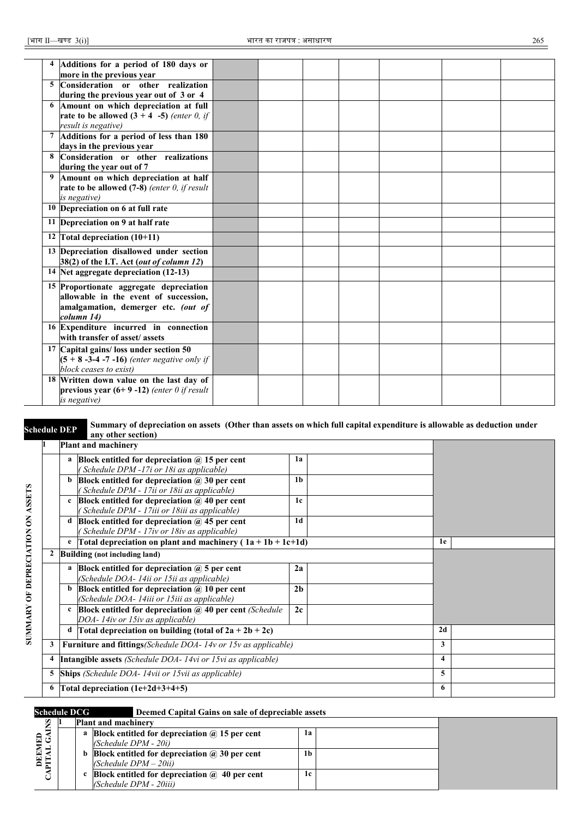|                | Additions for a period of 180 days or          |  |  |  |  |
|----------------|------------------------------------------------|--|--|--|--|
|                | more in the previous year                      |  |  |  |  |
| $\overline{5}$ | Consideration or other realization             |  |  |  |  |
|                | during the previous year out of 3 or 4         |  |  |  |  |
| 6              | Amount on which depreciation at full           |  |  |  |  |
|                | rate to be allowed $(3 + 4 -5)$ (enter 0, if   |  |  |  |  |
|                | result is negative)                            |  |  |  |  |
|                | Additions for a period of less than 180        |  |  |  |  |
|                | days in the previous year                      |  |  |  |  |
| 8              | Consideration or other realizations            |  |  |  |  |
|                | during the year out of 7                       |  |  |  |  |
| 9              | Amount on which depreciation at half           |  |  |  |  |
|                | rate to be allowed $(7-8)$ (enter 0, if result |  |  |  |  |
|                | is negative)                                   |  |  |  |  |
|                | 10 Depreciation on 6 at full rate              |  |  |  |  |
|                | 11 Depreciation on 9 at half rate              |  |  |  |  |
|                | 12 Total depreciation $(10+11)$                |  |  |  |  |
|                | 13 Depreciation disallowed under section       |  |  |  |  |
|                | 38(2) of the I.T. Act (out of column 12)       |  |  |  |  |
|                | 14 Net aggregate depreciation (12-13)          |  |  |  |  |
|                | 15 Proportionate aggregate depreciation        |  |  |  |  |
|                | allowable in the event of succession,          |  |  |  |  |
|                | amalgamation, demerger etc. (out of            |  |  |  |  |
|                | column 14)                                     |  |  |  |  |
|                | 16 Expenditure incurred in connection          |  |  |  |  |
|                | with transfer of asset/assets                  |  |  |  |  |
|                | 17 Capital gains/ loss under section 50        |  |  |  |  |
|                | $(5 + 8 -3 -4 -7 -16)$ (enter negative only if |  |  |  |  |
|                | block ceases to exist)                         |  |  |  |  |
|                | 18 Written down value on the last day of       |  |  |  |  |
|                | previous year $(6+9-12)$ (enter 0 if result    |  |  |  |  |
|                | is negative)                                   |  |  |  |  |

#### **Schedule DEP** Summary of depreciation on assets (Other than assets on which full capital expenditure is allowable as deduction under any other section.) **any other section)**

| Plant and machinery                  |                                                                                                       |                |                         |  |
|--------------------------------------|-------------------------------------------------------------------------------------------------------|----------------|-------------------------|--|
| a                                    | Block entitled for depreciation $\omega$ 15 per cent<br>(Schedule DPM -17i or 18i as applicable)      | 1a             |                         |  |
| b                                    | Block entitled for depreciation $\omega$ 30 per cent<br>(Schedule DPM - 17ii or 18ii as applicable)   | 1 <sub>b</sub> |                         |  |
| $\mathbf c$                          | Block entitled for depreciation $\omega$ 40 per cent<br>(Schedule DPM - 17iii or 18iii as applicable) | 1c             |                         |  |
| d                                    | Block entitled for depreciation $\omega$ 45 per cent<br>(Schedule DPM - 17iv or 18iv as applicable)   | 1d             |                         |  |
| e                                    | Total depreciation on plant and machinery $(1a + 1b + 1c+1d)$                                         |                | 1e                      |  |
| Building (not including land)        |                                                                                                       |                |                         |  |
| a                                    | Block entitled for depreciation $\omega$ 5 per cent<br>(Schedule DOA-14ii or 15ii as applicable)      | 2a             |                         |  |
| b                                    | Block entitled for depreciation $(a)$ 10 per cent<br>(Schedule DOA- 14iii or 15iii as applicable)     | 2 <sub>h</sub> |                         |  |
| $\mathbf c$                          | Block entitled for depreciation $(a)$ 40 per cent (Schedule)<br>DOA-14iv or 15iv as applicable)       | 2c             |                         |  |
| d                                    | Total depreciation on building (total of $2a + 2b + 2c$ )                                             |                | 2d                      |  |
|                                      | 3   <b>Furniture and fittings</b> (Schedule DOA- $14v$ or $15v$ as applicable)                        |                | 3                       |  |
|                                      | 4 Intangible assets (Schedule DOA- 14vi or 15vi as applicable)                                        |                | $\overline{\mathbf{4}}$ |  |
|                                      | <b>5</b> Ships (Schedule DOA- 14vii or 15vii as applicable)                                           |                | 5                       |  |
| 6 Total depreciation $(1e+2d+3+4+5)$ |                                                                                                       |                |                         |  |

**SUMMARY OF DEPRECIATION ON ASSETS**

SUMMARY OF DEPRECIATION ON ASSETS

#### **Schedule DCG Deemed Capital Gains on sale of depreciable assets**

| ω    |  | <b>Plant and machinery</b>                                    |    |  |
|------|--|---------------------------------------------------------------|----|--|
| ธิ3ั |  | a Block entitled for depreciation $\omega$ 15 per cent        | lа |  |
|      |  | $(Schedule DPM - 20i)$                                        |    |  |
|      |  | <b>b</b> Block entitled for depreciation $\omega$ 30 per cent | 1b |  |
| ĔĘ   |  | $(Schedule DPM - 20ii)$                                       |    |  |
|      |  | c Block entitled for depreciation $\hat{a}$ 40 per cent       | 1c |  |
|      |  | (Schedule DPM - 20iii)                                        |    |  |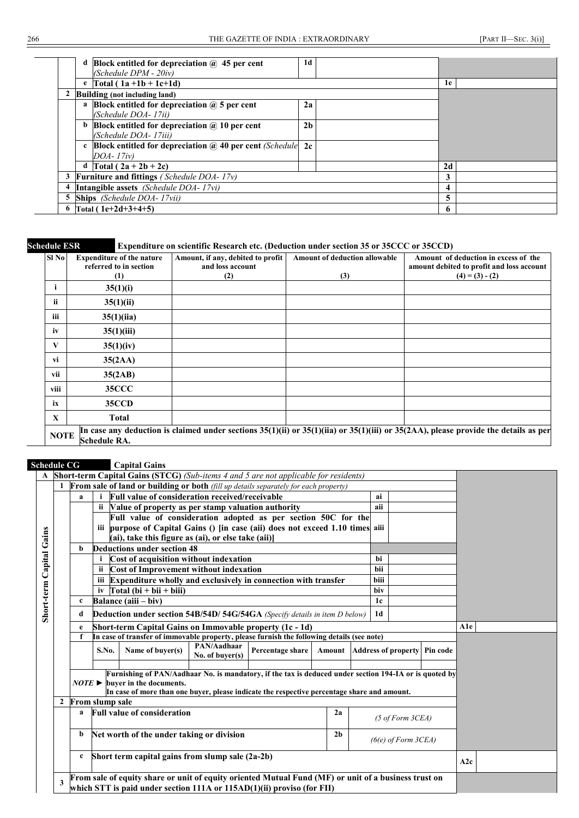|   |   | Block entitled for depreciation $\omega$ 45 per cent<br>(Schedule DPM - 20iv)         | 1d             |                |  |
|---|---|---------------------------------------------------------------------------------------|----------------|----------------|--|
|   |   | e $Total (1a + 1b + 1c + 1d)$                                                         |                | 1e             |  |
|   |   | Building (not including land)                                                         |                |                |  |
|   | a | Block entitled for depreciation $\omega$ 5 per cent<br>(Schedule DOA-17ii)            | 2a             |                |  |
|   |   | <b>b</b> Block entitled for depreciation $\omega$ 10 per cent<br>(Schedule DOA-17iii) | 2 <sub>b</sub> |                |  |
|   |   | c Block entitled for depreciation $\omega$ 40 per cent (Schedule)<br>DOA-17iv)        | 2c             |                |  |
|   |   | d $\text{Total} (2a + 2b + 2c)$                                                       |                | 2d             |  |
|   |   | Furniture and fittings (Schedule DOA-17v)                                             |                | 3              |  |
|   |   | Intangible assets (Schedule DOA-17vi)                                                 |                | $\overline{4}$ |  |
| 5 |   | <b>Ships</b> (Schedule DOA-17vii)                                                     |                | 5              |  |
|   |   | Total $(1e+2d+3+4+5)$                                                                 |                | 6              |  |

| Schedule ESR |  |
|--------------|--|
|              |  |

#### **Expenditure on scientific Research etc. (Deduction under section 35 or 35CCC or 35CCD)**

| Sl No       | <b>Expenditure of the nature</b><br>referred to in section<br>(1) | Amount, if any, debited to profit<br>and loss account<br>(2) | <b>Amount of deduction allowable</b><br>(3) | Amount of deduction in excess of the<br>amount debited to profit and loss account<br>$(4) = (3) - (2)$                                       |
|-------------|-------------------------------------------------------------------|--------------------------------------------------------------|---------------------------------------------|----------------------------------------------------------------------------------------------------------------------------------------------|
| -1          | 35(1)(i)                                                          |                                                              |                                             |                                                                                                                                              |
| ii.         | 35(1)(ii)                                                         |                                                              |                                             |                                                                                                                                              |
| iii         | 35(1)(ii)                                                         |                                                              |                                             |                                                                                                                                              |
| iv          | 35(1)(iii)                                                        |                                                              |                                             |                                                                                                                                              |
| V           | 35(1)(iv)                                                         |                                                              |                                             |                                                                                                                                              |
| vi          | 35(2AA)                                                           |                                                              |                                             |                                                                                                                                              |
| vii         | 35(2AB)                                                           |                                                              |                                             |                                                                                                                                              |
| viii        | <b>35CCC</b>                                                      |                                                              |                                             |                                                                                                                                              |
| ix          | <b>35CCD</b>                                                      |                                                              |                                             |                                                                                                                                              |
| X           | <b>Total</b>                                                      |                                                              |                                             |                                                                                                                                              |
| <b>NOTE</b> | <b>Schedule RA.</b>                                               |                                                              |                                             | In case any deduction is claimed under sections $35(1)(ii)$ or $35(1)(iii)$ or $35(1)(iii)$ or $35(2AA)$ , please provide the details as per |

#### **Schedule CG Capital Gains**

|                          |                                                                                                                                                         |                                                |                                                                                            | A Short-term Capital Gains (STCG) (Sub-items 4 and 5 are not applicable for residents)                                                                                         |     |  |  |  |                |  |  |     |  |  |
|--------------------------|---------------------------------------------------------------------------------------------------------------------------------------------------------|------------------------------------------------|--------------------------------------------------------------------------------------------|--------------------------------------------------------------------------------------------------------------------------------------------------------------------------------|-----|--|--|--|----------------|--|--|-----|--|--|
|                          |                                                                                                                                                         |                                                |                                                                                            | <b>From sale of land or building or both</b> (fill up details separately for each property)                                                                                    |     |  |  |  |                |  |  |     |  |  |
|                          |                                                                                                                                                         | a                                              |                                                                                            | <b>Full value of consideration received/receivable</b>                                                                                                                         |     |  |  |  | ai             |  |  |     |  |  |
|                          |                                                                                                                                                         |                                                |                                                                                            | ii Value of property as per stamp valuation authority                                                                                                                          |     |  |  |  | aii            |  |  |     |  |  |
|                          |                                                                                                                                                         |                                                |                                                                                            | Full value of consideration adopted as per section 50C for the                                                                                                                 |     |  |  |  |                |  |  |     |  |  |
|                          |                                                                                                                                                         |                                                |                                                                                            | iii purpose of Capital Gains () [in case (aii) does not exceed 1.10 times aiii                                                                                                 |     |  |  |  |                |  |  |     |  |  |
|                          |                                                                                                                                                         |                                                |                                                                                            | (ai), take this figure as (ai), or else take (aii)]                                                                                                                            |     |  |  |  |                |  |  |     |  |  |
|                          |                                                                                                                                                         | b                                              |                                                                                            | Deductions under section 48                                                                                                                                                    |     |  |  |  |                |  |  |     |  |  |
|                          |                                                                                                                                                         |                                                |                                                                                            | Cost of acquisition without indexation                                                                                                                                         |     |  |  |  | <b>bi</b>      |  |  |     |  |  |
|                          |                                                                                                                                                         |                                                |                                                                                            | <b>Cost of Improvement without indexation</b>                                                                                                                                  |     |  |  |  | <b>bii</b>     |  |  |     |  |  |
|                          |                                                                                                                                                         |                                                |                                                                                            | iii Expenditure wholly and exclusively in connection with transfer                                                                                                             |     |  |  |  | <b>biii</b>    |  |  |     |  |  |
|                          |                                                                                                                                                         |                                                |                                                                                            | iv $\Gamma$ otal (bi + bii + biii)                                                                                                                                             |     |  |  |  | hiv            |  |  |     |  |  |
|                          |                                                                                                                                                         | $\mathbf c$                                    |                                                                                            | Balance (aiii – biv)                                                                                                                                                           |     |  |  |  | 1c             |  |  |     |  |  |
| Short-term Capital Gains |                                                                                                                                                         | d                                              |                                                                                            | Deduction under section 54B/54D/ 54G/54GA (Specify details in item D below)                                                                                                    |     |  |  |  | 1 <sub>d</sub> |  |  |     |  |  |
|                          |                                                                                                                                                         | e                                              | Short-term Capital Gains on Immovable property (1c - 1d)                                   |                                                                                                                                                                                | A1e |  |  |  |                |  |  |     |  |  |
|                          |                                                                                                                                                         |                                                | In case of transfer of immovable property, please furnish the following details (see note) |                                                                                                                                                                                |     |  |  |  |                |  |  |     |  |  |
|                          |                                                                                                                                                         |                                                | S.No.                                                                                      | Amount Address of property Pin code                                                                                                                                            |     |  |  |  |                |  |  |     |  |  |
|                          |                                                                                                                                                         |                                                |                                                                                            |                                                                                                                                                                                |     |  |  |  |                |  |  |     |  |  |
|                          | Furnishing of PAN/Aadhaar No. is mandatory, if the tax is deduced under section 194-IA or is quoted by<br>$NOTE \triangleright$ buyer in the documents. |                                                |                                                                                            |                                                                                                                                                                                |     |  |  |  |                |  |  |     |  |  |
|                          |                                                                                                                                                         |                                                |                                                                                            | In case of more than one buyer, please indicate the respective percentage share and amount.                                                                                    |     |  |  |  |                |  |  |     |  |  |
|                          |                                                                                                                                                         |                                                |                                                                                            | 2 From slump sale<br><b>Full value of consideration</b>                                                                                                                        |     |  |  |  |                |  |  |     |  |  |
|                          |                                                                                                                                                         | a                                              | $(5 \text{ of Form } 3CEA)$                                                                |                                                                                                                                                                                |     |  |  |  |                |  |  |     |  |  |
|                          |                                                                                                                                                         | Net worth of the under taking or division<br>b | $(6(e)$ of Form $3CEA)$                                                                    |                                                                                                                                                                                |     |  |  |  |                |  |  |     |  |  |
|                          |                                                                                                                                                         | c                                              |                                                                                            | Short term capital gains from slump sale (2a-2b)                                                                                                                               |     |  |  |  |                |  |  | A2c |  |  |
|                          | 3                                                                                                                                                       |                                                |                                                                                            | From sale of equity share or unit of equity oriented Mutual Fund (MF) or unit of a business trust on<br>which STT is paid under section 111A or 115AD(1)(ii) proviso (for FII) |     |  |  |  |                |  |  |     |  |  |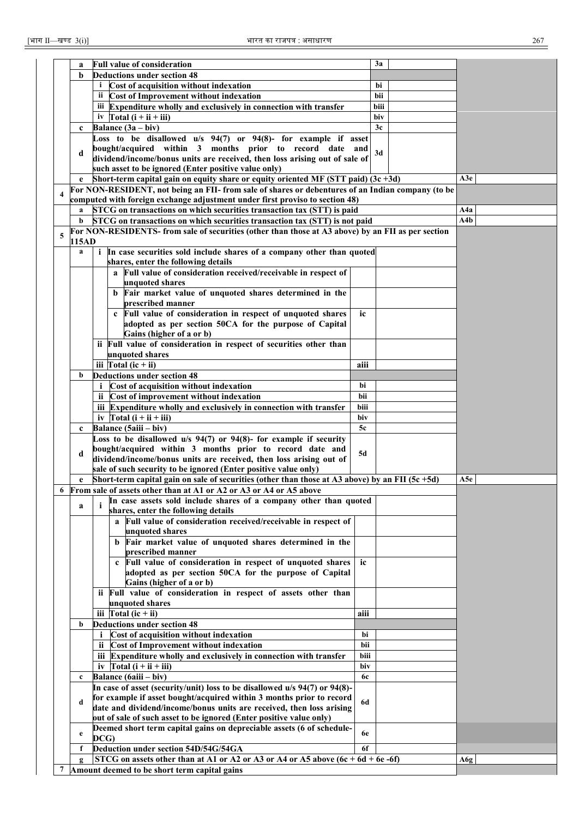|                         | a            | <b>Full value of consideration</b>                                                                 |           | 3a   |     |
|-------------------------|--------------|----------------------------------------------------------------------------------------------------|-----------|------|-----|
|                         | b            | <b>Deductions under section 48</b>                                                                 |           |      |     |
|                         |              | Cost of acquisition without indexation                                                             |           | bi   |     |
|                         |              | ii Cost of Improvement without indexation                                                          |           | bii  |     |
|                         |              | iii Expenditure wholly and exclusively in connection with transfer                                 |           | biii |     |
|                         |              | Total $(i + ii + iii)$<br>iv                                                                       |           | biv  |     |
|                         |              | Balance $(3a - biv)$                                                                               |           | 3c   |     |
|                         | $\mathbf{c}$ |                                                                                                    |           |      |     |
|                         |              | Loss to be disallowed u/s 94(7) or 94(8)- for example if asset                                     |           |      |     |
|                         | d            | bought/acquired within 3 months prior to record date and                                           |           | 3d   |     |
|                         |              | dividend/income/bonus units are received, then loss arising out of sale of                         |           |      |     |
|                         |              | such asset to be ignored (Enter positive value only)                                               |           |      |     |
|                         |              | Short-term capital gain on equity share or equity oriented MF (STT paid) $(3c + 3d)$               |           |      | A3e |
|                         |              | For NON-RESIDENT, not being an FII- from sale of shares or debentures of an Indian company (to be  |           |      |     |
| $\overline{\mathbf{4}}$ |              | computed with foreign exchange adjustment under first proviso to section 48)                       |           |      |     |
|                         |              | STCG on transactions on which securities transaction tax (STT) is paid                             |           |      | A4a |
|                         |              |                                                                                                    |           |      | A4b |
|                         |              | STCG on transactions on which securities transaction tax (STT) is not paid                         |           |      |     |
| 5                       |              | For NON-RESIDENTS- from sale of securities (other than those at A3 above) by an FII as per section |           |      |     |
|                         | 115AD        |                                                                                                    |           |      |     |
|                         | a            | i In case securities sold include shares of a company other than quoted                            |           |      |     |
|                         |              | shares, enter the following details                                                                |           |      |     |
|                         |              | a Full value of consideration received/receivable in respect of                                    |           |      |     |
|                         |              | unquoted shares                                                                                    |           |      |     |
|                         |              | b Fair market value of unquoted shares determined in the                                           |           |      |     |
|                         |              |                                                                                                    |           |      |     |
|                         |              | prescribed manner                                                                                  |           |      |     |
|                         |              | c Full value of consideration in respect of unquoted shares                                        | ic        |      |     |
|                         |              | adopted as per section 50CA for the purpose of Capital                                             |           |      |     |
|                         |              | Gains (higher of a or b)                                                                           |           |      |     |
|                         |              | ii Full value of consideration in respect of securities other than                                 |           |      |     |
|                         |              | unquoted shares                                                                                    |           |      |     |
|                         |              | iii $\Gamma$ otal (ic + ii)                                                                        | aiii      |      |     |
|                         | b            | <b>Deductions under section 48</b>                                                                 |           |      |     |
|                         |              |                                                                                                    |           |      |     |
|                         |              | Cost of acquisition without indexation                                                             | bi        |      |     |
|                         |              | ii Cost of improvement without indexation                                                          | bii       |      |     |
|                         |              | iii Expenditure wholly and exclusively in connection with transfer                                 | biii      |      |     |
|                         |              | iv $\int \text{Total} (i + ii + iii)$                                                              | biv       |      |     |
|                         | $\mathbf{c}$ | Balance (5aiii - biv)                                                                              | 5c        |      |     |
|                         |              | Loss to be disallowed $u/s$ 94(7) or 94(8)- for example if security                                |           |      |     |
|                         |              |                                                                                                    |           |      |     |
|                         | d            | bought/acquired within 3 months prior to record date and                                           | 5d        |      |     |
|                         |              | dividend/income/bonus units are received, then loss arising out of                                 |           |      |     |
|                         |              | sale of such security to be ignored (Enter positive value only)                                    |           |      |     |
|                         |              | Short-term capital gain on sale of securities (other than those at A3 above) by an FII (5c $+5d$ ) |           |      | A5e |
|                         |              | 6 From sale of assets other than at A1 or A2 or A3 or A4 or A5 above                               |           |      |     |
|                         |              | In case assets sold include shares of a company other than quoted                                  |           |      |     |
|                         | a            | shares, enter the following details                                                                |           |      |     |
|                         |              | Full value of consideration received/receivable in respect of                                      |           |      |     |
|                         |              | a                                                                                                  |           |      |     |
|                         |              | unquoted shares                                                                                    |           |      |     |
|                         |              | b Fair market value of unquoted shares determined in the                                           |           |      |     |
|                         |              | prescribed manner                                                                                  |           |      |     |
|                         |              | c Full value of consideration in respect of unquoted shares                                        | ic        |      |     |
|                         |              | adopted as per section 50CA for the purpose of Capital                                             |           |      |     |
|                         |              | Gains (higher of a or b)                                                                           |           |      |     |
|                         |              | ii Full value of consideration in respect of assets other than                                     |           |      |     |
|                         |              |                                                                                                    |           |      |     |
|                         |              | unquoted shares                                                                                    |           |      |     |
|                         |              | iii $\Gamma$ otal (ic + ii)                                                                        | aiii      |      |     |
|                         | b            | <b>Deductions under section 48</b>                                                                 |           |      |     |
|                         |              | Cost of acquisition without indexation<br>i                                                        | bi        |      |     |
|                         |              | ii Cost of Improvement without indexation                                                          | bii       |      |     |
|                         |              | iii Expenditure wholly and exclusively in connection with transfer                                 | biii      |      |     |
|                         |              | iv $\Gamma$ otal (i + ii + iii)                                                                    | biv       |      |     |
|                         |              |                                                                                                    |           |      |     |
|                         | $\mathbf c$  | Balance (6aiii – biv)                                                                              | <b>6c</b> |      |     |
|                         |              | In case of asset (security/unit) loss to be disallowed u/s 94(7) or 94(8)-                         |           |      |     |
|                         | d            | for example if asset bought/acquired within 3 months prior to record                               | <b>6d</b> |      |     |
|                         |              | date and dividend/income/bonus units are received, then loss arising                               |           |      |     |
|                         |              | out of sale of such asset to be ignored (Enter positive value only)                                |           |      |     |
|                         |              | Deemed short term capital gains on depreciable assets (6 of schedule-                              |           |      |     |
|                         | e            | DCG)                                                                                               | 6e        |      |     |
|                         |              |                                                                                                    |           |      |     |
|                         | f            | Deduction under section 54D/54G/54GA                                                               | 6f        |      |     |
|                         |              | STCG on assets other than at A1 or A2 or A3 or A4 or A5 above $(6c + 6d + 6e -6f)$                 |           |      | A6g |
| 7                       |              | Amount deemed to be short term capital gains                                                       |           |      |     |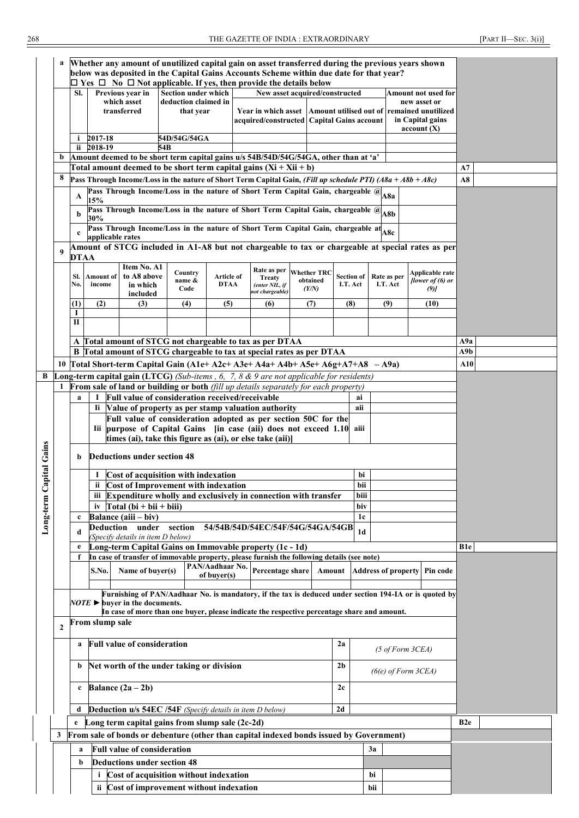268 THE GAZETTE OF INDIA : EXTRAORDINARY [PART II—SEC. 3(i)]

|               | a                                                                    |                                                                |                                                                                                                                 |                                                      |                   |                                |            | Whether any amount of unutilized capital gain on asset transferred during the previous years shown                                                                            |  |          |    |                   |     |             |                                            |  |                 |  |
|---------------|----------------------------------------------------------------------|----------------------------------------------------------------|---------------------------------------------------------------------------------------------------------------------------------|------------------------------------------------------|-------------------|--------------------------------|------------|-------------------------------------------------------------------------------------------------------------------------------------------------------------------------------|--|----------|----|-------------------|-----|-------------|--------------------------------------------|--|-----------------|--|
|               |                                                                      |                                                                |                                                                                                                                 |                                                      |                   |                                |            | below was deposited in the Capital Gains Accounts Scheme within due date for that year?<br>$\Box$ Yes $\Box$ No $\Box$ Not applicable. If yes, then provide the details below |  |          |    |                   |     |             |                                            |  |                 |  |
|               |                                                                      | SI.                                                            |                                                                                                                                 | Previous year in                                     |                   | Section under which            |            | New asset acquired/constructed                                                                                                                                                |  |          |    |                   |     |             | <b>Amount not used for</b>                 |  |                 |  |
|               |                                                                      |                                                                |                                                                                                                                 | which asset                                          |                   | deduction claimed in           |            |                                                                                                                                                                               |  |          |    |                   |     |             | new asset or                               |  |                 |  |
|               |                                                                      |                                                                |                                                                                                                                 | transferred                                          |                   | that year                      |            | Year in which asset<br>acquired/constructed   Capital Gains account                                                                                                           |  |          |    |                   |     |             | Amount utilised out of remained unutilized |  |                 |  |
|               |                                                                      |                                                                |                                                                                                                                 |                                                      |                   |                                |            |                                                                                                                                                                               |  |          |    |                   |     |             | in Capital gains<br>account(X)             |  |                 |  |
|               |                                                                      | i.                                                             | 2017-18                                                                                                                         |                                                      | 54D/54G/54GA      |                                |            |                                                                                                                                                                               |  |          |    |                   |     |             |                                            |  |                 |  |
|               |                                                                      |                                                                | ii 2018-19                                                                                                                      |                                                      | 54 <sub>B</sub>   |                                |            |                                                                                                                                                                               |  |          |    |                   |     |             |                                            |  |                 |  |
|               | b                                                                    |                                                                |                                                                                                                                 |                                                      |                   |                                |            | Amount deemed to be short term capital gains u/s 54B/54D/54G/54GA, other than at 'a'<br>Total amount deemed to be short term capital gains $(Xi + Xii + b)$                   |  |          |    |                   |     |             |                                            |  | A7              |  |
|               | 8                                                                    |                                                                |                                                                                                                                 |                                                      |                   |                                |            | Pass Through Income/Loss in the nature of Short Term Capital Gain, (Fill up schedule PTI) (A8a + A8b + A8c)                                                                   |  |          |    |                   |     |             |                                            |  | A8              |  |
|               |                                                                      |                                                                |                                                                                                                                 |                                                      |                   |                                |            | Pass Through Income/Loss in the nature of Short Term Capital Gain, chargeable $@$ A8a                                                                                         |  |          |    |                   |     |             |                                            |  |                 |  |
|               |                                                                      | A                                                              | 15%                                                                                                                             |                                                      |                   |                                |            |                                                                                                                                                                               |  |          |    |                   |     |             |                                            |  |                 |  |
|               |                                                                      | b                                                              | 30%                                                                                                                             |                                                      |                   |                                |            | Pass Through Income/Loss in the nature of Short Term Capital Gain, chargeable @A8b                                                                                            |  |          |    |                   |     |             |                                            |  |                 |  |
|               |                                                                      |                                                                |                                                                                                                                 |                                                      |                   |                                |            | Pass Through Income/Loss in the nature of Short Term Capital Gain, chargeable at A8c                                                                                          |  |          |    |                   |     |             |                                            |  |                 |  |
|               |                                                                      | c                                                              | applicable rates                                                                                                                |                                                      |                   |                                |            |                                                                                                                                                                               |  |          |    |                   |     |             |                                            |  |                 |  |
|               | $\boldsymbol{9}$                                                     |                                                                |                                                                                                                                 |                                                      |                   |                                |            | Amount of STCG included in A1-A8 but not chargeable to tax or chargeable at special rates as per                                                                              |  |          |    |                   |     |             |                                            |  |                 |  |
|               |                                                                      | <b>DTAA</b>                                                    |                                                                                                                                 | Item No. A1                                          |                   |                                |            |                                                                                                                                                                               |  |          |    |                   |     |             |                                            |  |                 |  |
|               |                                                                      | SI.                                                            | Amount of                                                                                                                       | to A8 above                                          | Country<br>name & |                                | Article of | Rate as per Whether TRC<br><b>Treaty</b>                                                                                                                                      |  | obtained |    | <b>Section of</b> |     | Rate as per | Applicable rate<br>[lower of $(6)$ or      |  |                 |  |
|               |                                                                      | No.                                                            | income                                                                                                                          | in which<br>included                                 | Code              |                                | DTAA       | (enter NIL, if<br>not chargeable)                                                                                                                                             |  | (Y/N)    |    | I.T. Act          |     | I.T. Act    | (9)                                        |  |                 |  |
|               |                                                                      | (1)                                                            | (2)                                                                                                                             | (3)                                                  | (4)               |                                | (5)        | (6)                                                                                                                                                                           |  | (7)      |    | (8)               |     | (9)         | (10)                                       |  |                 |  |
|               |                                                                      | 1                                                              |                                                                                                                                 |                                                      |                   |                                |            |                                                                                                                                                                               |  |          |    |                   |     |             |                                            |  |                 |  |
|               |                                                                      | П                                                              |                                                                                                                                 |                                                      |                   |                                |            |                                                                                                                                                                               |  |          |    |                   |     |             |                                            |  |                 |  |
|               |                                                                      |                                                                |                                                                                                                                 |                                                      |                   |                                |            | A Total amount of STCG not chargeable to tax as per DTAA                                                                                                                      |  |          |    |                   |     |             |                                            |  | A9a             |  |
|               |                                                                      |                                                                |                                                                                                                                 |                                                      |                   |                                |            | B Total amount of STCG chargeable to tax at special rates as per DTAA                                                                                                         |  |          |    |                   |     |             |                                            |  | A9b             |  |
|               |                                                                      |                                                                |                                                                                                                                 |                                                      |                   |                                |            | 10 Total Short-term Capital Gain (A1e+ A2e+ A3e+ A4a+ A4b+ A5e+ A6g+A7+A8 - A9a)                                                                                              |  |          |    |                   |     |             |                                            |  | A10             |  |
| B             |                                                                      |                                                                |                                                                                                                                 |                                                      |                   |                                |            | <b>Long-term capital gain (LTCG)</b> (Sub-items, 6, 7, 8 $\&$ 9 are not applicable for residents)                                                                             |  |          |    |                   |     |             |                                            |  |                 |  |
|               | 1                                                                    |                                                                |                                                                                                                                 |                                                      |                   |                                |            | From sale of land or building or both (fill up details separately for each property)                                                                                          |  |          |    |                   |     |             |                                            |  |                 |  |
|               |                                                                      |                                                                | Full value of consideration received/receivable<br>1<br>ai<br>a<br>Ii Value of property as per stamp valuation authority<br>aii |                                                      |                   |                                |            |                                                                                                                                                                               |  |          |    |                   |     |             |                                            |  |                 |  |
|               |                                                                      | Full value of consideration adopted as per section 50C for the |                                                                                                                                 |                                                      |                   |                                |            |                                                                                                                                                                               |  |          |    |                   |     |             |                                            |  |                 |  |
|               |                                                                      |                                                                | Iii purpose of Capital Gains [in case (aii) does not exceed 1.10<br>aiii                                                        |                                                      |                   |                                |            |                                                                                                                                                                               |  |          |    |                   |     |             |                                            |  |                 |  |
|               |                                                                      |                                                                | times (ai), take this figure as (ai), or else take (aii)]                                                                       |                                                      |                   |                                |            |                                                                                                                                                                               |  |          |    |                   |     |             |                                            |  |                 |  |
| Capital Gains |                                                                      | <b>Deductions under section 48</b><br>b                        |                                                                                                                                 |                                                      |                   |                                |            |                                                                                                                                                                               |  |          |    |                   |     |             |                                            |  |                 |  |
|               |                                                                      | Cost of acquisition with indexation                            |                                                                                                                                 |                                                      |                   |                                |            |                                                                                                                                                                               |  |          |    |                   |     |             |                                            |  |                 |  |
|               |                                                                      |                                                                | -1<br>ii.                                                                                                                       | <b>Cost of Improvement with indexation</b>           |                   |                                |            |                                                                                                                                                                               |  |          |    | bi<br>bii         |     |             |                                            |  |                 |  |
|               |                                                                      |                                                                |                                                                                                                                 |                                                      |                   |                                |            | iii Expenditure wholly and exclusively in connection with transfer                                                                                                            |  |          |    | biii              |     |             |                                            |  |                 |  |
|               |                                                                      |                                                                |                                                                                                                                 | iv $\Gamma$ otal (bi + bii + biii)                   |                   |                                |            |                                                                                                                                                                               |  |          |    | biv               |     |             |                                            |  |                 |  |
| Long-term     |                                                                      | c                                                              |                                                                                                                                 | Balance (aiii – biv)                                 |                   |                                |            |                                                                                                                                                                               |  |          |    | 1c                |     |             |                                            |  |                 |  |
|               |                                                                      | d                                                              |                                                                                                                                 | Deduction under<br>(Specify details in item D below) | section           |                                |            | 54/54B/54D/54EC/54F/54G/54GA/54GB                                                                                                                                             |  |          |    | 1 <sub>d</sub>    |     |             |                                            |  |                 |  |
|               |                                                                      | e                                                              |                                                                                                                                 |                                                      |                   |                                |            | Long-term Capital Gains on Immovable property (1c - 1d)                                                                                                                       |  |          |    |                   |     |             |                                            |  | B1e             |  |
|               |                                                                      | f                                                              |                                                                                                                                 |                                                      |                   |                                |            | In case of transfer of immovable property, please furnish the following details (see note)                                                                                    |  |          |    |                   |     |             |                                            |  |                 |  |
|               |                                                                      |                                                                | S.No.                                                                                                                           | Name of buyer(s)                                     |                   | PAN/Aadhaar No.<br>of buver(s) |            | Percentage share                                                                                                                                                              |  | Amount   |    |                   |     |             | Address of property Pin code               |  |                 |  |
|               |                                                                      |                                                                |                                                                                                                                 |                                                      |                   |                                |            |                                                                                                                                                                               |  |          |    |                   |     |             |                                            |  |                 |  |
|               |                                                                      |                                                                |                                                                                                                                 | $NOTE \triangleright$ buyer in the documents.        |                   |                                |            | Furnishing of PAN/Aadhaar No. is mandatory, if the tax is deduced under section 194-IA or is quoted by                                                                        |  |          |    |                   |     |             |                                            |  |                 |  |
|               |                                                                      |                                                                |                                                                                                                                 |                                                      |                   |                                |            | In case of more than one buyer, please indicate the respective percentage share and amount.                                                                                   |  |          |    |                   |     |             |                                            |  |                 |  |
|               | $\mathbf{2}$                                                         |                                                                | From slump sale                                                                                                                 |                                                      |                   |                                |            |                                                                                                                                                                               |  |          |    |                   |     |             |                                            |  |                 |  |
|               |                                                                      | <b>Full value of consideration</b>                             |                                                                                                                                 |                                                      |                   |                                |            |                                                                                                                                                                               |  |          |    |                   |     |             |                                            |  |                 |  |
|               |                                                                      | a                                                              |                                                                                                                                 |                                                      |                   |                                |            |                                                                                                                                                                               |  |          | 2a |                   |     |             | $(5 \text{ of Form } 3CEA)$                |  |                 |  |
|               |                                                                      |                                                                | Net worth of the under taking or division<br>2 <sub>b</sub><br>b                                                                |                                                      |                   |                                |            |                                                                                                                                                                               |  |          |    |                   |     |             |                                            |  |                 |  |
|               |                                                                      | $(6(e)$ of Form $3CEA)$                                        |                                                                                                                                 |                                                      |                   |                                |            |                                                                                                                                                                               |  |          |    |                   |     |             |                                            |  |                 |  |
|               |                                                                      | Balance $(2a - 2b)$<br>2c<br>c                                 |                                                                                                                                 |                                                      |                   |                                |            |                                                                                                                                                                               |  |          |    |                   |     |             |                                            |  |                 |  |
|               |                                                                      |                                                                |                                                                                                                                 |                                                      |                   |                                |            |                                                                                                                                                                               |  |          |    |                   |     |             |                                            |  |                 |  |
|               | 2d<br>Deduction u/s 54EC /54F (Specify details in item D below)<br>d |                                                                |                                                                                                                                 |                                                      |                   |                                |            |                                                                                                                                                                               |  |          |    |                   |     |             |                                            |  |                 |  |
|               |                                                                      | e                                                              |                                                                                                                                 | Long term capital gains from slump sale (2c-2d)      |                   |                                |            |                                                                                                                                                                               |  |          |    |                   |     |             |                                            |  | B <sub>2e</sub> |  |
|               | 3                                                                    |                                                                |                                                                                                                                 |                                                      |                   |                                |            | From sale of bonds or debenture (other than capital indexed bonds issued by Government)                                                                                       |  |          |    |                   |     |             |                                            |  |                 |  |
|               |                                                                      | a                                                              |                                                                                                                                 | <b>Full value of consideration</b>                   |                   |                                |            |                                                                                                                                                                               |  |          |    |                   | 3a  |             |                                            |  |                 |  |
|               |                                                                      | b                                                              |                                                                                                                                 | <b>Deductions under section 48</b>                   |                   |                                |            |                                                                                                                                                                               |  |          |    |                   |     |             |                                            |  |                 |  |
|               |                                                                      |                                                                | i.                                                                                                                              | Cost of acquisition without indexation               |                   |                                |            |                                                                                                                                                                               |  |          |    |                   | bi  |             |                                            |  |                 |  |
|               |                                                                      |                                                                |                                                                                                                                 | ii Cost of improvement without indexation            |                   |                                |            |                                                                                                                                                                               |  |          |    |                   | bii |             |                                            |  |                 |  |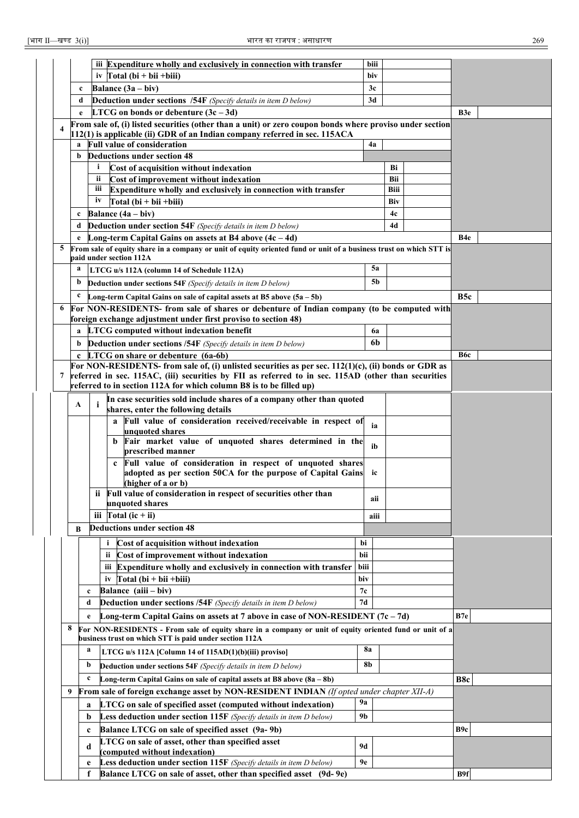|   |              | iii Expenditure wholly and exclusively in connection with transfer                                                                                                | biii           |      |                  |  |
|---|--------------|-------------------------------------------------------------------------------------------------------------------------------------------------------------------|----------------|------|------------------|--|
|   |              | iv $\text{Total}(\text{bi} + \text{bii} + \text{biii})$                                                                                                           | biv            |      |                  |  |
|   | $\mathbf c$  | Balance $(3a - biv)$                                                                                                                                              | 3c             |      |                  |  |
|   | d            | <b>Deduction under sections /54F</b> (Specify details in item D below)                                                                                            | 3d             |      |                  |  |
|   | e            | <b>LTCG</b> on bonds or debenture $(3c - 3d)$                                                                                                                     |                |      | B <sub>3e</sub>  |  |
|   |              | From sale of, (i) listed securities (other than a unit) or zero coupon bonds where proviso under section                                                          |                |      |                  |  |
|   |              | 112(1) is applicable (ii) GDR of an Indian company referred in sec. 115ACA                                                                                        |                |      |                  |  |
|   | a<br>b       | <b>Full value of consideration</b><br><b>Deductions under section 48</b>                                                                                          | 4a             |      |                  |  |
|   |              | i<br>Cost of acquisition without indexation                                                                                                                       |                | Bi   |                  |  |
|   |              | ii<br>Cost of improvement without indexation                                                                                                                      |                | Bii  |                  |  |
|   |              | Expenditure wholly and exclusively in connection with transfer<br>Ш                                                                                               |                | Biii |                  |  |
|   |              | iv<br>$Total (bi + bii + biii)$                                                                                                                                   |                | Biv  |                  |  |
|   | $\mathbf c$  | Balance $(4a - biv)$                                                                                                                                              |                | 4c   |                  |  |
|   | d            | Deduction under section 54F (Specify details in item D below)                                                                                                     |                | 4d   |                  |  |
|   | e            | Long-term Capital Gains on assets at B4 above $(4c - 4d)$                                                                                                         |                |      | B4e              |  |
| 5 |              | From sale of equity share in a company or unit of equity oriented fund or unit of a business trust on which STT is                                                |                |      |                  |  |
|   |              | paid under section 112A                                                                                                                                           |                |      |                  |  |
|   | a            | LTCG u/s 112A (column 14 of Schedule 112A)                                                                                                                        | <b>5a</b>      |      |                  |  |
|   | b            | <b>Deduction under sections 54F</b> (Specify details in item D below)                                                                                             | 5b             |      |                  |  |
|   | c            | Long-term Capital Gains on sale of capital assets at B5 above $(5a - 5b)$                                                                                         |                |      | B <sub>5</sub> c |  |
| 6 |              | For NON-RESIDENTS- from sale of shares or debenture of Indian company (to be computed with                                                                        |                |      |                  |  |
|   |              | foreign exchange adjustment under first proviso to section 48)                                                                                                    |                |      |                  |  |
|   | a            | <b>LTCG</b> computed without indexation benefit                                                                                                                   | 6a             |      |                  |  |
|   | b            | Deduction under sections /54F (Specify details in item D below)                                                                                                   | 6b             |      |                  |  |
|   | $\mathbf{c}$ | LTCG on share or debenture (6a-6b)<br>For NON-RESIDENTS- from sale of, (i) unlisted securities as per sec. 112(1)(c), (ii) bonds or GDR as                        |                |      | B6c              |  |
| 7 |              | referred in sec. 115AC, (iii) securities by FII as referred to in sec. 115AD (other than securities                                                               |                |      |                  |  |
|   |              | referred to in section 112A for which column B8 is to be filled up)                                                                                               |                |      |                  |  |
|   |              | In case securities sold include shares of a company other than quoted                                                                                             |                |      |                  |  |
|   | A            | i<br>shares, enter the following details                                                                                                                          |                |      |                  |  |
|   |              | a Full value of consideration received/receivable in respect of                                                                                                   | ia             |      |                  |  |
|   |              | unquoted shares                                                                                                                                                   |                |      |                  |  |
|   |              | Fair market value of unquoted shares determined in the<br>b<br>prescribed manner                                                                                  | ib             |      |                  |  |
|   |              | Full value of consideration in respect of unquoted shares<br>$\mathbf{c}$                                                                                         |                |      |                  |  |
|   |              | adopted as per section 50CA for the purpose of Capital Gains                                                                                                      | ic             |      |                  |  |
|   |              | (higher of a or b)                                                                                                                                                |                |      |                  |  |
|   |              | Full value of consideration in respect of securities other than                                                                                                   | aii            |      |                  |  |
|   |              | unquoted shares                                                                                                                                                   |                |      |                  |  |
|   |              | iii $\int \text{Total} (ic + ii)$                                                                                                                                 | aiii           |      |                  |  |
|   | B            | <b>Deductions under section 48</b>                                                                                                                                |                |      |                  |  |
|   |              | Cost of acquisition without indexation<br>i                                                                                                                       | bi             |      |                  |  |
|   |              | Cost of improvement without indexation<br>ii.                                                                                                                     | bii            |      |                  |  |
|   |              | iii Expenditure wholly and exclusively in connection with transfer                                                                                                | biii           |      |                  |  |
|   |              | iv $\Gamma$ otal (bi + bii + biii)                                                                                                                                | biv            |      |                  |  |
|   |              | Balance (aiii - biv)<br>c                                                                                                                                         | 7c             |      |                  |  |
|   |              | <b>Deduction under sections /54F</b> (Specify details in item D below)<br>d                                                                                       | 7d             |      |                  |  |
|   |              | Long-term Capital Gains on assets at 7 above in case of NON-RESIDENT $(7c - 7d)$<br>e                                                                             |                |      | B7e              |  |
|   | 8            | For NON-RESIDENTS - From sale of equity share in a company or unit of equity oriented fund or unit of a<br>business trust on which STT is paid under section 112A |                |      |                  |  |
|   |              | a<br>LTCG u/s 112A [Column 14 of 115AD(1)(b)(iii) proviso]                                                                                                        | <b>8a</b>      |      |                  |  |
|   |              | b<br>Deduction under sections 54F (Specify details in item D below)                                                                                               | 8b             |      |                  |  |
|   |              | $\mathbf c$<br>Long-term Capital Gains on sale of capital assets at B8 above (8a - 8b)                                                                            |                |      | B8c              |  |
|   | 9            | <b>From sale of foreign exchange asset by NON-RESIDENT INDIAN</b> (If opted under chapter XII-A)                                                                  |                |      |                  |  |
|   |              | LTCG on sale of specified asset (computed without indexation)<br>a                                                                                                | 9а             |      |                  |  |
|   |              | Less deduction under section 115F (Specify details in item D below)<br>b                                                                                          | 9 <sub>b</sub> |      |                  |  |
|   |              | Balance LTCG on sale of specified asset (9a-9b)<br>c                                                                                                              |                |      | B <sub>9c</sub>  |  |
|   |              | LTCG on sale of asset, other than specified asset                                                                                                                 |                |      |                  |  |
|   |              | d<br>(computed without indexation)                                                                                                                                | <b>9d</b>      |      |                  |  |
|   |              | Less deduction under section 115F (Specify details in item D below)<br>e                                                                                          | 9е             |      |                  |  |
|   |              | Balance LTCG on sale of asset, other than specified asset (9d-9e)<br>f                                                                                            |                |      | B9f              |  |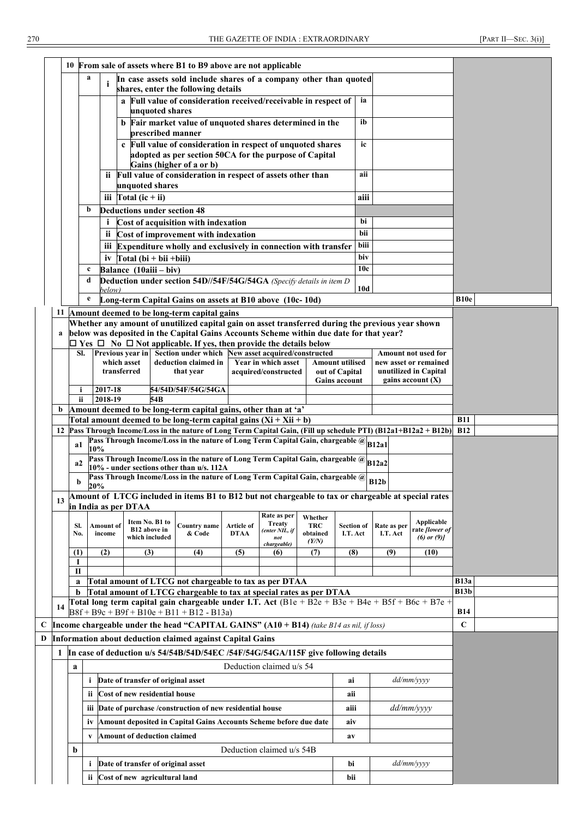|    |            |                                                                                                                                                   |                     |                                                  |                 | 10 From sale of assets where B1 to B9 above are not applicable                                                                                                                                                   |                           |                                                       |                                   |                               |      |                         |                                                         |                            |  |
|----|------------|---------------------------------------------------------------------------------------------------------------------------------------------------|---------------------|--------------------------------------------------|-----------------|------------------------------------------------------------------------------------------------------------------------------------------------------------------------------------------------------------------|---------------------------|-------------------------------------------------------|-----------------------------------|-------------------------------|------|-------------------------|---------------------------------------------------------|----------------------------|--|
|    |            | a                                                                                                                                                 | i                   |                                                  |                 | In case assets sold include shares of a company other than quoted<br>shares, enter the following details                                                                                                         |                           |                                                       |                                   |                               |      |                         |                                                         |                            |  |
|    |            |                                                                                                                                                   |                     |                                                  | unquoted shares | a Full value of consideration received/receivable in respect of                                                                                                                                                  |                           |                                                       |                                   |                               | ia   |                         |                                                         |                            |  |
|    |            |                                                                                                                                                   |                     |                                                  |                 | b Fair market value of unquoted shares determined in the<br>prescribed manner                                                                                                                                    |                           |                                                       |                                   |                               | ib   |                         |                                                         |                            |  |
|    |            |                                                                                                                                                   |                     |                                                  |                 | c Full value of consideration in respect of unquoted shares<br>adopted as per section 50CA for the purpose of Capital<br>Gains (higher of a or b)                                                                |                           |                                                       |                                   |                               | ic   |                         |                                                         |                            |  |
|    |            |                                                                                                                                                   |                     |                                                  |                 | ii Full value of consideration in respect of assets other than                                                                                                                                                   |                           |                                                       |                                   |                               | aii  |                         |                                                         |                            |  |
|    |            |                                                                                                                                                   | iii                 | unquoted shares<br>Total $(ic + ii)$             |                 |                                                                                                                                                                                                                  |                           |                                                       |                                   |                               | aiii |                         |                                                         |                            |  |
|    |            | b                                                                                                                                                 |                     | <b>Deductions under section 48</b>               |                 |                                                                                                                                                                                                                  |                           |                                                       |                                   |                               |      |                         |                                                         |                            |  |
|    |            |                                                                                                                                                   | i                   |                                                  |                 | Cost of acquisition with indexation                                                                                                                                                                              |                           |                                                       |                                   |                               | bi   |                         |                                                         |                            |  |
|    |            |                                                                                                                                                   | <b>ii</b>           |                                                  |                 | Cost of improvement with indexation                                                                                                                                                                              |                           |                                                       |                                   |                               | bii  |                         |                                                         |                            |  |
|    |            |                                                                                                                                                   | Ш                   |                                                  |                 | Expenditure wholly and exclusively in connection with transfer                                                                                                                                                   |                           |                                                       |                                   |                               | biii |                         |                                                         |                            |  |
|    |            |                                                                                                                                                   | iv                  | $Total (bi + bii + biii)$                        |                 |                                                                                                                                                                                                                  |                           |                                                       |                                   |                               | biv  |                         |                                                         |                            |  |
|    |            | c                                                                                                                                                 |                     | Balance (10aiii - biv)                           |                 |                                                                                                                                                                                                                  |                           |                                                       |                                   |                               | 10c  |                         |                                                         |                            |  |
|    |            | d                                                                                                                                                 |                     |                                                  |                 | Deduction under section 54D//54F/54G/54GA (Specify details in item D                                                                                                                                             |                           |                                                       |                                   |                               | 10d  |                         |                                                         |                            |  |
|    |            | e                                                                                                                                                 | below)              |                                                  |                 | Long-term Capital Gains on assets at B10 above (10c-10d)                                                                                                                                                         |                           |                                                       |                                   |                               |      |                         |                                                         | <b>B10e</b>                |  |
|    |            |                                                                                                                                                   |                     |                                                  |                 | 11 Amount deemed to be long-term capital gains                                                                                                                                                                   |                           |                                                       |                                   |                               |      |                         |                                                         |                            |  |
|    |            |                                                                                                                                                   |                     |                                                  |                 | Whether any amount of unutilized capital gain on asset transferred during the previous year shown                                                                                                                |                           |                                                       |                                   |                               |      |                         |                                                         |                            |  |
|    |            |                                                                                                                                                   |                     |                                                  |                 | below was deposited in the Capital Gains Accounts Scheme within due date for that year?                                                                                                                          |                           |                                                       |                                   |                               |      |                         |                                                         |                            |  |
|    |            |                                                                                                                                                   |                     |                                                  |                 | $\Box$ Yes $\Box$ No $\Box$ Not applicable. If yes, then provide the details below<br><b>Previous year in Section under which New asset acquired/constructed</b>                                                 |                           |                                                       |                                   |                               |      |                         |                                                         |                            |  |
|    | SI.        |                                                                                                                                                   |                     | which asset                                      |                 | deduction claimed in                                                                                                                                                                                             |                           | Year in which asset                                   |                                   | <b>Amount utilised</b>        |      |                         | Amount not used for<br>new asset or remained            |                            |  |
|    |            | transferred<br>that year<br>acquired/constructed<br>out of Capital                                                                                |                     |                                                  |                 |                                                                                                                                                                                                                  |                           |                                                       |                                   |                               |      |                         | unutilized in Capital                                   |                            |  |
|    |            | gains account $(X)$<br><b>Gains account</b><br>2017-18<br>54/54D/54F/54G/54GA<br>i                                                                |                     |                                                  |                 |                                                                                                                                                                                                                  |                           |                                                       |                                   |                               |      |                         |                                                         |                            |  |
|    | ii         | 2018-19<br>54B                                                                                                                                    |                     |                                                  |                 |                                                                                                                                                                                                                  |                           |                                                       |                                   |                               |      |                         |                                                         |                            |  |
| b  |            | Amount deemed to be long-term capital gains, other than at 'a'<br>Total amount deemed to be long-term capital gains $(Xi + Xii + b)$              |                     |                                                  |                 |                                                                                                                                                                                                                  |                           |                                                       |                                   |                               |      |                         |                                                         |                            |  |
|    |            |                                                                                                                                                   |                     |                                                  |                 |                                                                                                                                                                                                                  |                           |                                                       |                                   |                               |      |                         |                                                         | <b>B11</b>                 |  |
| 12 |            |                                                                                                                                                   |                     |                                                  |                 | Pass Through Income/Loss in the nature of Long Term Capital Gain, (Fill up schedule PTI) (B12a1+B12a2 + B12b)<br>Pass Through Income/Loss in the nature of Long Term Capital Gain, chargeable @ <sub>B12a1</sub> |                           |                                                       |                                   |                               |      |                         |                                                         | <b>B12</b>                 |  |
|    | a1         | 10%                                                                                                                                               |                     |                                                  |                 |                                                                                                                                                                                                                  |                           |                                                       |                                   |                               |      |                         |                                                         |                            |  |
|    | a2         |                                                                                                                                                   |                     |                                                  |                 | Pass Through Income/Loss in the nature of Long Term Capital Gain, chargeable @ 812a2<br>10% - under sections other than u/s. 112A                                                                                |                           |                                                       |                                   |                               |      |                         |                                                         |                            |  |
|    | b          | 20%                                                                                                                                               |                     |                                                  |                 | Pass Through Income/Loss in the nature of Long Term Capital Gain, chargeable @                                                                                                                                   |                           |                                                       |                                   |                               |      | B12b                    |                                                         |                            |  |
| 13 |            |                                                                                                                                                   |                     |                                                  |                 | Amount of LTCG included in items B1 to B12 but not chargeable to tax or chargeable at special rates                                                                                                              |                           |                                                       |                                   |                               |      |                         |                                                         |                            |  |
|    |            |                                                                                                                                                   |                     | in India as per DTAA                             |                 |                                                                                                                                                                                                                  |                           |                                                       |                                   |                               |      |                         |                                                         |                            |  |
|    | SI.<br>No. |                                                                                                                                                   | Amount of<br>income | Item No. B1 to<br>B12 above in<br>which included |                 | Country name<br>& Code                                                                                                                                                                                           | Article of<br><b>DTAA</b> | Rate as per<br><b>Treaty</b><br>(enter NIL, if<br>not | Whether<br><b>TRC</b><br>obtained | <b>Section of</b><br>I.T. Act |      | Rate as per<br>I.T. Act | Applicable<br>rate <i>[lower of</i><br>$(6)$ or $(9)$ ] |                            |  |
|    | (1)        |                                                                                                                                                   | (2)                 | (3)                                              |                 | (4)                                                                                                                                                                                                              | (5)                       | chargeable)<br>(6)                                    | (YN)<br>(7)                       | (8)                           |      | (9)                     | (10)                                                    |                            |  |
|    | -1         |                                                                                                                                                   |                     |                                                  |                 |                                                                                                                                                                                                                  |                           |                                                       |                                   |                               |      |                         |                                                         |                            |  |
|    | П          |                                                                                                                                                   |                     |                                                  |                 |                                                                                                                                                                                                                  |                           |                                                       |                                   |                               |      |                         |                                                         |                            |  |
|    | a<br>b     |                                                                                                                                                   |                     |                                                  |                 | Total amount of LTCG not chargeable to tax as per DTAA<br>Total amount of LTCG chargeable to tax at special rates as per DTAA                                                                                    |                           |                                                       |                                   |                               |      |                         |                                                         | <b>B13a</b><br><b>B13b</b> |  |
|    |            |                                                                                                                                                   |                     |                                                  |                 | Total long term capital gain chargeable under I.T. Act (B1e + B2e + B3e + B4e + B5f + B6c + B7e +                                                                                                                |                           |                                                       |                                   |                               |      |                         |                                                         |                            |  |
| 14 |            |                                                                                                                                                   |                     |                                                  |                 | $B8f + B9c + B9f + B10e + B11 + B12 - B13a$                                                                                                                                                                      |                           |                                                       |                                   |                               |      |                         |                                                         | <b>B14</b>                 |  |
|    |            |                                                                                                                                                   |                     |                                                  |                 | <b>Income chargeable under the head "CAPITAL GAINS" (A10 + B14)</b> (take B14 as nil, if loss)                                                                                                                   |                           |                                                       |                                   |                               |      |                         |                                                         | $\mathbf C$                |  |
|    |            |                                                                                                                                                   |                     |                                                  |                 |                                                                                                                                                                                                                  |                           |                                                       |                                   |                               |      |                         |                                                         |                            |  |
|    |            | Information about deduction claimed against Capital Gains<br>1 In case of deduction u/s 54/54B/54D/54EC /54F/54G/54GA/115F give following details |                     |                                                  |                 |                                                                                                                                                                                                                  |                           |                                                       |                                   |                               |      |                         |                                                         |                            |  |
|    | a          |                                                                                                                                                   |                     |                                                  |                 |                                                                                                                                                                                                                  |                           | Deduction claimed u/s 54                              |                                   |                               |      |                         |                                                         |                            |  |
|    |            | i                                                                                                                                                 |                     | Date of transfer of original asset               |                 |                                                                                                                                                                                                                  |                           |                                                       |                                   | ai                            |      |                         | dd/mm/yyyy                                              |                            |  |
|    |            | ii.                                                                                                                                               |                     | Cost of new residential house                    |                 |                                                                                                                                                                                                                  |                           |                                                       |                                   | aii                           |      |                         |                                                         |                            |  |
|    |            |                                                                                                                                                   |                     |                                                  |                 | Date of purchase /construction of new residential house                                                                                                                                                          |                           |                                                       |                                   |                               |      |                         | $dd/mm/ \gamma \gamma \gamma \gamma$                    |                            |  |
|    |            | Ш                                                                                                                                                 |                     |                                                  |                 |                                                                                                                                                                                                                  |                           |                                                       |                                   | aiii                          |      |                         |                                                         |                            |  |
|    |            | iv                                                                                                                                                |                     |                                                  |                 | Amount deposited in Capital Gains Accounts Scheme before due date                                                                                                                                                |                           |                                                       |                                   | aiv                           |      |                         |                                                         |                            |  |
|    |            | V                                                                                                                                                 |                     | Amount of deduction claimed                      |                 |                                                                                                                                                                                                                  |                           |                                                       |                                   | av                            |      |                         |                                                         |                            |  |
|    | b          |                                                                                                                                                   |                     |                                                  |                 |                                                                                                                                                                                                                  |                           | Deduction claimed u/s 54B                             |                                   |                               |      |                         |                                                         |                            |  |
|    |            | i.                                                                                                                                                |                     | Date of transfer of original asset               |                 |                                                                                                                                                                                                                  |                           |                                                       |                                   | bi                            |      |                         | dd/mm/yyyy                                              |                            |  |
|    |            |                                                                                                                                                   |                     | ii Cost of new agricultural land                 |                 |                                                                                                                                                                                                                  |                           |                                                       |                                   | bii                           |      |                         |                                                         |                            |  |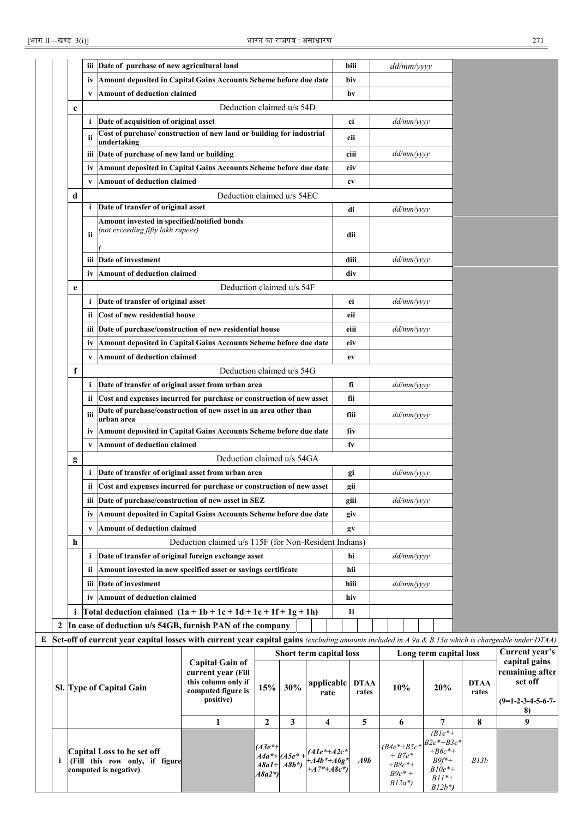|             |     | iii Date of purchase of new agricultural land                                                                                                             |                                                                                                        |                    |                                     |                                              | biii                 | dd/mm/yyyy                                               |                                                                                      |                      |                                                                          |
|-------------|-----|-----------------------------------------------------------------------------------------------------------------------------------------------------------|--------------------------------------------------------------------------------------------------------|--------------------|-------------------------------------|----------------------------------------------|----------------------|----------------------------------------------------------|--------------------------------------------------------------------------------------|----------------------|--------------------------------------------------------------------------|
|             | iv  | Amount deposited in Capital Gains Accounts Scheme before due date                                                                                         |                                                                                                        |                    |                                     |                                              | biv                  |                                                          |                                                                                      |                      |                                                                          |
|             | V   | Amount of deduction claimed                                                                                                                               |                                                                                                        |                    |                                     |                                              | bv                   |                                                          |                                                                                      |                      |                                                                          |
| $\mathbf c$ |     |                                                                                                                                                           | Deduction claimed u/s 54D                                                                              |                    |                                     |                                              |                      |                                                          |                                                                                      |                      |                                                                          |
|             |     | <i>i</i> Date of acquisition of original asset                                                                                                            |                                                                                                        |                    |                                     |                                              | ci                   | dd/mm/yyyy                                               |                                                                                      |                      |                                                                          |
|             | ii  | Cost of purchase/ construction of new land or building for industrial                                                                                     |                                                                                                        |                    |                                     |                                              | cii                  |                                                          |                                                                                      |                      |                                                                          |
|             |     | undertaking                                                                                                                                               |                                                                                                        |                    |                                     |                                              |                      |                                                          |                                                                                      |                      |                                                                          |
|             |     | iii Date of purchase of new land or building                                                                                                              |                                                                                                        |                    |                                     |                                              | ciii                 | dd/mm/yyyy                                               |                                                                                      |                      |                                                                          |
|             | 1V  | Amount deposited in Capital Gains Accounts Scheme before due date                                                                                         |                                                                                                        |                    |                                     |                                              | civ                  |                                                          |                                                                                      |                      |                                                                          |
|             | V   | <b>Amount of deduction claimed</b>                                                                                                                        |                                                                                                        |                    |                                     |                                              | cv                   |                                                          |                                                                                      |                      |                                                                          |
| d           |     |                                                                                                                                                           | Deduction claimed u/s 54EC                                                                             |                    |                                     |                                              |                      |                                                          |                                                                                      |                      |                                                                          |
|             |     | i Date of transfer of original asset                                                                                                                      |                                                                                                        |                    |                                     |                                              | di                   | dd/mm/yyyy                                               |                                                                                      |                      |                                                                          |
|             | ii  | Amount invested in specified/notified bonds<br>(not exceeding fifty lakh rupees)                                                                          |                                                                                                        |                    |                                     |                                              | dii                  |                                                          |                                                                                      |                      |                                                                          |
|             | ш   | Date of investment                                                                                                                                        |                                                                                                        |                    |                                     |                                              | diii                 | dd/mm/yyyy                                               |                                                                                      |                      |                                                                          |
|             | iv  | Amount of deduction claimed                                                                                                                               |                                                                                                        |                    |                                     |                                              | div                  |                                                          |                                                                                      |                      |                                                                          |
| e           |     |                                                                                                                                                           | Deduction claimed u/s 54F                                                                              |                    |                                     |                                              |                      |                                                          |                                                                                      |                      |                                                                          |
|             |     | <i>i</i> Date of transfer of original asset                                                                                                               |                                                                                                        |                    |                                     |                                              | ei                   | dd/mm/yyyy                                               |                                                                                      |                      |                                                                          |
|             | ii. | Cost of new residential house                                                                                                                             |                                                                                                        |                    |                                     |                                              | eii                  |                                                          |                                                                                      |                      |                                                                          |
|             | ш   | Date of purchase/construction of new residential house                                                                                                    |                                                                                                        |                    |                                     |                                              | eiii                 | dd/mm/yyyy                                               |                                                                                      |                      |                                                                          |
|             | 1V  | Amount deposited in Capital Gains Accounts Scheme before due date                                                                                         |                                                                                                        |                    |                                     |                                              | eiv                  |                                                          |                                                                                      |                      |                                                                          |
|             | V   | Amount of deduction claimed                                                                                                                               |                                                                                                        |                    |                                     |                                              | ev                   |                                                          |                                                                                      |                      |                                                                          |
| f           |     |                                                                                                                                                           | Deduction claimed u/s 54G                                                                              |                    |                                     |                                              |                      |                                                          |                                                                                      |                      |                                                                          |
|             |     | i Date of transfer of original asset from urban area                                                                                                      |                                                                                                        |                    |                                     |                                              | fi                   | dd/mm/yyyy                                               |                                                                                      |                      |                                                                          |
|             | ii. | Cost and expenses incurred for purchase or construction of new asset                                                                                      |                                                                                                        |                    |                                     |                                              | fii                  |                                                          |                                                                                      |                      |                                                                          |
|             | iii | Date of purchase/construction of new asset in an area other than                                                                                          |                                                                                                        |                    |                                     |                                              |                      |                                                          |                                                                                      |                      |                                                                          |
|             |     | urban area                                                                                                                                                |                                                                                                        |                    |                                     |                                              | fiii                 | dd/mm/yyyy                                               |                                                                                      |                      |                                                                          |
|             | İV  | Amount deposited in Capital Gains Accounts Scheme before due date                                                                                         |                                                                                                        |                    |                                     |                                              | fiv                  |                                                          |                                                                                      |                      |                                                                          |
|             | V   | <b>Amount of deduction claimed</b>                                                                                                                        |                                                                                                        |                    |                                     |                                              | fv                   |                                                          |                                                                                      |                      |                                                                          |
| g           |     |                                                                                                                                                           | Deduction claimed u/s 54GA                                                                             |                    |                                     |                                              |                      |                                                          |                                                                                      |                      |                                                                          |
|             |     | <i>i</i> Date of transfer of original asset from urban area                                                                                               |                                                                                                        |                    |                                     |                                              | gi                   | dd/mm/yyyy                                               |                                                                                      |                      |                                                                          |
|             | ii. | Cost and expenses incurred for purchase or construction of new asset                                                                                      |                                                                                                        |                    |                                     |                                              | gii                  |                                                          |                                                                                      |                      |                                                                          |
|             |     | iii Date of purchase/construction of new asset in SEZ                                                                                                     |                                                                                                        |                    |                                     |                                              | giii                 | dd/mm/yyyy                                               |                                                                                      |                      |                                                                          |
|             | iv  | Amount deposited in Capital Gains Accounts Scheme before due date                                                                                         |                                                                                                        |                    |                                     |                                              | giv                  |                                                          |                                                                                      |                      |                                                                          |
|             |     | v Amount of deduction claimed                                                                                                                             |                                                                                                        |                    |                                     |                                              | gv                   |                                                          |                                                                                      |                      |                                                                          |
| h           |     |                                                                                                                                                           | Deduction claimed u/s 115F (for Non-Resident Indians)                                                  |                    |                                     |                                              |                      |                                                          |                                                                                      |                      |                                                                          |
|             |     | <i>i</i> Date of transfer of original foreign exchange asset                                                                                              |                                                                                                        |                    |                                     |                                              | hi                   | dd/mm/yyyy                                               |                                                                                      |                      |                                                                          |
|             |     | ii Amount invested in new specified asset or savings certificate                                                                                          |                                                                                                        |                    |                                     |                                              | hii                  |                                                          |                                                                                      |                      |                                                                          |
|             |     | iii Date of investment                                                                                                                                    |                                                                                                        |                    |                                     |                                              | hiii                 | dd/mm/yyyy                                               |                                                                                      |                      |                                                                          |
|             |     | iv Amount of deduction claimed                                                                                                                            |                                                                                                        |                    |                                     |                                              | hiv                  |                                                          |                                                                                      |                      |                                                                          |
| i           |     | Total deduction claimed $(1a + 1b + 1c + 1d + 1e + 1f + 1g + 1h)$                                                                                         |                                                                                                        |                    |                                     |                                              | 1i                   |                                                          |                                                                                      |                      |                                                                          |
|             |     | In case of deduction u/s 54GB, furnish PAN of the company                                                                                                 |                                                                                                        |                    |                                     |                                              |                      |                                                          |                                                                                      |                      |                                                                          |
|             |     | <b>Set-off of current year capital losses with current year capital gains</b> (excluding amounts included in A 9a & B 13a which is chargeable under DTAA) |                                                                                                        |                    |                                     |                                              |                      |                                                          |                                                                                      |                      |                                                                          |
|             |     |                                                                                                                                                           |                                                                                                        |                    | Short term capital loss             |                                              |                      |                                                          | Long term capital loss                                                               |                      | Current year's                                                           |
|             |     | <b>Sl.</b> Type of Capital Gain                                                                                                                           | <b>Capital Gain of</b><br>current year (Fill<br>this column only if<br>computed figure is<br>positive) | 15%                | 30%                                 | applicable<br>rate                           | <b>DTAA</b><br>rates | 10%                                                      | 20%                                                                                  | <b>DTAA</b><br>rates | capital gains<br>remaining after<br>set off<br>$(9=1-2-3-4-5-6-7-$<br>8) |
|             |     |                                                                                                                                                           | 1                                                                                                      | $\mathbf{2}$       | 3                                   | 4                                            | 5                    | 6                                                        | 7                                                                                    | 8                    | 9                                                                        |
|             |     | Capital Loss to be set off<br>(Fill this row only, if figure<br>computed is negative)                                                                     |                                                                                                        | (A3e*+<br>$A8a2*)$ | $A4a^* + (A5e^* +$<br>$A8a1+ A8b^*$ | $(A1e^*+A2c^*$<br>$+A4b*+A6g$<br>$+A7*+A8c*$ | A9b                  | $(B4e^* + B5c^*$<br>$+ B7e^*$<br>$+ B8c^* +$<br>$B9c* +$ | $(Ble^*+)$<br>$B2e^{*}+B3e^{*}$<br>$+ B6c$ *+<br>$B9f^*+$<br>$B10e^*+$<br>$R11*_{+}$ | B13b                 |                                                                          |

*B12a\*)*

*B11\*+ B12b\*)*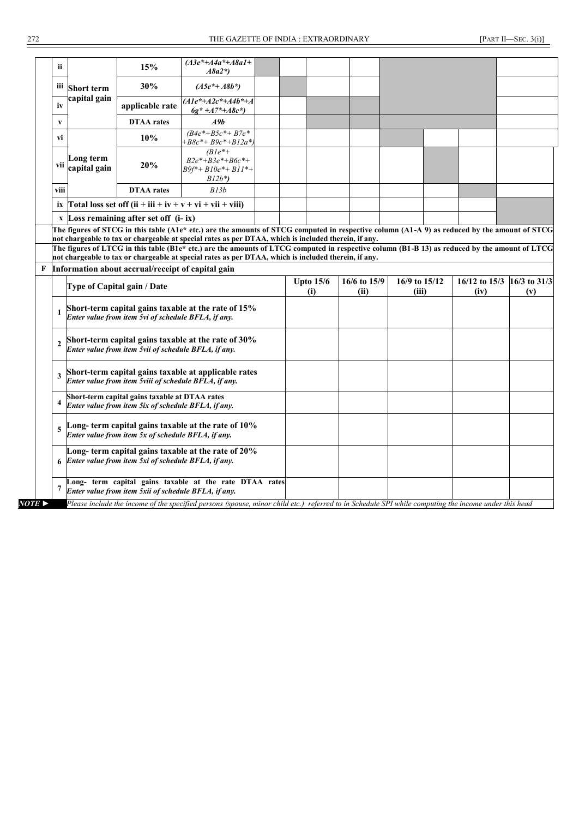| ii.                   |                           | 15%                                                                                                   | $(A3e^*+A4a^*+A8a1+$<br>$A8a2*)$                                                                                                                     |  |                  |              |               |               |              |
|-----------------------|---------------------------|-------------------------------------------------------------------------------------------------------|------------------------------------------------------------------------------------------------------------------------------------------------------|--|------------------|--------------|---------------|---------------|--------------|
| Ш                     | <b>Short term</b>         | 30%                                                                                                   | $(A5e^*+A8b^*)$                                                                                                                                      |  |                  |              |               |               |              |
| iv                    | capital gain              | applicable rate                                                                                       | $(Ale^*+A2c^*+A4b^*+A$<br>$6g^* + A7^* + A8c^*$                                                                                                      |  |                  |              |               |               |              |
| V                     |                           | <b>DTAA</b> rates                                                                                     | A9b                                                                                                                                                  |  |                  |              |               |               |              |
| vi                    |                           | 10%                                                                                                   | $(B4e^*+B5c^*+B7e^*$<br>$- B8c^* + B9c^* + B12a^*$                                                                                                   |  |                  |              |               |               |              |
| vii                   | Long term<br>capital gain | 20%                                                                                                   | $Ble^*+$<br>$B2e^* + B3e^* + B6c^* +$<br>$B9f^* + B10e^* + B11^* +$<br>$B12b^*$                                                                      |  |                  |              |               |               |              |
| viii                  |                           | <b>DTAA</b> rates                                                                                     | B13b                                                                                                                                                 |  |                  |              |               |               |              |
| ix                    |                           | Total loss set off $(ii + iii + iv + v + vi + vi + viii)$                                             |                                                                                                                                                      |  |                  |              |               |               |              |
|                       |                           | $x$ Loss remaining after set off $(i - ix)$                                                           |                                                                                                                                                      |  |                  |              |               |               |              |
|                       |                           | Information about accrual/receipt of capital gain                                                     | not chargeable to tax or chargeable at special rates as per DTAA, which is included therein, if any.                                                 |  |                  |              |               |               |              |
|                       |                           | Type of Capital gain / Date                                                                           |                                                                                                                                                      |  | <b>Upto 15/6</b> | 16/6 to 15/9 | 16/9 to 15/12 | 16/12 to 15/3 | 16/3 to 31/3 |
|                       |                           |                                                                                                       |                                                                                                                                                      |  | (i)              | (ii)         | (iii)         | (iv)          | (v)          |
| $\mathbf{1}$          |                           | Enter value from item 5vi of schedule BFLA, if any.                                                   | Short-term capital gains taxable at the rate of 15%                                                                                                  |  |                  |              |               |               |              |
| $\overline{2}$        |                           | Enter value from item 5vii of schedule BFLA, if any.                                                  | Short-term capital gains taxable at the rate of 30%                                                                                                  |  |                  |              |               |               |              |
| 3                     |                           | Enter value from item 5viii of schedule BFLA, if any.                                                 | Short-term capital gains taxable at applicable rates                                                                                                 |  |                  |              |               |               |              |
| 4                     |                           | Short-term capital gains taxable at DTAA rates<br>Enter value from item 5ix of schedule BFLA, if any. |                                                                                                                                                      |  |                  |              |               |               |              |
| 5                     |                           | Enter value from item 5x of schedule BFLA, if any.                                                    | Long- term capital gains taxable at the rate of $10\%$                                                                                               |  |                  |              |               |               |              |
|                       |                           | Enter value from item 5xi of schedule BFLA, if any.                                                   | Long-term capital gains taxable at the rate of 20%                                                                                                   |  |                  |              |               |               |              |
| 7                     |                           | Enter value from item 5xii of schedule BFLA, if any.                                                  | Long- term capital gains taxable at the rate DTAA rates                                                                                              |  |                  |              |               |               |              |
| $NOTE \triangleright$ |                           |                                                                                                       | Please include the income of the specified persons (spouse, minor child etc.) referred to in Schedule SPI while computing the income under this head |  |                  |              |               |               |              |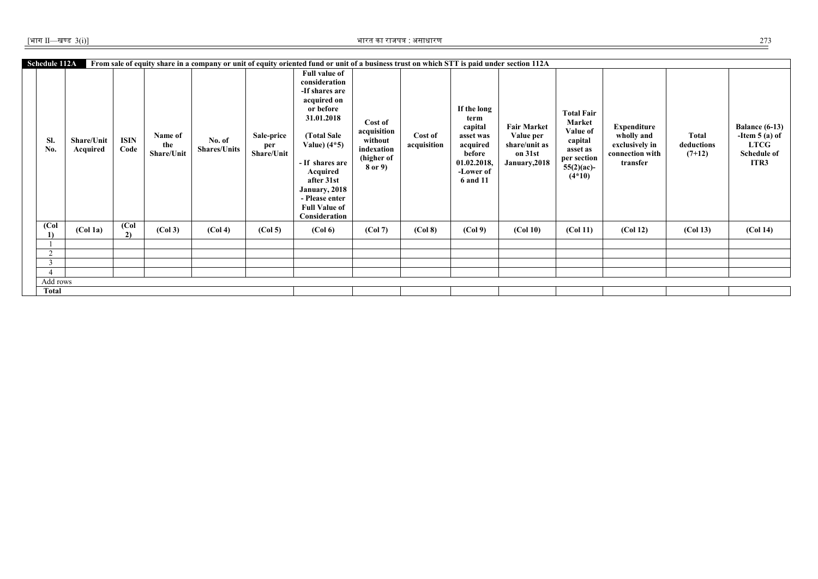| Schedule 112A                   |                        |                          |                              |                               |                                 | From sale of equity share in a company or unit of equity oriented fund or unit of a business trust on which STT is paid under section 112A                                                                                                                  |                                                                          |                        |                                                                                                                  |                                                                              |                                                                                                            |                                                                                   |                                 |                                                                                  |
|---------------------------------|------------------------|--------------------------|------------------------------|-------------------------------|---------------------------------|-------------------------------------------------------------------------------------------------------------------------------------------------------------------------------------------------------------------------------------------------------------|--------------------------------------------------------------------------|------------------------|------------------------------------------------------------------------------------------------------------------|------------------------------------------------------------------------------|------------------------------------------------------------------------------------------------------------|-----------------------------------------------------------------------------------|---------------------------------|----------------------------------------------------------------------------------|
| SI.<br>No.                      | Share/Unit<br>Acquired | <b>ISIN</b><br>Code      | Name of<br>the<br>Share/Unit | No. of<br><b>Shares/Units</b> | Sale-price<br>per<br>Share/Unit | <b>Full value of</b><br>consideration<br>-If shares are<br>acquired on<br>or before<br>31.01.2018<br>(Total Sale<br>Value) $(4*5)$<br>- If shares are<br>Acquired<br>after 31st<br>January, 2018<br>- Please enter<br><b>Full Value of</b><br>Consideration | Cost of<br>acquisition<br>without<br>indexation<br>(higher of<br>8 or 9) | Cost of<br>acquisition | If the long<br>term<br>capital<br>asset was<br>acquired<br>before<br>01.02.2018,<br>-Lower of<br><b>6 and 11</b> | <b>Fair Market</b><br>Value per<br>share/unit as<br>on 31st<br>January, 2018 | <b>Total Fair</b><br>Market<br>Value of<br>capital<br>asset as<br>per section<br>$55(2)(ac)$ -<br>$(4*10)$ | <b>Expenditure</b><br>wholly and<br>exclusively in<br>connection with<br>transfer | Total<br>deductions<br>$(7+12)$ | Balance $(6-13)$<br>-Item $5(a)$ of<br><b>LTCG</b><br><b>Schedule of</b><br>ITR3 |
| $\overline{(\text{Col})}$<br>1) | (Col <sub>1a</sub> )   | $\overline{(Col)}$<br>2) | (Col 3)                      | (Col 4)                       | (Col <sub>5</sub> )             | (Col 6)                                                                                                                                                                                                                                                     | (Col 7)                                                                  | (Col 8)                | (Col 9)                                                                                                          | (Col 10)                                                                     | (Col 11)                                                                                                   | (Col <sub>12</sub> )                                                              | (Col 13)                        | (Col <sub>14</sub> )                                                             |
|                                 |                        |                          |                              |                               |                                 |                                                                                                                                                                                                                                                             |                                                                          |                        |                                                                                                                  |                                                                              |                                                                                                            |                                                                                   |                                 |                                                                                  |
| 2                               |                        |                          |                              |                               |                                 |                                                                                                                                                                                                                                                             |                                                                          |                        |                                                                                                                  |                                                                              |                                                                                                            |                                                                                   |                                 |                                                                                  |
| 3                               |                        |                          |                              |                               |                                 |                                                                                                                                                                                                                                                             |                                                                          |                        |                                                                                                                  |                                                                              |                                                                                                            |                                                                                   |                                 |                                                                                  |
|                                 |                        |                          |                              |                               |                                 |                                                                                                                                                                                                                                                             |                                                                          |                        |                                                                                                                  |                                                                              |                                                                                                            |                                                                                   |                                 |                                                                                  |
| Add rows                        |                        |                          |                              |                               |                                 |                                                                                                                                                                                                                                                             |                                                                          |                        |                                                                                                                  |                                                                              |                                                                                                            |                                                                                   |                                 |                                                                                  |
| <b>Total</b>                    |                        |                          |                              |                               |                                 |                                                                                                                                                                                                                                                             |                                                                          |                        |                                                                                                                  |                                                                              |                                                                                                            |                                                                                   |                                 |                                                                                  |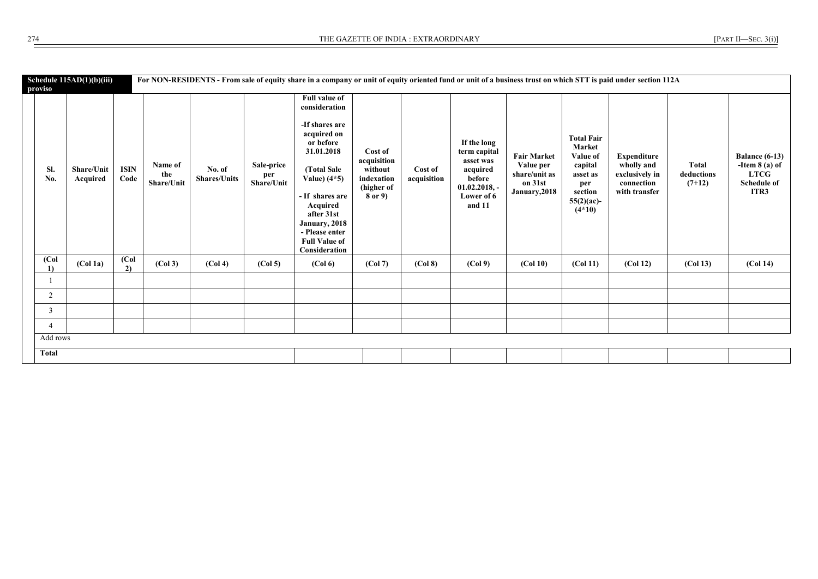| proviso                  | Schedule $115AD(1)(b)(iii)$ |                        |                              |                               |                                 | For NON-RESIDENTS - From sale of equity share in a company or unit of equity oriented fund or unit of a business trust on which STT is paid under section 112A                                                                                              |                                                                          |                        |                                                                                                           |                                                                              |                                                                                                                      |                                                                                   |                                 |                                                                                 |
|--------------------------|-----------------------------|------------------------|------------------------------|-------------------------------|---------------------------------|-------------------------------------------------------------------------------------------------------------------------------------------------------------------------------------------------------------------------------------------------------------|--------------------------------------------------------------------------|------------------------|-----------------------------------------------------------------------------------------------------------|------------------------------------------------------------------------------|----------------------------------------------------------------------------------------------------------------------|-----------------------------------------------------------------------------------|---------------------------------|---------------------------------------------------------------------------------|
| SI.<br>No.               | Share/Unit<br>Acquired      | <b>ISIN</b><br>Code    | Name of<br>the<br>Share/Unit | No. of<br><b>Shares/Units</b> | Sale-price<br>per<br>Share/Unit | <b>Full value of</b><br>consideration<br>-If shares are<br>acquired on<br>or before<br>31.01.2018<br>(Total Sale<br>Value) $(4*5)$<br>- If shares are<br>Acquired<br>after 31st<br>January, 2018<br>- Please enter<br><b>Full Value of</b><br>Consideration | Cost of<br>acquisition<br>without<br>indexation<br>(higher of<br>8 or 9) | Cost of<br>acquisition | If the long<br>term capital<br>asset was<br>acquired<br>before<br>$01.02.2018, -$<br>Lower of 6<br>and 11 | <b>Fair Market</b><br>Value per<br>share/unit as<br>on 31st<br>January, 2018 | <b>Total Fair</b><br><b>Market</b><br>Value of<br>capital<br>asset as<br>per<br>section<br>$55(2)(ac)$ -<br>$(4*10)$ | <b>Expenditure</b><br>wholly and<br>exclusively in<br>connection<br>with transfer | Total<br>deductions<br>$(7+12)$ | <b>Balance (6-13)</b><br>-Item $8$ (a) of<br><b>LTCG</b><br>Schedule of<br>ITR3 |
| $\overline{(Col)}$<br>1) | (Col 1a)                    | $\overline{Col}$<br>2) | (Col <sub>3</sub> )          | (Col 4)                       | (Col <sub>5</sub> )             | (Col 6)                                                                                                                                                                                                                                                     | (Col 7)                                                                  | (Col 8)                | (Col <sub>9</sub> )                                                                                       | (Col 10)                                                                     | (Col 11)                                                                                                             | (Col <sub>12</sub> )                                                              | (Col 13)                        | (Col 14)                                                                        |
|                          |                             |                        |                              |                               |                                 |                                                                                                                                                                                                                                                             |                                                                          |                        |                                                                                                           |                                                                              |                                                                                                                      |                                                                                   |                                 |                                                                                 |
| 2                        |                             |                        |                              |                               |                                 |                                                                                                                                                                                                                                                             |                                                                          |                        |                                                                                                           |                                                                              |                                                                                                                      |                                                                                   |                                 |                                                                                 |
| 3                        |                             |                        |                              |                               |                                 |                                                                                                                                                                                                                                                             |                                                                          |                        |                                                                                                           |                                                                              |                                                                                                                      |                                                                                   |                                 |                                                                                 |
| $\overline{4}$           |                             |                        |                              |                               |                                 |                                                                                                                                                                                                                                                             |                                                                          |                        |                                                                                                           |                                                                              |                                                                                                                      |                                                                                   |                                 |                                                                                 |
| Add rows                 |                             |                        |                              |                               |                                 |                                                                                                                                                                                                                                                             |                                                                          |                        |                                                                                                           |                                                                              |                                                                                                                      |                                                                                   |                                 |                                                                                 |
| <b>Total</b>             |                             |                        |                              |                               |                                 |                                                                                                                                                                                                                                                             |                                                                          |                        |                                                                                                           |                                                                              |                                                                                                                      |                                                                                   |                                 |                                                                                 |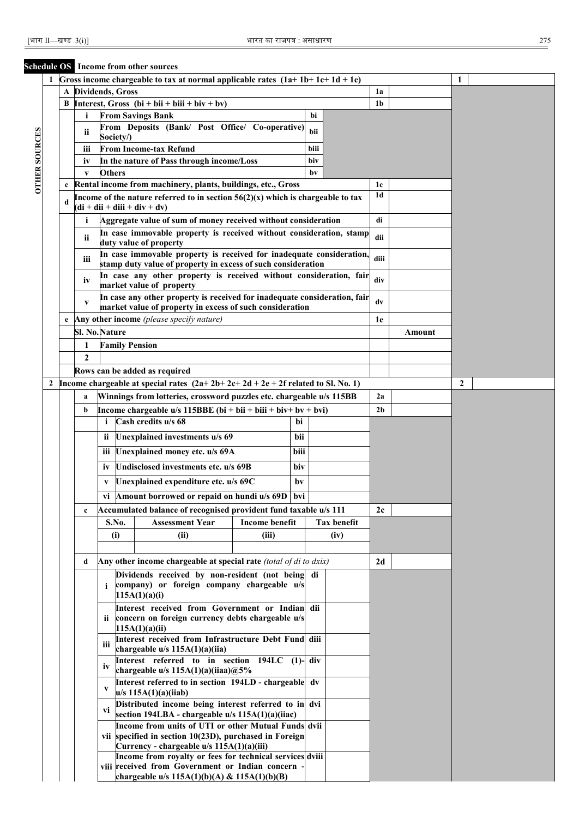### **Schedule OS Income from other sources**

|                      |              |              |                          |               |           | Gross income chargeable to tax at normal applicable rates $(1a+1b+1c+1d+1e)$                                                                                     |                       |      |      |                    |                |        | 1 |  |
|----------------------|--------------|--------------|--------------------------|---------------|-----------|------------------------------------------------------------------------------------------------------------------------------------------------------------------|-----------------------|------|------|--------------------|----------------|--------|---|--|
|                      |              | $\mathbf{A}$ | <b>Dividends</b> , Gross |               |           |                                                                                                                                                                  |                       |      |      |                    | 1a             |        |   |  |
|                      |              | В            |                          |               |           | Interest, Gross $(bi + bii + biii + biv + bv)$                                                                                                                   |                       |      |      |                    | 1 <sub>b</sub> |        |   |  |
|                      |              |              | i                        |               |           | <b>From Savings Bank</b>                                                                                                                                         |                       |      | bi   |                    |                |        |   |  |
|                      |              |              | ii                       |               | Society/) | From Deposits (Bank/ Post Office/ Co-operative)                                                                                                                  |                       |      | bii  |                    |                |        |   |  |
|                      |              |              | iii                      |               |           | <b>From Income-tax Refund</b>                                                                                                                                    |                       |      | biii |                    |                |        |   |  |
|                      |              |              | iv                       |               |           | In the nature of Pass through income/Loss                                                                                                                        |                       |      | biv  |                    |                |        |   |  |
| <b>OTHER SOURCES</b> |              |              | $\mathbf{V}$             | <b>Others</b> |           |                                                                                                                                                                  |                       |      | bv   |                    |                |        |   |  |
|                      |              | c            |                          |               |           | Rental income from machinery, plants, buildings, etc., Gross                                                                                                     |                       |      |      |                    | 1c             |        |   |  |
|                      |              | d            |                          |               |           | Income of the nature referred to in section $56(2)(x)$ which is chargeable to tax<br>$(\mathbf{di} + \mathbf{dii} + \mathbf{diii} + \mathbf{div} + \mathbf{dv})$ |                       |      |      |                    | 1 <sub>d</sub> |        |   |  |
|                      |              |              | i                        |               |           | Aggregate value of sum of money received without consideration                                                                                                   |                       |      |      |                    | di             |        |   |  |
|                      |              |              | ii                       |               |           | In case immovable property is received without consideration, stamp<br>duty value of property                                                                    |                       |      |      |                    | dii            |        |   |  |
|                      |              |              |                          |               |           | In case immovable property is received for inadequate consideration,                                                                                             |                       |      |      |                    |                |        |   |  |
|                      |              |              | iii                      |               |           | stamp duty value of property in excess of such consideration                                                                                                     |                       |      |      |                    | diii           |        |   |  |
|                      |              |              | iv                       |               |           | In case any other property is received without consideration, fair<br>market value of property                                                                   |                       |      |      |                    | div            |        |   |  |
|                      |              |              | V                        |               |           | In case any other property is received for inadequate consideration, fair                                                                                        |                       |      |      |                    | dv             |        |   |  |
|                      |              |              |                          |               |           | market value of property in excess of such consideration<br>Any other income (please specify nature)                                                             |                       |      |      |                    |                |        |   |  |
|                      |              | e            | <b>Sl. No. Nature</b>    |               |           |                                                                                                                                                                  |                       |      |      |                    | 1e             | Amount |   |  |
|                      |              |              | 1                        |               |           | <b>Family Pension</b>                                                                                                                                            |                       |      |      |                    |                |        |   |  |
|                      |              |              | $\mathbf{2}$             |               |           |                                                                                                                                                                  |                       |      |      |                    |                |        |   |  |
|                      |              |              |                          |               |           | Rows can be added as required                                                                                                                                    |                       |      |      |                    |                |        |   |  |
|                      | $\mathbf{2}$ |              |                          |               |           | Income chargeable at special rates $(2a+2b+2c+2d+2e+2f$ related to Sl. No. 1)                                                                                    |                       |      |      |                    |                |        | 2 |  |
|                      |              |              | a                        |               |           | Winnings from lotteries, crossword puzzles etc. chargeable u/s 115BB                                                                                             |                       |      |      |                    | 2a             |        |   |  |
|                      |              |              | b                        |               |           | Income chargeable u/s 115BBE (bi + bii + biii + biv+ bv + bvi)                                                                                                   |                       |      |      |                    | 2 <sub>b</sub> |        |   |  |
|                      |              |              |                          | i.            |           | Cash credits u/s 68                                                                                                                                              |                       | bi   |      |                    |                |        |   |  |
|                      |              |              |                          | <i>ii</i>     |           | Unexplained investments u/s 69                                                                                                                                   |                       | bii  |      |                    |                |        |   |  |
|                      |              |              |                          | iii           |           | Unexplained money etc. u/s 69A                                                                                                                                   |                       | biii |      |                    |                |        |   |  |
|                      |              |              |                          | iv            |           | Undisclosed investments etc. u/s 69B                                                                                                                             |                       | biv  |      |                    |                |        |   |  |
|                      |              |              |                          | V             |           | Unexplained expenditure etc. u/s 69C                                                                                                                             |                       | bv   |      |                    |                |        |   |  |
|                      |              |              |                          |               |           | vi Amount borrowed or repaid on hundi u/s 69D                                                                                                                    |                       | bvi  |      |                    |                |        |   |  |
|                      |              |              | c                        |               |           | Accumulated balance of recognised provident fund taxable u/s 111                                                                                                 |                       |      |      |                    | 2c             |        |   |  |
|                      |              |              |                          |               | S.No.     | <b>Assessment Year</b>                                                                                                                                           | <b>Income benefit</b> |      |      | <b>Tax benefit</b> |                |        |   |  |
|                      |              |              |                          |               | (i)       | (ii)                                                                                                                                                             | (iii)                 |      |      | (iv)               |                |        |   |  |
|                      |              |              |                          |               |           |                                                                                                                                                                  |                       |      |      |                    |                |        |   |  |
|                      |              |              | d                        |               |           | Any other income chargeable at special rate (total of di to dxix)                                                                                                |                       |      |      |                    | 2d             |        |   |  |
|                      |              |              |                          | i.            |           | Dividends received by non-resident (not being<br>company) or foreign company chargeable u/s                                                                      |                       |      | di   |                    |                |        |   |  |
|                      |              |              |                          |               |           | 115A(1)(a)(i)                                                                                                                                                    |                       |      |      |                    |                |        |   |  |
|                      |              |              |                          |               |           | Interest received from Government or Indian                                                                                                                      |                       |      | dii  |                    |                |        |   |  |
|                      |              |              |                          | ii -          |           | concern on foreign currency debts chargeable u/s<br>115A(1)(a)(ii)                                                                                               |                       |      |      |                    |                |        |   |  |
|                      |              |              |                          | iii           |           | Interest received from Infrastructure Debt Fund                                                                                                                  |                       |      | diii |                    |                |        |   |  |
|                      |              |              |                          |               |           | chargeable u/s 115A(1)(a)(iia)<br>Interest referred to in section 194LC (1)-                                                                                     |                       |      |      |                    |                |        |   |  |
|                      |              |              |                          | iv            |           | chargeable u/s $115A(1)(a)(iiaa)@5%$                                                                                                                             |                       |      | div  |                    |                |        |   |  |
|                      |              |              |                          | V             |           | Interest referred to in section 194LD - chargeable<br>$u/s$ 115A(1)(a)(iiab)                                                                                     |                       |      | dv   |                    |                |        |   |  |
|                      |              |              |                          | Vİ            |           | Distributed income being interest referred to in dvi<br>section 194LBA - chargeable u/s 115A(1)(a)(iiac)                                                         |                       |      |      |                    |                |        |   |  |
|                      |              |              |                          |               |           | Income from units of UTI or other Mutual Funds dvii                                                                                                              |                       |      |      |                    |                |        |   |  |
|                      |              |              |                          |               |           | vii specified in section 10(23D), purchased in Foreign                                                                                                           |                       |      |      |                    |                |        |   |  |
|                      |              |              |                          |               |           | Currency - chargeable u/s 115A(1)(a)(iii)<br>Income from royalty or fees for technical services dviii                                                            |                       |      |      |                    |                |        |   |  |
|                      |              |              |                          |               |           | viii received from Government or Indian concern                                                                                                                  |                       |      |      |                    |                |        |   |  |
|                      |              |              |                          |               |           | chargeable u/s 115A(1)(b)(A) & 115A(1)(b)(B)                                                                                                                     |                       |      |      |                    |                |        |   |  |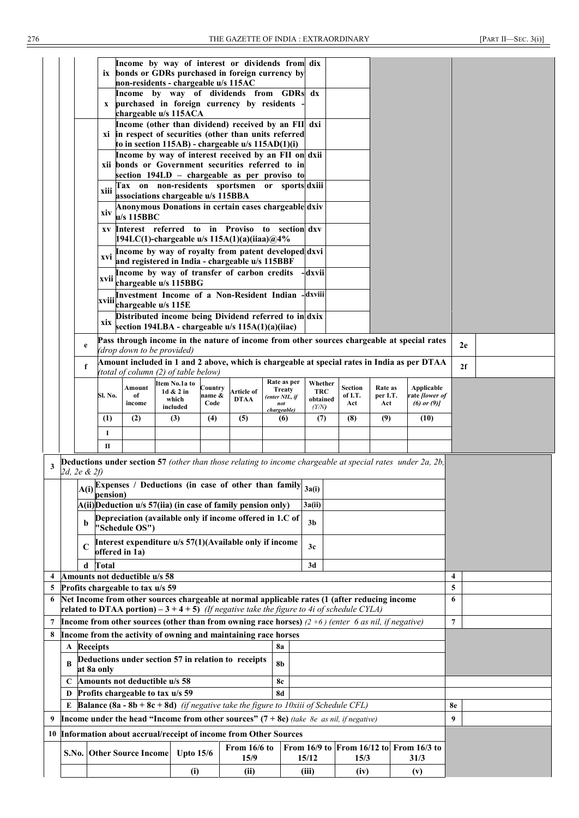|                                                                                                       |                                                                                                                                                                                               |                                                                                                             |                         | Income by way of interest or dividends from dix<br>ix bonds or GDRs purchased in foreign currency by                      |                                                                                                                                             |                   |             |                    |               |                         |                           |                     |   |                                     |                |  |
|-------------------------------------------------------------------------------------------------------|-----------------------------------------------------------------------------------------------------------------------------------------------------------------------------------------------|-------------------------------------------------------------------------------------------------------------|-------------------------|---------------------------------------------------------------------------------------------------------------------------|---------------------------------------------------------------------------------------------------------------------------------------------|-------------------|-------------|--------------------|---------------|-------------------------|---------------------------|---------------------|---|-------------------------------------|----------------|--|
|                                                                                                       |                                                                                                                                                                                               |                                                                                                             |                         | non-residents - chargeable u/s 115AC                                                                                      |                                                                                                                                             |                   |             |                    |               |                         |                           |                     |   |                                     |                |  |
|                                                                                                       |                                                                                                                                                                                               |                                                                                                             |                         | Income by way of dividends from GDRs                                                                                      |                                                                                                                                             |                   |             |                    |               | $\mathbf{d} \mathbf{x}$ |                           |                     |   |                                     |                |  |
|                                                                                                       |                                                                                                                                                                                               |                                                                                                             | X                       | purchased in foreign currency by residents<br>chargeable u/s 115ACA                                                       |                                                                                                                                             |                   |             |                    |               |                         |                           |                     |   |                                     |                |  |
|                                                                                                       |                                                                                                                                                                                               |                                                                                                             |                         | Income (other than dividend) received by an FII dxi                                                                       |                                                                                                                                             |                   |             |                    |               |                         |                           |                     |   |                                     |                |  |
|                                                                                                       |                                                                                                                                                                                               |                                                                                                             |                         | xi in respect of securities (other than units referred<br>to in section 115AB) - chargeable u/s 115AD(1)(i)               |                                                                                                                                             |                   |             |                    |               |                         |                           |                     |   |                                     |                |  |
|                                                                                                       |                                                                                                                                                                                               |                                                                                                             |                         | Income by way of interest received by an FII on dxii                                                                      |                                                                                                                                             |                   |             |                    |               |                         |                           |                     |   |                                     |                |  |
|                                                                                                       |                                                                                                                                                                                               |                                                                                                             |                         | xii bonds or Government securities referred to in                                                                         |                                                                                                                                             |                   |             |                    |               |                         |                           |                     |   |                                     |                |  |
|                                                                                                       |                                                                                                                                                                                               |                                                                                                             |                         | section 194LD - chargeable as per proviso to<br>Tax on non-residents sportsmen or sports dxiii                            |                                                                                                                                             |                   |             |                    |               |                         |                           |                     |   |                                     |                |  |
|                                                                                                       |                                                                                                                                                                                               |                                                                                                             | xiii                    | associations chargeable u/s 115BBA                                                                                        |                                                                                                                                             |                   |             |                    |               |                         |                           |                     |   |                                     |                |  |
|                                                                                                       |                                                                                                                                                                                               |                                                                                                             | xiv                     | Anonymous Donations in certain cases chargeable dxiv<br>$u/s$ 115BBC                                                      |                                                                                                                                             |                   |             |                    |               |                         |                           |                     |   |                                     |                |  |
|                                                                                                       |                                                                                                                                                                                               |                                                                                                             | XV                      | Interest referred to in Proviso to<br>194LC(1)-chargeable u/s $115A(1)(a)(iiaa)@4%$                                       |                                                                                                                                             |                   |             |                    |               | section dxv             |                           |                     |   |                                     |                |  |
|                                                                                                       |                                                                                                                                                                                               |                                                                                                             | xvi                     | Income by way of royalty from patent developed dxvi<br>and registered in India - chargeable u/s 115BBF                    |                                                                                                                                             |                   |             |                    |               |                         |                           |                     |   |                                     |                |  |
|                                                                                                       |                                                                                                                                                                                               |                                                                                                             | xvii                    | Income by way of transfer of carbon credits                                                                               |                                                                                                                                             |                   |             |                    |               | dxvii                   |                           |                     |   |                                     |                |  |
|                                                                                                       |                                                                                                                                                                                               |                                                                                                             |                         | chargeable u/s 115BBG<br>Investment Income of a Non-Resident Indian                                                       |                                                                                                                                             |                   |             |                    |               | -dxviii                 |                           |                     |   |                                     |                |  |
|                                                                                                       |                                                                                                                                                                                               |                                                                                                             |                         | xviii chargeable u/s 115E<br>Distributed income being Dividend referred to in dxix                                        |                                                                                                                                             |                   |             |                    |               |                         |                           |                     |   |                                     |                |  |
|                                                                                                       |                                                                                                                                                                                               |                                                                                                             | xix                     | section 194LBA - chargeable u/s 115A(1)(a)(iiac)                                                                          |                                                                                                                                             |                   |             |                    |               |                         |                           |                     |   |                                     |                |  |
|                                                                                                       |                                                                                                                                                                                               | e                                                                                                           |                         | Pass through income in the nature of income from other sources chargeable at special rates                                |                                                                                                                                             |                   |             |                    |               |                         |                           |                     |   |                                     | 2e             |  |
|                                                                                                       |                                                                                                                                                                                               | f                                                                                                           |                         | (drop down to be provided)<br>Amount included in 1 and 2 above, which is chargeable at special rates in India as per DTAA |                                                                                                                                             |                   |             |                    |               |                         |                           |                     |   |                                     | 2f             |  |
|                                                                                                       |                                                                                                                                                                                               |                                                                                                             |                         | (total of column (2) of table below)                                                                                      | ltem No.1a to                                                                                                                               |                   |             |                    | Rate as per   | Whether                 |                           |                     |   |                                     |                |  |
|                                                                                                       |                                                                                                                                                                                               |                                                                                                             | Sl. No.                 | Amount<br>of                                                                                                              | 1d & 2 in                                                                                                                                   | Country<br>name & | Article of  | (enter NIL, if     | <b>Treaty</b> | <b>TRC</b>              | <b>Section</b><br>of I.T. | Rate as<br>per I.T. |   | Applicable<br>rate <i>flower of</i> |                |  |
|                                                                                                       |                                                                                                                                                                                               |                                                                                                             |                         | income                                                                                                                    | which<br>included                                                                                                                           | Code              | <b>DTAA</b> | not<br>chargeable) |               | obtained<br>(Y/N)       | Act                       | Act                 |   | $(6)$ or $(9)$                      |                |  |
|                                                                                                       |                                                                                                                                                                                               |                                                                                                             | (1)                     | (2)                                                                                                                       | (3)                                                                                                                                         | (4)               | (5)         |                    | (6)           | (7)                     | (8)                       | (9)                 |   | (10)                                |                |  |
|                                                                                                       |                                                                                                                                                                                               |                                                                                                             | 1                       |                                                                                                                           |                                                                                                                                             |                   |             |                    |               |                         |                           |                     |   |                                     |                |  |
|                                                                                                       |                                                                                                                                                                                               |                                                                                                             | $\mathbf{I}$            |                                                                                                                           |                                                                                                                                             |                   |             |                    |               |                         |                           |                     |   |                                     |                |  |
| 3                                                                                                     |                                                                                                                                                                                               | 2d, 2e & 2f)                                                                                                |                         | <b>Deductions under section 57</b> (other than those relating to income chargeable at special rates under 2a, 2b,         |                                                                                                                                             |                   |             |                    |               |                         |                           |                     |   |                                     |                |  |
|                                                                                                       |                                                                                                                                                                                               |                                                                                                             |                         | $A(i)$ Expenses / Deductions (in case of other than family $a(i)$ )<br>pension)                                           |                                                                                                                                             |                   |             |                    |               |                         |                           |                     |   |                                     |                |  |
|                                                                                                       |                                                                                                                                                                                               |                                                                                                             |                         | $A(ii)$ Deduction u/s 57(iia) (in case of family pension only)                                                            |                                                                                                                                             |                   |             |                    |               | 3a(ii)                  |                           |                     |   |                                     |                |  |
|                                                                                                       |                                                                                                                                                                                               | Depreciation (available only if income offered in 1.C of<br>$\mathbf b$<br>3 <sub>b</sub><br>"Schedule OS") |                         |                                                                                                                           |                                                                                                                                             |                   |             |                    |               |                         |                           |                     |   |                                     |                |  |
|                                                                                                       |                                                                                                                                                                                               | C                                                                                                           |                         | Interest expenditure u/s 57(1)(Available only if income                                                                   |                                                                                                                                             |                   |             |                    |               | 3c                      |                           |                     |   |                                     |                |  |
|                                                                                                       |                                                                                                                                                                                               | d                                                                                                           | offered in 1a)<br>Total |                                                                                                                           |                                                                                                                                             |                   |             |                    |               | 3d                      |                           |                     |   |                                     |                |  |
| $\overline{\mathbf{4}}$                                                                               |                                                                                                                                                                                               |                                                                                                             |                         | Amounts not deductible u/s 58                                                                                             |                                                                                                                                             |                   |             |                    |               |                         |                           |                     |   |                                     | $\overline{4}$ |  |
| 5                                                                                                     | Profits chargeable to tax u/s 59                                                                                                                                                              |                                                                                                             |                         |                                                                                                                           |                                                                                                                                             |                   |             |                    |               |                         |                           | 5                   |   |                                     |                |  |
| 6                                                                                                     | Net Income from other sources chargeable at normal applicable rates (1 (after reducing income<br>related to DTAA portion) $-3 + 4 + 5$ ) (If negative take the figure to 4i of schedule CYLA) |                                                                                                             |                         |                                                                                                                           |                                                                                                                                             |                   |             |                    |               |                         |                           |                     | 6 |                                     |                |  |
| 7                                                                                                     | Income from other sources (other than from owning race horses) $(2+6)$ (enter 6 as nil, if negative)                                                                                          |                                                                                                             |                         |                                                                                                                           |                                                                                                                                             |                   |             |                    |               |                         |                           | $\overline{7}$      |   |                                     |                |  |
| 8                                                                                                     |                                                                                                                                                                                               |                                                                                                             |                         | Income from the activity of owning and maintaining race horses                                                            |                                                                                                                                             |                   |             |                    |               |                         |                           |                     |   |                                     |                |  |
|                                                                                                       |                                                                                                                                                                                               | A Receipts                                                                                                  |                         |                                                                                                                           |                                                                                                                                             |                   |             | <b>8a</b>          |               |                         |                           |                     |   |                                     |                |  |
|                                                                                                       | Deductions under section 57 in relation to receipts<br><b>8b</b><br>B<br>at 8a only                                                                                                           |                                                                                                             |                         |                                                                                                                           |                                                                                                                                             |                   |             |                    |               |                         |                           |                     |   |                                     |                |  |
| Amounts not deductible u/s 58<br>8c<br>C                                                              |                                                                                                                                                                                               |                                                                                                             |                         |                                                                                                                           |                                                                                                                                             |                   |             |                    |               |                         |                           |                     |   |                                     |                |  |
|                                                                                                       | Profits chargeable to tax u/s 59<br><b>8d</b><br>D                                                                                                                                            |                                                                                                             |                         |                                                                                                                           |                                                                                                                                             |                   |             |                    |               |                         |                           |                     |   |                                     |                |  |
| <b>Balance (8a - 8b + 8c + 8d)</b> (if negative take the figure to 10xiii of Schedule CFL)<br>E<br>8e |                                                                                                                                                                                               |                                                                                                             |                         |                                                                                                                           |                                                                                                                                             |                   |             |                    |               |                         |                           |                     |   |                                     |                |  |
| 9                                                                                                     |                                                                                                                                                                                               |                                                                                                             |                         |                                                                                                                           |                                                                                                                                             |                   |             |                    |               |                         |                           |                     |   |                                     | 9              |  |
| 10                                                                                                    | Income under the head "Income from other sources" $(7 + 8e)$ (take 8e as nil, if negative)<br>Information about accrual/receipt of income from Other Sources                                  |                                                                                                             |                         |                                                                                                                           |                                                                                                                                             |                   |             |                    |               |                         |                           |                     |   |                                     |                |  |
|                                                                                                       |                                                                                                                                                                                               |                                                                                                             |                         |                                                                                                                           |                                                                                                                                             |                   |             |                    |               |                         |                           |                     |   |                                     |                |  |
|                                                                                                       |                                                                                                                                                                                               |                                                                                                             |                         |                                                                                                                           | From 16/9 to From 16/12 to From 16/3 to<br>From 16/6 to<br><b>S.No. Other Source Income</b><br>Upto $15/6$<br>15/9<br>15/12<br>15/3<br>31/3 |                   |             |                    |               |                         |                           |                     |   |                                     |                |  |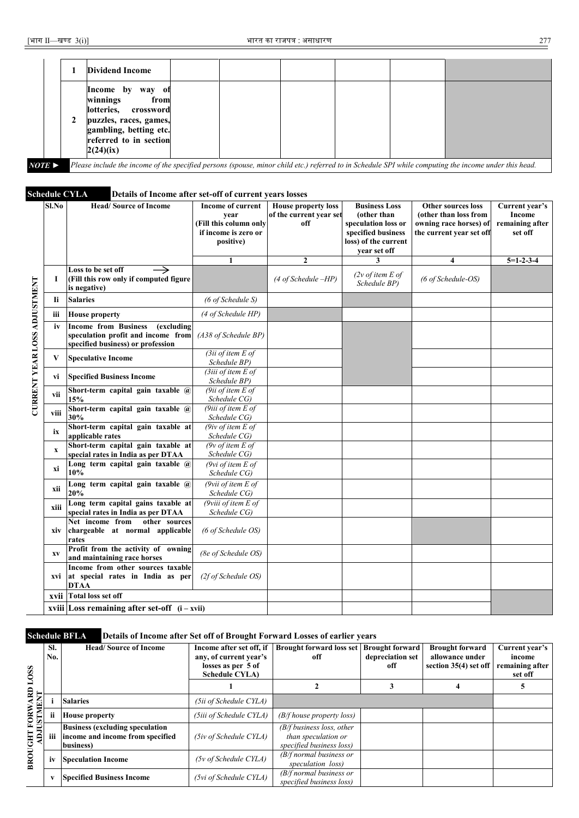|                       | <b>Dividend Income</b>                                                                                                                                     |  |  |                                                                                                                                                       |
|-----------------------|------------------------------------------------------------------------------------------------------------------------------------------------------------|--|--|-------------------------------------------------------------------------------------------------------------------------------------------------------|
|                       | Income by<br>way of<br>winnings<br>from<br>lotteries, crossword<br>puzzles, races, games,<br>gambling, betting etc.<br>referred to in section<br>2(24)(ix) |  |  |                                                                                                                                                       |
| $NOTE \triangleright$ |                                                                                                                                                            |  |  | Please include the income of the specified persons (spouse, minor child etc.) referred to in Schedule SPI while computing the income under this head. |

**Schedule CYLA Details of Income after set-off of current years losses** 

|                                     | $SL$ No     | <b>Head/Source of Income</b>                                                                                         | <b>Income of current</b><br>vear<br>(Fill this column only<br>if income is zero or<br>positive) | <b>House property loss</b><br>of the current year set<br>off | <b>Business Loss</b><br>(other than<br>speculation loss or<br>specified business<br>loss) of the current<br>year set off | <b>Other sources loss</b><br>(other than loss from<br>owning race horses) of<br>the current year set off | Current year's<br>Income<br>remaining after<br>set off |
|-------------------------------------|-------------|----------------------------------------------------------------------------------------------------------------------|-------------------------------------------------------------------------------------------------|--------------------------------------------------------------|--------------------------------------------------------------------------------------------------------------------------|----------------------------------------------------------------------------------------------------------|--------------------------------------------------------|
|                                     |             |                                                                                                                      | $\blacksquare$                                                                                  | $\overline{2}$                                               | 3                                                                                                                        | $\overline{\mathbf{4}}$                                                                                  | $5=1-2-3-4$                                            |
|                                     | I           | Loss to be set off<br>(Fill this row only if computed figure<br>is negative)                                         |                                                                                                 | $(4 of Schedule - HP)$                                       | (2v of item E of<br>Schedule BP)                                                                                         | (6 of Schedule-OS)                                                                                       |                                                        |
|                                     | <b>Ii</b>   | <b>Salaries</b>                                                                                                      | (6 of Schedule S)                                                                               |                                                              |                                                                                                                          |                                                                                                          |                                                        |
|                                     | iii         | <b>House property</b>                                                                                                | (4 of Schedule HP)                                                                              |                                                              |                                                                                                                          |                                                                                                          |                                                        |
| <b>CURRENT YEAR LOSS ADJUSTMENT</b> | iv          | <b>Income from Business</b><br>(excluding<br>speculation profit and income from<br>specified business) or profession | (A38 of Schedule BP)                                                                            |                                                              |                                                                                                                          |                                                                                                          |                                                        |
|                                     | V           | <b>Speculative Income</b>                                                                                            | $3ii$ of item E of<br>Schedule BP)                                                              |                                                              |                                                                                                                          |                                                                                                          |                                                        |
|                                     | vi          | <b>Specified Business Income</b>                                                                                     | $3ii$ of item E of<br>Schedule BP)                                                              |                                                              |                                                                                                                          |                                                                                                          |                                                        |
|                                     | vii         | Short-term capital gain taxable $\overline{a}$<br>15%                                                                | (9ii of item $E$ of<br>Schedule CG)                                                             |                                                              |                                                                                                                          |                                                                                                          |                                                        |
|                                     | viii        | Short-term capital gain taxable @<br>30%                                                                             | (9iii of item $E$ of<br>Schedule CG)                                                            |                                                              |                                                                                                                          |                                                                                                          |                                                        |
|                                     | ix          | Short-term capital gain taxable at<br>applicable rates                                                               | (9iv of item $E$ of<br>Schedule CG)                                                             |                                                              |                                                                                                                          |                                                                                                          |                                                        |
|                                     | $\mathbf X$ | Short-term capital gain taxable at<br>special rates in India as per DTAA                                             | (9v of item $E$ of<br>Schedule CG)                                                              |                                                              |                                                                                                                          |                                                                                                          |                                                        |
|                                     | xi          | Long term capital gain taxable @<br>10%                                                                              | (9vi of item $E$ of<br>Schedule CG)                                                             |                                                              |                                                                                                                          |                                                                                                          |                                                        |
|                                     | xii         | Long term capital gain taxable $\overline{a}$<br>20%                                                                 | (9vii of item $E$ of<br>Schedule CG)                                                            |                                                              |                                                                                                                          |                                                                                                          |                                                        |
|                                     | xiii        | Long term capital gains taxable at<br>special rates in India as per DTAA                                             | (9viii of item $E$ of<br>Schedule CG)                                                           |                                                              |                                                                                                                          |                                                                                                          |                                                        |
|                                     | xiv         | Net income from<br>other sources<br>chargeable at normal applicable<br>rates                                         | (6 of Schedule OS)                                                                              |                                                              |                                                                                                                          |                                                                                                          |                                                        |
|                                     | XV          | Profit from the activity of owning<br>and maintaining race horses                                                    | (8e of Schedule OS)                                                                             |                                                              |                                                                                                                          |                                                                                                          |                                                        |
|                                     | xvi         | Income from other sources taxable<br>at special rates in India as per<br><b>DTAA</b>                                 | (2f of Schedule OS)                                                                             |                                                              |                                                                                                                          |                                                                                                          |                                                        |
|                                     | xvii        | <b>Total loss set off</b>                                                                                            |                                                                                                 |                                                              |                                                                                                                          |                                                                                                          |                                                        |
|                                     |             | xviii Loss remaining after set-off $(i - xvi)$                                                                       |                                                                                                 |                                                              |                                                                                                                          |                                                                                                          |                                                        |

#### **Schedule BFLA Details of Income after Set off of Brought Forward Losses of earlier years**

| <b>LOSS</b>    | SI.<br>No. | <b>Head/Source of Income</b>                                                            | Income after set off, if<br>any, of current year's<br>losses as per 5 of<br><b>Schedule CYLA</b> ) | <b>Brought forward loss set   Brought forward</b><br>off                        | depreciation set<br>off | <b>Brought forward</b><br>allowance under<br>section 35(4) set off | Current year's<br>income<br>remaining after<br>set off |
|----------------|------------|-----------------------------------------------------------------------------------------|----------------------------------------------------------------------------------------------------|---------------------------------------------------------------------------------|-------------------------|--------------------------------------------------------------------|--------------------------------------------------------|
|                |            |                                                                                         |                                                                                                    |                                                                                 |                         |                                                                    |                                                        |
| ARD<br>高       |            | <b>Salaries</b>                                                                         | (5ii of Schedule CYLA)                                                                             |                                                                                 |                         |                                                                    |                                                        |
| FORW.          | ii         | <b>House property</b>                                                                   | (5iii of Schedule CYLA)                                                                            | (B/f house property loss)                                                       |                         |                                                                    |                                                        |
| <b>BROUGHT</b> | iii        | <b>Business (excluding speculation</b><br>income and income from specified<br>business) | (5iv of Schedule CYLA)                                                                             | $(B/f)$ business loss, other<br>than speculation or<br>specified business loss) |                         |                                                                    |                                                        |
|                | iv         | <b>Speculation Income</b>                                                               | (5v of Schedule CYLA)                                                                              | $(B/f$ normal business or<br>speculation loss)                                  |                         |                                                                    |                                                        |
|                |            | <b>Specified Business Income</b>                                                        | (5vi of Schedule CYLA)                                                                             | $(B/f$ normal business or<br>specified business loss)                           |                         |                                                                    |                                                        |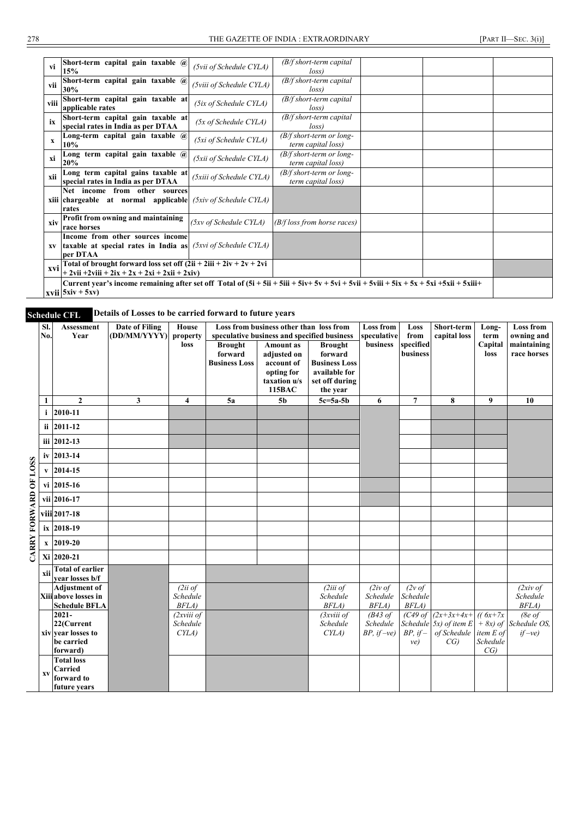| vi          | Short-term capital gain taxable @<br>15%                                                                                                                                                                                                                     | (5vii of Schedule CYLA)  | $(B/f short-term capital)$<br>loss               |  |  |
|-------------|--------------------------------------------------------------------------------------------------------------------------------------------------------------------------------------------------------------------------------------------------------------|--------------------------|--------------------------------------------------|--|--|
| vii         | Short-term capital gain taxable $\overline{a}$<br>30%                                                                                                                                                                                                        | (5viii of Schedule CYLA) | $(B/f short-term capital)$<br>loss               |  |  |
| viii        | Short-term capital gain taxable at<br>applicable rates                                                                                                                                                                                                       | (5ix of Schedule CYLA)   | $(B/f short-term capital)$<br>loss               |  |  |
| ix          | Short-term capital gain taxable at<br>special rates in India as per DTAA                                                                                                                                                                                     | (5x of Schedule CYLA)    | $(B/f short-term capital)$<br>loss               |  |  |
| $\mathbf x$ | Long-term capital gain taxable $\overline{a}$<br>10%                                                                                                                                                                                                         | (5xi of Schedule CYLA)   | $(B/f short-term or long-$<br>term capital loss) |  |  |
| xi          | Long term capital gain taxable @<br>20%                                                                                                                                                                                                                      | (5xii of Schedule CYLA)  | $(B/f short-term or long-$<br>term capital loss) |  |  |
| xii         | Long term capital gains taxable at<br>special rates in India as per DTAA                                                                                                                                                                                     | (5xiii of Schedule CYLA) | $(B/f short-term or long-$<br>term capital loss) |  |  |
|             | Net income from other sources<br><b>xiii</b> chargeable at normal applicable $(5xi \circ f \circ S$ chedule CYLA)<br>rates                                                                                                                                   |                          |                                                  |  |  |
| xiv         | Profit from owning and maintaining<br>race horses                                                                                                                                                                                                            | (5xv of Schedule CYLA)   | $(B/f \text{loss from horse races})$             |  |  |
| <b>XV</b>   | Income from other sources income<br><b>taxable at special rates in India as</b> $(5xyi)$ of Schedule CYLA)<br>per DTAA                                                                                                                                       |                          |                                                  |  |  |
| xvi         | Total of brought forward loss set off $(2ii + 2iii + 2iv + 2v + 2vi$<br>$+ 2$ vii $+ 2$ viii $+ 2ix + 2x + 2xi + 2x$ ii $+ 2x$ iv)                                                                                                                           |                          |                                                  |  |  |
|             | Current year's income remaining after set off Total of $(5i + 5ii + 5ii + 5iv + 5v + 5v + 5v$ ii + 5vii + 5vii + 5x + 5x + 5x ii + 5xii + 5xii + 5xii + 5xii + 5xii + 5xii + 5xii + 6xii + 6xii + 6xii + 6xii + 6xii + 6xii + 6xii + 6<br>$xvii$ 5xiv + 5xv) |                          |                                                  |  |  |

# **Schedule CFL Details of Losses to be carried forward to future years**

|                       | SI.          | <b>Assessment</b>                                                      | <b>Date of Filing</b> | <b>House</b>                    |                                                   | Loss from business other than loss from                                                      |                                                                                                  | <b>Loss from</b>                                   | Loss                                   | Short-term                                                                                     | Long-                                       | <b>Loss from</b>                    |
|-----------------------|--------------|------------------------------------------------------------------------|-----------------------|---------------------------------|---------------------------------------------------|----------------------------------------------------------------------------------------------|--------------------------------------------------------------------------------------------------|----------------------------------------------------|----------------------------------------|------------------------------------------------------------------------------------------------|---------------------------------------------|-------------------------------------|
|                       | No.          | Year                                                                   | (DD/MM/YYYY)          | property                        |                                                   | speculative business and specified business                                                  |                                                                                                  | speculative                                        | from                                   | capital loss                                                                                   | term                                        | owning and                          |
|                       |              |                                                                        |                       | loss                            | <b>Brought</b><br>forward<br><b>Business Loss</b> | <b>Amount</b> as<br>adjusted on<br>account of<br>opting for<br>taxation u/s<br><b>115BAC</b> | <b>Brought</b><br>forward<br><b>Business Loss</b><br>available for<br>set off during<br>the year | business                                           | specified<br>business                  |                                                                                                | Capital<br>loss                             | maintaining<br>race horses          |
|                       | 1            | $\overline{2}$                                                         | 3                     | 4                               | 5a                                                | 5 <sub>b</sub>                                                                               | $5c = 5a - 5b$                                                                                   | 6                                                  | $\overline{7}$                         | 8                                                                                              | 9                                           | 10                                  |
|                       | $\mathbf{i}$ | 2010-11                                                                |                       |                                 |                                                   |                                                                                              |                                                                                                  |                                                    |                                        |                                                                                                |                                             |                                     |
|                       |              | ii 2011-12                                                             |                       |                                 |                                                   |                                                                                              |                                                                                                  |                                                    |                                        |                                                                                                |                                             |                                     |
|                       |              | iii 2012-13                                                            |                       |                                 |                                                   |                                                                                              |                                                                                                  |                                                    |                                        |                                                                                                |                                             |                                     |
|                       |              | iv 2013-14                                                             |                       |                                 |                                                   |                                                                                              |                                                                                                  |                                                    |                                        |                                                                                                |                                             |                                     |
| CARRY FORWARD OF LOSS |              | $\bf{v}$ 2014-15                                                       |                       |                                 |                                                   |                                                                                              |                                                                                                  |                                                    |                                        |                                                                                                |                                             |                                     |
|                       |              | vi 2015-16                                                             |                       |                                 |                                                   |                                                                                              |                                                                                                  |                                                    |                                        |                                                                                                |                                             |                                     |
|                       |              | vii 2016-17                                                            |                       |                                 |                                                   |                                                                                              |                                                                                                  |                                                    |                                        |                                                                                                |                                             |                                     |
|                       |              | viii 2017-18                                                           |                       |                                 |                                                   |                                                                                              |                                                                                                  |                                                    |                                        |                                                                                                |                                             |                                     |
|                       |              | ix 2018-19                                                             |                       |                                 |                                                   |                                                                                              |                                                                                                  |                                                    |                                        |                                                                                                |                                             |                                     |
|                       |              | $x \mid 2019-20$                                                       |                       |                                 |                                                   |                                                                                              |                                                                                                  |                                                    |                                        |                                                                                                |                                             |                                     |
|                       |              | Xi 2020-21                                                             |                       |                                 |                                                   |                                                                                              |                                                                                                  |                                                    |                                        |                                                                                                |                                             |                                     |
|                       | xii          | <b>Total of earlier</b><br>vear losses b/f                             |                       |                                 |                                                   |                                                                                              |                                                                                                  |                                                    |                                        |                                                                                                |                                             |                                     |
|                       |              | <b>Adjustment of</b><br>Xiii above losses in<br><b>Schedule BFLA</b>   |                       | (2ii of<br>Schedule<br>BFLA)    |                                                   |                                                                                              | (2iii)<br>Schedule<br>BFLA)                                                                      | $(2iv \text{ of }$<br>Schedule<br><b>BFLA</b> )    | $(2v \text{ of})$<br>Schedule<br>BFLA) |                                                                                                |                                             | $(2xi)$ of<br>Schedule<br>BFLA)     |
|                       |              | $2021 -$<br>22(Current<br>xiv vear losses to<br>be carried<br>forward) |                       | (2xviii of<br>Schedule<br>CYLA) |                                                   |                                                                                              | (3xviii of<br>Schedule<br>CYLA)                                                                  | $(B43 \text{ of}$<br>Schedule<br>$BP$ , if $-ve$ ) | $BP, if-$<br>ve)                       | $(C49 \text{ of } (2x+3x+4x+))$ $((6x+7x))$<br>Schedule $5x$ ) of item E<br>of Schedule<br>CG) | $+ 8x$ ) of<br>item E of<br>Schedule<br>CG) | (8e of<br>Schedule OS,<br>$if$ -ve) |
|                       | XV           | <b>Total loss</b><br>Carried<br>forward to<br>future years             |                       |                                 |                                                   |                                                                                              |                                                                                                  |                                                    |                                        |                                                                                                |                                             |                                     |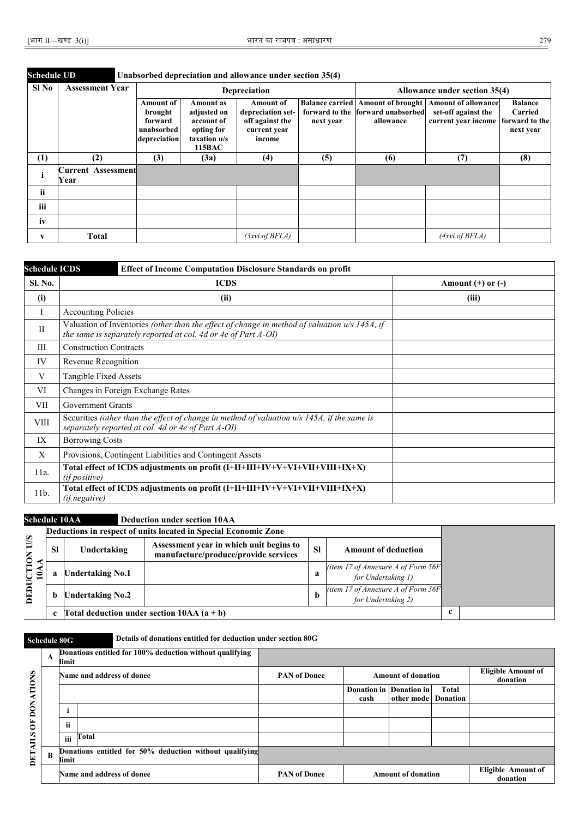| <b>Schedule UD</b> |                                   |                                                                      |                                                                                | Unabsorbed depreciation and allowance under section 35(4)                          |           |                                                |                                                                                                                               |                                        |  |  |
|--------------------|-----------------------------------|----------------------------------------------------------------------|--------------------------------------------------------------------------------|------------------------------------------------------------------------------------|-----------|------------------------------------------------|-------------------------------------------------------------------------------------------------------------------------------|----------------------------------------|--|--|
| Sl No              | <b>Assessment Year</b>            |                                                                      |                                                                                | Depreciation                                                                       |           | Allowance under section 35(4)                  |                                                                                                                               |                                        |  |  |
|                    |                                   | <b>Amount of</b><br>brought<br>forward<br>unabsorbed<br>depreciation | Amount as<br>adjusted on<br>account of<br>opting for<br>taxation u/s<br>115BAC | <b>Amount of</b><br>depreciation set-<br>off against the<br>current year<br>income | next year | forward to the forward unabsorbed<br>allowance | <b>Balance carried   Amount of brought   Amount of allowance</b><br>set-off against the<br>current year income forward to the | <b>Balance</b><br>Carried<br>next year |  |  |
| (1)                | (2)                               | (3)                                                                  | (3a)                                                                           | (4)                                                                                | (5)       | (6)                                            | (7)                                                                                                                           | (8)                                    |  |  |
|                    | <b>Current Assessment</b><br>Year |                                                                      |                                                                                |                                                                                    |           |                                                |                                                                                                                               |                                        |  |  |
| ii                 |                                   |                                                                      |                                                                                |                                                                                    |           |                                                |                                                                                                                               |                                        |  |  |
| iii                |                                   |                                                                      |                                                                                |                                                                                    |           |                                                |                                                                                                                               |                                        |  |  |
| iv                 |                                   |                                                                      |                                                                                |                                                                                    |           |                                                |                                                                                                                               |                                        |  |  |
| V                  | <b>Total</b>                      |                                                                      |                                                                                | (3xvi of BFLA)                                                                     |           |                                                | (Axvi of BFLA)                                                                                                                |                                        |  |  |

| <b>Schedule ICDS</b> | <b>Effect of Income Computation Disclosure Standards on profit</b>                                                                                                |                       |  |  |  |  |  |
|----------------------|-------------------------------------------------------------------------------------------------------------------------------------------------------------------|-----------------------|--|--|--|--|--|
| Sl. No.              | <b>ICDS</b>                                                                                                                                                       | Amount $(+)$ or $(-)$ |  |  |  |  |  |
| (i)                  | (ii)                                                                                                                                                              | (iii)                 |  |  |  |  |  |
| I                    | <b>Accounting Policies</b>                                                                                                                                        |                       |  |  |  |  |  |
| $\mathbf{I}$         | Valuation of Inventories (other than the effect of change in method of valuation $u/s$ 145A, if<br>the same is separately reported at col. 4d or 4e of Part A-OI) |                       |  |  |  |  |  |
| Ш                    | <b>Construction Contracts</b>                                                                                                                                     |                       |  |  |  |  |  |
| IV                   | Revenue Recognition                                                                                                                                               |                       |  |  |  |  |  |
| V                    | Tangible Fixed Assets                                                                                                                                             |                       |  |  |  |  |  |
| VI                   | Changes in Foreign Exchange Rates                                                                                                                                 |                       |  |  |  |  |  |
| VII                  | Government Grants                                                                                                                                                 |                       |  |  |  |  |  |
| <b>VIII</b>          | Securities (other than the effect of change in method of valuation $u/s$ 145A, if the same is<br>separately reported at col. 4d or 4e of Part A-OI)               |                       |  |  |  |  |  |
| IX                   | <b>Borrowing Costs</b>                                                                                                                                            |                       |  |  |  |  |  |
| X                    | Provisions, Contingent Liabilities and Contingent Assets                                                                                                          |                       |  |  |  |  |  |
| 11a.                 | Total effect of ICDS adjustments on profit (I+II+III+IV+V+VI+VII+VIII+IX+X)<br><i>(if positive)</i>                                                               |                       |  |  |  |  |  |
| 11b.                 | Total effect of ICDS adjustments on profit (I+II+III+IV+V+VI+VII+VIII+IX+X)<br>(if negative)                                                                      |                       |  |  |  |  |  |

#### **Schedule 10AA Deduction under section 10AA**

|                              |             |                         | Deductions in respect of units located in Special Economic Zone                 |           |                                                              |             |
|------------------------------|-------------|-------------------------|---------------------------------------------------------------------------------|-----------|--------------------------------------------------------------|-------------|
| $\frac{1}{2}$<br><b>TION</b> | <b>SI</b>   | Undertaking             | Assessment year in which unit begins to<br>manufacture/produce/provide services | <b>SI</b> | <b>Amount of deduction</b>                                   |             |
| ∶ ∈                          |             | <b>Undertaking No.1</b> |                                                                                 | а         | (item 17 of Annexure A of Form $56F$ )<br>for Undertaking 1) |             |
| Ξ<br>囙                       | h           | <b>Undertaking No.2</b> |                                                                                 | n         | (item 17 of Annexure A of Form $56F$ )<br>for Undertaking 2) |             |
|                              | $\mathbf c$ |                         | Total deduction under section $10AA(a + b)$                                     |           |                                                              | $\mathbf c$ |

### **Schedule 80G Details of donations entitled for deduction under section 80G**

|                | A        | Donations entitled for 100% deduction without qualifying<br>limit |                                                         |                     |      |                           |              |                                       |
|----------------|----------|-------------------------------------------------------------------|---------------------------------------------------------|---------------------|------|---------------------------|--------------|---------------------------------------|
| <b>TIONS</b>   |          |                                                                   | Name and address of donee                               | <b>PAN</b> of Donee |      | <b>Amount of donation</b> |              | <b>Eligible Amount of</b><br>donation |
|                |          |                                                                   |                                                         |                     |      | Donation in Donation in   | <b>Total</b> |                                       |
|                |          |                                                                   |                                                         |                     | cash | other mode Donation       |              |                                       |
| DONA'          |          |                                                                   |                                                         |                     |      |                           |              |                                       |
| $\overline{6}$ |          | ii                                                                |                                                         |                     |      |                           |              |                                       |
|                |          | iii                                                               | Total                                                   |                     |      |                           |              |                                       |
| DETAILS        | $\bf{B}$ | limit                                                             | Donations entitled for 50% deduction without qualifying |                     |      |                           |              |                                       |
|                |          |                                                                   | Name and address of donee                               | <b>PAN of Donee</b> |      | <b>Amount of donation</b> |              | <b>Eligible Amount of</b><br>donation |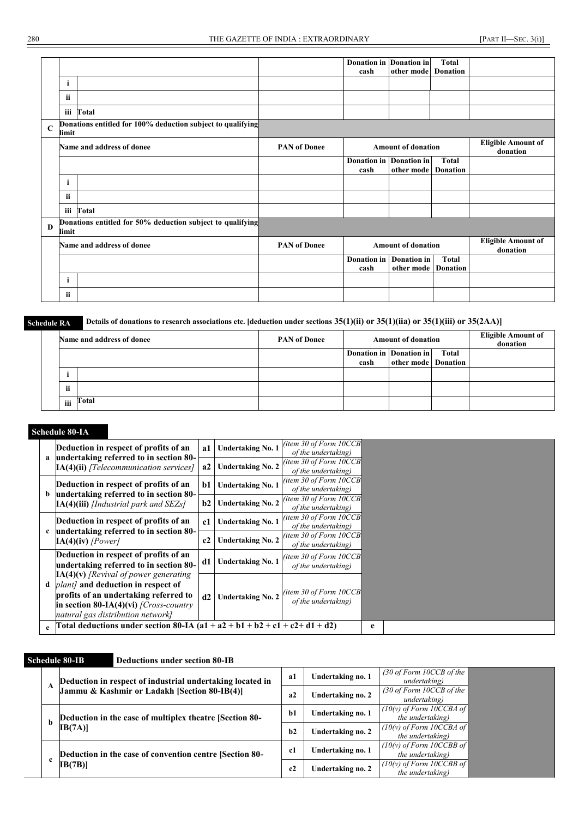|              |       |                                                             |                     | Donation in Donation in<br>cash | other mode                                | <b>Total</b><br><b>Donation</b> |                                       |
|--------------|-------|-------------------------------------------------------------|---------------------|---------------------------------|-------------------------------------------|---------------------------------|---------------------------------------|
|              | i     |                                                             |                     |                                 |                                           |                                 |                                       |
|              | ii    |                                                             |                     |                                 |                                           |                                 |                                       |
|              | iii   | Total                                                       |                     |                                 |                                           |                                 |                                       |
| $\mathbf C$  | limit | Donations entitled for 100% deduction subject to qualifying |                     |                                 |                                           |                                 |                                       |
|              |       | Name and address of donee                                   | <b>PAN of Donee</b> |                                 | <b>Amount of donation</b>                 |                                 | <b>Eligible Amount of</b><br>donation |
|              |       |                                                             |                     | Donation in Donation in<br>cash | other mode                                | <b>Total</b><br><b>Donation</b> |                                       |
|              | 1     |                                                             |                     |                                 |                                           |                                 |                                       |
|              | ii.   |                                                             |                     |                                 |                                           |                                 |                                       |
|              | iii   | Total                                                       |                     |                                 |                                           |                                 |                                       |
| $\mathbf{D}$ | limit | Donations entitled for 50% deduction subject to qualifying  |                     |                                 |                                           |                                 |                                       |
|              |       | Name and address of donee                                   | <b>PAN of Donee</b> |                                 | <b>Amount of donation</b>                 |                                 | <b>Eligible Amount of</b><br>donation |
|              |       |                                                             |                     | <b>Donation</b> in<br>cash      | <b>Donation</b> in<br>other mode Donation | <b>Total</b>                    |                                       |
|              | 1     |                                                             |                     |                                 |                                           |                                 |                                       |
|              | ii.   |                                                             |                     |                                 |                                           |                                 |                                       |

#### **Schedule RA Details of donations to research associations etc. [deduction under sections 35(1)(ii) or 35(1)(iia) or 35(1)(iii) or 35(2AA)]**

| Name and address of donee |       | <b>PAN of Donee</b> |                         | <b>Amount of donation</b> | <b>Eligible Amount of<br/>donation</b> |  |
|---------------------------|-------|---------------------|-------------------------|---------------------------|----------------------------------------|--|
|                           |       |                     | Donation in Donation in | other mode Donation       | Total                                  |  |
|                           |       |                     | cash                    |                           |                                        |  |
|                           |       |                     |                         |                           |                                        |  |
| <br>n                     |       |                     |                         |                           |                                        |  |
| iii                       | Total |                     |                         |                           |                                        |  |

#### **Schedule 80-IA**

|   | Deduction in respect of profits of an                                                                                                                                                                              | a1 | <b>Undertaking No. 1</b>       | (item 30 of Form $10CCB$ )<br>of the undertaking) |   |
|---|--------------------------------------------------------------------------------------------------------------------------------------------------------------------------------------------------------------------|----|--------------------------------|---------------------------------------------------|---|
|   | a undertaking referred to in section 80-<br>$IA(4)(ii)$ [Telecommunication services]                                                                                                                               | a2 | <b>Undertaking No. 2</b>       | (item 30 of Form $10CCB$ )<br>of the undertaking) |   |
|   | Deduction in respect of profits of an                                                                                                                                                                              |    | <b>Undertaking No. 1</b><br>b1 | (item 30 of Form $10CCB$<br>of the undertaking)   |   |
|   | b undertaking referred to in section 80-<br>$IA(4)$ (iii) [Industrial park and SEZs]                                                                                                                               | b2 | <b>Undertaking No. 2</b>       | (item 30 of Form $10CCB$ )<br>of the undertaking) |   |
|   | Deduction in respect of profits of an<br>c undertaking referred to in section 80-                                                                                                                                  | c1 | <b>Undertaking No. 1</b>       | (item 30 of Form $10CCB$<br>of the undertaking)   |   |
|   | $IA(4)(iv)$ [Power]                                                                                                                                                                                                | c2 | <b>Undertaking No. 2</b>       | (item 30 of Form $10CCB$ )<br>of the undertaking) |   |
|   | Deduction in respect of profits of an<br>undertaking referred to in section 80-                                                                                                                                    | d1 | <b>Undertaking No. 1</b>       | (item 30 of Form $10CCB$ )<br>of the undertaking) |   |
| d | $IA(4)(v)$ [Revival of power generating<br><i>plant]</i> and deduction in respect of<br>profits of an undertaking referred to<br>in section 80-IA(4)(vi) $\int$ Cross-country<br>natural gas distribution network] | d2 | <b>Undertaking No. 2</b>       | (item 30 of Form $10CCB$<br>of the undertaking)   |   |
| e | Total deductions under section 80-IA (a1 + a2 + b1 + b2 + c1 + c2+ d1 + d2)                                                                                                                                        |    |                                |                                                   | e |

### **Schedule 80-IB Deductions under section 80-IB**

|  |                                                                                                           | a1 | Undertaking no. 1 | (30 of Form 10CCB of the<br>undertaking)       |
|--|-----------------------------------------------------------------------------------------------------------|----|-------------------|------------------------------------------------|
|  | Deduction in respect of industrial undertaking located in<br>Jammu & Kashmir or Ladakh [Section 80-IB(4)] | a2 | Undertaking no. 2 | (30 of Form 10CCB of the<br>undertaking)       |
|  | Deduction in the case of multiplex theatre [Section 80-<br>IB(7A)                                         |    | Undertaking no. 1 | $(10(v)$ of Form 10CCBA of<br>the undertaking) |
|  |                                                                                                           |    | Undertaking no. 2 | $(10(v)$ of Form 10CCBA of<br>the undertaking) |
|  | Deduction in the case of convention centre [Section 80-                                                   | c1 | Undertaking no. 1 | $(10(v)$ of Form 10CCBB of<br>the undertaking) |
|  | IB(7B)                                                                                                    | c2 | Undertaking no. 2 | $(10(v)$ of Form 10CCBB of<br>the undertaking) |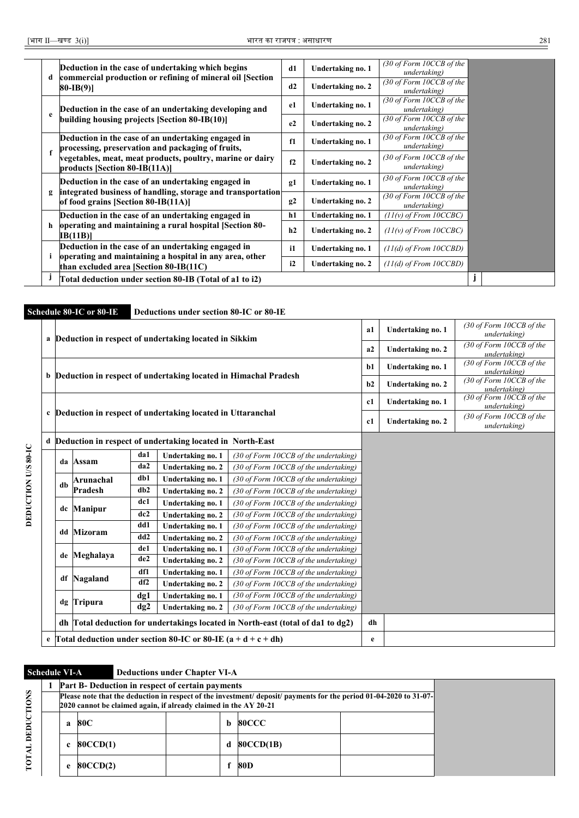| d  | Deduction in the case of undertaking which begins                                                       | d1           | Undertaking no. 1 | (30 of Form 10CCB of the<br>undertaking) |  |  |
|----|---------------------------------------------------------------------------------------------------------|--------------|-------------------|------------------------------------------|--|--|
|    | commercial production or refining of mineral oil [Section]<br>$80-IB(9)$                                | d2           | Undertaking no. 2 | (30 of Form 10CCB of the<br>undertaking) |  |  |
|    | Deduction in the case of an undertaking developing and                                                  | e1           | Undertaking no. 1 | (30 of Form 10CCB of the<br>undertaking) |  |  |
| e  | building housing projects [Section 80-IB(10)]                                                           | e2           | Undertaking no. 2 | (30 of Form 10CCB of the<br>undertaking) |  |  |
|    | Deduction in the case of an undertaking engaged in<br>processing, preservation and packaging of fruits, | f1           | Undertaking no. 1 | (30 of Form 10CCB of the<br>undertaking) |  |  |
| f  | vegetables, meat, meat products, poultry, marine or dairy<br>products [Section 80-IB(11A)]              | f2           | Undertaking no. 2 | (30 of Form 10CCB of the<br>undertaking) |  |  |
|    | Deduction in the case of an undertaking engaged in                                                      | g1           | Undertaking no. 1 | (30 of Form 10CCB of the<br>undertaking) |  |  |
| g  | integrated business of handling, storage and transportation<br>of food grains [Section 80-IB(11A)]      | g2           | Undertaking no. 2 | (30 of Form 10CCB of the<br>undertaking) |  |  |
|    | Deduction in the case of an undertaking engaged in                                                      | h1           | Undertaking no. 1 | $(11(v)$ of From $10CCBC$ )              |  |  |
| h  | operating and maintaining a rural hospital [Section 80-<br><b>IB</b> (11B)]                             | h2           | Undertaking no. 2 | $(11(v)$ of From $10CCBC$ )              |  |  |
|    | Deduction in the case of an undertaking engaged in                                                      | $\mathbf{i}$ | Undertaking no. 1 | $(11(d)$ of From $10CCBD$ )              |  |  |
| i. | operating and maintaining a hospital in any area, other<br>than excluded area [Section 80-IB(11C)       | i2           | Undertaking no. 2 | $(11(d)$ of From $10CCBD$ )              |  |  |
|    | Total deduction under section 80-IB (Total of a1 to i2)                                                 |              |                   |                                          |  |  |

|   |                      | Schedule 80-IC or 80-IE |          | Deductions under section 80-IC or 80-IE                           |                                                                                 |                   |                                          |                                          |
|---|----------------------|-------------------------|----------|-------------------------------------------------------------------|---------------------------------------------------------------------------------|-------------------|------------------------------------------|------------------------------------------|
|   |                      |                         |          | a Deduction in respect of undertaking located in Sikkim           |                                                                                 | a1                | Undertaking no. 1                        | (30 of Form 10CCB of the<br>undertaking) |
|   |                      |                         |          |                                                                   |                                                                                 | a2                | Undertaking no. 2                        | (30 of Form 10CCB of the<br>undertaking) |
|   |                      |                         |          | b Deduction in respect of undertaking located in Himachal Pradesh | $b1$                                                                            | Undertaking no. 1 | (30 of Form 10CCB of the<br>undertaking) |                                          |
|   |                      |                         |          |                                                                   |                                                                                 | b2                | Undertaking no. 2                        | (30 of Form 10CCB of the<br>undertaking) |
|   |                      |                         |          |                                                                   |                                                                                 | c1                | Undertaking no. 1                        | (30 of Form 10CCB of the<br>undertaking) |
|   |                      |                         |          | c Deduction in respect of undertaking located in Uttaranchal      |                                                                                 | c1                | Undertaking no. 2                        | (30 of Form 10CCB of the<br>undertaking) |
| d |                      |                         |          | Deduction in respect of undertaking located in North-East         |                                                                                 |                   |                                          |                                          |
|   | da                   | Assam                   | da1      | Undertaking no. 1                                                 | (30 of Form 10CCB of the undertaking)                                           |                   |                                          |                                          |
|   |                      |                         | da2      | Undertaking no. 2                                                 | (30 of Form 10CCB of the undertaking)                                           |                   |                                          |                                          |
|   | db                   | Arunachal               | db1      | Undertaking no. 1                                                 | (30 of Form 10CCB of the undertaking)                                           |                   |                                          |                                          |
|   |                      | Pradesh                 | db2      | Undertaking no. 2                                                 | (30 of Form 10CCB of the undertaking)                                           |                   |                                          |                                          |
|   | <b>Manipur</b><br>dc |                         | dc1      | Undertaking no. 1                                                 | (30 of Form 10CCB of the undertaking)                                           |                   |                                          |                                          |
|   |                      |                         | dc2      | Undertaking no. 2                                                 | (30 of Form 10CCB of the undertaking)                                           |                   |                                          |                                          |
|   | dd                   | <b>Mizoram</b>          | dd1      | Undertaking no. 1                                                 | (30 of Form 10CCB of the undertaking)                                           |                   |                                          |                                          |
|   |                      |                         | dd2      | Undertaking no. 2                                                 | (30 of Form 10CCB of the undertaking)                                           |                   |                                          |                                          |
|   | de                   | Meghalaya               | de1      | Undertaking no. 1                                                 | (30 of Form 10CCB of the undertaking)                                           |                   |                                          |                                          |
|   |                      |                         | de2      | Undertaking no. 2                                                 | (30 of Form 10CCB of the undertaking)                                           |                   |                                          |                                          |
|   | df                   | Nagaland                | df1      | Undertaking no. 1                                                 | (30 of Form 10CCB of the undertaking)                                           |                   |                                          |                                          |
|   |                      |                         | df2      | Undertaking no. 2                                                 | (30 of Form 10CCB of the undertaking)                                           |                   |                                          |                                          |
|   |                      | dg Tripura              | $\deg$ 1 | Undertaking no. 1                                                 | (30 of Form 10CCB of the undertaking)                                           |                   |                                          |                                          |
|   |                      |                         | dg2      | Undertaking no. 2                                                 | (30 of Form 10CCB of the undertaking)                                           |                   |                                          |                                          |
|   |                      |                         |          |                                                                   | dh Total deduction for undertakings located in North-east (total of da1 to dg2) | dh                |                                          |                                          |
|   |                      |                         |          | Total deduction under section 80-IC or 80-IE $(a + d + c + dh)$   |                                                                                 | e                 |                                          |                                          |

**Schedule VI-A Deductions under Chapter VI-A**

|          | <b>Part B- Deduction in respect of certain payments</b>                                                                                                                                |  |          |                  |  |  |  |  |  |  |  |
|----------|----------------------------------------------------------------------------------------------------------------------------------------------------------------------------------------|--|----------|------------------|--|--|--|--|--|--|--|
|          | Please note that the deduction in respect of the investment/ deposit/ payments for the period 01-04-2020 to 31-07-<br>2020 cannot be claimed again, if already claimed in the AY 20-21 |  |          |                  |  |  |  |  |  |  |  |
| 80C<br>a |                                                                                                                                                                                        |  | <b>b</b> | <b>80CCC</b>     |  |  |  |  |  |  |  |
|          | 80CCD(1)                                                                                                                                                                               |  | d        | <b>80CCD(1B)</b> |  |  |  |  |  |  |  |
| e        | <b>80CCD(2)</b>                                                                                                                                                                        |  |          | 80D              |  |  |  |  |  |  |  |

**TOTAL DEDUCTIONS TOTAL DEDUCTIONS**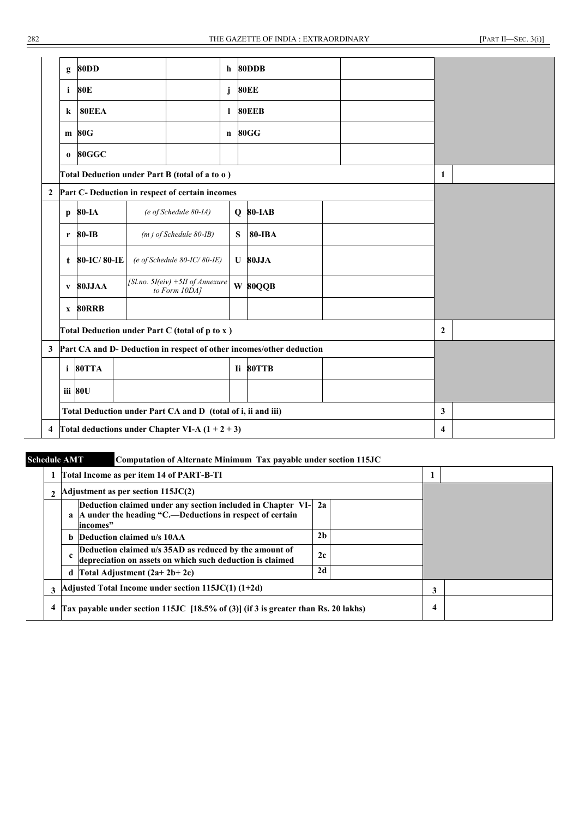|                  | g                                                 | <b>80DD</b>  |  |                                                              | h             | 80DDB                                                                |  |  |              |  |
|------------------|---------------------------------------------------|--------------|--|--------------------------------------------------------------|---------------|----------------------------------------------------------------------|--|--|--------------|--|
|                  | i                                                 | 80E          |  |                                                              | j             | <b>80EE</b>                                                          |  |  |              |  |
|                  | k                                                 | <b>80EEA</b> |  |                                                              | 1             | <b>80EEB</b>                                                         |  |  |              |  |
|                  |                                                   | 80G<br>m     |  |                                                              | $\mathbf n$   | 80GG                                                                 |  |  |              |  |
|                  | 80GGC<br>$\mathbf{o}$                             |              |  |                                                              |               |                                                                      |  |  |              |  |
|                  |                                                   |              |  | Total Deduction under Part B (total of a to o)               |               |                                                                      |  |  | 1            |  |
| $\boldsymbol{2}$ |                                                   |              |  | Part C- Deduction in respect of certain incomes              |               |                                                                      |  |  |              |  |
|                  | $\mathbf{p}$                                      | 80-IA        |  | (e of Schedule 80-IA)                                        |               | $Q$ 80-IAB                                                           |  |  |              |  |
|                  | $r$ 80-IB<br>$(m j of Schedule 80-IB)$            |              |  | ${\bf S}$                                                    | <b>80-IBA</b> |                                                                      |  |  |              |  |
|                  | t                                                 | 80-IC/80-IE  |  | (e of Schedule 80-IC/80-IE)                                  |               | <b>U</b> 80JJA                                                       |  |  |              |  |
|                  | $\mathbf{V}$                                      | 80JJAA       |  | [Sl.no. $5I(eiv) + 5II$ of Annexure<br>to Form 10DA]         |               | W 80QQB                                                              |  |  |              |  |
|                  |                                                   | x 80RRB      |  |                                                              |               |                                                                      |  |  |              |  |
|                  |                                                   |              |  | Total Deduction under Part C (total of p to x)               |               |                                                                      |  |  | $\mathbf{2}$ |  |
| 3                |                                                   |              |  |                                                              |               | Part CA and D- Deduction in respect of other incomes/other deduction |  |  |              |  |
|                  |                                                   | i 80TTA      |  |                                                              |               | Ii 80TTB                                                             |  |  |              |  |
|                  |                                                   | iii 80U      |  |                                                              |               |                                                                      |  |  |              |  |
|                  |                                                   |              |  | Total Deduction under Part CA and D (total of i, ii and iii) |               |                                                                      |  |  | 3            |  |
| 4                | Total deductions under Chapter VI-A $(1 + 2 + 3)$ |              |  |                                                              |               |                                                                      |  |  | 4            |  |

#### **Schedule AMT Computation of Alternate Minimum Tax payable under section 115JC**

|   |   | Total Income as per item 14 of PART-B-TI                                                                                            |    |  |   |  |
|---|---|-------------------------------------------------------------------------------------------------------------------------------------|----|--|---|--|
|   |   | Adjustment as per section $115JC(2)$                                                                                                |    |  |   |  |
|   | a | Deduction claimed under any section included in Chapter VI-<br>A under the heading "C.—Deductions in respect of certain<br>incomes" |    |  |   |  |
|   |   | <b>b</b> Deduction claimed u/s 10AA                                                                                                 |    |  |   |  |
|   |   | Deduction claimed u/s 35AD as reduced by the amount of<br>depreciation on assets on which such deduction is claimed                 | 2c |  |   |  |
|   | d | Total Adjustment $(2a+2b+2c)$                                                                                                       | 2d |  |   |  |
| 3 |   | Adjusted Total Income under section $115JC(1)$ (1+2d)                                                                               |    |  | 3 |  |
| 4 |   | Tax payable under section 115JC [18.5% of (3)] (if 3 is greater than Rs. 20 lakhs)                                                  | 4  |  |   |  |

L,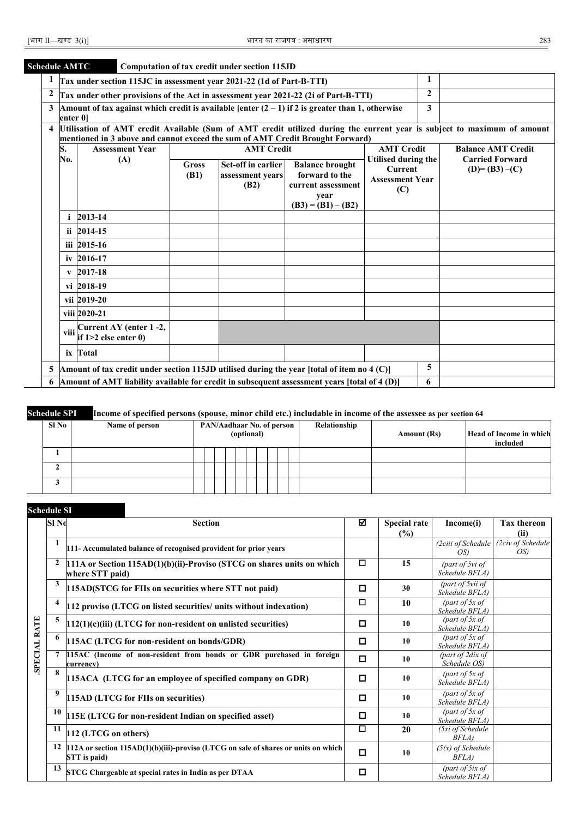# **Schedule AMTC Computation of tax credit under section 115JD**

|                  | 1<br>Tax under section 115JC in assessment year 2021-22 (1d of Part-B-TTI)                                                                                                                                                                                                    |                                                                                                    |                   |  |                           |  |              |  |  |  |  |  |  |  |
|------------------|-------------------------------------------------------------------------------------------------------------------------------------------------------------------------------------------------------------------------------------------------------------------------------|----------------------------------------------------------------------------------------------------|-------------------|--|---------------------------|--|--------------|--|--|--|--|--|--|--|
| $\boldsymbol{2}$ |                                                                                                                                                                                                                                                                               | Tax under other provisions of the Act in assessment year 2021-22 (2i of Part-B-TTI)                |                   |  |                           |  | $\mathbf{2}$ |  |  |  |  |  |  |  |
| 3                | enter 01                                                                                                                                                                                                                                                                      | Amount of tax against which credit is available [enter $(2 - 1)$ if 2 is greater than 1, otherwise |                   |  |                           |  | 3            |  |  |  |  |  |  |  |
|                  | 4 Utilisation of AMT credit Available (Sum of AMT credit utilized during the current year is subject to maximum of amount                                                                                                                                                     |                                                                                                    |                   |  |                           |  |              |  |  |  |  |  |  |  |
|                  | mentioned in 3 above and cannot exceed the sum of AMT Credit Brought Forward)<br><b>AMT Credit</b>                                                                                                                                                                            |                                                                                                    |                   |  |                           |  |              |  |  |  |  |  |  |  |
|                  | S.                                                                                                                                                                                                                                                                            | <b>Assessment Year</b>                                                                             | <b>AMT Credit</b> |  | <b>Balance AMT Credit</b> |  |              |  |  |  |  |  |  |  |
|                  | Utilised during the<br><b>Carried Forward</b><br>No.<br>(A)<br>Set-off in earlier<br><b>Balance brought</b><br><b>Gross</b><br><b>Current</b><br>$(D)= (B3)-(C)$<br>forward to the<br>(B1)<br>assessment vears<br><b>Assessment Year</b><br>(B2)<br>current assessment<br>(C) |                                                                                                    |                   |  |                           |  |              |  |  |  |  |  |  |  |
|                  | year<br>$(B3) = (B1) - (B2)$                                                                                                                                                                                                                                                  |                                                                                                    |                   |  |                           |  |              |  |  |  |  |  |  |  |
|                  |                                                                                                                                                                                                                                                                               | 2013-14                                                                                            |                   |  |                           |  |              |  |  |  |  |  |  |  |
|                  |                                                                                                                                                                                                                                                                               | ii 2014-15                                                                                         |                   |  |                           |  |              |  |  |  |  |  |  |  |
|                  |                                                                                                                                                                                                                                                                               | iii 2015-16                                                                                        |                   |  |                           |  |              |  |  |  |  |  |  |  |
|                  |                                                                                                                                                                                                                                                                               | iv 2016-17                                                                                         |                   |  |                           |  |              |  |  |  |  |  |  |  |
|                  | $\mathbf{v}$                                                                                                                                                                                                                                                                  | 2017-18                                                                                            |                   |  |                           |  |              |  |  |  |  |  |  |  |
|                  |                                                                                                                                                                                                                                                                               | vi 2018-19                                                                                         |                   |  |                           |  |              |  |  |  |  |  |  |  |
|                  |                                                                                                                                                                                                                                                                               | vii 2019-20                                                                                        |                   |  |                           |  |              |  |  |  |  |  |  |  |
|                  | viii 2020-21                                                                                                                                                                                                                                                                  |                                                                                                    |                   |  |                           |  |              |  |  |  |  |  |  |  |
|                  | Viii $\frac{\text{Current AY (enter 1 -2)}}{\text{if 1>2} \text{ else enter 0}}$                                                                                                                                                                                              |                                                                                                    |                   |  |                           |  |              |  |  |  |  |  |  |  |
|                  |                                                                                                                                                                                                                                                                               | ix Total                                                                                           |                   |  |                           |  |              |  |  |  |  |  |  |  |
|                  |                                                                                                                                                                                                                                                                               | 5 Amount of tax credit under section 115JD utilised during the year [total of item no 4 (C)]       |                   |  |                           |  | 5            |  |  |  |  |  |  |  |
|                  |                                                                                                                                                                                                                                                                               | 6 Amount of AMT liability available for credit in subsequent assessment years [total of 4 (D)]     |                   |  |                           |  | 6            |  |  |  |  |  |  |  |

#### **Schedule SPI Income of specified persons (spouse, minor child etc.) includable in income of the assessee as per section 64**

| Sl No | Name of person | <b>PAN/Aadhaar No. of person</b><br>(optional) |  |  |  |  |  |  |  | Relationship | Amount (Rs) | Head of Income in which<br>included |  |
|-------|----------------|------------------------------------------------|--|--|--|--|--|--|--|--------------|-------------|-------------------------------------|--|
|       |                |                                                |  |  |  |  |  |  |  |              |             |                                     |  |
|       |                |                                                |  |  |  |  |  |  |  |              |             |                                     |  |
|       |                |                                                |  |  |  |  |  |  |  |              |             |                                     |  |

#### **Schedule SI**

|              | Sl No | <b>Section</b>                                                                                          | ☑                         | <b>Special rate</b><br>$(\%)$     | Income(i)                          | <b>Tax thereon</b><br>(ii) |
|--------------|-------|---------------------------------------------------------------------------------------------------------|---------------------------|-----------------------------------|------------------------------------|----------------------------|
|              | 1     | 111- Accumulated balance of recognised provident for prior years                                        | (2ciii of Schedule<br>OS) | (2civ of Schedule)<br>OS          |                                    |                            |
|              | 2     | $111A$ or Section 115AD(1)(b)(ii)-Proviso (STCG on shares units on which<br>where STT paid)             | 15                        | (part of 5vi of<br>Schedule BFLA) |                                    |                            |
|              | 3     | 115AD(STCG for FIIs on securities where STT not paid)                                                   | □                         | 30                                | (part of 5vii of<br>Schedule BFLA) |                            |
|              | 4     | 112 proviso (LTCG on listed securities/ units without indexation)                                       | □                         | 10                                | (part of $5x$ of<br>Schedule BFLA) |                            |
|              | 5     | $ 112(1)(c)(iii)$ (LTCG for non-resident on unlisted securities)                                        | □                         | 10                                | (part of $5x$ of<br>Schedule BFLA) |                            |
|              | 6     | 115AC (LTCG for non-resident on bonds/GDR)                                                              | □                         | 10                                | (part of $5x$ of<br>Schedule BFLA) |                            |
| SPECIAL RATE |       | 115AC (Income of non-resident from bonds or GDR purchased in foreign<br>currency)                       | О                         | 10                                | (part of $2dx$ of<br>Schedule OS)  |                            |
|              | 8     | 115ACA (LTCG for an employee of specified company on GDR)                                               | □                         | 10                                | (part of $5x$ of<br>Schedule BFLA) |                            |
|              | 9     | 115AD (LTCG for FIIs on securities)                                                                     | □                         | 10                                | (part of $5x$ of<br>Schedule BFLA) |                            |
|              | 10    | 115E (LTCG for non-resident Indian on specified asset)                                                  | ◘                         | 10                                | (part of $5x$ of<br>Schedule BFLA) |                            |
|              | 11    | 112 (LTCG on others)                                                                                    | $\Box$                    | 20                                | (5xi of Schedule<br>BFLA)          |                            |
|              | 12    | $112A$ or section $115AD(1)(b)(iii)$ -proviso (LTCG on sale of shares or units on which<br>STT is paid) | О                         | 10                                | $(5(x)$ of Schedule<br>BFLA)       |                            |
|              | 13    | STCG Chargeable at special rates in India as per DTAA                                                   | □                         |                                   | (part of 5ix of<br>Schedule BFLA)  |                            |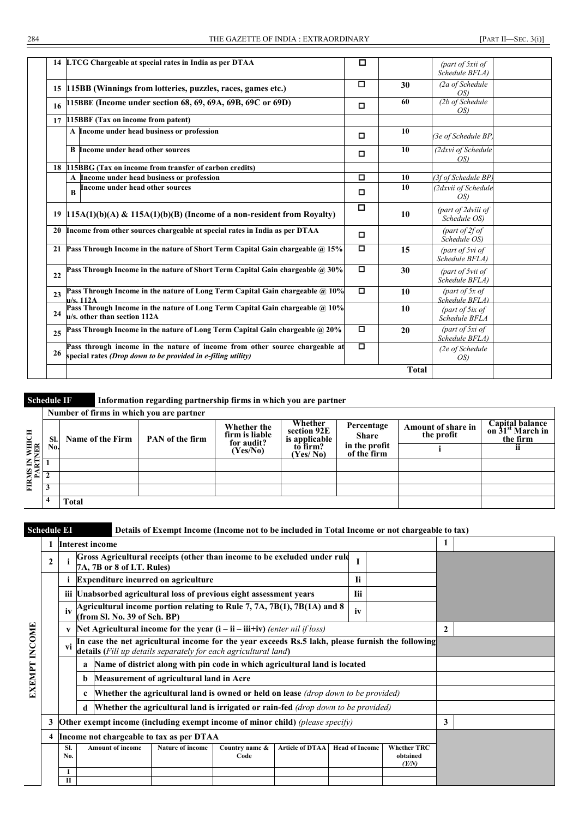|    | 14 LTCG Chargeable at special rates in India as per DTAA                                                                                    | ◻      |              | (part of 5xii of<br>Schedule BFLA) |  |
|----|---------------------------------------------------------------------------------------------------------------------------------------------|--------|--------------|------------------------------------|--|
|    | 15 115BB (Winnings from lotteries, puzzles, races, games etc.)                                                                              | □      | 30           | (2a of Schedule)<br>OS             |  |
| 16 | 115BBE (Income under section 68, 69, 69A, 69B, 69C or 69D)                                                                                  | o      | 60           | (2b of Schedule<br>OS)             |  |
| 17 | 115BBF (Tax on income from patent)                                                                                                          |        |              |                                    |  |
|    | A Income under head business or profession                                                                                                  | □      | 10           | (3e of Schedule BP                 |  |
|    | <b>B</b> Income under head other sources                                                                                                    | о      | 10           | (2dxvi of Schedule<br>OS           |  |
|    | 18 115BBG (Tax on income from transfer of carbon credits)                                                                                   |        |              |                                    |  |
|    | A Income under head business or profession                                                                                                  | о      | 10           | (3f of Schedule BP                 |  |
|    | Income under head other sources<br>$\bf{B}$                                                                                                 | □      | 10           | (2dxvii of Schedule<br>OS          |  |
|    | 19   $115A(1)(b)(A)$ & $115A(1)(b)(B)$ (Income of a non-resident from Royalty)                                                              | $\Box$ | 10           | (part of 2dviii of<br>Schedule OS) |  |
|    | 20 Income from other sources chargeable at special rates in India as per DTAA                                                               | О      |              | (part of $2f$ of<br>Schedule OS)   |  |
|    | 21 Pass Through Income in the nature of Short Term Capital Gain chargeable @ 15%                                                            | о      | 15           | (part of 5vi of<br>Schedule BFLA)  |  |
| 22 | Pass Through Income in the nature of Short Term Capital Gain chargeable @ 30%                                                               | o      | 30           | (part of 5vii of<br>Schedule BFLA) |  |
| 23 | Pass Through Income in the nature of Long Term Capital Gain chargeable @ 10%<br>u/s. 112A                                                   | $\Box$ | 10           | (part of $5x$ of<br>Schedule BFLA) |  |
| 24 | Pass Through Income in the nature of Long Term Capital Gain chargeable @ 10%<br>u/s. other than section 112A                                |        | 10           | (part of $5ix$ of<br>Schedule BFLA |  |
| 25 | Pass Through Income in the nature of Long Term Capital Gain chargeable @ 20%                                                                | o      | 20           | (part of 5xi of<br>Schedule BFLA)  |  |
| 26 | Pass through income in the nature of income from other source chargeable at<br>special rates (Drop down to be provided in e-filing utility) | o      |              | (2e of Schedule<br>OS)             |  |
|    |                                                                                                                                             |        | <b>Total</b> |                                    |  |

**Schedule IF Information regarding partnership firms in which you are partner**

|                   |     | Number of firms in which you are partner |                 |                                             |                                                       |                              |                                  |                                                             |
|-------------------|-----|------------------------------------------|-----------------|---------------------------------------------|-------------------------------------------------------|------------------------------|----------------------------------|-------------------------------------------------------------|
| WHICH<br>NER      | SI. | Name of the Firm                         | PAN of the firm | Whether the<br>firm is liable<br>for audit? | Whether<br>section 92E<br>$\frac{1}{2}$ is applicable | Percentage<br><b>Share</b>   | Amount of share in<br>the profit | Capital balance<br>on 31 <sup>st</sup> March in<br>the firm |
|                   | No. |                                          |                 | (Yes/No)                                    | (Yes/No)                                              | in the profit<br>of the firm |                                  | п                                                           |
|                   |     |                                          |                 |                                             |                                                       |                              |                                  |                                                             |
| FIRMS IN<br>PARTI |     |                                          |                 |                                             |                                                       |                              |                                  |                                                             |
|                   |     |                                          |                 |                                             |                                                       |                              |                                  |                                                             |
|                   |     | Total                                    |                 |                                             |                                                       |                              |                                  |                                                             |

**Schedule EI Details of Exempt Income (Income not to be included in Total Income or not chargeable to tax)**

|               |   |                                                                                                                                       |   | <b>Interest income</b>                                                                                                                                              |                                                                               |                        |                        |                       |  |                                         |   |  |
|---------------|---|---------------------------------------------------------------------------------------------------------------------------------------|---|---------------------------------------------------------------------------------------------------------------------------------------------------------------------|-------------------------------------------------------------------------------|------------------------|------------------------|-----------------------|--|-----------------------------------------|---|--|
|               | 2 |                                                                                                                                       |   | Gross Agricultural receipts (other than income to be excluded under rule<br>7A, 7B or 8 of I.T. Rules)                                                              |                                                                               |                        |                        |                       |  |                                         |   |  |
|               |   | <b>Expenditure incurred on agriculture</b><br>1i<br>iii Unabsorbed agricultural loss of previous eight assessment years<br><b>Tii</b> |   |                                                                                                                                                                     |                                                                               |                        |                        |                       |  |                                         |   |  |
|               |   |                                                                                                                                       |   |                                                                                                                                                                     |                                                                               |                        |                        |                       |  |                                         |   |  |
|               |   | iv                                                                                                                                    |   | Agricultural income portion relating to Rule 7, 7A, 7B(1), 7B(1A) and 8<br>(from Sl. No. 39 of Sch. BP)                                                             |                                                                               |                        |                        |                       |  |                                         |   |  |
|               |   | V                                                                                                                                     |   | Net Agricultural income for the year $(i - ii - iii + iv)$ (enter nil if loss)                                                                                      | 2                                                                             |                        |                        |                       |  |                                         |   |  |
| <b>INCOME</b> |   | vi                                                                                                                                    |   | In case the net agricultural income for the year exceeds Rs.5 lakh, please furnish the following<br>details (Fill up details separately for each agricultural land) |                                                                               |                        |                        |                       |  |                                         |   |  |
|               |   |                                                                                                                                       | a |                                                                                                                                                                     | Name of district along with pin code in which agricultural land is located    |                        |                        |                       |  |                                         |   |  |
| EXEMPT        |   | Measurement of agricultural land in Acre<br>b                                                                                         |   |                                                                                                                                                                     |                                                                               |                        |                        |                       |  |                                         |   |  |
|               |   | Whether the agricultural land is owned or held on lease (drop down to be provided)                                                    |   |                                                                                                                                                                     |                                                                               |                        |                        |                       |  |                                         |   |  |
|               |   | <b>Whether the agricultural land is irrigated or rain-fed</b> (drop down to be provided)                                              |   |                                                                                                                                                                     |                                                                               |                        |                        |                       |  |                                         |   |  |
|               | 3 |                                                                                                                                       |   |                                                                                                                                                                     | Other exempt income (including exempt income of minor child) (please specify) |                        |                        |                       |  |                                         | 3 |  |
|               |   |                                                                                                                                       |   |                                                                                                                                                                     | Income not chargeable to tax as per DTAA                                      |                        |                        |                       |  |                                         |   |  |
|               |   | SI.<br>No.                                                                                                                            |   | <b>Amount of income</b>                                                                                                                                             | <b>Nature of income</b>                                                       | Country name &<br>Code | <b>Article of DTAA</b> | <b>Head of Income</b> |  | <b>Whether TRC</b><br>obtained<br>(Y/N) |   |  |
|               |   | $\mathbf{H}$                                                                                                                          |   |                                                                                                                                                                     |                                                                               |                        |                        |                       |  |                                         |   |  |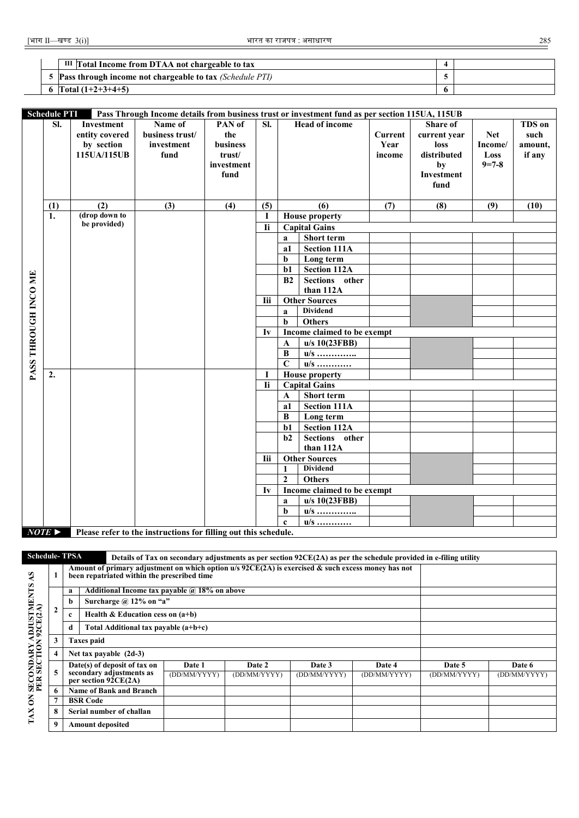| III Total Income from DTAA not chargeable to tax           |  |
|------------------------------------------------------------|--|
| 5 Pass through income not chargeable to tax (Schedule PTI) |  |
| 6 $\text{Total } (1+2+3+4+5)$                              |  |

|                      | <b>Schedule PTI</b><br>Pass Through Income details from business trust or investment fund as per section 115UA, 115UB |                |                 |            |            |                |                                    |                |              |             |         |  |
|----------------------|-----------------------------------------------------------------------------------------------------------------------|----------------|-----------------|------------|------------|----------------|------------------------------------|----------------|--------------|-------------|---------|--|
|                      | SI.                                                                                                                   | Investment     | Name of         | PAN of     | SI.        |                | <b>Head of income</b>              |                | Share of     |             | TDS on  |  |
|                      |                                                                                                                       | entity covered | business trust/ | the        |            |                |                                    | <b>Current</b> | current year | <b>Net</b>  | such    |  |
|                      |                                                                                                                       | by section     | investment      | business   |            |                |                                    | Year           | loss         | Income/     | amount, |  |
|                      |                                                                                                                       | 115UA/115UB    | fund            | trust/     |            |                |                                    | income         | distributed  | Loss        | if any  |  |
|                      |                                                                                                                       |                |                 | investment |            |                |                                    |                | by           | $9 = 7 - 8$ |         |  |
|                      |                                                                                                                       |                |                 | fund       |            |                |                                    |                | Investment   |             |         |  |
|                      |                                                                                                                       |                |                 |            |            |                |                                    |                | fund         |             |         |  |
|                      |                                                                                                                       |                |                 |            |            |                |                                    |                |              |             |         |  |
|                      | (1)                                                                                                                   | (2)            | (3)             | (4)        | (5)        |                | (6)                                | (7)            | (8)          | (9)         | (10)    |  |
|                      | 1.                                                                                                                    | (drop down to  |                 |            | 1          |                | <b>House property</b>              |                |              |             |         |  |
|                      |                                                                                                                       | be provided)   |                 |            | <b>Ii</b>  |                | <b>Capital Gains</b>               |                |              |             |         |  |
|                      |                                                                                                                       |                |                 |            |            | $\mathbf{a}$   | <b>Short term</b>                  |                |              |             |         |  |
|                      |                                                                                                                       |                |                 |            |            | a1             | Section 111A                       |                |              |             |         |  |
|                      |                                                                                                                       |                |                 |            |            | b              | Long term                          |                |              |             |         |  |
|                      |                                                                                                                       |                |                 |            |            | $b1$           | <b>Section 112A</b>                |                |              |             |         |  |
|                      |                                                                                                                       |                |                 |            |            | B2             | <b>Sections</b><br>other           |                |              |             |         |  |
| PASS THROUGH INCO ME |                                                                                                                       |                |                 |            |            |                | than 112A                          |                |              |             |         |  |
|                      |                                                                                                                       |                |                 |            | <b>Iii</b> |                | <b>Other Sources</b>               |                |              |             |         |  |
|                      |                                                                                                                       |                |                 |            |            | $\mathbf{a}$   | <b>Dividend</b>                    |                |              |             |         |  |
|                      |                                                                                                                       |                |                 |            |            | b              | <b>Others</b>                      |                |              |             |         |  |
|                      |                                                                                                                       |                |                 |            | Iv         |                | <b>Income claimed to be exempt</b> |                |              |             |         |  |
|                      |                                                                                                                       |                |                 |            |            | $\mathbf{A}$   | u/s 10(23FBB)                      |                |              |             |         |  |
|                      |                                                                                                                       |                |                 |            |            | B              | $u/s$ <u></u>                      |                |              |             |         |  |
|                      |                                                                                                                       |                |                 |            |            | $\overline{C}$ | u/s <u></u>                        |                |              |             |         |  |
|                      | 2.                                                                                                                    |                |                 |            | 1          |                | <b>House property</b>              |                |              |             |         |  |
|                      |                                                                                                                       |                |                 |            | <b>Ii</b>  |                | <b>Capital Gains</b>               |                |              |             |         |  |
|                      |                                                                                                                       |                |                 |            |            | $\mathbf A$    | Short term                         |                |              |             |         |  |
|                      |                                                                                                                       |                |                 |            |            | a1             | <b>Section 111A</b>                |                |              |             |         |  |
|                      |                                                                                                                       |                |                 |            |            | В              | Long term                          |                |              |             |         |  |
|                      |                                                                                                                       |                |                 |            |            | $b1$           | <b>Section 112A</b>                |                |              |             |         |  |
|                      |                                                                                                                       |                |                 |            |            | b2             | Sections other                     |                |              |             |         |  |
|                      |                                                                                                                       |                |                 |            |            |                | than 112A                          |                |              |             |         |  |
|                      |                                                                                                                       |                |                 |            | <b>Iii</b> |                | <b>Other Sources</b>               |                |              |             |         |  |
|                      |                                                                                                                       |                |                 |            |            | 1              | <b>Dividend</b>                    |                |              |             |         |  |
|                      |                                                                                                                       |                |                 |            |            | $\overline{2}$ | <b>Others</b>                      |                |              |             |         |  |
|                      |                                                                                                                       |                |                 |            | Iv         |                | <b>Income claimed to be exempt</b> |                |              |             |         |  |
|                      |                                                                                                                       |                |                 |            |            | a              | u/s 10(23FBB)                      |                |              |             |         |  |
|                      |                                                                                                                       |                |                 |            |            | b              | $u/s$                              |                |              |             |         |  |
|                      |                                                                                                                       |                |                 |            |            | $\mathbf{c}$   | $u/s$                              |                |              |             |         |  |
|                      | $NOTE \triangleright$<br>Please refer to the instructions for filling out this schedule.                              |                |                 |            |            |                |                                    |                |              |             |         |  |

**Schedule- TPSA Details of Tax on secondary adjustments as per section 92CE(2A) as per the schedule provided in e-filing utility Amount of primary adjustment on which option u/s 92CE(2A) is exercised & such excess money has not been repatriated within the prescribed time** TAX ON SECONDARY ADJUSTMENTS AS<br>PER SECTION 92CE(2A) **TAX ON SECONDARY ADJUSTMENTS AS PER SECTION 92CE(2A) 1 a Additional Income tax payable @ 18% on above b Surcharge @ 12% on "a" 2 c Health & Education cess on (a+b) d Total Additional tax payable (a+b+c) 3 Taxes paid 4 Net tax payable (2d-3) Date(s) of deposit of tax on Date 1 Date 2 Date 3 Date 4 Date 5 Date 6 5 secondary adjustments as**  (DD/MM/YYYY) (DD/MM/YYYY) (DD/MM/YYYY) (DD/MM/YYYY) (DD/MM/YYYY) (DD/MM/YYYY) **per section 92CE(2A) 6 Name of Bank and Branch 7 BSR Code 8 Serial number of challan 9 Amount deposited**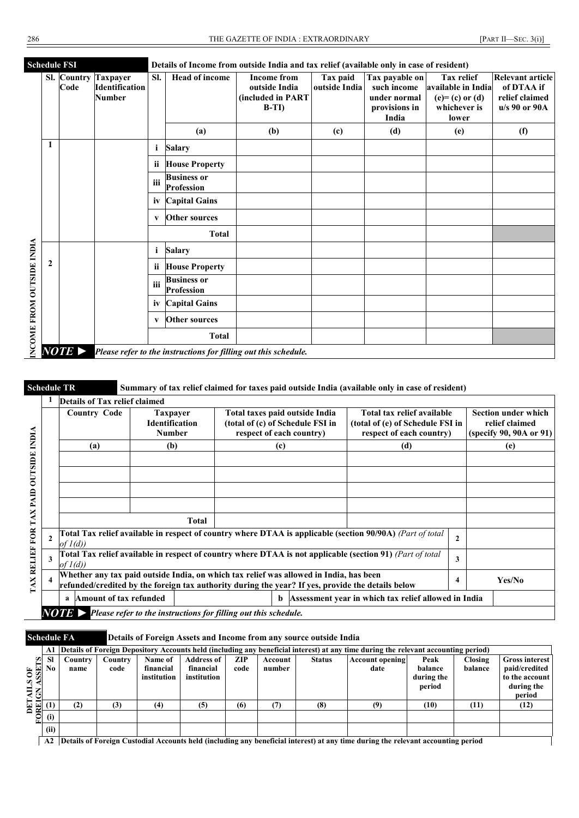|                           |              | <b>Schedule FSI</b>   |                                                    | Details of Income from outside India and tax relief (available only in case of resident) |                                         |                                                                    |                           |                                                                         |                                                                                        |                                                                   |  |  |  |
|---------------------------|--------------|-----------------------|----------------------------------------------------|------------------------------------------------------------------------------------------|-----------------------------------------|--------------------------------------------------------------------|---------------------------|-------------------------------------------------------------------------|----------------------------------------------------------------------------------------|-------------------------------------------------------------------|--|--|--|
|                           |              | Sl. Country<br>Code   | <b>Taxpayer</b><br>Identification<br><b>Number</b> | SI.                                                                                      | Head of income                          | <b>Income from</b><br>outside India<br>(included in PART<br>$B-TI$ | Tax paid<br>outside India | Tax payable on<br>such income<br>under normal<br>provisions in<br>India | <b>Tax relief</b><br>available in India<br>$(e)=(c)$ or $(d)$<br>whichever is<br>lower | Relevant article<br>of DTAA if<br>relief claimed<br>u/s 90 or 90A |  |  |  |
|                           |              |                       |                                                    |                                                                                          | (a)                                     | (b)                                                                | (c)                       | (d)                                                                     | (e)                                                                                    | (f)                                                               |  |  |  |
|                           | 1            |                       |                                                    | i                                                                                        | <b>Salary</b>                           |                                                                    |                           |                                                                         |                                                                                        |                                                                   |  |  |  |
|                           |              |                       |                                                    | <b>ii</b>                                                                                | <b>House Property</b>                   |                                                                    |                           |                                                                         |                                                                                        |                                                                   |  |  |  |
|                           |              |                       |                                                    | iii                                                                                      | <b>Business or</b><br><b>Profession</b> |                                                                    |                           |                                                                         |                                                                                        |                                                                   |  |  |  |
|                           |              |                       |                                                    | iv                                                                                       | <b>Capital Gains</b>                    |                                                                    |                           |                                                                         |                                                                                        |                                                                   |  |  |  |
|                           |              |                       |                                                    | V                                                                                        | <b>Other sources</b>                    |                                                                    |                           |                                                                         |                                                                                        |                                                                   |  |  |  |
|                           |              |                       |                                                    |                                                                                          | <b>Total</b>                            |                                                                    |                           |                                                                         |                                                                                        |                                                                   |  |  |  |
|                           |              |                       |                                                    | $\mathbf{i}$                                                                             | <b>Salary</b>                           |                                                                    |                           |                                                                         |                                                                                        |                                                                   |  |  |  |
|                           | $\mathbf{2}$ |                       |                                                    | ii                                                                                       | <b>House Property</b>                   |                                                                    |                           |                                                                         |                                                                                        |                                                                   |  |  |  |
| INCOME FROM OUTSIDE INDIA |              |                       |                                                    | iii                                                                                      | <b>Business or</b><br>Profession        |                                                                    |                           |                                                                         |                                                                                        |                                                                   |  |  |  |
|                           |              |                       |                                                    | iv                                                                                       | <b>Capital Gains</b>                    |                                                                    |                           |                                                                         |                                                                                        |                                                                   |  |  |  |
|                           |              |                       |                                                    | $\mathbf{v}$                                                                             | <b>Other sources</b>                    |                                                                    |                           |                                                                         |                                                                                        |                                                                   |  |  |  |
|                           |              |                       |                                                    |                                                                                          | <b>Total</b>                            |                                                                    |                           |                                                                         |                                                                                        |                                                                   |  |  |  |
|                           |              | $NOTE \triangleright$ |                                                    |                                                                                          |                                         | Please refer to the instructions for filling out this schedule.    |                           |                                                                         |                                                                                        |                                                                   |  |  |  |

**Schedule TR Summary of tax relief claimed for taxes paid outside India (available only in case of resident)**

|                         | <b>Country Code</b>         | <b>Taxpayer</b><br><b>Identification</b><br><b>Number</b> | Total taxes paid outside India<br>(total of (c) of Schedule FSI in<br>respect of each country)                                                                                              | Total tax relief available<br>(total of (e) of Schedule FSI in | <b>Section under which</b><br>relief claimed<br>(specify 90, 90A or 91) |        |
|-------------------------|-----------------------------|-----------------------------------------------------------|---------------------------------------------------------------------------------------------------------------------------------------------------------------------------------------------|----------------------------------------------------------------|-------------------------------------------------------------------------|--------|
|                         | (a)                         | (b)                                                       | (c)                                                                                                                                                                                         | respect of each country)<br>(d)                                |                                                                         | (e)    |
|                         |                             |                                                           |                                                                                                                                                                                             |                                                                |                                                                         |        |
|                         |                             |                                                           |                                                                                                                                                                                             |                                                                |                                                                         |        |
|                         |                             |                                                           |                                                                                                                                                                                             |                                                                |                                                                         |        |
|                         |                             | <b>Total</b>                                              |                                                                                                                                                                                             |                                                                |                                                                         |        |
| $\mathbf{2}$            | of $I(d)$                   |                                                           | Total Tax relief available in respect of country where DTAA is applicable (section 90/90A) (Part of total                                                                                   |                                                                | $\mathbf{2}$                                                            |        |
| 3                       | of $I(d)$                   |                                                           | Total Tax relief available in respect of country where DTAA is not applicable (section 91) (Part of total                                                                                   |                                                                | 3                                                                       |        |
| $\overline{\mathbf{4}}$ |                             |                                                           | Whether any tax paid outside India, on which tax relief was allowed in India, has been<br>refunded/credited by the foreign tax authority during the year? If yes, provide the details below |                                                                | 4                                                                       | Yes/No |
|                         | Amount of tax refunded<br>a |                                                           | b                                                                                                                                                                                           | Assessment year in which tax relief allowed in India           |                                                                         |        |

**Schedule FA Details of Foreign Assets and Income from any source outside India DETAILS OF<br>FOREIGN ASSETS**<br> $\frac{1}{\sqrt{2}}$ **A1 Details of Foreign Depository Accounts held (including any beneficial interest) at any time during the relevant accounting period) Sl No Country name Country code Name of financial institution Address of financial institution ZIP code Account number Status Account opening date Peak balance during the period Closing balance Gross interest paid/credited to the account during the**   $\frac{\text{period}}{(12)}$ **(1) (2) (3) (4) (5) (6) (7) (8) (9) (10) (11) (12) (i) (ii)**

**A2 Details of Foreign Custodial Accounts held (including any beneficial interest) at any time during the relevant accounting period**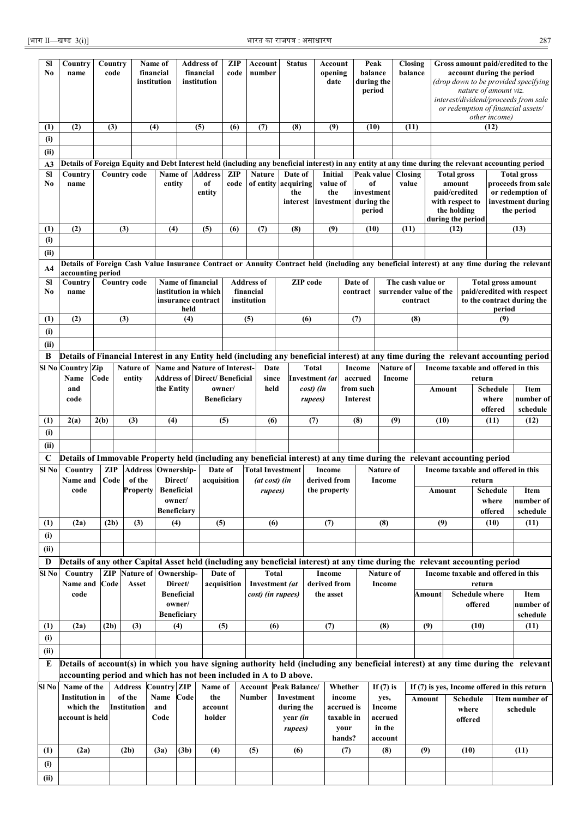| Sl<br>No    | Country<br>name                                                                                                               |             | Country<br>code       |                     | Name of<br>financial<br>institution |                   | <b>Address of</b><br>financial<br>institution                              | <b>ZIP</b><br>code     | Account<br>number            |               | <b>Status</b>          |                 | Account<br>opening<br>date |                          | Peak<br>balance<br>during the<br>period |                                                                       | Closing<br>balance  |                                                           | Gross amount paid/credited to the<br>account during the period<br>(drop down to be provided specifying<br>nature of amount viz.<br>interest/dividend/proceeds from sale<br>or redemption of financial assets/<br>other income) |                       |                  |                                                                                                                                                      |
|-------------|-------------------------------------------------------------------------------------------------------------------------------|-------------|-----------------------|---------------------|-------------------------------------|-------------------|----------------------------------------------------------------------------|------------------------|------------------------------|---------------|------------------------|-----------------|----------------------------|--------------------------|-----------------------------------------|-----------------------------------------------------------------------|---------------------|-----------------------------------------------------------|--------------------------------------------------------------------------------------------------------------------------------------------------------------------------------------------------------------------------------|-----------------------|------------------|------------------------------------------------------------------------------------------------------------------------------------------------------|
| (1)         | (2)                                                                                                                           |             | (3)                   |                     | (4)                                 |                   | (5)                                                                        | (6)                    | (7)                          |               | (8)                    |                 | (9)                        |                          | (10)                                    |                                                                       | (11)                |                                                           |                                                                                                                                                                                                                                |                       | (12)             |                                                                                                                                                      |
| (i)         |                                                                                                                               |             |                       |                     |                                     |                   |                                                                            |                        |                              |               |                        |                 |                            |                          |                                         |                                                                       |                     |                                                           |                                                                                                                                                                                                                                |                       |                  |                                                                                                                                                      |
| (ii)        |                                                                                                                               |             |                       |                     |                                     |                   |                                                                            |                        |                              |               |                        |                 |                            |                          |                                         |                                                                       |                     |                                                           |                                                                                                                                                                                                                                |                       |                  |                                                                                                                                                      |
| A3          |                                                                                                                               |             |                       |                     |                                     |                   |                                                                            |                        |                              |               |                        |                 |                            |                          |                                         |                                                                       |                     |                                                           |                                                                                                                                                                                                                                |                       |                  | Details of Foreign Equity and Debt Interest held (including any beneficial interest) in any entity at any time during the relevant accounting period |
| SI          | Country                                                                                                                       |             | <b>Country code</b>   |                     | Name of                             |                   | <b>Address</b>                                                             | <b>ZIP</b>             | <b>Nature</b>                |               | Date of                |                 | <b>Initial</b>             |                          | Peak value                              |                                                                       | Closing             |                                                           | <b>Total gross</b>                                                                                                                                                                                                             |                       |                  | <b>Total gross</b>                                                                                                                                   |
| No          | name                                                                                                                          |             |                       |                     | entity                              |                   | of<br>entity                                                               | code                   | of entity                    |               | acquiring<br>the       |                 | value of<br>the            |                          |                                         | of<br>value<br>investment<br>interest investment during the<br>period |                     | amount<br>paid/credited<br>with respect to<br>the holding |                                                                                                                                                                                                                                | during the period     |                  | proceeds from sale<br>or redemption of<br>investment during<br>the period                                                                            |
| (1)         | (2)                                                                                                                           |             | (3)                   |                     | (4)                                 |                   | (5)                                                                        | (6)                    | (7)                          |               | (8)                    |                 | (9)                        |                          | (10)                                    |                                                                       | (11)                |                                                           | (12)                                                                                                                                                                                                                           |                       |                  | (13)                                                                                                                                                 |
| (i)         |                                                                                                                               |             |                       |                     |                                     |                   |                                                                            |                        |                              |               |                        |                 |                            |                          |                                         |                                                                       |                     |                                                           |                                                                                                                                                                                                                                |                       |                  |                                                                                                                                                      |
| (ii)        |                                                                                                                               |             |                       |                     |                                     |                   |                                                                            |                        |                              |               |                        |                 |                            |                          |                                         |                                                                       |                     |                                                           |                                                                                                                                                                                                                                |                       |                  |                                                                                                                                                      |
| A4          | accounting period                                                                                                             |             |                       |                     |                                     |                   |                                                                            |                        |                              |               |                        |                 |                            |                          |                                         |                                                                       |                     |                                                           |                                                                                                                                                                                                                                |                       |                  | Details of Foreign Cash Value Insurance Contract or Annuity Contract held (including any beneficial interest) at any time during the relevant        |
| <b>SI</b>   | Country                                                                                                                       |             | <b>Country code</b>   |                     |                                     |                   | Name of financial                                                          |                        | <b>Address of</b>            |               |                        | <b>ZIP</b> code |                            | Date of                  |                                         |                                                                       |                     | The cash value or                                         |                                                                                                                                                                                                                                |                       |                  | <b>Total gross amount</b>                                                                                                                            |
| No          | name                                                                                                                          |             |                       |                     |                                     | held              | institution in which<br>insurance contract                                 |                        | financial<br>institution     |               |                        |                 |                            | contract                 |                                         |                                                                       | contract            | surrender value of the                                    |                                                                                                                                                                                                                                |                       | period           | paid/credited with respect<br>to the contract during the                                                                                             |
| (1)         | (2)                                                                                                                           |             | (3)                   |                     |                                     | (4)               |                                                                            |                        | (5)                          |               |                        | (6)             |                            | (7)                      |                                         |                                                                       | (8)                 |                                                           |                                                                                                                                                                                                                                |                       | (9)              |                                                                                                                                                      |
| (i)         |                                                                                                                               |             |                       |                     |                                     |                   |                                                                            |                        |                              |               |                        |                 |                            |                          |                                         |                                                                       |                     |                                                           |                                                                                                                                                                                                                                |                       |                  |                                                                                                                                                      |
| (ii)        |                                                                                                                               |             |                       |                     |                                     |                   |                                                                            |                        |                              |               |                        |                 |                            |                          |                                         |                                                                       |                     |                                                           |                                                                                                                                                                                                                                |                       |                  |                                                                                                                                                      |
| B           |                                                                                                                               |             |                       |                     |                                     |                   |                                                                            |                        |                              |               |                        |                 |                            |                          |                                         |                                                                       |                     |                                                           |                                                                                                                                                                                                                                |                       |                  | Details of Financial Interest in any Entity held (including any beneficial interest) at any time during the relevant accounting period               |
|             | <b>SI No Country</b><br>Name                                                                                                  | Zip<br>Code |                       | Nature of<br>entity |                                     |                   | <b>Name and Nature of Interest-</b><br><b>Address of Direct/Beneficial</b> |                        |                              | Date<br>since |                        | <b>Total</b>    | Investment (at             | accrued                  | Income                                  |                                                                       | Nature of<br>Income |                                                           | Income taxable and offered in this<br>return                                                                                                                                                                                   |                       |                  |                                                                                                                                                      |
|             | and                                                                                                                           |             |                       |                     | the Entity                          |                   |                                                                            | owner/                 |                              | held          |                        | cost) (in       |                            |                          | from such                               |                                                                       |                     |                                                           | Amount                                                                                                                                                                                                                         |                       | Schedule         | Item                                                                                                                                                 |
|             | code                                                                                                                          |             |                       |                     |                                     |                   |                                                                            | <b>Beneficiary</b>     |                              |               |                        | rupees)         |                            | <b>Interest</b>          |                                         |                                                                       |                     |                                                           |                                                                                                                                                                                                                                |                       | where<br>offered | number of<br>schedule                                                                                                                                |
| (1)         | 2(a)                                                                                                                          | 2(b)        |                       | (3)                 | (4)                                 |                   |                                                                            | (5)                    |                              | (6)           |                        | (7)             |                            | (8)                      |                                         | (9)                                                                   |                     |                                                           | (10)                                                                                                                                                                                                                           |                       | (11)             | (12)                                                                                                                                                 |
| (i)         |                                                                                                                               |             |                       |                     |                                     |                   |                                                                            |                        |                              |               |                        |                 |                            |                          |                                         |                                                                       |                     |                                                           |                                                                                                                                                                                                                                |                       |                  |                                                                                                                                                      |
| (ii)        |                                                                                                                               |             |                       |                     |                                     |                   |                                                                            |                        |                              |               |                        |                 |                            |                          |                                         |                                                                       |                     |                                                           |                                                                                                                                                                                                                                |                       |                  |                                                                                                                                                      |
| $\mathbf C$ | Details of Immovable Property held (including any beneficial interest) at any time during the relevant accounting period      |             |                       |                     |                                     |                   |                                                                            |                        |                              |               |                        |                 |                            |                          |                                         |                                                                       |                     |                                                           |                                                                                                                                                                                                                                |                       |                  |                                                                                                                                                      |
| Sl No       | Country                                                                                                                       |             | <b>ZIP</b>            |                     | <b>Address Ownership-</b>           |                   | Date of                                                                    |                        | <b>Total Investment</b>      |               |                        |                 | <b>Income</b>              |                          |                                         | Nature of                                                             |                     |                                                           |                                                                                                                                                                                                                                |                       |                  | Income taxable and offered in this                                                                                                                   |
|             | Name and                                                                                                                      |             | Code                  | of the              |                                     | Direct/           | acquisition                                                                |                        | (at cost) (in                |               |                        |                 | derived from               |                          |                                         | Income                                                                |                     |                                                           |                                                                                                                                                                                                                                | return                |                  |                                                                                                                                                      |
|             | code                                                                                                                          |             |                       |                     | <b>Property Beneficial</b>          |                   |                                                                            |                        |                              | rupees)       |                        |                 | the property               |                          |                                         |                                                                       |                     |                                                           | Amount                                                                                                                                                                                                                         |                       | <b>Schedule</b>  | <b>Item</b>                                                                                                                                          |
|             |                                                                                                                               |             |                       |                     |                                     | owner/            |                                                                            |                        |                              |               |                        |                 |                            |                          |                                         |                                                                       |                     |                                                           |                                                                                                                                                                                                                                |                       | where            | number of                                                                                                                                            |
|             |                                                                                                                               |             |                       |                     | <b>Beneficiary</b>                  |                   |                                                                            |                        |                              |               |                        |                 |                            |                          |                                         |                                                                       |                     |                                                           |                                                                                                                                                                                                                                |                       | offered          | schedule                                                                                                                                             |
| (1)         | (2a)                                                                                                                          |             | (2b)                  | (3)                 |                                     | (4)               | (5)                                                                        |                        |                              | (6)           |                        |                 | (7)                        |                          |                                         | (8)                                                                   |                     |                                                           | (9)                                                                                                                                                                                                                            |                       | (10)             | (11)                                                                                                                                                 |
| (i)         |                                                                                                                               |             |                       |                     |                                     |                   |                                                                            |                        |                              |               |                        |                 |                            |                          |                                         |                                                                       |                     |                                                           |                                                                                                                                                                                                                                |                       |                  |                                                                                                                                                      |
| (ii)        |                                                                                                                               |             |                       |                     |                                     |                   |                                                                            |                        |                              |               |                        |                 |                            |                          |                                         |                                                                       |                     |                                                           |                                                                                                                                                                                                                                |                       |                  |                                                                                                                                                      |
| D           | Details of any other Capital Asset held (including any beneficial interest) at any time during the relevant accounting period |             |                       |                     |                                     |                   |                                                                            |                        |                              |               |                        |                 |                            |                          |                                         |                                                                       |                     |                                                           |                                                                                                                                                                                                                                |                       |                  |                                                                                                                                                      |
| Sl No       | Country<br>Name and                                                                                                           | Code        |                       | Asset               | <b>ZIP</b> Nature of Ownership-     | Direct/           |                                                                            | Date of<br>acquisition | Investment (at               | Total         |                        |                 | Income<br>derived from     |                          |                                         | Nature of<br>Income                                                   |                     |                                                           |                                                                                                                                                                                                                                | return                |                  | Income taxable and offered in this                                                                                                                   |
|             | code                                                                                                                          |             |                       |                     |                                     | <b>Beneficial</b> |                                                                            |                        | cost) (in rupees)            |               |                        |                 | the asset                  |                          |                                         |                                                                       |                     | Amount                                                    |                                                                                                                                                                                                                                | <b>Schedule where</b> |                  | Item                                                                                                                                                 |
|             |                                                                                                                               |             |                       |                     |                                     | owner/            |                                                                            |                        |                              |               |                        |                 |                            |                          |                                         |                                                                       |                     |                                                           |                                                                                                                                                                                                                                | offered               |                  | number of                                                                                                                                            |
|             |                                                                                                                               |             |                       |                     | <b>Beneficiary</b>                  |                   |                                                                            |                        |                              |               |                        |                 |                            |                          |                                         |                                                                       |                     |                                                           |                                                                                                                                                                                                                                |                       |                  | schedule                                                                                                                                             |
| (1)         | (2a)                                                                                                                          | (2b)        |                       | (3)                 |                                     | (4)               |                                                                            | (5)                    |                              | (6)           |                        |                 | (7)                        |                          |                                         | (8)                                                                   |                     | (9)                                                       |                                                                                                                                                                                                                                | (10)                  |                  | (11)                                                                                                                                                 |
| (i)         |                                                                                                                               |             |                       |                     |                                     |                   |                                                                            |                        |                              |               |                        |                 |                            |                          |                                         |                                                                       |                     |                                                           |                                                                                                                                                                                                                                |                       |                  |                                                                                                                                                      |
| (ii)        |                                                                                                                               |             |                       |                     |                                     |                   |                                                                            |                        |                              |               |                        |                 |                            |                          |                                         |                                                                       |                     |                                                           |                                                                                                                                                                                                                                |                       |                  |                                                                                                                                                      |
| E           |                                                                                                                               |             |                       |                     |                                     |                   |                                                                            |                        |                              |               |                        |                 |                            |                          |                                         |                                                                       |                     |                                                           |                                                                                                                                                                                                                                |                       |                  | Details of account(s) in which you have signing authority held (including any beneficial interest) at any time during the relevant                   |
|             | accounting period and which has not been included in A to D above.                                                            |             |                       |                     |                                     |                   |                                                                            |                        |                              |               |                        |                 |                            |                          |                                         |                                                                       |                     |                                                           |                                                                                                                                                                                                                                |                       |                  |                                                                                                                                                      |
| SI No       | Name of the                                                                                                                   |             | <b>Address</b>        |                     | <b>Country ZIP</b>                  |                   | Name of                                                                    |                        | <b>Account Peak Balance/</b> |               |                        |                 |                            | Whether                  |                                         | If $(7)$ is                                                           |                     |                                                           |                                                                                                                                                                                                                                |                       |                  | If (7) is yes, Income offered in this return                                                                                                         |
|             | <b>Institution in</b>                                                                                                         |             | of the<br>Institution |                     | <b>Name</b>                         | Code              | the                                                                        |                        | <b>Number</b>                |               | Investment             |                 |                            | income                   |                                         | yes,                                                                  |                     | Amount                                                    |                                                                                                                                                                                                                                | Schedule              |                  | Item number of                                                                                                                                       |
|             | which the<br>account is held                                                                                                  |             |                       |                     | and<br>Code                         |                   | account<br>holder                                                          |                        |                              |               | during the<br>year (in |                 |                            | accrued is<br>taxable in |                                         | Income<br>accrued                                                     |                     |                                                           |                                                                                                                                                                                                                                | where                 |                  | schedule                                                                                                                                             |
|             |                                                                                                                               |             |                       |                     |                                     |                   |                                                                            |                        |                              |               | rupees)                |                 |                            | your                     |                                         | in the                                                                |                     |                                                           |                                                                                                                                                                                                                                | offered               |                  |                                                                                                                                                      |
|             |                                                                                                                               |             |                       |                     |                                     |                   |                                                                            |                        |                              |               |                        |                 |                            | hands?                   |                                         | account                                                               |                     |                                                           |                                                                                                                                                                                                                                |                       |                  |                                                                                                                                                      |
| (1)         | (2a)                                                                                                                          |             | (2b)                  |                     | (3a)                                | (3b)              | (4)                                                                        |                        | (5)                          |               | (6)                    |                 |                            | (7)                      |                                         | (8)                                                                   |                     | (9)                                                       |                                                                                                                                                                                                                                | (10)                  |                  | (11)                                                                                                                                                 |
| (i)         |                                                                                                                               |             |                       |                     |                                     |                   |                                                                            |                        |                              |               |                        |                 |                            |                          |                                         |                                                                       |                     |                                                           |                                                                                                                                                                                                                                |                       |                  |                                                                                                                                                      |
| (ii)        |                                                                                                                               |             |                       |                     |                                     |                   |                                                                            |                        |                              |               |                        |                 |                            |                          |                                         |                                                                       |                     |                                                           |                                                                                                                                                                                                                                |                       |                  |                                                                                                                                                      |
|             |                                                                                                                               |             |                       |                     |                                     |                   |                                                                            |                        |                              |               |                        |                 |                            |                          |                                         |                                                                       |                     |                                                           |                                                                                                                                                                                                                                |                       |                  |                                                                                                                                                      |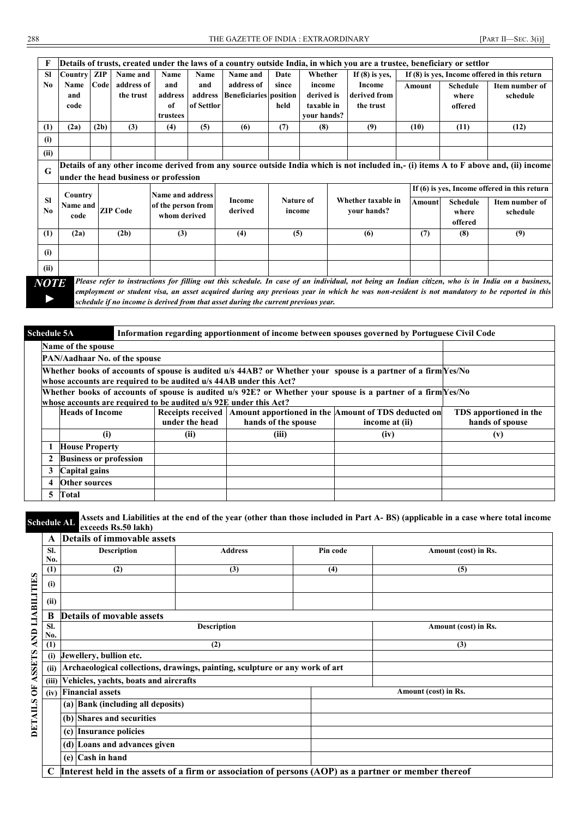|                | Details of trusts, created under the laws of a country outside India, in which you are a trustee, beneficiary or settlor                                                                                                                                                                                        |      |                 |                    |            |                               |           |             |                    |        |                 |                                              |
|----------------|-----------------------------------------------------------------------------------------------------------------------------------------------------------------------------------------------------------------------------------------------------------------------------------------------------------------|------|-----------------|--------------------|------------|-------------------------------|-----------|-------------|--------------------|--------|-----------------|----------------------------------------------|
| <b>SI</b>      | <b>Country</b>                                                                                                                                                                                                                                                                                                  | ZIP  | Name and        | Name               | Name       | Name and                      | Date      | Whether     | If $(8)$ is yes,   |        |                 | If (8) is ves, Income offered in this return |
| N <sub>0</sub> | Name                                                                                                                                                                                                                                                                                                            | Code | address of      | and                | and        | address of                    | since     | income      | Income             | Amount | <b>Schedule</b> | Item number of                               |
|                | and                                                                                                                                                                                                                                                                                                             |      | the trust       | address            | address    | <b>Beneficiaries</b> position |           | derived is  | derived from       |        | where           | schedule                                     |
|                | code                                                                                                                                                                                                                                                                                                            |      |                 | of                 | of Settlor |                               | held      | taxable in  | the trust          |        | offered         |                                              |
|                |                                                                                                                                                                                                                                                                                                                 |      |                 | trustees           |            |                               |           | your hands? |                    |        |                 |                                              |
| (1)            | (2a)                                                                                                                                                                                                                                                                                                            | (2b) | (3)             | (4)                | (5)        | (6)                           | (7)       | (8)         | (9)                | (10)   | (11)            | (12)                                         |
| (i)            |                                                                                                                                                                                                                                                                                                                 |      |                 |                    |            |                               |           |             |                    |        |                 |                                              |
| (ii)           |                                                                                                                                                                                                                                                                                                                 |      |                 |                    |            |                               |           |             |                    |        |                 |                                              |
| G              | Details of any other income derived from any source outside India which is not included in,- (i) items A to F above and, (ii) income<br>under the head business or profession                                                                                                                                   |      |                 |                    |            |                               |           |             |                    |        |                 |                                              |
|                | Country                                                                                                                                                                                                                                                                                                         |      |                 | Name and address   |            |                               |           |             |                    |        |                 | If (6) is yes, Income offered in this return |
| <b>SI</b>      | Name and                                                                                                                                                                                                                                                                                                        |      |                 | of the person from |            | <b>Income</b>                 | Nature of |             | Whether taxable in | Amount | <b>Schedule</b> | Item number of                               |
| N <sub>0</sub> | code                                                                                                                                                                                                                                                                                                            |      | <b>ZIP Code</b> | whom derived       |            | derived                       | income    |             | your hands?        |        | where           | schedule                                     |
|                |                                                                                                                                                                                                                                                                                                                 |      |                 |                    |            |                               |           |             |                    |        | offered         |                                              |
| (1)            | (2a)                                                                                                                                                                                                                                                                                                            |      | (2b)            | (3)                |            | (4)                           | (5)       |             | (6)                | (7)    | (8)             | (9)                                          |
| (i)            |                                                                                                                                                                                                                                                                                                                 |      |                 |                    |            |                               |           |             |                    |        |                 |                                              |
| (ii)           |                                                                                                                                                                                                                                                                                                                 |      |                 |                    |            |                               |           |             |                    |        |                 |                                              |
|                | Please refer to instructions for filling out this schedule. In case of an individual, not being an Indian citizen, who is in India on a business,<br><i>NOTE</i><br>applayment or student visa, an asset acquired during any provious year in which he was non-resident is not mandatory to be reported in this |      |                 |                    |            |                               |           |             |                    |        |                 |                                              |

*►*

*employment or student visa, an asset acquired during any previous year in which he was non-resident is not mandatory to be reported in this schedule if no income is derived from that asset during the current previous year.*

| <b>Schedule 5A</b><br>Information regarding apportionment of income between spouses governed by Portuguese Civil Code                                                               |                                                                   |                                                                                                              |                     |                |                 |  |  |  |  |  |  |
|-------------------------------------------------------------------------------------------------------------------------------------------------------------------------------------|-------------------------------------------------------------------|--------------------------------------------------------------------------------------------------------------|---------------------|----------------|-----------------|--|--|--|--|--|--|
|                                                                                                                                                                                     | Name of the spouse                                                |                                                                                                              |                     |                |                 |  |  |  |  |  |  |
|                                                                                                                                                                                     | PAN/Aadhaar No. of the spouse                                     |                                                                                                              |                     |                |                 |  |  |  |  |  |  |
| Whether books of accounts of spouse is audited u/s 44AB? or Whether your spouse is a partner of a firm Yes/No<br>whose accounts are required to be audited u/s 44AB under this Act? |                                                                   |                                                                                                              |                     |                |                 |  |  |  |  |  |  |
|                                                                                                                                                                                     | whose accounts are required to be audited u/s 92E under this Act? | Whether books of accounts of spouse is audited u/s 92E? or Whether your spouse is a partner of a firm Yes/No |                     |                |                 |  |  |  |  |  |  |
|                                                                                                                                                                                     | <b>Heads of Income</b>                                            | Receipts received   Amount apportioned in the   Amount of TDS deducted on<br>TDS apportioned in the          |                     |                |                 |  |  |  |  |  |  |
|                                                                                                                                                                                     |                                                                   | under the head                                                                                               | hands of the spouse | income at (ii) | hands of spouse |  |  |  |  |  |  |
|                                                                                                                                                                                     | (i)                                                               | (ii)                                                                                                         | (iii)               | (iv)           | (v)             |  |  |  |  |  |  |
|                                                                                                                                                                                     | <b>House Property</b>                                             |                                                                                                              |                     |                |                 |  |  |  |  |  |  |
| $\mathbf{2}$                                                                                                                                                                        | <b>Business or profession</b>                                     |                                                                                                              |                     |                |                 |  |  |  |  |  |  |
| 3                                                                                                                                                                                   | Capital gains                                                     |                                                                                                              |                     |                |                 |  |  |  |  |  |  |
| 4                                                                                                                                                                                   | <b>Other sources</b>                                              |                                                                                                              |                     |                |                 |  |  |  |  |  |  |
| 5                                                                                                                                                                                   | Total                                                             |                                                                                                              |                     |                |                 |  |  |  |  |  |  |

**Schedule AL Assets** and Liabilities at the end of the year (other than those included in Part A- BS) (applicable in a case where total income argued Be 50 lol-b) **exceeds Rs.50 lakh)**

|                        | A     | <b>Details of immovable assets</b>                                                                   |                    |          |                      |
|------------------------|-------|------------------------------------------------------------------------------------------------------|--------------------|----------|----------------------|
|                        | SI.   | <b>Description</b>                                                                                   | <b>Address</b>     | Pin code | Amount (cost) in Rs. |
|                        | No.   |                                                                                                      |                    |          |                      |
|                        | (1)   | (2)                                                                                                  | (3)                | (4)      | (5)                  |
| <b>AND LIABILITIES</b> | (i)   |                                                                                                      |                    |          |                      |
|                        | (ii)  |                                                                                                      |                    |          |                      |
|                        | B     | <b>Details of movable assets</b>                                                                     |                    |          |                      |
|                        | SI.   |                                                                                                      | <b>Description</b> |          | Amount (cost) in Rs. |
|                        | No.   |                                                                                                      |                    |          |                      |
|                        | (1)   |                                                                                                      | (2)                |          | (3)                  |
|                        | (i)   | Jewellery, bullion etc.                                                                              |                    |          |                      |
| ASSETS                 | (ii)  | Archaeological collections, drawings, painting, sculpture or any work of art                         |                    |          |                      |
|                        | (iii) | Vehicles, yachts, boats and aircrafts                                                                |                    |          |                      |
| $\ddot{\bf{5}}$        | (iv)  | <b>Financial assets</b>                                                                              |                    |          | Amount (cost) in Rs. |
| <b>DETAILS</b>         |       | (a) Bank (including all deposits)                                                                    |                    |          |                      |
|                        |       | (b) Shares and securities                                                                            |                    |          |                      |
|                        |       | <b>Insurance policies</b><br>(c)                                                                     |                    |          |                      |
|                        |       | (d) Loans and advances given                                                                         |                    |          |                      |
|                        |       | $(e)$ Cash in hand                                                                                   |                    |          |                      |
|                        | C     | Interest held in the assets of a firm or association of persons (AOP) as a partner or member thereof |                    |          |                      |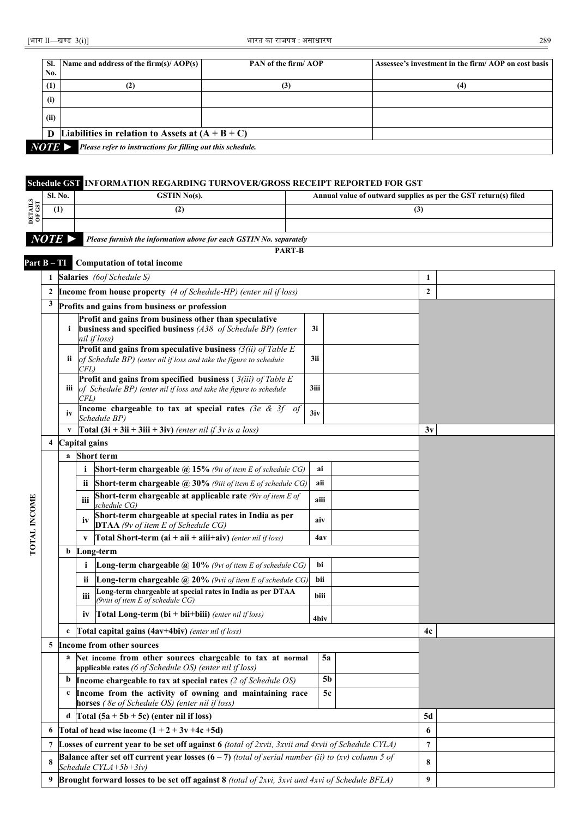| No.  | Sl. Name and address of the firm(s)/ $AOP(s)$        | PAN of the firm/AOP | Assessee's investment in the firm/AOP on cost basis |
|------|------------------------------------------------------|---------------------|-----------------------------------------------------|
| (1)  | (2)                                                  | (3)                 | (4)                                                 |
| (i)  |                                                      |                     |                                                     |
| (ii) |                                                      |                     |                                                     |
|      | D Liabilities in relation to Assets at $(A + B + C)$ |                     |                                                     |
| WD N | $\mathbf{D}$                                         |                     |                                                     |

*NOTE ► Please refer to instructions for filling out this schedule.* 

### **Schedule GST INFORMATION REGARDING TURNOVER/GROSS RECEIPT REPORTED FOR GST**

| $\Omega$ . | <b>Sl. No.</b>        | <b>GSTIN No(s).</b>                                                | Annual value of outward supplies as per the GST return(s) filed |  |  |  |  |  |  |  |
|------------|-----------------------|--------------------------------------------------------------------|-----------------------------------------------------------------|--|--|--|--|--|--|--|
|            | (1)                   |                                                                    | (3)                                                             |  |  |  |  |  |  |  |
| Eĕ         |                       |                                                                    |                                                                 |  |  |  |  |  |  |  |
|            | $NOTE \triangleright$ | Please furnish the information above for each GSTIN No. separately |                                                                 |  |  |  |  |  |  |  |
|            |                       |                                                                    | <b>PART-B</b>                                                   |  |  |  |  |  |  |  |
|            |                       | <b>Part B-TI</b> Computation of total income                       |                                                                 |  |  |  |  |  |  |  |
|            |                       | <b>Salaries</b> (6of Schedule S)                                   |                                                                 |  |  |  |  |  |  |  |

|              |                |               |              | $\beta$ alatics (00) behequie b)                                                                                                                   |             | л,               |  |              |  |
|--------------|----------------|---------------|--------------|----------------------------------------------------------------------------------------------------------------------------------------------------|-------------|------------------|--|--------------|--|
|              | $\overline{2}$ |               |              | <b>Income from house property</b> (4 of Schedule-HP) (enter nil if loss)                                                                           |             |                  |  | $\mathbf{2}$ |  |
|              | 3              |               |              | Profits and gains from business or profession                                                                                                      |             |                  |  |              |  |
|              |                | i             |              | Profit and gains from business other than speculative<br>business and specified business (A38 of Schedule BP) (enter<br>nil if loss)               | 3i          |                  |  |              |  |
|              |                | ii.           | CFL          | Profit and gains from speculative business $(3(ii)$ of Table E<br>of Schedule BP) (enter nil if loss and take the figure to schedule               | 3ii         |                  |  |              |  |
|              |                | Ш             | CFL)         | Profit and gains from specified business $(3(iii)$ of Table E<br>of Schedule BP) (enter nil if loss and take the figure to schedule                | 3iii        |                  |  |              |  |
|              |                | iv            |              | Income chargeable to tax at special rates (3e & 3f of<br>Schedule BP)                                                                              | 3iv         |                  |  |              |  |
|              |                | V             |              | <b>Total (3i + 3ii + 3iii + 3iv)</b> (enter nil if $3v$ is a loss)                                                                                 |             | 3v               |  |              |  |
|              | 4              | Capital gains |              |                                                                                                                                                    |             |                  |  |              |  |
|              |                | $\mathbf{a}$  |              | <b>Short term</b>                                                                                                                                  |             |                  |  |              |  |
|              |                |               | i            | <b>Short-term chargeable @ 15%</b> (9ii of item E of schedule CG)                                                                                  | ai          |                  |  |              |  |
|              |                |               | ii.<br>iii   | <b>Short-term chargeable <math>\omega</math> 30%</b> (9iii of item E of schedule CG)<br>Short-term chargeable at applicable rate (9iv of item E of | aii<br>aiii |                  |  |              |  |
| TOTAL INCOME |                |               | iv           | schedule CG)<br>Short-term chargeable at special rates in India as per<br>DTAA (9v of item E of Schedule CG)                                       | aiv         |                  |  |              |  |
|              |                |               | $\mathbf{V}$ | <b>Total Short-term (ai + aii + aiii+aiv)</b> (enter nil if loss)                                                                                  | 4av         |                  |  |              |  |
|              |                | b             |              | Long-term                                                                                                                                          |             |                  |  |              |  |
|              |                |               | i            | <b>Long-term chargeable</b> $\widehat{a}$ 10% (9vi of item E of schedule CG)                                                                       | bi          |                  |  |              |  |
|              |                |               | ii           | <b>Long-term chargeable <math>\omega</math> 20%</b> (9vii of item E of schedule CG)                                                                | bii         |                  |  |              |  |
|              |                |               | iii          | Long-term chargeable at special rates in India as per DTAA<br>(9viii of item E of schedule CG)                                                     | biii        |                  |  |              |  |
|              |                |               | iv           | <b>Total Long-term (bi</b> + bii+biii) (enter nil if loss)                                                                                         | 4biv        |                  |  |              |  |
|              |                | $\mathbf c$   |              | Total capital gains (4av+4biv) (enter nil if loss)                                                                                                 |             |                  |  | 4c           |  |
|              | 5              |               |              | Income from other sources                                                                                                                          |             |                  |  |              |  |
|              |                | a             |              | Net income from other sources chargeable to tax at normal<br>applicable rates (6 of Schedule OS) (enter nil if loss)                               |             | 5a               |  |              |  |
|              |                | b             |              | Income chargeable to tax at special rates (2 of Schedule OS)                                                                                       |             | 5 <sub>b</sub>   |  |              |  |
|              |                | c             |              | Income from the activity of owning and maintaining race<br>horses (8e of Schedule OS) (enter nil if loss)                                          |             | 5c               |  |              |  |
|              |                | d             |              | Total $(5a + 5b + 5c)$ (enter nil if loss)                                                                                                         | 5d          |                  |  |              |  |
|              | 6              |               |              | Total of head wise income $(1 + 2 + 3v + 4c + 5d)$                                                                                                 |             | 6                |  |              |  |
|              | 7              |               |              | Losses of current year to be set off against 6 (total of 2xvii, 3xvii and 4xvii of Schedule CYLA)                                                  |             | $\boldsymbol{7}$ |  |              |  |
|              | 8              |               |              | <b>Balance after set off current year losses (6 – 7)</b> (total of serial number (ii) to (xv) column 5 of<br>Schedule CYLA+5b+3iv)                 |             | 8                |  |              |  |
|              | 9              |               |              | Brought forward losses to be set off against 8 (total of 2xvi, 3xvi and 4xvi of Schedule BFLA)                                                     | 9           |                  |  |              |  |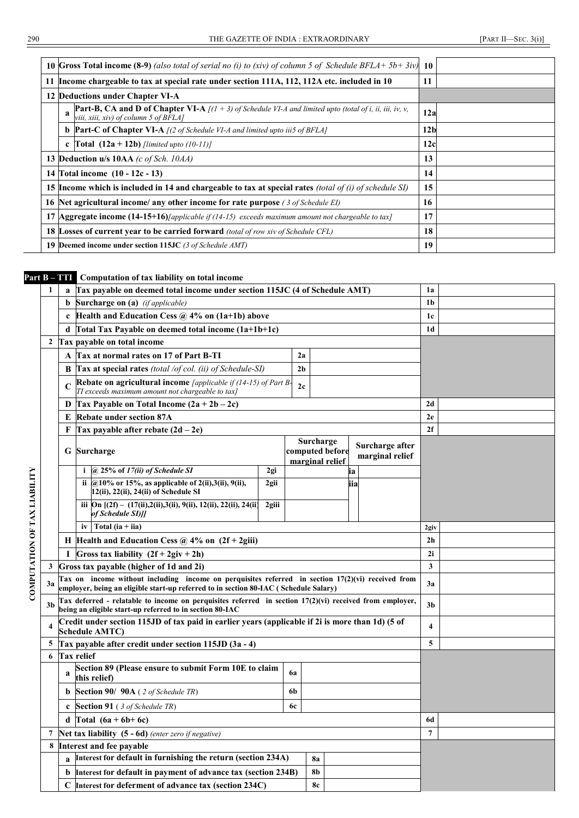|  | 10 Gross Total income (8-9) (also total of serial no (i) to (xiv) of column 5 of Schedule BFLA+ $5b+3iv$ )                                                 | -10             |  |
|--|------------------------------------------------------------------------------------------------------------------------------------------------------------|-----------------|--|
|  | 11 Income chargeable to tax at special rate under section 111A, 112, 112A etc. included in 10                                                              | 11              |  |
|  | 12 Deductions under Chapter VI-A                                                                                                                           |                 |  |
|  | <b>Part-B, CA and D of Chapter VI-A</b> $[(1 + 3)$ of Schedule VI-A and limited upto (total of i, ii, iii, iv, v,<br>viii, xiii, xiv) of column 5 of BFLA] | 12a             |  |
|  | <b>b Part-C of Chapter VI-A</b> $(2 \text{ of Scheduling VI-A and limited up to iii5 of BFLA)$                                                             | 12 <sub>b</sub> |  |
|  | <b>c</b> [Total $(12a + 12b)$ [limited upto (10-11)]                                                                                                       | 12c             |  |
|  | 13 Deduction u/s 10AA (c of Sch. 10AA)                                                                                                                     | 13              |  |
|  | 14 Total income (10 - 12c - 13)                                                                                                                            | 14              |  |
|  | 15 Income which is included in 14 and chargeable to tax at special rates (total of (i) of schedule SI)                                                     | 15              |  |
|  | 16 Net agricultural income/ any other income for rate purpose (3 of Schedule EI)                                                                           | 16              |  |
|  | 17 <b>Aggregate income (14-15+16)</b> <i>(applicable if (14-15)</i> exceeds maximum amount not chargeable to tax)                                          | 17              |  |
|  | <b>18 Losses of current year to be carried forward</b> (total of row xiv of Schedule CFL)                                                                  | 18              |  |
|  | <b>19 Deemed income under section 115JC</b> (3 of Schedule AMT)                                                                                            | 19              |  |

### **Part B – TTI Computation of tax liability on total income**

|                              | 1                                                               | a                                                                | Tax payable on deemed total income under section 115JC (4 of Schedule AMT)                                                                                                                 |       |                |           |                                    |     |                                    |                         |  |
|------------------------------|-----------------------------------------------------------------|------------------------------------------------------------------|--------------------------------------------------------------------------------------------------------------------------------------------------------------------------------------------|-------|----------------|-----------|------------------------------------|-----|------------------------------------|-------------------------|--|
|                              |                                                                 | b                                                                | <b>Surcharge on (a)</b> (if applicable)                                                                                                                                                    |       |                |           |                                    |     |                                    | 1 <sub>b</sub>          |  |
|                              |                                                                 | $\mathbf c$                                                      | Health and Education Cess $\omega$ 4% on (1a+1b) above                                                                                                                                     |       |                |           |                                    |     |                                    | 1 <sub>c</sub>          |  |
|                              |                                                                 | d                                                                | Total Tax Payable on deemed total income (1a+1b+1c)                                                                                                                                        |       |                |           |                                    |     |                                    |                         |  |
|                              | $\mathbf{2}$                                                    |                                                                  | Tax payable on total income                                                                                                                                                                |       |                |           |                                    |     |                                    |                         |  |
|                              |                                                                 | A                                                                | Tax at normal rates on 17 of Part B-TI                                                                                                                                                     |       | 2a             |           |                                    |     |                                    |                         |  |
|                              |                                                                 |                                                                  | <b>B</b> Tax at special rates (total /of col. (ii) of Schedule-SI)                                                                                                                         |       | 2 <sub>b</sub> |           |                                    |     |                                    |                         |  |
|                              |                                                                 | $\mathbf C$                                                      | <b>Rebate on agricultural income</b> <i>[applicable if (14-15) of Part B</i><br>TI exceeds maximum amount not chargeable to tax]                                                           |       | 2c             |           |                                    |     |                                    |                         |  |
|                              |                                                                 | D                                                                | Tax Payable on Total Income $(2a + 2b - 2c)$                                                                                                                                               |       |                |           |                                    |     |                                    | 2d                      |  |
|                              |                                                                 | E                                                                | <b>Rebate under section 87A</b>                                                                                                                                                            |       |                |           |                                    |     |                                    | 2e                      |  |
|                              |                                                                 | F                                                                | Tax payable after rebate $(2d – 2e)$                                                                                                                                                       |       |                |           |                                    |     |                                    | 2f                      |  |
|                              |                                                                 |                                                                  | <b>G</b> Surcharge                                                                                                                                                                         |       |                | Surcharge | computed before<br>marginal relief |     | Surcharge after<br>marginal relief |                         |  |
|                              |                                                                 |                                                                  | i $\omega$ 25% of 17(ii) of Schedule SI                                                                                                                                                    | 2gi   |                |           |                                    | ia  |                                    |                         |  |
| COMPUTATION OF TAX LIABILITY |                                                                 |                                                                  | ii @10% or 15%, as applicable of 2(ii), 3(ii), 9(ii),<br>12(ii), 22(ii), 24(ii) of Schedule SI                                                                                             | 2gii  |                |           |                                    | iia |                                    |                         |  |
|                              |                                                                 |                                                                  | iii $\text{On } [(2f) - (17(ii), 2(ii), 3(ii), 9(ii), 12(ii), 22(ii), 24(ii)]$<br>of Schedule SI)]]                                                                                        | 2giii |                |           |                                    |     |                                    |                         |  |
|                              |                                                                 |                                                                  | Total (ia $+$ iia)<br>iv                                                                                                                                                                   |       |                |           |                                    |     |                                    | 2giv                    |  |
|                              |                                                                 | H Health and Education Cess $\omega$ 4% on (2f + 2giii)          |                                                                                                                                                                                            |       |                |           |                                    |     |                                    |                         |  |
|                              |                                                                 | Gross tax liability $(2f + 2giv + 2h)$<br>T                      |                                                                                                                                                                                            |       |                |           |                                    |     |                                    |                         |  |
|                              | 3                                                               |                                                                  | Gross tax payable (higher of 1d and 2i)                                                                                                                                                    |       |                |           |                                    |     |                                    |                         |  |
|                              | 3a                                                              |                                                                  | Tax on income without including income on perquisites referred in section 17(2)(vi) received from<br>employer, being an eligible start-up referred to in section 80-IAC ( Schedule Salary) |       |                |           |                                    |     |                                    | 3a                      |  |
|                              | 3 <sub>b</sub>                                                  |                                                                  | Tax deferred - relatable to income on perquisites referred in section 17(2)(vi) received from employer,<br>being an eligible start-up referred to in section 80-IAC                        |       |                |           |                                    |     |                                    | 3 <sub>b</sub>          |  |
|                              | 4                                                               |                                                                  | Credit under section 115JD of tax paid in earlier years (applicable if 2i is more than 1d) (5 of<br><b>Schedule AMTC)</b>                                                                  |       |                |           |                                    |     |                                    | $\overline{\mathbf{4}}$ |  |
|                              | 5                                                               |                                                                  | Tax payable after credit under section 115JD (3a - 4)                                                                                                                                      |       |                |           |                                    |     |                                    | 5                       |  |
|                              | 6                                                               |                                                                  | <b>Tax relief</b>                                                                                                                                                                          |       |                |           |                                    |     |                                    |                         |  |
|                              |                                                                 | a                                                                | Section 89 (Please ensure to submit Form 10E to claim<br>this relief)                                                                                                                      |       | 6a             |           |                                    |     |                                    |                         |  |
|                              |                                                                 | b                                                                | <b>Section 90/ 90A</b> (2 of Schedule TR)                                                                                                                                                  |       | 6b             |           |                                    |     |                                    |                         |  |
|                              |                                                                 | <b>Section 91</b> (3 of Schedule TR)<br><b>6c</b><br>$\mathbf c$ |                                                                                                                                                                                            |       |                |           |                                    |     |                                    |                         |  |
|                              |                                                                 | Total $(6a + 6b + 6c)$<br>d                                      |                                                                                                                                                                                            |       |                |           |                                    |     |                                    | 6d                      |  |
|                              | 7                                                               |                                                                  | Net tax liability $(5 - 6d)$ (enter zero if negative)                                                                                                                                      |       |                |           |                                    |     |                                    | $\overline{7}$          |  |
|                              | 8                                                               |                                                                  | Interest and fee payable                                                                                                                                                                   |       |                |           |                                    |     |                                    |                         |  |
|                              |                                                                 |                                                                  | Interest for default in furnishing the return (section 234A)                                                                                                                               |       |                | <b>8a</b> |                                    |     |                                    |                         |  |
|                              |                                                                 | b                                                                | Interest for default in payment of advance tax (section 234B)                                                                                                                              |       |                | <b>8b</b> |                                    |     |                                    |                         |  |
|                              | Interest for deferment of advance tax (section 234C)<br>C<br>8c |                                                                  |                                                                                                                                                                                            |       |                |           |                                    |     |                                    |                         |  |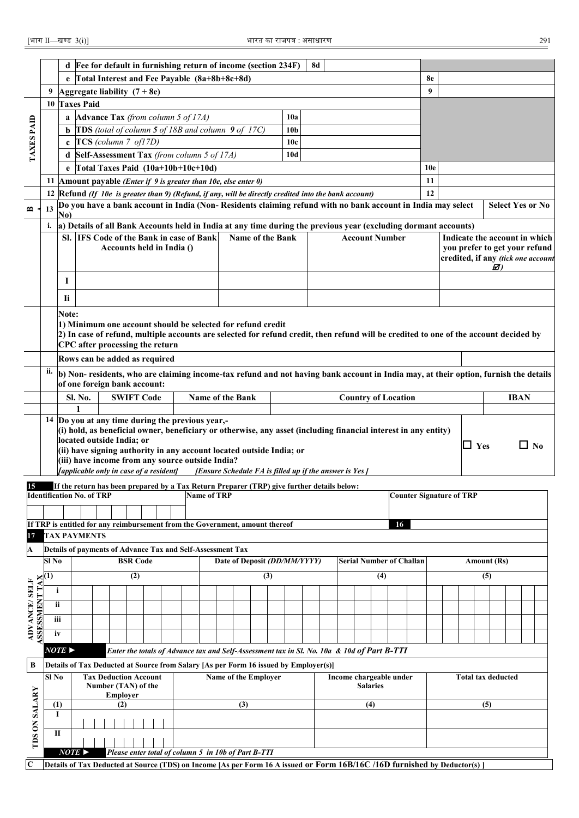|                                                                                                                                              |                                                                                                                              |                                                                                                        | d Fee for default in furnishing return of income (section 234F)                            |                     |                 |                 |                              |                           |  |                                                                                            |  |     |                              |  | <b>8d</b>               |  |    |                 |     |                            |                                                                                                                                        |  |  |                                                                     |     |                           |             |                                                                                                                                     |
|----------------------------------------------------------------------------------------------------------------------------------------------|------------------------------------------------------------------------------------------------------------------------------|--------------------------------------------------------------------------------------------------------|--------------------------------------------------------------------------------------------|---------------------|-----------------|-----------------|------------------------------|---------------------------|--|--------------------------------------------------------------------------------------------|--|-----|------------------------------|--|-------------------------|--|----|-----------------|-----|----------------------------|----------------------------------------------------------------------------------------------------------------------------------------|--|--|---------------------------------------------------------------------|-----|---------------------------|-------------|-------------------------------------------------------------------------------------------------------------------------------------|
|                                                                                                                                              |                                                                                                                              |                                                                                                        | e Total Interest and Fee Payable (8a+8b+8c+8d)                                             |                     |                 |                 |                              |                           |  |                                                                                            |  |     |                              |  |                         |  |    |                 |     |                            | 8e                                                                                                                                     |  |  |                                                                     |     |                           |             |                                                                                                                                     |
|                                                                                                                                              |                                                                                                                              |                                                                                                        | Aggregate liability $(7 + 8e)$                                                             |                     |                 |                 |                              |                           |  |                                                                                            |  |     |                              |  |                         |  |    |                 |     | 9                          |                                                                                                                                        |  |  |                                                                     |     |                           |             |                                                                                                                                     |
|                                                                                                                                              |                                                                                                                              |                                                                                                        | 10 Taxes Paid                                                                              |                     |                 |                 |                              |                           |  |                                                                                            |  |     |                              |  |                         |  |    |                 |     |                            |                                                                                                                                        |  |  |                                                                     |     |                           |             |                                                                                                                                     |
|                                                                                                                                              |                                                                                                                              | a Advance Tax (from column 5 of $17A$ )<br>10a                                                         |                                                                                            |                     |                 |                 |                              |                           |  |                                                                                            |  |     |                              |  |                         |  |    |                 |     |                            |                                                                                                                                        |  |  |                                                                     |     |                           |             |                                                                                                                                     |
|                                                                                                                                              |                                                                                                                              | <b>b</b> TDS (total of column $5$ of 18B and column $9$ of 17C)<br>10 <sub>b</sub>                     |                                                                                            |                     |                 |                 |                              |                           |  |                                                                                            |  |     |                              |  |                         |  |    |                 |     |                            |                                                                                                                                        |  |  |                                                                     |     |                           |             |                                                                                                                                     |
| TAXES PAID                                                                                                                                   |                                                                                                                              | $\mathbf c$ TCS (column 7 of17D)<br>10 <sub>c</sub>                                                    |                                                                                            |                     |                 |                 |                              |                           |  |                                                                                            |  |     |                              |  |                         |  |    |                 |     |                            |                                                                                                                                        |  |  |                                                                     |     |                           |             |                                                                                                                                     |
|                                                                                                                                              |                                                                                                                              | Self-Assessment Tax (from column 5 of 17A)<br>10d<br>d                                                 |                                                                                            |                     |                 |                 |                              |                           |  |                                                                                            |  |     |                              |  |                         |  |    |                 |     |                            |                                                                                                                                        |  |  |                                                                     |     |                           |             |                                                                                                                                     |
|                                                                                                                                              |                                                                                                                              | e $\int$ Total Taxes Paid (10a+10b+10c+10d)                                                            |                                                                                            |                     |                 |                 |                              |                           |  |                                                                                            |  |     |                              |  |                         |  |    |                 |     |                            |                                                                                                                                        |  |  |                                                                     |     |                           |             |                                                                                                                                     |
|                                                                                                                                              |                                                                                                                              |                                                                                                        |                                                                                            |                     |                 |                 |                              |                           |  |                                                                                            |  |     |                              |  |                         |  |    |                 |     |                            | 10e                                                                                                                                    |  |  |                                                                     |     |                           |             |                                                                                                                                     |
|                                                                                                                                              |                                                                                                                              | 11 Amount payable (Enter if $9$ is greater than 10e, else enter 0)                                     |                                                                                            |                     |                 |                 |                              |                           |  |                                                                                            |  |     |                              |  | 11                      |  |    |                 |     |                            |                                                                                                                                        |  |  |                                                                     |     |                           |             |                                                                                                                                     |
|                                                                                                                                              |                                                                                                                              | 12 Refund (If 10e is greater than 9) (Refund, if any, will be directly credited into the bank account) |                                                                                            |                     |                 |                 |                              |                           |  |                                                                                            |  |     |                              |  |                         |  | 12 |                 |     |                            |                                                                                                                                        |  |  |                                                                     |     |                           |             |                                                                                                                                     |
| $\mathbf{r}$                                                                                                                                 | Do you have a bank account in India (Non-Residents claiming refund with no bank account in India may select<br>13            |                                                                                                        |                                                                                            |                     |                 |                 |                              |                           |  |                                                                                            |  |     |                              |  | <b>Select Yes or No</b> |  |    |                 |     |                            |                                                                                                                                        |  |  |                                                                     |     |                           |             |                                                                                                                                     |
|                                                                                                                                              | No)<br>i.<br>a) Details of all Bank Accounts held in India at any time during the previous year (excluding dormant accounts) |                                                                                                        |                                                                                            |                     |                 |                 |                              |                           |  |                                                                                            |  |     |                              |  |                         |  |    |                 |     |                            |                                                                                                                                        |  |  |                                                                     |     |                           |             |                                                                                                                                     |
|                                                                                                                                              |                                                                                                                              |                                                                                                        | Sl. IFS Code of the Bank in case of Bank                                                   |                     |                 |                 |                              |                           |  |                                                                                            |  |     | Name of the Bank             |  |                         |  |    |                 |     | <b>Account Number</b>      |                                                                                                                                        |  |  |                                                                     |     |                           |             | Indicate the account in which                                                                                                       |
|                                                                                                                                              |                                                                                                                              |                                                                                                        |                                                                                            |                     |                 |                 |                              | Accounts held in India () |  |                                                                                            |  |     |                              |  |                         |  |    |                 |     |                            |                                                                                                                                        |  |  |                                                                     |     |                           |             |                                                                                                                                     |
|                                                                                                                                              |                                                                                                                              |                                                                                                        |                                                                                            |                     |                 |                 |                              |                           |  |                                                                                            |  |     |                              |  |                         |  |    |                 |     |                            |                                                                                                                                        |  |  | you prefer to get your refund<br>credited, if any (tick one account |     |                           |             |                                                                                                                                     |
|                                                                                                                                              |                                                                                                                              |                                                                                                        |                                                                                            |                     |                 |                 |                              |                           |  |                                                                                            |  |     |                              |  |                         |  |    |                 |     |                            |                                                                                                                                        |  |  |                                                                     |     | Ø)                        |             |                                                                                                                                     |
|                                                                                                                                              |                                                                                                                              | 1                                                                                                      |                                                                                            |                     |                 |                 |                              |                           |  |                                                                                            |  |     |                              |  |                         |  |    |                 |     |                            |                                                                                                                                        |  |  |                                                                     |     |                           |             |                                                                                                                                     |
|                                                                                                                                              |                                                                                                                              | <b>li</b>                                                                                              |                                                                                            |                     |                 |                 |                              |                           |  |                                                                                            |  |     |                              |  |                         |  |    |                 |     |                            |                                                                                                                                        |  |  |                                                                     |     |                           |             |                                                                                                                                     |
|                                                                                                                                              |                                                                                                                              |                                                                                                        |                                                                                            |                     |                 |                 |                              |                           |  |                                                                                            |  |     |                              |  |                         |  |    |                 |     |                            |                                                                                                                                        |  |  |                                                                     |     |                           |             |                                                                                                                                     |
|                                                                                                                                              |                                                                                                                              | Note:                                                                                                  |                                                                                            |                     |                 |                 |                              |                           |  |                                                                                            |  |     |                              |  |                         |  |    |                 |     |                            |                                                                                                                                        |  |  |                                                                     |     |                           |             |                                                                                                                                     |
|                                                                                                                                              |                                                                                                                              |                                                                                                        | 1) Minimum one account should be selected for refund credit                                |                     |                 |                 |                              |                           |  |                                                                                            |  |     |                              |  |                         |  |    |                 |     |                            | [2) In case of refund, multiple accounts are selected for refund credit, then refund will be credited to one of the account decided by |  |  |                                                                     |     |                           |             |                                                                                                                                     |
|                                                                                                                                              |                                                                                                                              |                                                                                                        | CPC after processing the return                                                            |                     |                 |                 |                              |                           |  |                                                                                            |  |     |                              |  |                         |  |    |                 |     |                            |                                                                                                                                        |  |  |                                                                     |     |                           |             |                                                                                                                                     |
|                                                                                                                                              |                                                                                                                              |                                                                                                        |                                                                                            |                     |                 |                 |                              |                           |  |                                                                                            |  |     |                              |  |                         |  |    |                 |     |                            |                                                                                                                                        |  |  |                                                                     |     |                           |             |                                                                                                                                     |
|                                                                                                                                              | ii.                                                                                                                          |                                                                                                        | Rows can be added as required                                                              |                     |                 |                 |                              |                           |  |                                                                                            |  |     |                              |  |                         |  |    |                 |     |                            |                                                                                                                                        |  |  |                                                                     |     |                           |             |                                                                                                                                     |
|                                                                                                                                              |                                                                                                                              |                                                                                                        |                                                                                            |                     |                 |                 |                              |                           |  |                                                                                            |  |     |                              |  |                         |  |    |                 |     |                            |                                                                                                                                        |  |  |                                                                     |     |                           |             | b) Non-residents, who are claiming income-tax refund and not having bank account in India may, at their option, furnish the details |
|                                                                                                                                              |                                                                                                                              |                                                                                                        | of one foreign bank account:                                                               |                     |                 |                 |                              |                           |  |                                                                                            |  |     |                              |  |                         |  |    |                 |     |                            |                                                                                                                                        |  |  |                                                                     |     |                           |             |                                                                                                                                     |
|                                                                                                                                              |                                                                                                                              |                                                                                                        | Sl. No.                                                                                    |                     |                 |                 | <b>SWIFT Code</b>            |                           |  | Name of the Bank                                                                           |  |     |                              |  |                         |  |    |                 |     | <b>Country of Location</b> |                                                                                                                                        |  |  |                                                                     |     |                           | <b>IBAN</b> |                                                                                                                                     |
|                                                                                                                                              |                                                                                                                              |                                                                                                        |                                                                                            |                     |                 |                 |                              |                           |  |                                                                                            |  |     |                              |  |                         |  |    |                 |     |                            |                                                                                                                                        |  |  |                                                                     |     |                           |             |                                                                                                                                     |
|                                                                                                                                              |                                                                                                                              | 14 Do you at any time during the previous year,-                                                       |                                                                                            |                     |                 |                 |                              |                           |  |                                                                                            |  |     |                              |  |                         |  |    |                 |     |                            |                                                                                                                                        |  |  |                                                                     |     |                           |             |                                                                                                                                     |
| (i) hold, as beneficial owner, beneficiary or otherwise, any asset (including financial interest in any entity)<br>located outside India; or |                                                                                                                              |                                                                                                        |                                                                                            |                     |                 |                 |                              |                           |  |                                                                                            |  |     |                              |  |                         |  |    |                 |     |                            |                                                                                                                                        |  |  |                                                                     |     |                           |             |                                                                                                                                     |
|                                                                                                                                              |                                                                                                                              |                                                                                                        |                                                                                            |                     |                 |                 |                              |                           |  |                                                                                            |  |     |                              |  |                         |  |    |                 |     |                            |                                                                                                                                        |  |  |                                                                     |     |                           |             |                                                                                                                                     |
|                                                                                                                                              |                                                                                                                              |                                                                                                        | (ii) have signing authority in any account located outside India; or                       |                     |                 |                 |                              |                           |  |                                                                                            |  |     |                              |  |                         |  |    |                 |     |                            |                                                                                                                                        |  |  | $\Box$ Yes                                                          |     |                           |             | $\square$ No                                                                                                                        |
|                                                                                                                                              |                                                                                                                              |                                                                                                        | (iii) have income from any source outside India?                                           |                     |                 |                 |                              |                           |  |                                                                                            |  |     |                              |  |                         |  |    |                 |     |                            |                                                                                                                                        |  |  |                                                                     |     |                           |             |                                                                                                                                     |
|                                                                                                                                              |                                                                                                                              |                                                                                                        | <i>[applicable only in case of a resident]</i>                                             |                     |                 |                 |                              |                           |  | [Ensure Schedule FA is filled up if the answer is Yes]                                     |  |     |                              |  |                         |  |    |                 |     |                            |                                                                                                                                        |  |  |                                                                     |     |                           |             |                                                                                                                                     |
| 15                                                                                                                                           |                                                                                                                              |                                                                                                        | If the return has been prepared by a Tax Return Preparer (TRP) give further details below: |                     |                 |                 |                              |                           |  |                                                                                            |  |     |                              |  |                         |  |    |                 |     |                            |                                                                                                                                        |  |  |                                                                     |     |                           |             |                                                                                                                                     |
|                                                                                                                                              |                                                                                                                              |                                                                                                        | <b>Identification No. of TRP</b>                                                           |                     |                 |                 |                              |                           |  | <b>Name of TRP</b>                                                                         |  |     |                              |  |                         |  |    |                 |     |                            | <b>Counter Signature of TRP</b>                                                                                                        |  |  |                                                                     |     |                           |             |                                                                                                                                     |
|                                                                                                                                              |                                                                                                                              |                                                                                                        |                                                                                            |                     |                 |                 |                              |                           |  |                                                                                            |  |     |                              |  |                         |  |    |                 |     |                            |                                                                                                                                        |  |  |                                                                     |     |                           |             |                                                                                                                                     |
|                                                                                                                                              |                                                                                                                              |                                                                                                        | If TRP is entitled for any reimbursement from the Government, amount thereof               |                     |                 |                 |                              |                           |  |                                                                                            |  |     |                              |  |                         |  |    |                 |     | 16                         |                                                                                                                                        |  |  |                                                                     |     |                           |             |                                                                                                                                     |
| 17                                                                                                                                           |                                                                                                                              |                                                                                                        | <b>TAX PAYMENTS</b>                                                                        |                     |                 |                 |                              |                           |  |                                                                                            |  |     |                              |  |                         |  |    |                 |     |                            |                                                                                                                                        |  |  |                                                                     |     |                           |             |                                                                                                                                     |
|                                                                                                                                              |                                                                                                                              |                                                                                                        | Details of payments of Advance Tax and Self-Assessment Tax                                 |                     |                 |                 |                              |                           |  |                                                                                            |  |     |                              |  |                         |  |    |                 |     |                            |                                                                                                                                        |  |  |                                                                     |     |                           |             |                                                                                                                                     |
| $\Delta$                                                                                                                                     | Sl No                                                                                                                        |                                                                                                        |                                                                                            |                     |                 | <b>BSR</b> Code |                              |                           |  |                                                                                            |  |     | Date of Deposit (DD/MM/YYYY) |  |                         |  |    |                 |     | Serial Number of Challan   |                                                                                                                                        |  |  |                                                                     |     | Amount (Rs)               |             |                                                                                                                                     |
|                                                                                                                                              |                                                                                                                              |                                                                                                        |                                                                                            |                     |                 |                 |                              |                           |  |                                                                                            |  |     |                              |  |                         |  |    |                 |     |                            |                                                                                                                                        |  |  |                                                                     |     |                           |             |                                                                                                                                     |
|                                                                                                                                              | (1)                                                                                                                          |                                                                                                        |                                                                                            |                     |                 | (2)             |                              |                           |  |                                                                                            |  |     | (3)                          |  |                         |  |    |                 | (4) |                            |                                                                                                                                        |  |  |                                                                     | (5) |                           |             |                                                                                                                                     |
|                                                                                                                                              |                                                                                                                              | i                                                                                                      |                                                                                            |                     |                 |                 |                              |                           |  |                                                                                            |  |     |                              |  |                         |  |    |                 |     |                            |                                                                                                                                        |  |  |                                                                     |     |                           |             |                                                                                                                                     |
|                                                                                                                                              |                                                                                                                              | ii                                                                                                     |                                                                                            |                     |                 |                 |                              |                           |  |                                                                                            |  |     |                              |  |                         |  |    |                 |     |                            |                                                                                                                                        |  |  |                                                                     |     |                           |             |                                                                                                                                     |
|                                                                                                                                              |                                                                                                                              | iii                                                                                                    |                                                                                            |                     |                 |                 |                              |                           |  |                                                                                            |  |     |                              |  |                         |  |    |                 |     |                            |                                                                                                                                        |  |  |                                                                     |     |                           |             |                                                                                                                                     |
|                                                                                                                                              |                                                                                                                              | iv                                                                                                     |                                                                                            |                     |                 |                 |                              |                           |  |                                                                                            |  |     |                              |  |                         |  |    |                 |     |                            |                                                                                                                                        |  |  |                                                                     |     |                           |             |                                                                                                                                     |
| SSESSMENT TAX<br><b>ADVANCE/SELF</b>                                                                                                         |                                                                                                                              |                                                                                                        |                                                                                            |                     |                 |                 |                              |                           |  |                                                                                            |  |     |                              |  |                         |  |    |                 |     |                            |                                                                                                                                        |  |  |                                                                     |     |                           |             |                                                                                                                                     |
|                                                                                                                                              |                                                                                                                              | $NOTE \triangleright$                                                                                  |                                                                                            |                     |                 |                 |                              |                           |  | Enter the totals of Advance tax and Self-Assessment tax in Sl. No. 10a & 10d of Part B-TTI |  |     |                              |  |                         |  |    |                 |     |                            |                                                                                                                                        |  |  |                                                                     |     |                           |             |                                                                                                                                     |
| B                                                                                                                                            |                                                                                                                              |                                                                                                        | Details of Tax Deducted at Source from Salary [As per Form 16 issued by Employer(s)]       |                     |                 |                 |                              |                           |  |                                                                                            |  |     |                              |  |                         |  |    |                 |     |                            |                                                                                                                                        |  |  |                                                                     |     |                           |             |                                                                                                                                     |
|                                                                                                                                              | Sl No                                                                                                                        |                                                                                                        |                                                                                            |                     |                 |                 | <b>Tax Deduction Account</b> |                           |  |                                                                                            |  |     | Name of the Employer         |  |                         |  |    |                 |     | Income chargeable under    |                                                                                                                                        |  |  |                                                                     |     | <b>Total tax deducted</b> |             |                                                                                                                                     |
|                                                                                                                                              |                                                                                                                              |                                                                                                        |                                                                                            | Number (TAN) of the | <b>Employer</b> |                 |                              |                           |  |                                                                                            |  |     |                              |  |                         |  |    | <b>Salaries</b> |     |                            |                                                                                                                                        |  |  |                                                                     |     |                           |             |                                                                                                                                     |
|                                                                                                                                              |                                                                                                                              | (1)                                                                                                    |                                                                                            |                     | (2)             |                 |                              |                           |  |                                                                                            |  | (3) |                              |  |                         |  |    | (4)             |     |                            |                                                                                                                                        |  |  |                                                                     | (5) |                           |             |                                                                                                                                     |
|                                                                                                                                              |                                                                                                                              | Т                                                                                                      |                                                                                            |                     |                 |                 |                              |                           |  |                                                                                            |  |     |                              |  |                         |  |    |                 |     |                            |                                                                                                                                        |  |  |                                                                     |     |                           |             |                                                                                                                                     |
|                                                                                                                                              |                                                                                                                              |                                                                                                        |                                                                                            |                     |                 |                 |                              |                           |  |                                                                                            |  |     |                              |  |                         |  |    |                 |     |                            |                                                                                                                                        |  |  |                                                                     |     |                           |             |                                                                                                                                     |
| <b>TDS ON SALARY</b>                                                                                                                         |                                                                                                                              | $\mathbf{I}$                                                                                           |                                                                                            |                     |                 |                 |                              |                           |  |                                                                                            |  |     |                              |  |                         |  |    |                 |     |                            |                                                                                                                                        |  |  |                                                                     |     |                           |             |                                                                                                                                     |

**C Details of Tax Deducted at Source (TDS) on Income [As per Form 16 A issued or Form 16B/16C /16D furnished by Deductor(s) ]**